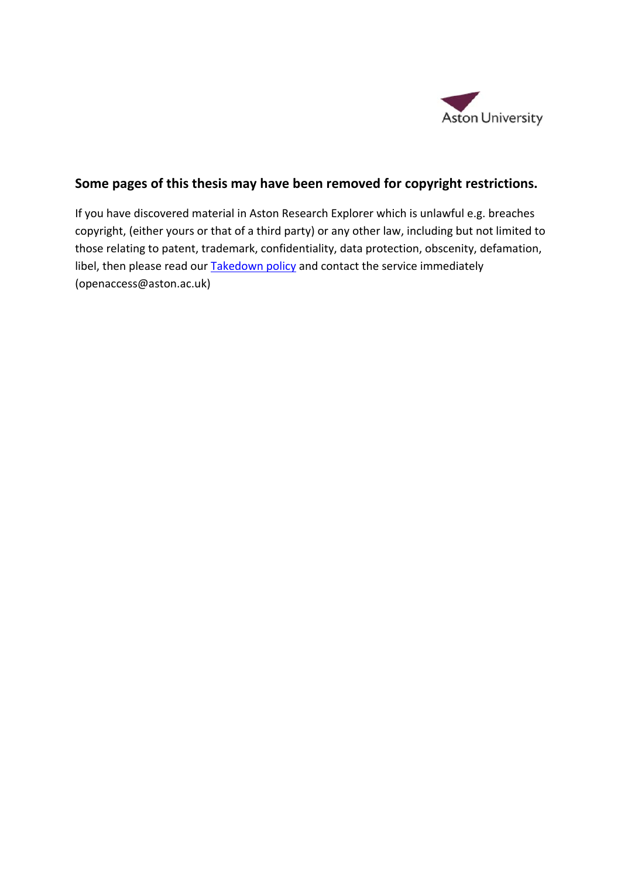

### **Some pages of this thesis may have been removed for copyright restrictions.**

If you have discovered material in Aston Research Explorer which is unlawful e.g. breaches copyright, (either yours or that of a third party) or any other law, including but not limited to those relating to patent, trademark, confidentiality, data protection, obscenity, defamation, libel, then please read our **Takedown policy** and contact the service immediately (openaccess@aston.ac.uk)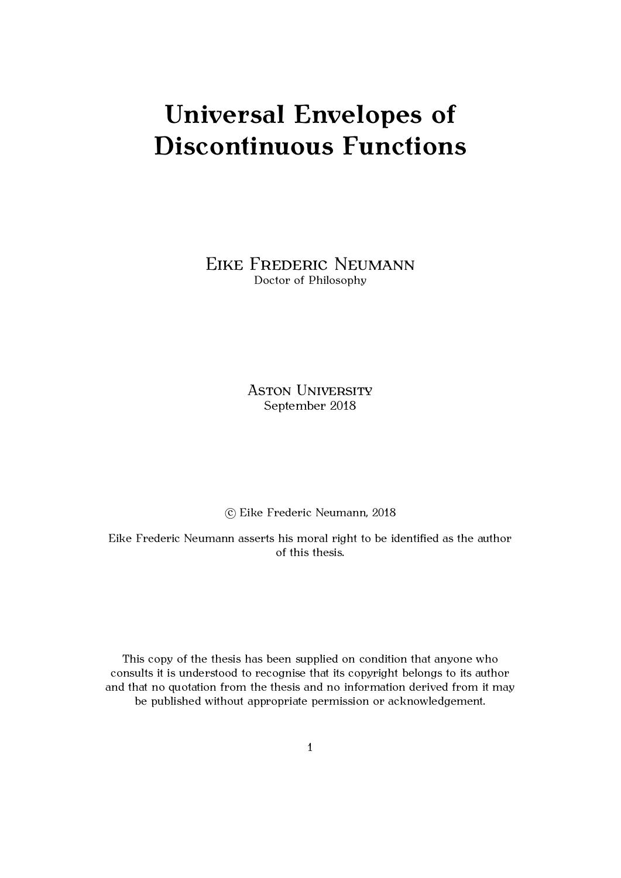# **Universal Envelopes of Discontinuous Functions**

EIKE FREDERIC NEUMANN Doctor of Philosophy

> ASTON UNIVERSITY September 2018

 $\circ$  Eike Frederic Neumann, 2018

Eike Frederic Neumann asserts his moral right to be identified as the author of this thesis.

This copy of the thesis has been supplied on condition that anyone who consults it is understood to recognise that its copyright belongs to its author and that no quotation from the thesis and no information derived from it may be published without appropriate permission or acknowledgement.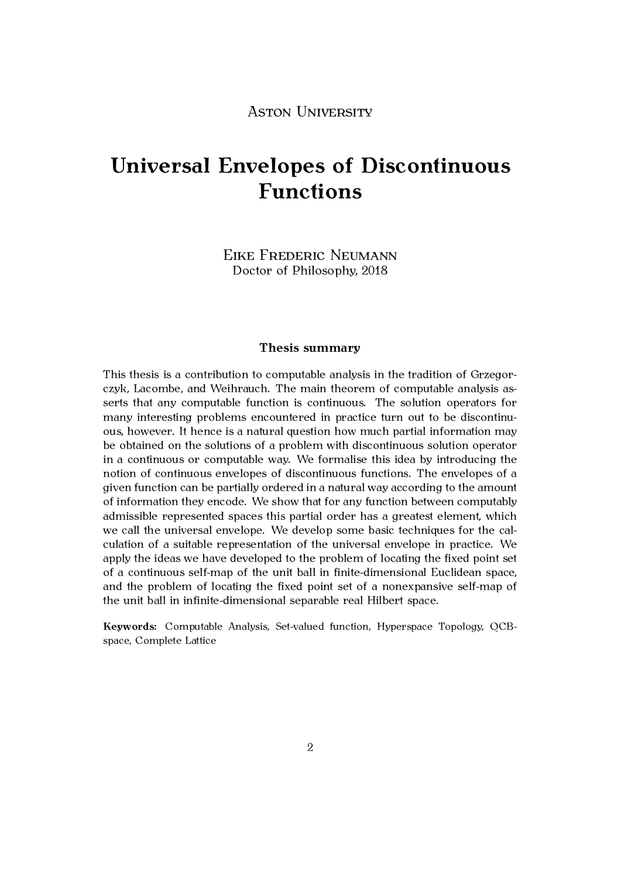#### ASTON UNIVERSITY

### **Universal Envelopes of Discontinuous Functions**

EIKE FREDERIC NEUMANN Doctor of Philosophy, 2018

#### **Thesis summary**

This thesis is a contribution to computable analysis in the tradition of Grzegorczyk, Lacombe, and Weihrauch. The main theorem of computable analysis asserts that any computable function is continuous. The solution operators for many interesting problems encountered in practice turn out to be discontinuous, however. It hence is a natural question how much partial information may be obtained on the solutions of a problem with discontinuous solution operator in a continuous or computable way. We formalise this idea by introducing the notion of continuous envelopes of discontinuous functions. The envelopes of a given function can be partially ordered in a natural way according to the amount of information they encode. We show that for any function between computably admissible represented spaces this partial order has a greatest element, which we call the universal envelope. We develop some basic techniques for the calculation of a suitable representation of the universal envelope in practice. We apply the ideas we have developed to the problem of locating the fixed point set of a continuous self-map of the unit ball in finite-dimensional Euclidean space, and the problem of locating the fixed point set of a nonexpansive self-map of the unit ball in infinite-dimensional separable real Hilbert space.

**Keywords:** Computable Analysis, Set-valued function, Hyperspace Topology, QCBspace, Complete Lattice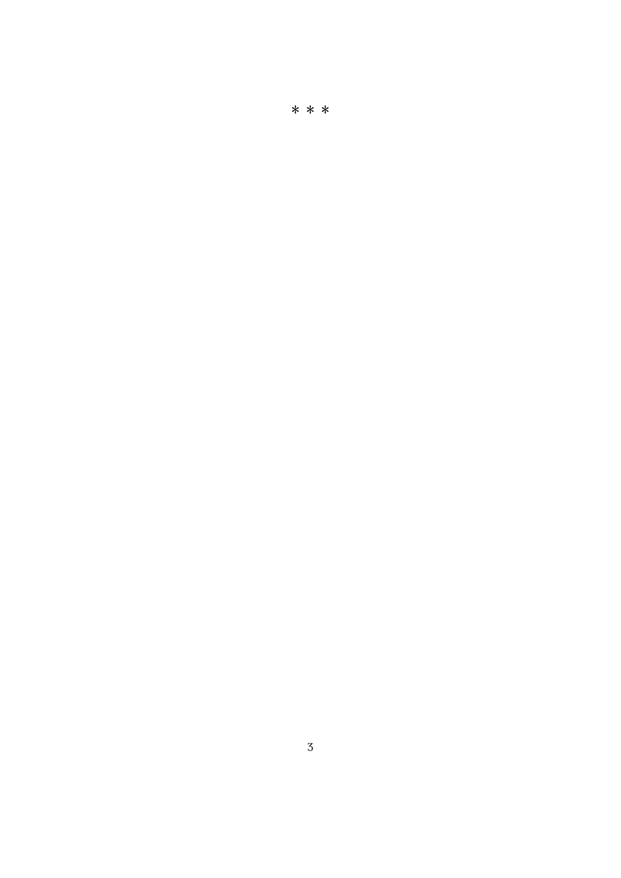\* \* \*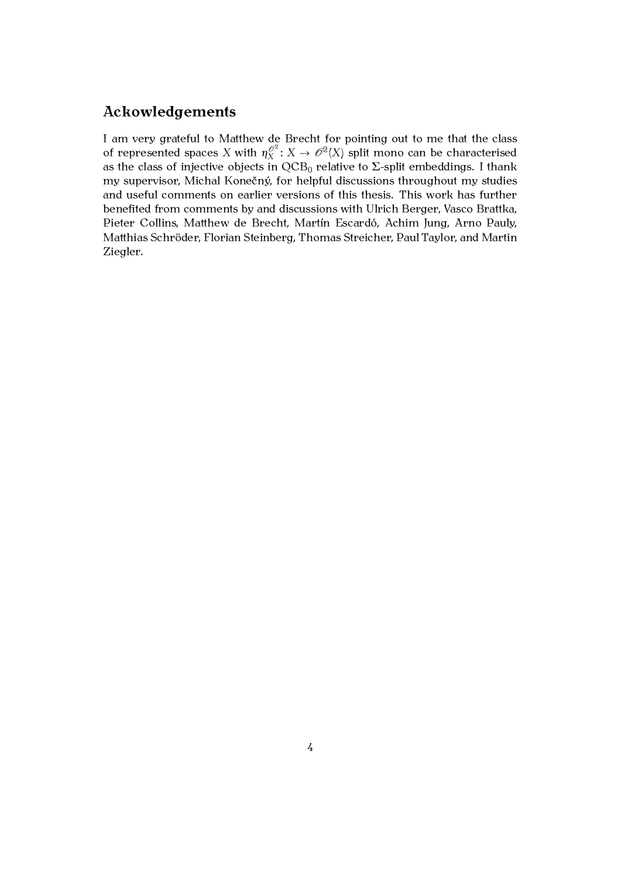### **Ackowledgements**

I am very grateful to Matthew de Brecht for pointing out to me that the class of represented spaces *X* with  $\eta_X^{\mathcal{O}^2}: X \to \mathcal{O}^2(X)$  split mono can be characterised as the class of injective objects in  $QCB_0$  relative to  $\Sigma$ -split embeddings. I thank my supervisor, Michal Konečný, for helpful discussions throughout my studies and useful comments on earlier versions of this thesis. This work has further benefited from comments by and discussions with Ulrich Berger, Vasco Brattka, Pieter Collins, Matthew de Brecht, Martín Escardó, Achim Jung, Arno Pauly, Matthias Schröder, Florian Steinberg, Thomas Streicher, Paul Taylor, and Martin Ziegler.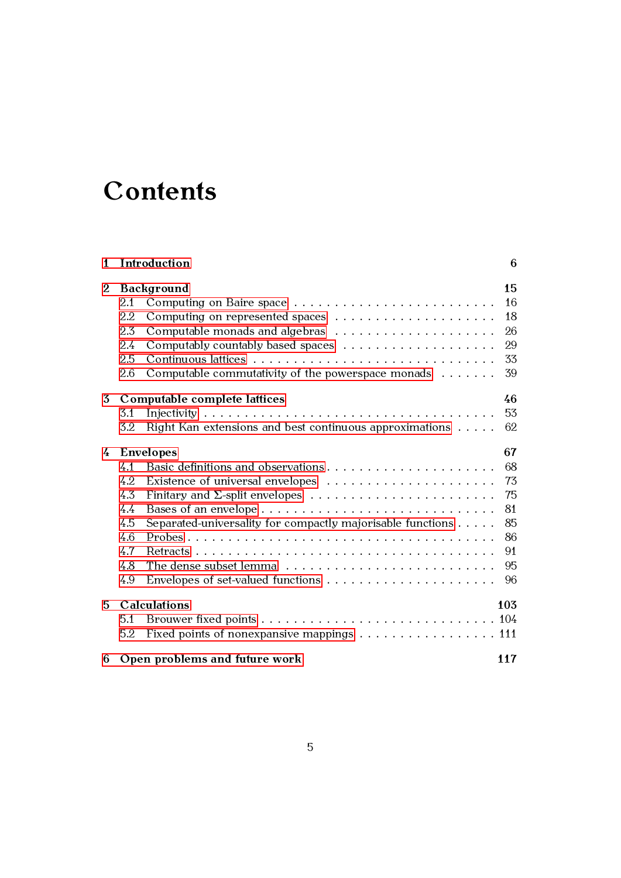# **Contents**

| $\mathbf 1$    | Introduction                  |                                                                   | 6   |
|----------------|-------------------------------|-------------------------------------------------------------------|-----|
| $\overline{2}$ |                               | <b>Background</b>                                                 |     |
|                | 2.1                           | Computing on Baire space                                          | 16  |
|                | 2.2                           |                                                                   | 18  |
|                | 2.3                           | Computable monads and algebras                                    | 26  |
|                | 2.4                           | Computably countably based spaces                                 | 29  |
|                | 2.5                           |                                                                   | 33  |
|                | 2.6                           | Computable commutativity of the powerspace monads $\ldots \ldots$ | 39  |
| 3              | Computable complete lattices  |                                                                   | 46  |
|                | 3.1                           |                                                                   | 53  |
|                | 3.2                           | Right Kan extensions and best continuous approximations           | 62  |
| $\frac{1}{4}$  | <b>Envelopes</b>              |                                                                   | 67  |
|                | 4.1                           |                                                                   | 68  |
|                | 4.2                           |                                                                   | 73  |
|                | 4.3                           |                                                                   | 75  |
|                | 4.4                           |                                                                   | 81  |
|                | 4.5                           | Separated-universality for compactly majorisable functions        | 85  |
|                | 4.6                           |                                                                   | 86  |
|                | 4.7                           |                                                                   | 91  |
|                | 4.8                           |                                                                   | 95  |
|                | 4.9                           |                                                                   | 96  |
| 5              | Calculations                  |                                                                   | 103 |
|                | 5.1                           |                                                                   |     |
|                | 5.2                           | Fixed points of nonexpansive mappings 111                         |     |
| 6              | Open problems and future work |                                                                   | 117 |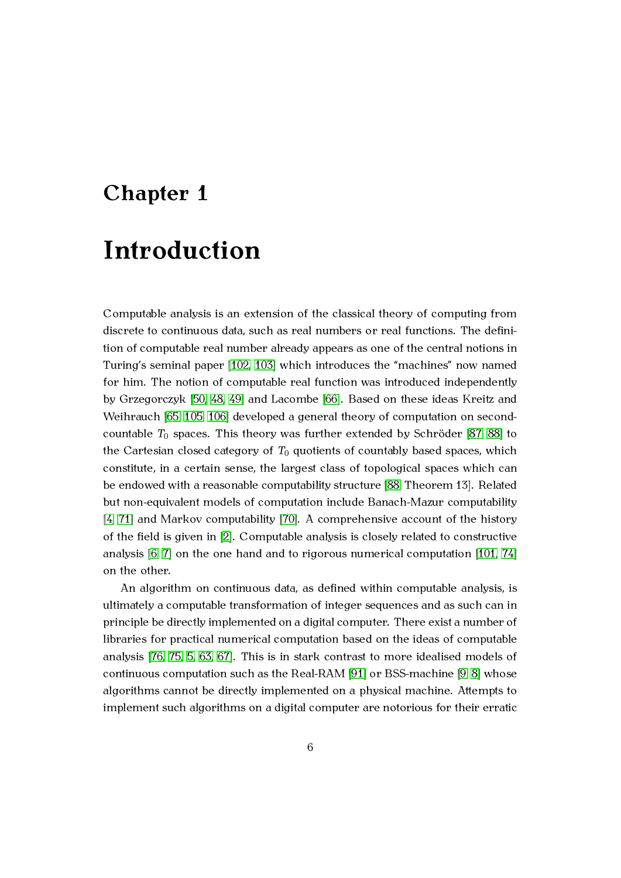### <span id="page-6-0"></span>**Chapter 1**

## **Introduction**

Computable analysis is an extension of the classical theory of computing from discrete to continuous data, such as real numbers or real functions. The definition of computable real number already appears as one of the central notions in Turing's seminal paper [\[102,](#page-126-0) [103\]](#page-126-1) which introduces the "machines" now named for him. The notion of computable real function was introduced independently by Grzegorczyk [\[50,](#page-123-0) [48,](#page-122-0) [49\]](#page-123-1) and Lacombe [\[66\]](#page-124-0). Based on these ideas Kreitz and Weihrauch [\[65,](#page-124-1) [105,](#page-126-2) [106\]](#page-126-3) developed a general theory of computation on secondcountable  $T_0$  spaces. This theory was further extended by Schröder [\[87,](#page-125-0) [88\]](#page-125-1) to the Cartesian closed category of  $T_0$  quotients of countably based spaces, which constitute, in a certain sense, the largest class of topological spaces which can be endowed with a reasonable computability structure [\[88,](#page-125-1) Theorem 13]. Related but non-equivalent models of computation include Banach-Mazur computability [\[4,](#page-119-0) [71\]](#page-124-2) and Markov computability [\[70\]](#page-124-3). A comprehensive account of the history of the field is given in [\[2\]](#page-119-1). Computable analysis is closely related to constructive analysis [\[6,](#page-119-2) [7\]](#page-119-3) on the one hand and to rigorous numerical computation [\[101,](#page-126-4) [74\]](#page-124-4) on the other.

An algorithm on continuous data, as defined within computable analysis, is ultimately a computable transformation of integer sequences and as such can in principle be directly implemented on a digital computer. There exist a number of libraries for practical numerical computation based on the ideas of computable analysis [\[76,](#page-124-5) [75,](#page-124-6) [5,](#page-119-4) [63,](#page-124-7) [67\]](#page-124-8). This is in stark contrast to more idealised models of continuous computation such as the Real-RAM [\[91\]](#page-125-2) or BSS-machine [\[9,](#page-119-5) [8\]](#page-119-6) whose algorithms cannot be directly implemented on a physical machine. Attempts to implement such algorithms on a digital computer are notorious for their erratic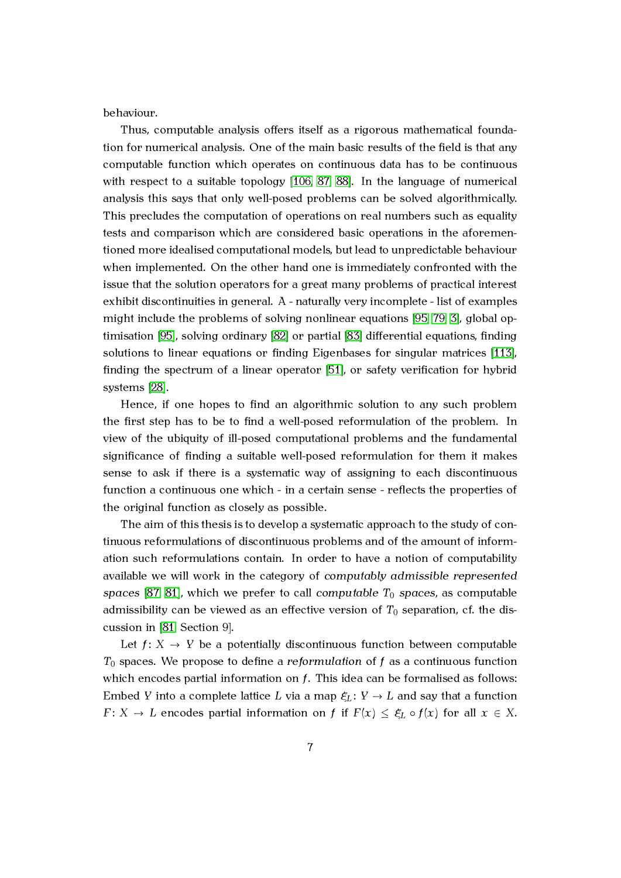behaviour.

Thus, computable analysis offers itself as a rigorous mathematical foundation for numerical analysis. One of the main basic results of the field is that any computable function which operates on continuous data has to be continuous with respect to a suitable topology [\[106,](#page-126-3) [87,](#page-125-0) [88\]](#page-125-1). In the language of numerical analysis this says that only well-posed problems can be solved algorithmically. This precludes the computation of operations on real numbers such as equality tests and comparison which are considered basic operations in the aforementioned more idealised computational models, but lead to unpredictable behaviour when implemented. On the other hand one is immediately confronted with the issue that the solution operators for a great many problems of practical interest exhibit discontinuities in general. A - naturally very incomplete - list of examples might include the problems of solving nonlinear equations [\[95,](#page-126-5) [79,](#page-125-3) [3\]](#page-119-7), global op-timisation [\[95\]](#page-126-5), solving ordinary [\[82\]](#page-125-4) or partial [\[83\]](#page-125-5) differential equations, finding solutions to linear equations or finding Eigenbases for singular matrices [\[113\]](#page-127-0), finding the spectrum of a linear operator [\[51\]](#page-123-2), or safety verification for hybrid systems [\[28\]](#page-121-0).

Hence, if one hopes to find an algorithmic solution to any such problem the first step has to be to find a well-posed reformulation of the problem. In view of the ubiquity of ill-posed computational problems and the fundamental significance of finding a suitable well-posed reformulation for them it makes sense to ask if there is a systematic way of assigning to each discontinuous function a continuous one which - in a certain sense - reflects the properties of the original function as closely as possible.

The aim of this thesis is to develop a systematic approach to the study of continuous reformulations of discontinuous problems and of the amount of information such reformulations contain. In order to have a notion of computability available we will work in the category of *computably admissible represented spaces* [\[87,](#page-125-0) [81\]](#page-125-6), which we prefer to call *computable*  $T_0$  *spaces*, as computable admissibility can be viewed as an effective version of  $T_0$  separation, cf. the discussion in [\[81,](#page-125-6) Section 9].

Let  $f: X \to Y$  be a potentially discontinuous function between computable *T*<sup>0</sup> spaces. We propose to define a *reformulation* of *f* as a continuous function which encodes partial information on *f*. This idea can be formalised as follows: Embed *Y* into a complete lattice *L* via a map  $\xi_L: Y \to L$  and say that a function *F* : *X*  $\rightarrow$  *L* encodes partial information on *f* if  $F(x) \leq \xi_L \circ f(x)$  for all  $x \in X$ .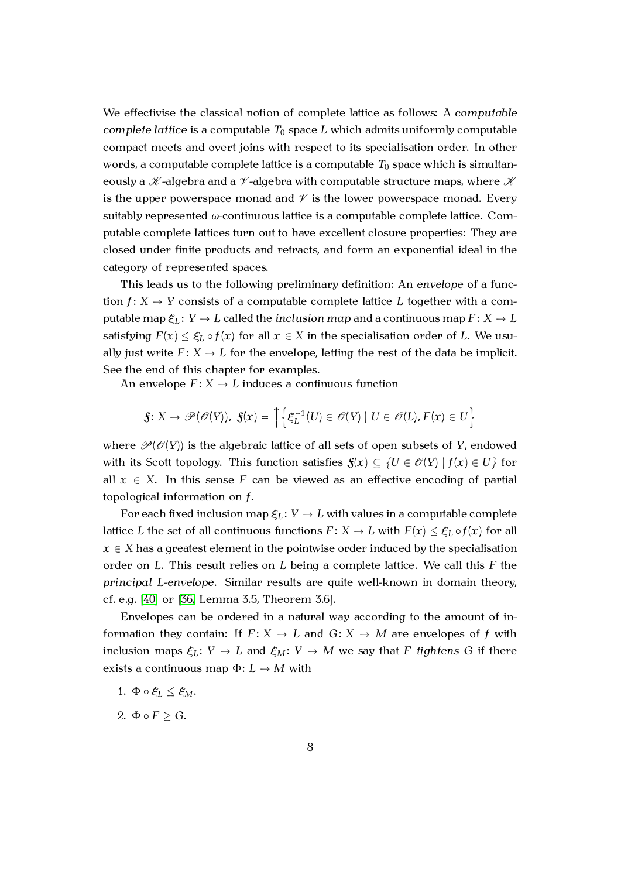We effectivise the classical notion of complete lattice as follows: A *computable complete lattice* is a computable  $T_0$  space *L* which admits uniformly computable compact meets and overt joins with respect to its specialisation order. In other words, a computable complete lattice is a computable  $T_0$  space which is simultaneously a  $\mathcal{X}$ -algebra and a  $\mathcal{Y}$ -algebra with computable structure maps, where  $\mathcal{X}$ is the upper powerspace monad and  $\mathcal V$  is the lower powerspace monad. Every suitably represented *ω*-continuous lattice is a computable complete lattice. Computable complete lattices turn out to have excellent closure properties: They are closed under finite products and retracts, and form an exponential ideal in the category of represented spaces.

This leads us to the following preliminary definition: An *envelope* of a function  $f: X \to Y$  consists of a computable complete lattice *L* together with a computable map  $\xi_L$ :  $Y \to L$  called the *inclusion map* and a continuous map  $F: X \to L$ satisfying  $F(x) \leq \mathcal{E}_L \circ f(x)$  for all  $x \in X$  in the specialisation order of *L*. We usually just write  $F: X \to L$  for the envelope, letting the rest of the data be implicit. See the end of this chapter for examples.

An envelope  $F: X \to L$  induces a continuous function

$$
\mathbf{S}: X \to \mathscr{P}(\mathscr{O}(Y)), \ \mathbf{S}(x) = \bigcap \{ \mathbf{E}_L^{-1}(U) \in \mathscr{O}(Y) \mid U \in \mathscr{O}(L), F(x) \in U \}
$$

where  $\mathcal{P}(\mathcal{O}(Y))$  is the algebraic lattice of all sets of open subsets of *Y*, endowed with its Scott topology. This function satisfies  $\mathfrak{f}(x) \subseteq \{U \in \mathcal{O}(Y) \mid f(x) \in U\}$  for all  $x \in X$ . In this sense *F* can be viewed as an effective encoding of partial topological information on *f*.

For each fixed inclusion map *ξ<sup>L</sup>* : *Y → L* with values in a computable complete lattice *L* the set of all continuous functions  $F: X \to L$  with  $F(x) \leq \mathcal{E}_L \circ f(x)$  for all  $x \in X$  has a greatest element in the pointwise order induced by the specialisation order on *L*. This result relies on *L* being a complete lattice. We call this *F* the *principal L-envelope*. Similar results are quite well-known in domain theory, cf. e.g. [\[40\]](#page-122-1) or [\[36,](#page-122-2) Lemma 3.5, Theorem 3.6].

Envelopes can be ordered in a natural way according to the amount of information they contain: If  $F: X \to L$  and  $G: X \to M$  are envelopes of f with inclusion maps  $\xi_L: Y \to L$  and  $\xi_M: Y \to M$  we say that *F tightens G* if there exists a continuous map Φ : *L → M* with

- 1.  $\Phi \circ \xi_L \leq \xi_M$ .
- 2.  $\Phi \circ F \geq G$ .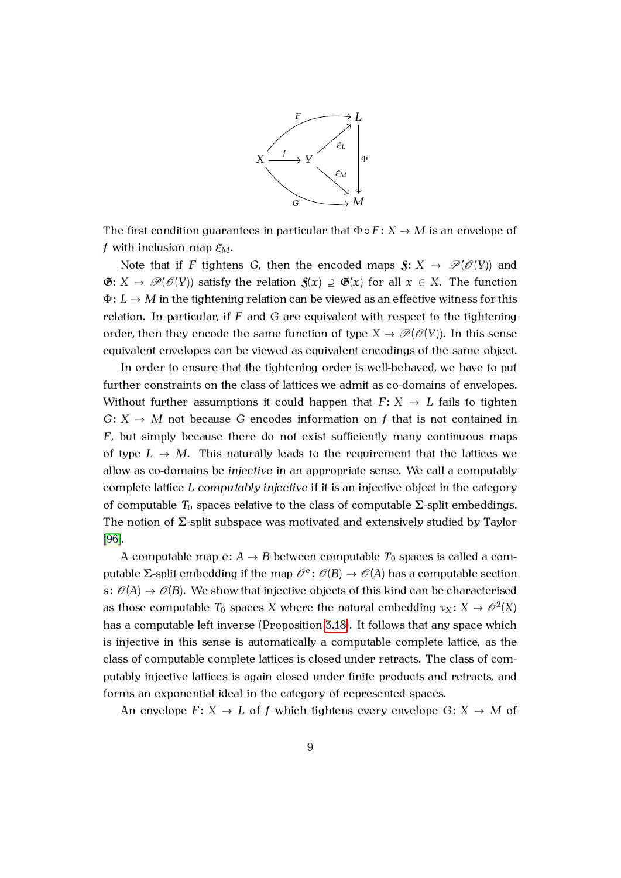

The first condition guarantees in particular that  $\Phi \circ F : X \to M$  is an envelope of *f* with inclusion map *ξM*.

Note that if *F* tightens *G*, then the encoded maps  $\mathfrak{F}: X \to \mathcal{P}(\mathcal{O}(Y))$  and  $\mathfrak{F}: X \to \mathscr{P}(\mathcal{O}(Y))$  satisfy the relation  $\mathfrak{f}(x) \supseteq \mathfrak{G}(x)$  for all  $x \in X$ . The function Φ : *L → M* in the tightening relation can be viewed as an effective witness for this relation. In particular, if *F* and *G* are equivalent with respect to the tightening order, then they encode the same function of type  $X \to \mathcal{P}(\mathcal{O}(Y))$ . In this sense equivalent envelopes can be viewed as equivalent encodings of the same object.

In order to ensure that the tightening order is well-behaved, we have to put further constraints on the class of lattices we admit as co-domains of envelopes. Without further assumptions it could happen that  $F: X \rightarrow L$  fails to tighten  $G: X \rightarrow M$  not because *G* encodes information on *f* that is not contained in *F*, but simply because there do not exist sufficiently many continuous maps of type  $L \to M$ . This naturally leads to the requirement that the lattices we allow as co-domains be *injective* in an appropriate sense. We call a computably complete lattice *L computably injective* if it is an injective object in the category of computable *T*<sup>0</sup> spaces relative to the class of computable Σ-split embeddings. The notion of Σ-split subspace was motivated and extensively studied by Taylor [\[96\]](#page-126-6).

A computable map  $e: A \rightarrow B$  between computable  $T_0$  spaces is called a computable  $\Sigma$ -split embedding if the map  $\mathscr{O}^e: \mathscr{O}(B) \to \mathscr{O}(A)$  has a computable section *s*:  $\mathcal{O}(A) \rightarrow \mathcal{O}(B)$ . We show that injective objects of this kind can be characterised as those computable  $T_0$  spaces  $X$  where the natural embedding  $\nu_X\colon X\to \mathscr{O}^2(X)$ has a computable left inverse (Proposition [3.18\)](#page-55-0). It follows that any space which is injective in this sense is automatically a computable complete lattice, as the class of computable complete lattices is closed under retracts. The class of computably injective lattices is again closed under finite products and retracts, and forms an exponential ideal in the category of represented spaces.

An envelope  $F: X \to L$  of f which tightens every envelope  $G: X \to M$  of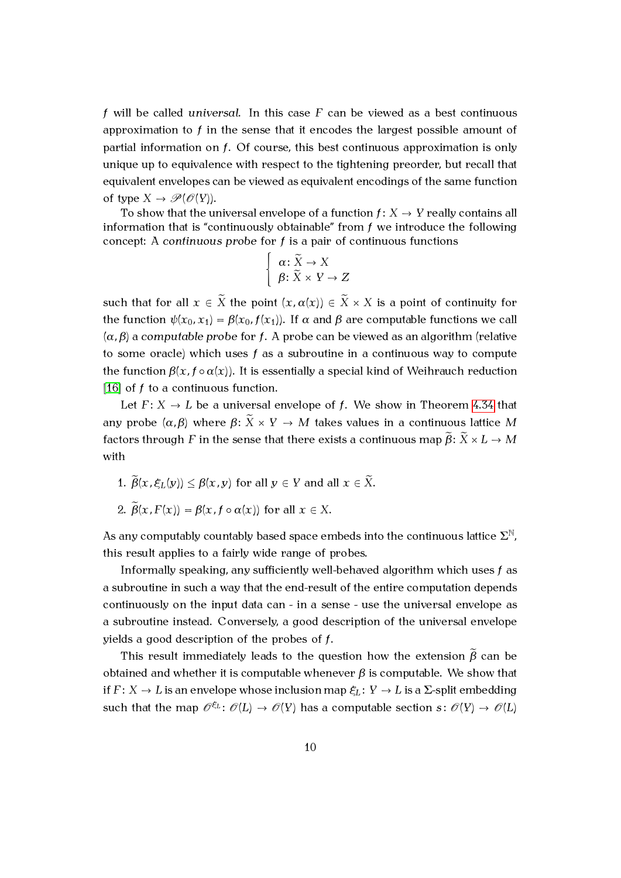*f* will be called *universal*. In this case *F* can be viewed as a best continuous approximation to *f* in the sense that it encodes the largest possible amount of partial information on *f*. Of course, this best continuous approximation is only unique up to equivalence with respect to the tightening preorder, but recall that equivalent envelopes can be viewed as equivalent encodings of the same function of type  $X \to \mathcal{P}(\mathcal{O}(Y)).$ 

To show that the universal envelope of a function  $f: X \to Y$  really contains all information that is "continuously obtainable" from *f* we introduce the following concept: A *continuous probe* for *f* is a pair of continuous functions  $\frac{1}{\epsilon}$ 

$$
\left\{\n \begin{array}{l}\n \alpha \colon \widetilde{X} \to X \\
 \beta \colon \widetilde{X} \times Y \to Z\n \end{array}\n\right.
$$

such that for all  $x \in \tilde{X}$  the point  $(x, \alpha(x)) \in \tilde{X} \times X$  is a point of continuity for the function  $\psi(x_0, x_1) = \beta(x_0, f(x_1))$ . If  $\alpha$  and  $\beta$  are computable functions we call (*α, β*) a *computable probe* for *f*. A probe can be viewed as an algorithm (relative to some oracle) which uses *f* as a subroutine in a continuous way to compute the function  $\beta(x, f \circ \alpha(x))$ . It is essentially a special kind of Weihrauch reduction [\[16\]](#page-120-0) of *f* to a continuous function.

Let  $F: X \to L$  be a universal envelope of *f*. We show in Theorem [4.34](#page-88-0) that any probe  $(\alpha, \beta)$  where  $\beta: \widetilde{X} \times Y \to M$  takes values in a continuous lattice M factors through *F* in the sense that there exists a continuous map  $\tilde{\beta}$ :  $\tilde{X} \times L \rightarrow M$ with

- 1.  $\widetilde{\beta}(x,\xi_L(y)) \leq \beta(x,y)$  for all  $y \in Y$  and all  $x \in \widetilde{X}$ .
- 2.  $\widetilde{\beta}(x, F(x)) = \beta(x, f \circ \alpha(x))$  for all  $x \in X$ .

As any computably countably based space embeds into the continuous lattice  $\Sigma^{\mathbb{N}}$ , this result applies to a fairly wide range of probes.

Informally speaking, any sufficiently well-behaved algorithm which uses *f* as a subroutine in such a way that the end-result of the entire computation depends continuously on the input data can - in a sense - use the universal envelope as a subroutine instead. Conversely, a good description of the universal envelope yields a good description of the probes of *f*.

This result immediately leads to the question how the extension  $\tilde{\beta}$  can be obtained and whether it is computable whenever *β* is computable. We show that if  $F: X \to L$  is an envelope whose inclusion map  $\mathcal{E}_L: Y \to L$  is a  $\Sigma$ -split embedding such that the map  $\mathscr{O}^{\xi_L}\colon \mathscr{O}(L)\to \mathscr{O}(Y)$  has a computable section  $s\colon \mathscr{O}(Y)\to \mathscr{O}(L)$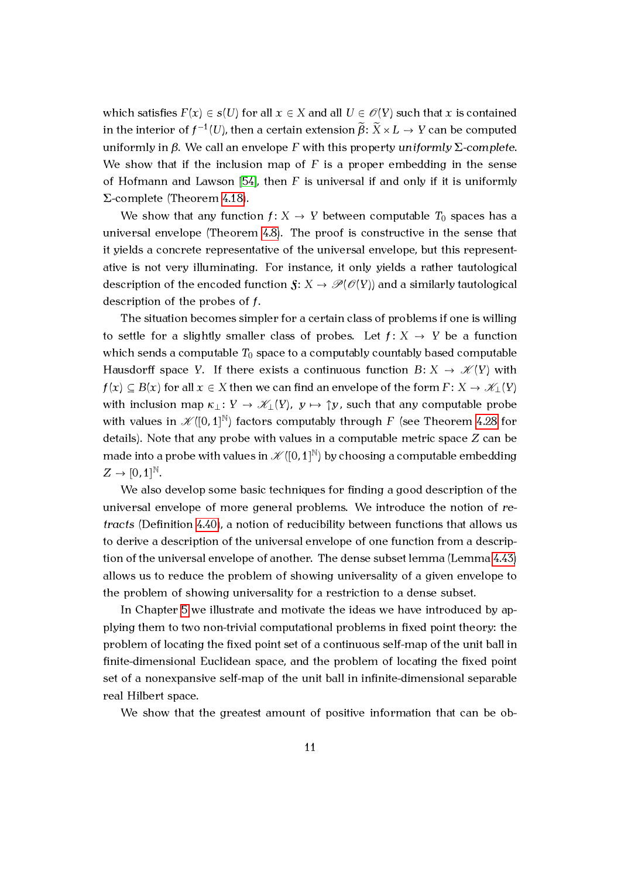which satisfies  $F(x) \in s(U)$  for all  $x \in X$  and all  $U \in \mathcal{O}(Y)$  such that x is contained in the interior of  $f^{-1}(U)$ , then a certain extension  $\widetilde{\beta}\colon \widetilde{X}\times L\to Y$  can be computed uniformly in *β*. We call an envelope *F* with this property *uniformly* Σ*-complete*. We show that if the inclusion map of *F* is a proper embedding in the sense of Hofmann and Lawson [\[54\]](#page-123-3), then *F* is universal if and only if it is uniformly Σ-complete (Theorem [4.18\)](#page-79-0).

We show that any function  $f: X \to Y$  between computable  $T_0$  spaces has a universal envelope (Theorem [4.8\)](#page-73-1). The proof is constructive in the sense that it yields a concrete representative of the universal envelope, but this representative is not very illuminating. For instance, it only yields a rather tautological description of the encoded function  $\mathfrak{F}: X \to \mathcal{P}(\mathcal{O}(Y))$  and a similarly tautological description of the probes of *f*.

The situation becomes simpler for a certain class of problems if one is willing to settle for a slightly smaller class of probes. Let  $f: X \rightarrow Y$  be a function which sends a computable  $T_0$  space to a computably countably based computable Hausdorff space *Y*. If there exists a continuous function  $B: X \to \mathcal{K}(Y)$  with *f*(*x*) ⊆ *B*(*x*) for all *x* ∈ *X* then we can find an envelope of the form  $F: X \to \mathcal{K}_1(Y)$ with inclusion map  $\kappa_{\perp} : Y \to \mathcal{K}_{\perp}(Y)$ ,  $y \mapsto \uparrow y$ , such that any computable probe with values in  $\mathcal{K}([0,1]^{\mathbb{N}})$  factors computably through *F* (see Theorem [4.28](#page-85-1) for details). Note that any probe with values in a computable metric space *Z* can be made into a probe with values in  $\mathscr{K}([0,1]^{\mathbb{N}})$  by choosing a computable embedding  $Z \rightarrow [0,1]^{\mathbb{N}}$ .

We also develop some basic techniques for finding a good description of the universal envelope of more general problems. We introduce the notion of *retracts* (Definition [4.40\)](#page-92-0), a notion of reducibility between functions that allows us to derive a description of the universal envelope of one function from a description of the universal envelope of another. The dense subset lemma (Lemma [4.43\)](#page-95-1) allows us to reduce the problem of showing universality of a given envelope to the problem of showing universality for a restriction to a dense subset.

In Chapter [5](#page-103-0) we illustrate and motivate the ideas we have introduced by applying them to two non-trivial computational problems in fixed point theory: the problem of locating the fixed point set of a continuous self-map of the unit ball in finite-dimensional Euclidean space, and the problem of locating the fixed point set of a nonexpansive self-map of the unit ball in infinite-dimensional separable real Hilbert space.

We show that the greatest amount of positive information that can be ob-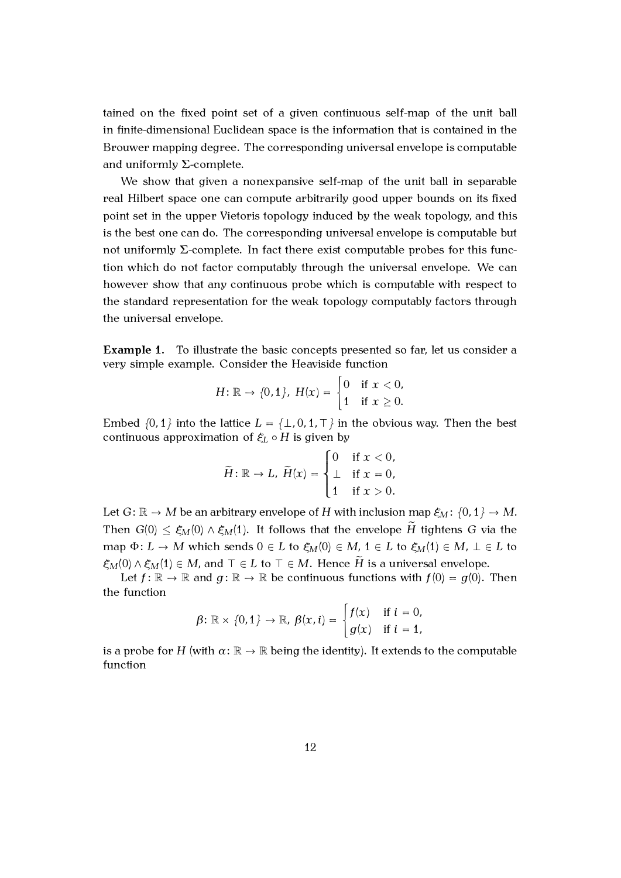tained on the fixed point set of a given continuous self-map of the unit ball in finite-dimensional Euclidean space is the information that is contained in the Brouwer mapping degree. The corresponding universal envelope is computable and uniformly Σ-complete.

We show that given a nonexpansive self-map of the unit ball in separable real Hilbert space one can compute arbitrarily good upper bounds on its fixed point set in the upper Vietoris topology induced by the weak topology, and this is the best one can do. The corresponding universal envelope is computable but not uniformly  $\Sigma$ -complete. In fact there exist computable probes for this function which do not factor computably through the universal envelope. We can however show that any continuous probe which is computable with respect to the standard representation for the weak topology computably factors through the universal envelope.

**Example 1.** To illustrate the basic concepts presented so far, let us consider a very simple example. Consider the Heaviside function

$$
H: \mathbb{R} \to \{0,1\}, H(x) = \begin{cases} 0 & \text{if } x < 0, \\ 1 & \text{if } x \geq 0. \end{cases}
$$

Embed  $\{0, 1\}$  into the lattice  $L = \{\perp, 0, 1, \top\}$  in the obvious way. Then the best continuous approximation of *ξ<sup>L</sup> ◦ H* is given by  $\epsilon$ 

$$
\widetilde{H} : \mathbb{R} \to L, \ \widetilde{H}(x) = \begin{cases} 0 & \text{if } x < 0, \\ \bot & \text{if } x = 0, \\ 1 & \text{if } x > 0. \end{cases}
$$

Let  $G: \mathbb{R} \to M$  be an arbitrary envelope of *H* with inclusion map  $\xi_M: \{0,1\} \to M$ . Then  $G(0) \leq \xi_M(0) \wedge \xi_M(1)$ . It follows that the envelope  $\widetilde{H}$  tightens *G* via the map  $\Phi: L \to M$  which sends  $0 \in L$  to  $\xi_M(0) \in M$ ,  $1 \in L$  to  $\xi_M(1) \in M$ ,  $\bot \in L$  to  $\xi_M(0) \wedge \xi_M(1) \in M$ , and  $\top \in L$  to  $\top \in M$ . Hence  $\widetilde{H}$  is a universal envelope.

Let  $f: \mathbb{R} \to \mathbb{R}$  and  $g: \mathbb{R} \to \mathbb{R}$  be continuous functions with  $f(0) = g(0)$ . Then the function

$$
\beta \colon \mathbb{R} \times \{0,1\} \to \mathbb{R}, \ \beta(x,i) = \begin{cases} f(x) & \text{if } i = 0, \\ g(x) & \text{if } i = 1, \end{cases}
$$

is a probe for *H* (with  $\alpha: \mathbb{R} \to \mathbb{R}$  being the identity). It extends to the computable function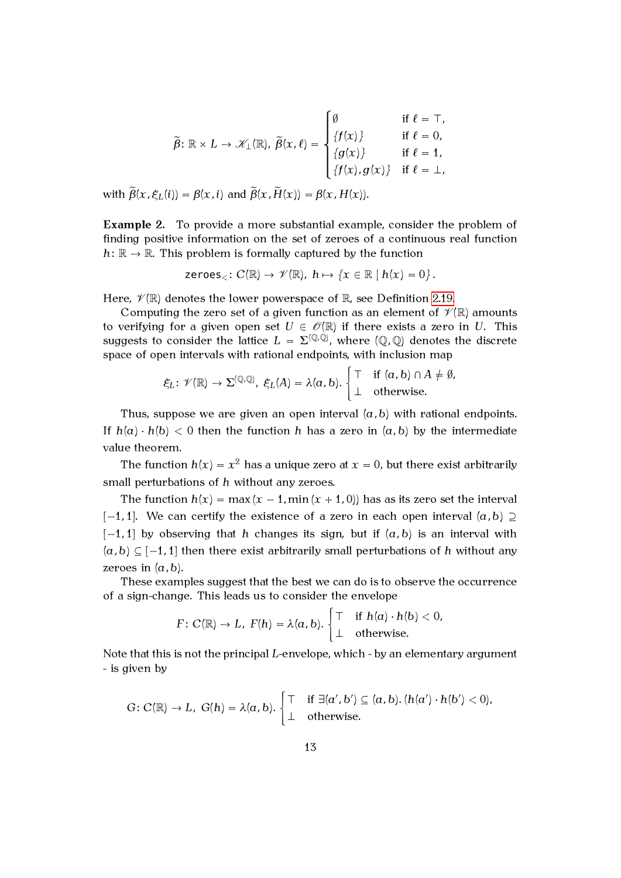$$
\widetilde{\beta} \colon \mathbb{R} \times L \to \mathscr{K}_{\perp}(\mathbb{R}), \ \widetilde{\beta}(x, \ell) = \begin{cases} \emptyset & \text{if } \ell = \top, \\ \{f(x)\} & \text{if } \ell = 0, \\ \{g(x)\} & \text{if } \ell = 1, \\ \{f(x), g(x)\} & \text{if } \ell = \bot, \end{cases}
$$

with  $\widetilde{\beta}(x,\xi_L(i)) = \beta(x,i)$  and  $\widetilde{\beta}(x,\widetilde{H}(x)) = \beta(x,H(x)).$ 

**Example 2.** To provide a more substantial example, consider the problem of finding positive information on the set of zeroes of a continuous real function  $h: \mathbb{R} \to \mathbb{R}$ . This problem is formally captured by the function

$$
\mathsf{zeroes}_{\leq}: C(\mathbb{R}) \to \mathscr{V}(\mathbb{R}),\ h \mapsto \{x \in \mathbb{R} \mid h(x) = 0\}.
$$

Here,  $\mathcal{V}(\mathbb{R})$  denotes the lower powerspace of  $\mathbb{R}$ , see Definition [2.19.](#page-23-0)

Computing the zero set of a given function as an element of  $\mathcal{V}(\mathbb{R})$  amounts to verifying for a given open set  $U \in \mathcal{O}(\mathbb{R})$  if there exists a zero in *U*. This suggests to consider the lattice  $L = \Sigma^{(\mathbb{Q},\mathbb{Q})}$ , where  $(\mathbb{Q},\mathbb{Q})$  denotes the discrete space of open intervals with rational endpoints, with inclusion map  $\frac{1}{c}$ 

$$
\xi_L\colon \mathscr{V}(\mathbb{R}) \to \Sigma^{\langle \mathbb{Q}, \mathbb{Q}\rangle}, \ \xi_L(A) = \lambda(a, b). \begin{cases} \top & \text{if } (a, b) \cap A \neq \emptyset, \\ \bot & \text{otherwise.} \end{cases}
$$

Thus, suppose we are given an open interval  $(a, b)$  with rational endpoints. If  $h(a) \cdot h(b) < 0$  then the function *h* has a zero in  $(a, b)$  by the intermediate value theorem.

The function  $h(x) = x^2$  has a unique zero at  $x = 0$ , but there exist arbitrarily small perturbations of *h* without any zeroes.

The function  $h(x) = \max(x - 1, \min(x + 1, 0))$  has as its zero set the interval [*−*1*,* 1]. We can certify the existence of a zero in each open interval (*a, b*) *⊇* [*−*1*,* 1] by observing that *h* changes its sign, but if (*a, b*) is an interval with (*a, b*) *⊆* [*−*1*,* 1] then there exist arbitrarily small perturbations of *h* without any zeroes in (*a, b*).

These examples suggest that the best we can do is to observe the occurrence of a sign-change. This leads us to consider the envelope  $\overline{c}$ 

$$
F\colon C(\mathbb{R})\to L,\ F(h)=\lambda(a,b).\begin{cases} \top & \text{if } h(a)\cdot h(b)<0, \\ \bot & \text{otherwise.} \end{cases}
$$

Note that this is not the principal *L*-envelope, which - by an elementary argument - is given by

$$
G\colon C(\mathbb{R})\to L,\ G(h)=\lambda(a,b).\begin{cases}\top & \text{if }\exists(a',b')\subseteq (a,b),(h(a')\cdot h(b')<0),\\ \bot & \text{otherwise.}\end{cases}
$$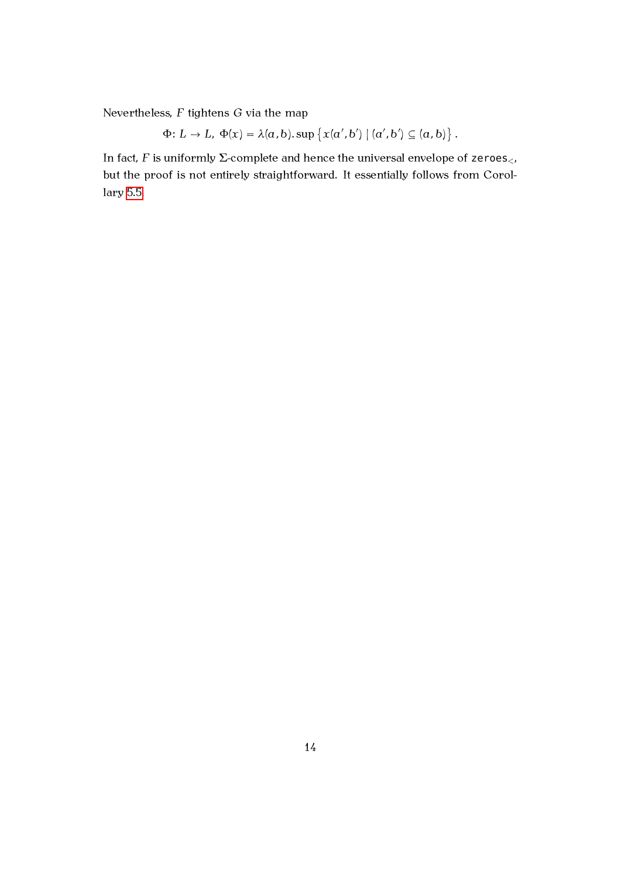Nevertheless, *F* tightens *G* via the map

 $\Phi: L \to L$ ,  $\Phi(x) = \lambda(a, b)$ . sup  $\{x(a', b') \mid (a', b') \subseteq (a, b)\}$  $\overline{1}$ *.*

In fact, *F* is uniformly Σ-complete and hence the universal envelope of zeroes*<*, but the proof is not entirely straightforward. It essentially follows from Corollary [5.5.](#page-107-0)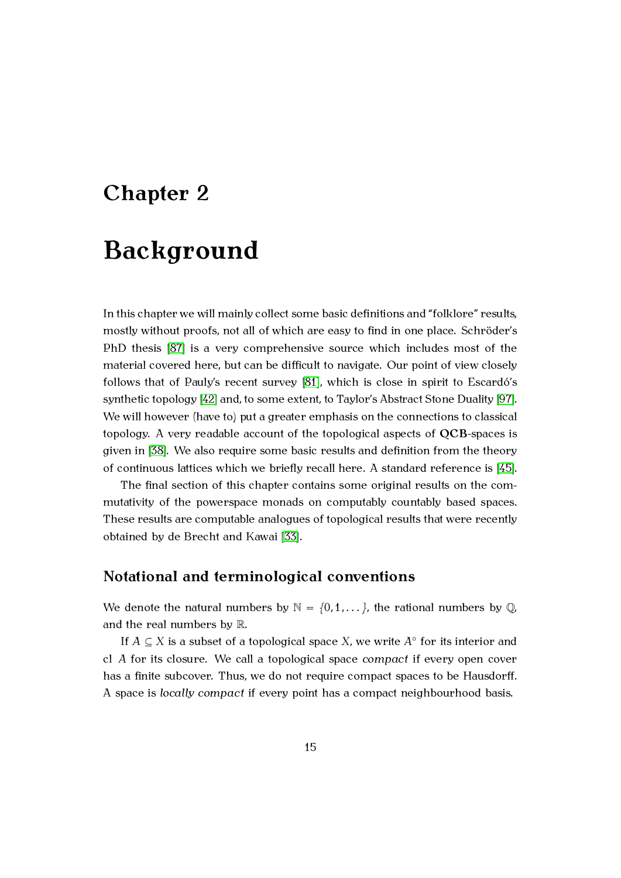### <span id="page-15-0"></span>**Chapter 2**

## **Background**

In this chapter we will mainly collect some basic definitions and "folklore" results, mostly without proofs, not all of which are easy to find in one place. Schröder's PhD thesis [\[87\]](#page-125-0) is a very comprehensive source which includes most of the material covered here, but can be difficult to navigate. Our point of view closely follows that of Pauly's recent survey [\[81\]](#page-125-6), which is close in spirit to Escardó's synthetic topology [\[42\]](#page-122-3) and, to some extent, to Taylor's Abstract Stone Duality [\[97\]](#page-126-7). We will however (have to) put a greater emphasis on the connections to classical topology. A very readable account of the topological aspects of **QCB**-spaces is given in [\[38\]](#page-122-4). We also require some basic results and definition from the theory of continuous lattices which we briefly recall here. A standard reference is [\[45\]](#page-122-5).

The final section of this chapter contains some original results on the commutativity of the powerspace monads on computably countably based spaces. These results are computable analogues of topological results that were recently obtained by de Brecht and Kawai [\[33\]](#page-121-1).

### **Notational and terminological conventions**

We denote the natural numbers by  $\mathbb{N} = \{0, 1, \dots\}$ , the rational numbers by  $\mathbb{Q}$ , and the real numbers by R.

If *A ⊆ X* is a subset of a topological space *X*, we write *A ◦* for its interior and cl *A* for its closure. We call a topological space *compact* if every open cover has a finite subcover. Thus, we do not require compact spaces to be Hausdorff. A space is *locally compact* if every point has a compact neighbourhood basis.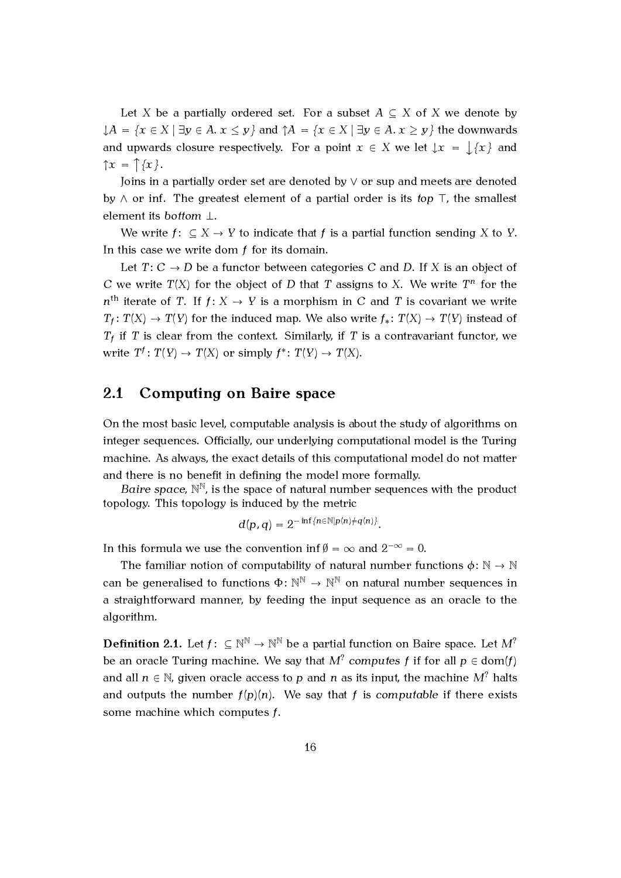Let *X* be a partially ordered set. For a subset  $A \subseteq X$  of *X* we denote by *↓A* =  ${x \in X | \exists y \in A \cdot x \leq y}$  and  ${\uparrow A} = {x \in X | \exists y \in A \cdot x \geq y}$  the downwards and upwards closure respectively. For a point  $x \in X$  we let  $\downarrow x = \downarrow \{x\}$  and  $\uparrow x = \uparrow \{x\}.$ 

Joins in a partially order set are denoted by *∨* or sup and meets are denoted by *∧* or inf. The greatest element of a partial order is its *top >*, the smallest element its *bottom ⊥*.

We write  $f: \subseteq X \to Y$  to indicate that f is a partial function sending X to Y. In this case we write dom *f* for its domain.

Let  $T: C \rightarrow D$  be a functor between categories *C* and *D*. If *X* is an object of *C* we write  $T(X)$  for the object of *D* that *T* assigns to *X*. We write  $T^n$  for the  $n^{\text{th}}$  iterate of *T*. If  $f: X \rightarrow Y$  is a morphism in *C* and *T* is covariant we write  $T_f: T(X) \to T(Y)$  for the induced map. We also write  $f_*: T(X) \to T(Y)$  instead of  $T_f$  if *T* is clear from the context. Similarly, if *T* is a contravariant functor, we write  $T^f\colon T(Y)\to T(X)$  or simply  $f^*\colon T(Y)\to T(X).$ 

### <span id="page-16-0"></span>**2.1 Computing on Baire space**

On the most basic level, computable analysis is about the study of algorithms on integer sequences. Officially, our underlying computational model is the Turing machine. As always, the exact details of this computational model do not matter and there is no benefit in defining the model more formally.

Baire space, N<sup>N</sup>, is the space of natural number sequences with the product topology. This topology is induced by the metric

$$
d(p,q) = 2^{-\inf\{n\in\mathbb{N}|p(n)\neq q(n)\}}.
$$

In this formula we use the convention  $\inf \emptyset = \infty$  and  $2^{-\infty} = 0$ .

The familiar notion of computability of natural number functions *φ*: N *→* N can be generalised to functions  $\Phi \colon \mathbb{N}^\mathbb{N} \to \mathbb{N}^\mathbb{N}$  on natural number sequences in a straightforward manner, by feeding the input sequence as an oracle to the algorithm.

**Definition 2.1.** Let  $f: \subseteq \mathbb{N}^{\mathbb{N}} \to \mathbb{N}^{\mathbb{N}}$  be a partial function on Baire space. Let  $M^?$ be an oracle Turing machine. We say that  $M^2$  computes f if for all  $p \in \text{dom}(f)$ and all  $n \in \mathbb{N}$ , given oracle access to p and n as its input, the machine  $M^2$  halts and outputs the number  $f(p)(n)$ . We say that *f* is *computable* if there exists some machine which computes *f*.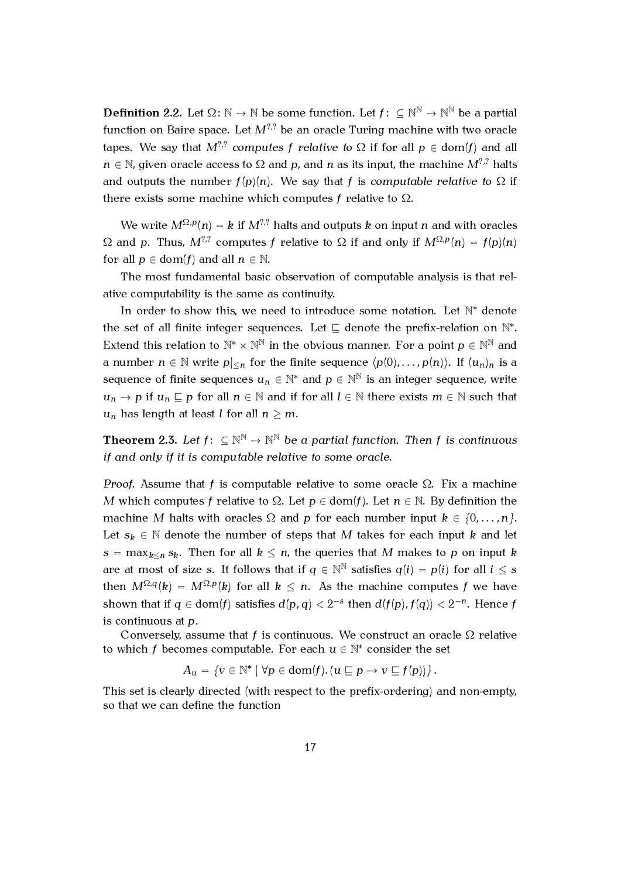**Definition 2.2.** Let  $\Omega: \mathbb{N} \to \mathbb{N}$  be some function. Let  $f: \subseteq \mathbb{N}^{\mathbb{N}} \to \mathbb{N}^{\mathbb{N}}$  be a partial function on Baire space. Let  $M^{2,2}$  be an oracle Turing machine with two oracle tapes. We say that  $M^{?,?}$  *computes f relative* to  $\Omega$  if for all  $p \in \text{dom}(f)$  and all  $n \in \mathbb{N}$ , given oracle access to  $\Omega$  and *p*, and *n* as its input, the machine  $M^{2,2}$  halts and outputs the number  $f(p)(n)$ . We say that *f* is *computable relative to*  $\Omega$  if there exists some machine which computes *f* relative to Ω.

We write  $M^{\Omega,p}(n) = k$  if  $M^{2,2}$  halts and outputs k on input *n* and with oracles  $Ω$  and *p*. Thus,  $M^{?,?}$  computes *f* relative to  $Ω$  if and only if  $M^{Ω, p}(n) = f(p)(n)$ for all  $p \in \text{dom}(f)$  and all  $n \in \mathbb{N}$ .

The most fundamental basic observation of computable analysis is that relative computability is the same as continuity.

In order to show this, we need to introduce some notation. Let N *<sup>∗</sup>* denote the set of all finite integer sequences. Let  $\subseteq$  denote the prefix-relation on  $\mathbb{N}^*$ . Extend this relation to  $\mathbb{N}^* \times \mathbb{N}^{\mathbb{N}}$  in the obvious manner. For a point  $p \in \mathbb{N}^{\mathbb{N}}$  and a number  $n \in \mathbb{N}$  write  $p|_{\leq n}$  for the finite sequence  $\langle p(0), \ldots, p(n) \rangle$ . If  $(u_n)_n$  is a sequence of finite sequences  $u_n \in \mathbb{N}^*$  and  $p \in \mathbb{N}^\mathbb{N}$  is an integer sequence, write *u*<sub>*n*</sub> → *p* if *u*<sub>*n*</sub>  $\subseteq$  *p* for all *n*  $\in$  N and if for all *l*  $\in$  N there exists *m*  $\in$  N such that *u*<sub>*n*</sub> has length at least *l* for all  $n \geq m$ .

<span id="page-17-0"></span>**Theorem 2.3.** Let  $f: \subseteq \mathbb{N}^{\mathbb{N}} \to \mathbb{N}^{\mathbb{N}}$  be a partial function. Then  $f$  is continuous *if and only if it is computable relative to some oracle.*

*Proof.* Assume that *f* is computable relative to some oracle Ω. Fix a machine *M* which computes *f* relative to  $\Omega$ . Let  $p \in \text{dom}(f)$ . Let  $n \in \mathbb{N}$ . By definition the machine *M* halts with oracles  $\Omega$  and *p* for each number input  $k \in \{0, \ldots, n\}$ . Let  $s_k \in \mathbb{N}$  denote the number of steps that *M* takes for each input *k* and let  $s = \max_{k \leq n} s_k$ . Then for all  $k \leq n$ , the queries that *M* makes to *p* on input *k* are at most of size *s*. It follows that if  $q \in \mathbb{N}^{\mathbb{N}}$  satisfies  $q(i) = p(i)$  for all  $i \leq s$ then  $M^{\Omega,q}(k) = M^{\Omega,p}(k)$  for all  $k \leq n$ . As the machine computes f we have shown that if  $q \in \text{dom}(f)$  satisfies  $d(p, q) < 2^{-s}$  then  $d(f(p), f(q)) < 2^{-n}$ . Hence *f* is continuous at *p*.

Conversely, assume that *f* is continuous. We construct an oracle  $\Omega$  relative to which *f* becomes computable. For each *u ∈* N *<sup>∗</sup>* consider the set

$$
A_u = \{v \in \mathbb{N}^* \mid \forall p \in \text{dom}(f) \ldotp (u \sqsubseteq p \to v \sqsubseteq f(p))\}.
$$

This set is clearly directed (with respect to the prefix-ordering) and non-empty, so that we can define the function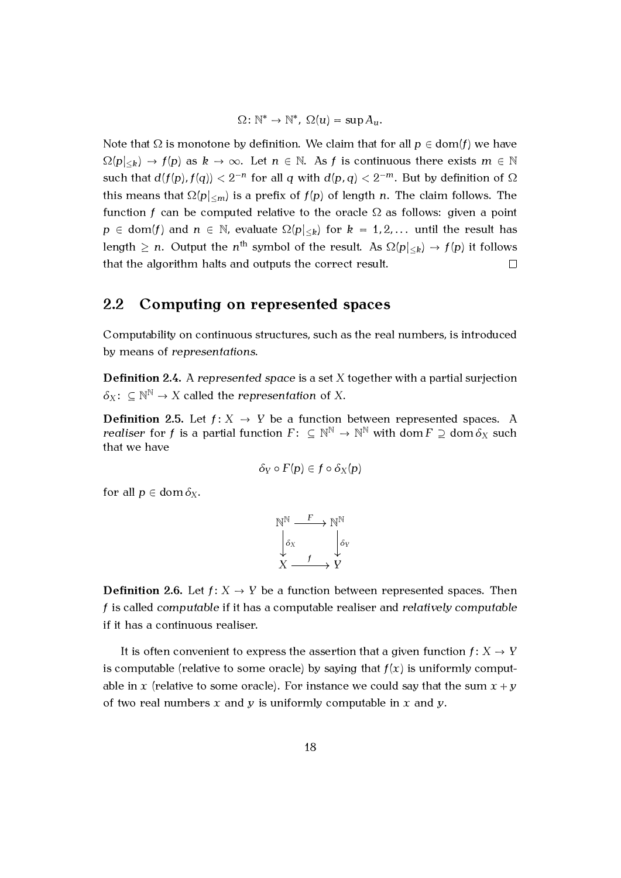$$
\Omega \colon \mathbb{N}^* \to \mathbb{N}^*, \ \Omega(u) = \sup A_u.
$$

Note that  $\Omega$  is monotone by definition. We claim that for all  $p \in \text{dom}(f)$  we have  $\Omega(p|<sub>k</sub>) \to f(p)$  as  $k \to \infty$ . Let  $n \in \mathbb{N}$ . As f is continuous there exists  $m \in \mathbb{N}$ such that  $d(f(p), f(q)) < 2^{-n}$  for all *q* with  $d(p, q) < 2^{-m}$ . But by definition of  $\Omega$ this means that Ω(*p|≤m*) is a prefix of *f*(*p*) of length *n*. The claim follows. The function *f* can be computed relative to the oracle  $\Omega$  as follows: given a point  $p \in \text{dom}(f)$  and  $n \in \mathbb{N}$ , evaluate  $\Omega(p|_{\leq k})$  for  $k = 1, 2, \ldots$  until the result has length  $\geq n.$  Output the  $n^{\text{th}}$  symbol of the result. As  $\Omega(p|_{\leq k}) \to f(p)$  it follows that the algorithm halts and outputs the correct result.  $\Box$ 

### <span id="page-18-0"></span>**2.2 Computing on represented spaces**

Computability on continuous structures, such as the real numbers, is introduced by means of *representations*.

**Definition 2.4.** A *represented space* is a set *X* together with a partial surjection  $\delta_X$ :  $\subseteq \mathbb{N}^{\mathbb{N}} \to X$  called the *representation* of *X*.

**Definition 2.5.** Let  $f: X \rightarrow Y$  be a function between represented spaces. A *realiser* for *f* is a partial function  $F: \subseteq \mathbb{N}^{\mathbb{N}} \to \mathbb{N}^{\mathbb{N}}$  with dom  $F \supseteq \text{dom } \delta_X$  such that we have

$$
\delta_Y\circ F(p)\in f\circ\delta_X(p)
$$

for all  $p \in \text{dom } \delta_X$ .

$$
\begin{array}{ccc}\n\mathbb{N}^{\mathbb{N}} & \xrightarrow{F} & \mathbb{N}^{\mathbb{N}} \\
\downarrow \delta_{X} & \downarrow \delta_{Y} \\
X & \xrightarrow{f} & Y\n\end{array}
$$

**Definition 2.6.** Let  $f: X \rightarrow Y$  be a function between represented spaces. Then *f* is called *computable* if it has a computable realiser and *relatively computable* if it has a continuous realiser.

It is often convenient to express the assertion that a given function  $f: X \rightarrow Y$ is computable (relative to some oracle) by saying that  $f(x)$  is uniformly computable in *x* (relative to some oracle). For instance we could say that the sum  $x + y$ of two real numbers *x* and *y* is uniformly computable in *x* and *y*.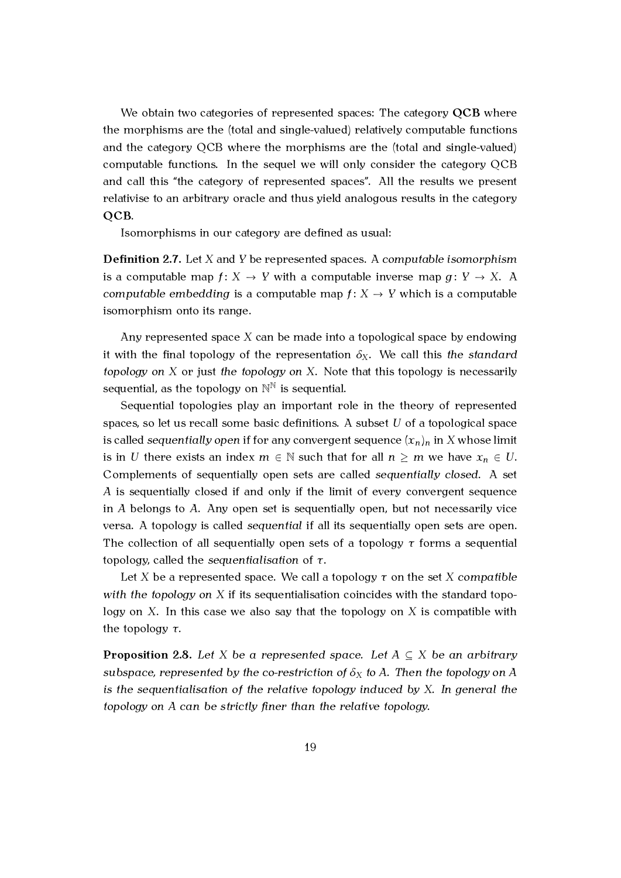We obtain two categories of represented spaces: The category **QCB** where the morphisms are the (total and single-valued) relatively computable functions and the category QCB where the morphisms are the (total and single-valued) computable functions. In the sequel we will only consider the category QCB and call this "the category of represented spaces". All the results we present relativise to an arbitrary oracle and thus yield analogous results in the category **QCB**.

Isomorphisms in our category are defined as usual:

**Definition 2.7.** Let *X* and *Y* be represented spaces. A *computable isomorphism* is a computable map  $f: X \to Y$  with a computable inverse map  $g: Y \to X$ . A *computable embedding* is a computable map  $f: X \rightarrow Y$  which is a computable isomorphism onto its range.

Any represented space *X* can be made into a topological space by endowing it with the final topology of the representation *δX*. We call this *the standard topology on X* or just *the topology on X*. Note that this topology is necessarily sequential, as the topology on  $\mathbb{N}^\mathbb{N}$  is sequential.

Sequential topologies play an important role in the theory of represented spaces, so let us recall some basic definitions. A subset *U* of a topological space is called *sequentially open* if for any convergent sequence  $(x_n)_n$  in *X* whose limit is in *U* there exists an index  $m \in \mathbb{N}$  such that for all  $n \geq m$  we have  $x_n \in U$ . Complements of sequentially open sets are called *sequentially closed*. A set *A* is sequentially closed if and only if the limit of every convergent sequence in *A* belongs to *A*. Any open set is sequentially open, but not necessarily vice versa. A topology is called *sequential* if all its sequentially open sets are open. The collection of all sequentially open sets of a topology *τ* forms a sequential topology, called the *sequentialisation* of *τ*.

Let *X* be a represented space. We call a topology *τ* on the set *X compatible with the topology on X* if its sequentialisation coincides with the standard topology on *X*. In this case we also say that the topology on *X* is compatible with the topology *τ*.

<span id="page-19-0"></span>**Proposition 2.8.** *Let X be a represented space. Let*  $A \subseteq X$  *be an arbitrary subspace, represented by the co-restriction of*  $\delta_X$  *to A. Then the topology on A is the sequentialisation of the relative topology induced by X. In general the topology on A can be strictly finer than the relative topology.*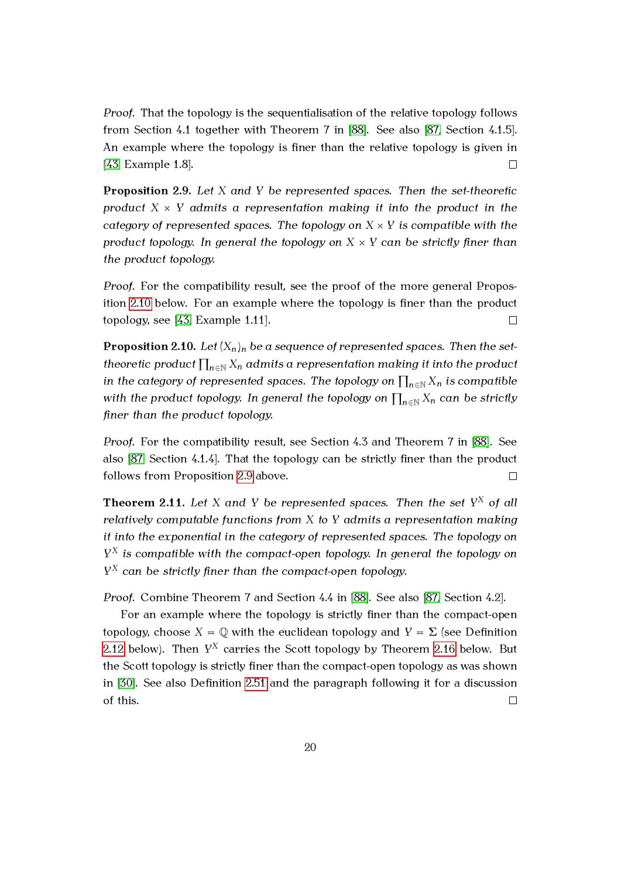*Proof.* That the topology is the sequentialisation of the relative topology follows from Section 4.1 together with Theorem 7 in [\[88\]](#page-125-1). See also [\[87,](#page-125-0) Section 4.1.5]. An example where the topology is finer than the relative topology is given in [\[43,](#page-122-6) Example 1.8].  $\Box$ 

<span id="page-20-1"></span>**Proposition 2.9.** *Let X and Y be represented spaces. Then the set-theoretic product*  $X \times Y$  *admits a representation making it into the product in the category of represented spaces. The topology on*  $X \times Y$  *is compatible with the product topology. In general the topology on X × Y can be strictly finer than the product topology.*

*Proof.* For the compatibility result, see the proof of the more general Proposition [2.10](#page-20-0) below. For an example where the topology is finer than the product topology, see [\[43,](#page-122-6) Example 1.11].  $\Box$ 

<span id="page-20-0"></span>**Proposition 2.10.** Let  $(X_n)_n$  be a sequence of represented spaces. Then the set*theoretic product* <sup>Q</sup> *n∈*<sup>N</sup> *X<sup>n</sup> admits a representation making it into the product in the category of represented spaces. The topology on*  $\prod_{n\in\mathbb{N}} X_n$  *is compatible with the product topology. In general the topology on*  $\prod_{n\in\mathbb{N}} X_n$  *can be strictly finer than the product topology.*

*Proof.* For the compatibility result, see Section 4.3 and Theorem 7 in [\[88\]](#page-125-1). See also [\[87,](#page-125-0) Section 4.1.4]. That the topology can be strictly finer than the product follows from Proposition [2.9](#page-20-1) above.  $\Box$ 

<span id="page-20-2"></span>**Theorem 2.11.** Let X and Y be represented spaces. Then the set  $Y^X$  of all *relatively computable functions from X to Y admits a representation making it into the exponential in the category of represented spaces. The topology on Y <sup>X</sup> is compatible with the compact-open topology. In general the topology on Y <sup>X</sup> can be strictly finer than the compact-open topology.*

*Proof.* Combine Theorem 7 and Section 4.4 in [\[88\]](#page-125-1). See also [\[87,](#page-125-0) Section 4.2].

For an example where the topology is strictly finer than the compact-open topology, choose  $X = \mathbb{Q}$  with the euclidean topology and  $Y = \Sigma$  (see Definition [2.12](#page-21-0) below). Then  $Y^X$  carries the Scott topology by Theorem [2.16](#page-22-0) below. But the Scott topology is strictly finer than the compact-open topology as was shown in [\[30\]](#page-121-2). See also Definition [2.51](#page-39-1) and the paragraph following it for a discussion of this.  $\Box$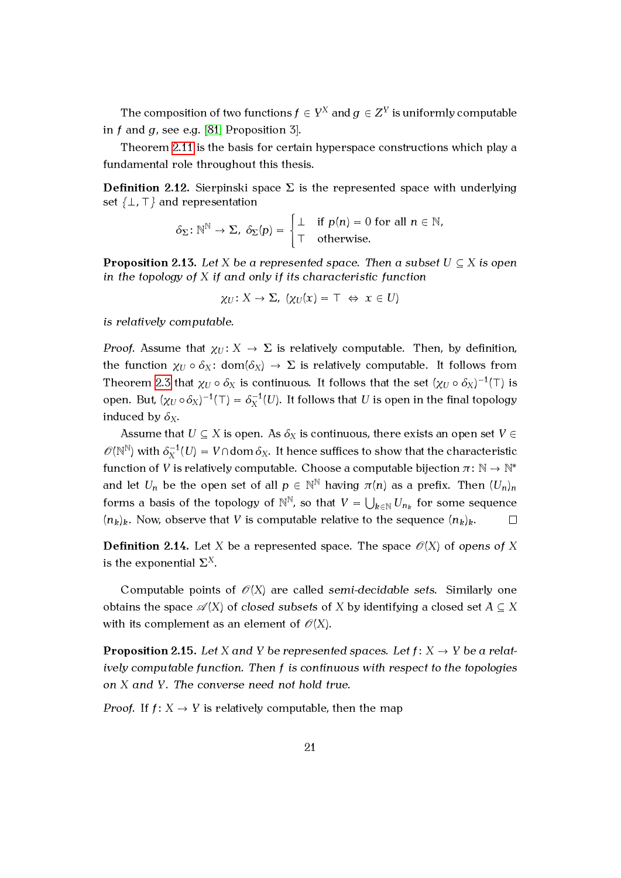The composition of two functions  $f \in Y^X$  and  $g \in Z^Y$  is uniformly computable in *f* and *g*, see e.g. [\[81,](#page-125-6) Proposition 3].

Theorem [2.11](#page-20-2) is the basis for certain hyperspace constructions which play a fundamental role throughout this thesis.

<span id="page-21-0"></span>**Definition 2.12.** Sierpinski space  $\Sigma$  is the represented space with underlying set *{⊥, >}* and representation

$$
\delta_{\Sigma} : \mathbb{N}^{\mathbb{N}} \to \Sigma, \ \delta_{\Sigma}(p) = \begin{cases} \bot & \text{if } p(n) = 0 \text{ for all } n \in \mathbb{N}, \\ \top & \text{otherwise.} \end{cases}
$$

<span id="page-21-1"></span>**Proposition 2.13.** Let *X* be a represented space. Then a subset  $U \subseteq X$  is open *in the topology of X if and only if its characteristic function*

$$
\chi_U\colon X\to\Sigma,\ (\chi_U(x)=\top\Leftrightarrow x\in U)
$$

*is relatively computable.*

*Proof.* Assume that  $\chi_U: X \to \Sigma$  is relatively computable. Then, by definition, the function  $\chi_U \circ \delta_X$ : dom( $\delta_X$ )  $\to \Sigma$  is relatively computable. It follows from Theorem [2.3](#page-17-0) that  $\chi_U \circ \delta_X$  is continuous. It follows that the set ( $\chi_U \circ \delta_X)^{-1}(\top)$  is open. But,  $(\chi_U \circ \delta_X)^{-1}(\top) = \delta_X^{-1}(U)$ . It follows that *U* is open in the final topology induced by  $\delta_X$ .

Assume that  $U \subseteq X$  is open. As  $\delta_X$  is continuous, there exists an open set  $V \in$  $\mathscr{O}(\mathbb{N}^{\mathbb{N}})$  with  $\delta_X^{-1}(U) = V \cap \text{dom } \delta_X$ . It hence suffices to show that the characteristic function of *V* is relatively computable. Choose a computable bijection  $\pi \colon \mathbb{N} \to \mathbb{N}^*$ and let  $U_n$  be the open set of all  $p \in \mathbb{N}^\mathbb{N}$  having  $\pi(n)$  as a prefix. Then  $(U_n)_n$ forms a basis of the topology of  $\mathbb{N}^{\mathbb{N}}$ , so that  $V = \bigcup$ *k∈*<sup>N</sup> *Un<sup>k</sup>* for some sequence  $(n_k)_k$ . Now, observe that *V* is computable relative to the sequence  $(n_k)_k$ .  $\Box$ 

**Definition 2.14.** Let *X* be a represented space. The space  $\mathcal{O}(X)$  of *opens of X* is the exponential  $\Sigma^X$ .

Computable points of  $\mathcal{O}(X)$  are called *semi-decidable sets*. Similarly one obtains the space  $\mathscr{A}(X)$  of *closed subsets* of *X* by identifying a closed set  $A \subseteq X$ with its complement as an element of  $\mathcal{O}(X)$ .

**Proposition 2.15.** Let *X* and *Y* be represented spaces. Let  $f: X \rightarrow Y$  be a relat*ively computable function. Then f is continuous with respect to the topologies on X and Y. The converse need not hold true.*

*Proof.* If  $f: X \rightarrow Y$  is relatively computable, then the map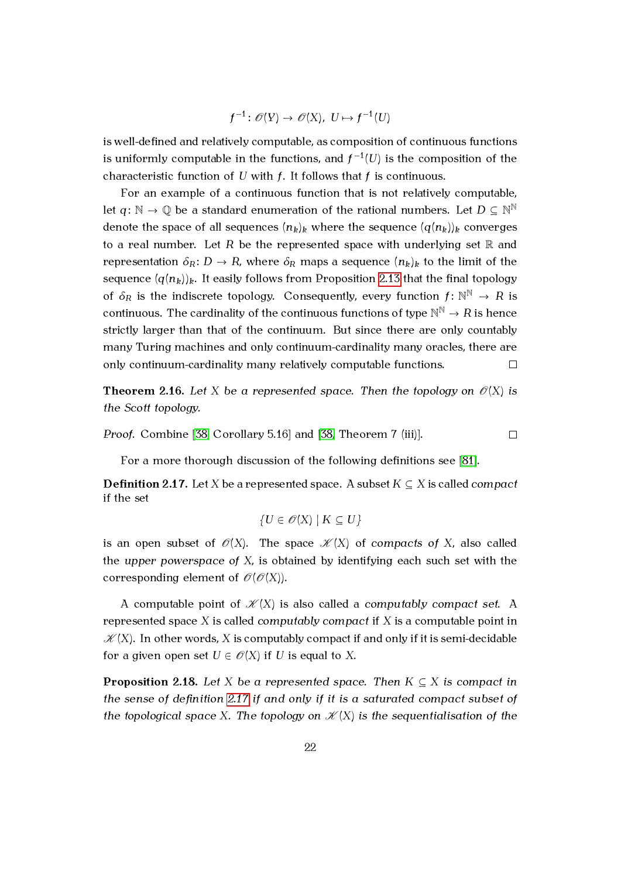$$
f^{-1} \colon \mathscr{O}(Y) \to \mathscr{O}(X), \ U \mapsto f^{-1}(U)
$$

is well-defined and relatively computable, as composition of continuous functions is uniformly computable in the functions, and  $f^{-1}(U)$  is the composition of the characteristic function of *U* with *f*. It follows that *f* is continuous.

For an example of a continuous function that is not relatively computable, let  $q: \mathbb{N} \to \mathbb{Q}$  be a standard enumeration of the rational numbers. Let  $D \subseteq \mathbb{N}^\mathbb{N}$ denote the space of all sequences  $(n_k)_k$  where the sequence  $(q(n_k))_k$  converges to a real number. Let  $R$  be the represented space with underlying set  $R$  and representation  $\delta_R$ : *D*  $\rightarrow$  *R*, where  $\delta_R$  maps a sequence  $(n_k)_k$  to the limit of the sequence  $(q(n_k))_k$ . It easily follows from Proposition [2.13](#page-21-1) that the final topology of  $\delta_R$  is the indiscrete topology. Consequently, every function  $f: \mathbb{N}^{\mathbb{N}} \to R$  is continuous. The cardinality of the continuous functions of type  $\mathbb{N}^\mathbb{N}\to R$  is hence strictly larger than that of the continuum. But since there are only countably many Turing machines and only continuum-cardinality many oracles, there are only continuum-cardinality many relatively computable functions.  $\Box$ 

<span id="page-22-0"></span>**Theorem 2.16.** Let *X* be a represented space. Then the topology on  $\mathcal{O}(X)$  is *the Scott topology.*

*Proof.* Combine [\[38,](#page-122-4) Corollary 5.16] and [\[38,](#page-122-4) Theorem 7 (iii)].  $\Box$ 

For a more thorough discussion of the following definitions see [\[81\]](#page-125-6).

<span id="page-22-1"></span>**Definition 2.17.** Let *X* be a represented space. A subset  $K \subseteq X$  is called *compact* if the set

$$
\{U \in \mathscr{O}(X) \mid K \subseteq U\}
$$

is an open subset of  $\mathcal{O}(X)$ . The space  $\mathcal{K}(X)$  of *compacts* of X, also called the *upper powerspace of X*, is obtained by identifying each such set with the corresponding element of  $\mathcal{O}(\mathcal{O}(X))$ .

A computable point of  $\mathcal{K}(X)$  is also called a *computably compact set*. A represented space *X* is called *computably compact* if *X* is a computable point in  $\mathscr{K}(X)$ . In other words, X is computably compact if and only if it is semi-decidable for a given open set  $U \in \mathcal{O}(X)$  if *U* is equal to *X*.

**Proposition 2.18.** Let *X* be a represented space. Then  $K \subseteq X$  is compact in *the sense of definition [2.17](#page-22-1) if and only if it is a saturated compact subset of the topological space X.* The topology on  $\mathcal{K}(X)$  *is the sequentialisation of the*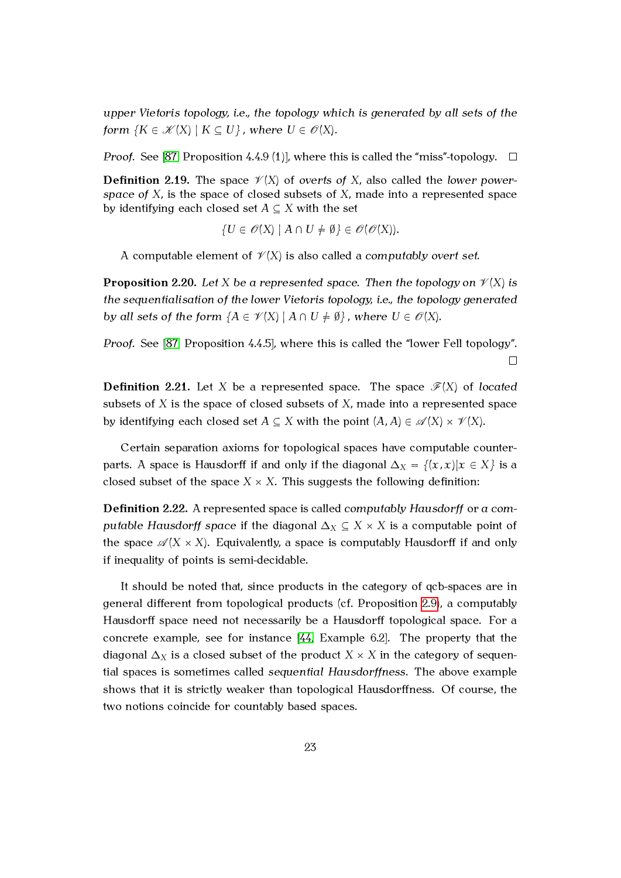*upper Vietoris topology, i.e., the topology which is generated by all sets of the form*  ${K \in \mathcal{K}(X) \mid K \subseteq U}$ , *where*  $U \in \mathcal{O}(X)$ .

*Proof.* See [\[87,](#page-125-0) Proposition 4.4.9 (1)], where this is called the "miss"-topology.  $\Box$ 

<span id="page-23-0"></span>**Definition 2.19.** The space  $\mathcal{V}(X)$  of *overts of X*, also called the *lower powerspace of X*, is the space of closed subsets of *X*, made into a represented space by identifying each closed set  $A \subseteq X$  with the set

$$
\{U \in \mathscr{O}(X) \mid A \cap U \neq \emptyset\} \in \mathscr{O}(\mathscr{O}(X)).
$$

A computable element of  $\mathcal{V}(X)$  is also called a *computably overt set*.

**Proposition 2.20.** *Let X* be a represented space. Then the topology on  $\mathcal{V}(X)$  *is the sequentialisation of the lower Vietoris topology, i.e., the topology generated by all sets of the form*  ${A \in \mathcal{V}(X) \mid A \cap U \neq \emptyset}$ , *where*  $U \in \mathcal{O}(X)$ *.* 

*Proof.* See [\[87,](#page-125-0) Proposition 4.4.5], where this is called the "lower Fell topology".  $\Box$ 

**Definition 2.21.** Let *X* be a represented space. The space  $\mathcal{F}(X)$  of *located* subsets of *X* is the space of closed subsets of *X*, made into a represented space by identifying each closed set  $A \subseteq X$  with the point  $(A, A) \in \mathcal{A}(X) \times \mathcal{V}(X)$ .

Certain separation axioms for topological spaces have computable counterparts. A space is Hausdorff if and only if the diagonal  $\Delta_X = \{(x, x) | x \in X\}$  is a closed subset of the space  $X \times X$ . This suggests the following definition:

**Definition 2.22.** A represented space is called *computably Hausdorff* or *a computable Hausdorff space* if the diagonal  $\Delta_X \subseteq X \times X$  is a computable point of the space  $\mathscr{A}(X \times X)$ . Equivalently, a space is computably Hausdorff if and only if inequality of points is semi-decidable.

It should be noted that, since products in the category of qcb-spaces are in general different from topological products (cf. Proposition [2.9\)](#page-20-1), a computably Hausdorff space need not necessarily be a Hausdorff topological space. For a concrete example, see for instance [\[44,](#page-122-7) Example 6.2]. The property that the diagonal  $\Delta_X$  is a closed subset of the product  $X \times X$  in the category of sequential spaces is sometimes called *sequential Hausdorffness*. The above example shows that it is strictly weaker than topological Hausdorffness. Of course, the two notions coincide for countably based spaces.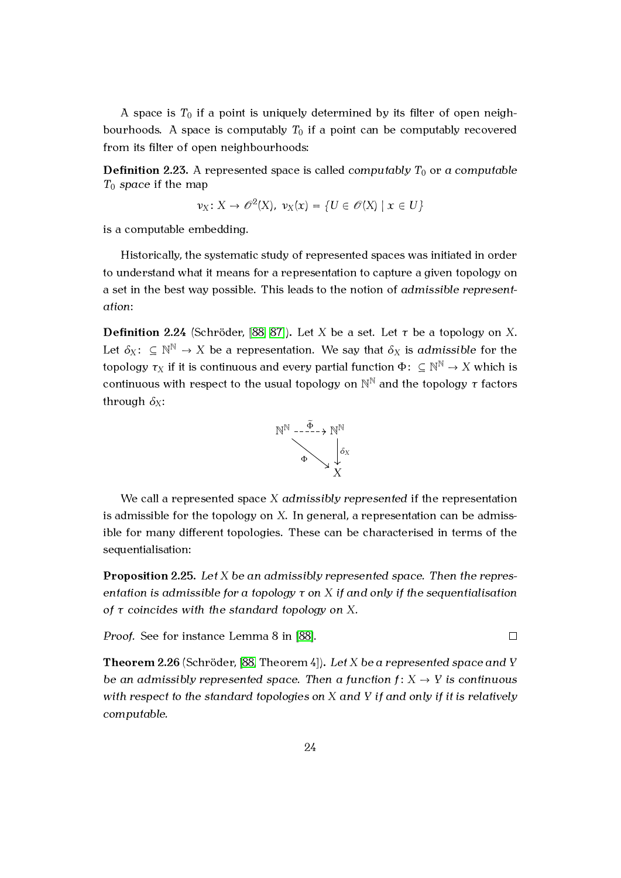A space is  $T_0$  if a point is uniquely determined by its filter of open neighbourhoods. A space is computably  $T_0$  if a point can be computably recovered from its filter of open neighbourhoods:

**Definition 2.23.** A represented space is called *computably*  $T_0$  or  $a$  *computable T*<sup>0</sup> *space* if the map

$$
\nu_X\colon X\to \mathscr{O}^2(X), \ \nu_X(x)=\{U\in \mathscr{O}(X) \mid x\in U\}
$$

is a computable embedding.

Historically, the systematic study of represented spaces was initiated in order to understand what it means for a representation to capture a given topology on a set in the best way possible. This leads to the notion of *admissible representation*:

<span id="page-24-1"></span>**Definition 2.24** (Schröder, [\[88,](#page-125-1) [87\]](#page-125-0)). Let *X* be a set. Let  $\tau$  be a topology on *X*. Let  $\delta_X$ :  $\subseteq \mathbb{N}^{\mathbb{N}} \to X$  be a representation. We say that  $\delta_X$  is *admissible* for the  $\mathfrak{topology}\;\tau_X\; \text{if it is continuous and every partial function}\; \Phi\colon\subseteq\mathbb{N}^\mathbb{N}\to X\; \text{which is}$ continuous with respect to the usual topology on  $\mathbb{N}^\mathbb{N}$  and the topology  $\tau$  factors through *δX*:



We call a represented space *X admissibly represented* if the representation is admissible for the topology on *X*. In general, a representation can be admissible for many different topologies. These can be characterised in terms of the sequentialisation:

**Proposition 2.25.** *Let X be an admissibly represented space. Then the representation is admissible for a topology τ on X if and only if the sequentialisation of τ coincides with the standard topology on X.*

*Proof.* See for instance Lemma 8 in [\[88\]](#page-125-1).

 $\Box$ 

<span id="page-24-0"></span>**Theorem 2.26** (Schröder, [\[88,](#page-125-1) Theorem 4])**.** *Let X be a represented space and Y be an admissibly represented space. Then a function*  $f: X \rightarrow Y$  *is continuous with respect to the standard topologies on X and Y if and only if it is relatively computable.*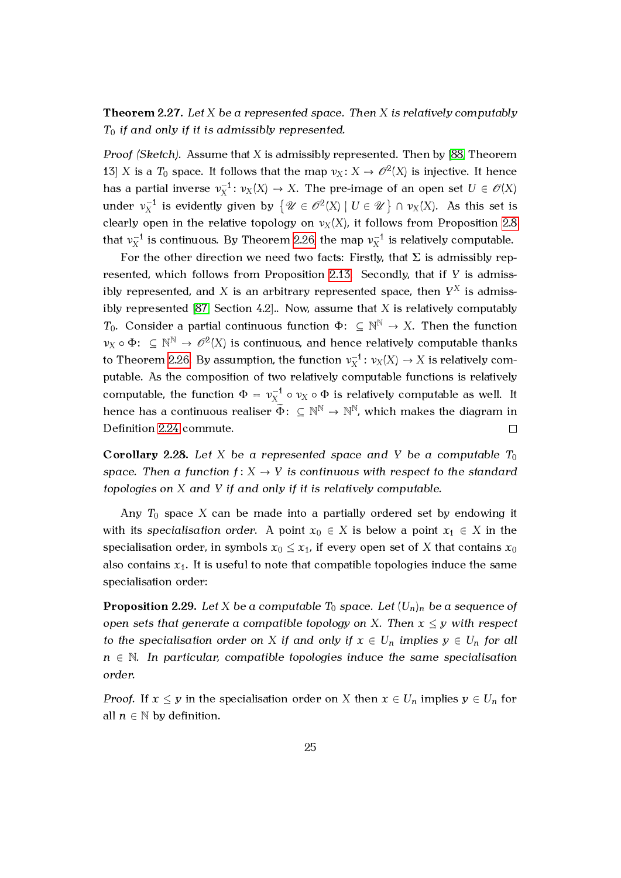**Theorem 2.27.** *Let X be a represented space. Then X is relatively computably T*<sup>0</sup> *if and only if it is admissibly represented.*

*Proof (Sketch).* Assume that *X* is admissibly represented. Then by [\[88,](#page-125-1) Theorem 13] *X* is a  $T_0$  space. It follows that the map  $\nu_X \colon X \to \mathcal{O}^2(X)$  is injective. It hence has a partial inverse  $v_X^{-1}$ :  $v_X(X) \to X$ . The pre-image of an open set  $U \in \mathscr{O}(X)$ under  $v_X^{-1}$  is evidently given by  $\{\mathscr{U} \in \mathscr{O}^2(X) \mid U \in \mathscr{U}\}$  $\tilde{a}$ *∩ νX*(*X*). As this set is clearly open in the relative topology on  $\nu_X(X)$ , it follows from Proposition [2.8](#page-19-0) that  $\nu_X^{-1}$  is continuous. By Theorem [2.26,](#page-24-0) the map  $\nu_X^{-1}$  is relatively computable.

For the other direction we need two facts: Firstly, that  $\Sigma$  is admissibly represented, which follows from Proposition [2.13.](#page-21-1) Secondly, that if *Y* is admissibly represented, and  $X$  is an arbitrary represented space, then  $Y^X$  is admissibly represented [\[87,](#page-125-0) Section 4.2].. Now, assume that *X* is relatively computably *T*<sub>0</sub>. Consider a partial continuous function  $\Phi: \subseteq \mathbb{N}^{\mathbb{N}} \to X$ . Then the function  $\nu_X \circ \Phi: \Omega \subseteq \mathbb{N}^{\mathbb{N}} \to \mathcal{O}^2(X)$  is continuous, and hence relatively computable thanks to Theorem [2.26.](#page-24-0) By assumption, the function  $v_X^{-1}$ :  $v_X(X) \to X$  is relatively computable. As the composition of two relatively computable functions is relatively computable, the function  $\Phi = v_X^{-1} \circ v_X \circ \Phi$  is relatively computable as well. It hence has a continuous realiser  $\widetilde{\Phi} \colon \subseteq \mathbb{N}^\mathbb{N} \to \mathbb{N}^\mathbb{N}$ , which makes the diagram in Definition [2.24](#page-24-1) commute.  $\Box$ 

**Corollary 2.28.** Let *X* be a represented space and *Y* be a computable  $T_0$ *space. Then a function*  $f: X \to Y$  *is continuous with respect to the standard topologies on X and Y if and only if it is relatively computable.*

Any *T*<sup>0</sup> space *X* can be made into a partially ordered set by endowing it with its *specialisation order*. A point  $x_0 \in X$  is below a point  $x_1 \in X$  in the specialisation order, in symbols  $x_0 \leq x_1$ , if every open set of *X* that contains  $x_0$ also contains  $x_1$ . It is useful to note that compatible topologies induce the same specialisation order:

**Proposition 2.29.** Let *X* be a computable  $T_0$  space. Let  $(U_n)_n$  be a sequence of *open sets that generate a compatible topology on <i>X*. Then  $x \leq y$  with respect *to the specialisation order on X if and only if*  $x \in U_n$  *implies*  $y \in U_n$  *for all n ∈* N*. In particular, compatible topologies induce the same specialisation order.*

*Proof.* If  $x \leq y$  in the specialisation order on *X* then  $x \in U_n$  implies  $y \in U_n$  for all  $n \in \mathbb{N}$  by definition.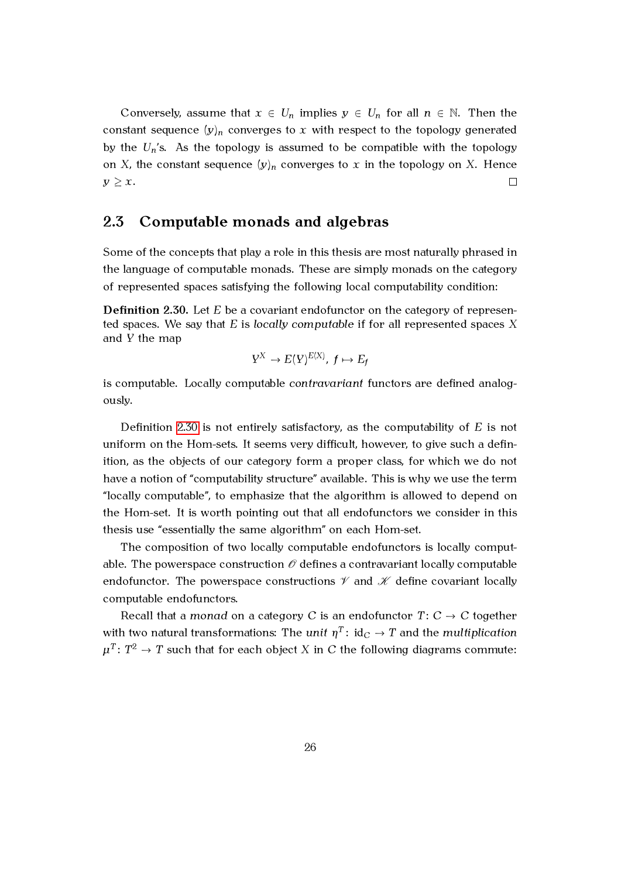Conversely, assume that  $x \in U_n$  implies  $y \in U_n$  for all  $n \in \mathbb{N}$ . Then the constant sequence  $(y)_n$  converges to x with respect to the topology generated by the  $U_n$ 's. As the topology is assumed to be compatible with the topology on *X*, the constant sequence  $(y)_n$  converges to *x* in the topology on *X*. Hence *y ≥ x*.  $\Box$ 

#### <span id="page-26-0"></span>**2.3 Computable monads and algebras**

Some of the concepts that play a role in this thesis are most naturally phrased in the language of computable monads. These are simply monads on the category of represented spaces satisfying the following local computability condition:

<span id="page-26-1"></span>**Definition 2.30.** Let *E* be a covariant endofunctor on the category of represented spaces. We say that *E* is *locally computable* if for all represented spaces *X* and *Y* the map

$$
Y^X \to E(Y)^{E(X)},\ f \mapsto E_f
$$

is computable. Locally computable *contravariant* functors are defined analogously.

Definition [2.30](#page-26-1) is not entirely satisfactory, as the computability of *E* is not uniform on the Hom-sets. It seems very difficult, however, to give such a definition, as the objects of our category form a proper class, for which we do not have a notion of "computability structure" available. This is why we use the term "locally computable", to emphasize that the algorithm is allowed to depend on the Hom-set. It is worth pointing out that all endofunctors we consider in this thesis use "essentially the same algorithm" on each Hom-set.

The composition of two locally computable endofunctors is locally computable. The powerspace construction  $\mathcal O$  defines a contravariant locally computable endofunctor. The powerspace constructions  $\mathcal V$  and  $\mathcal K$  define covariant locally computable endofunctors.

Recall that a *monad* on a category *C* is an endofunctor  $T: C \rightarrow C$  together with two natural transformations: The  $unit\ \eta^T\colon \mathrm{id}_C \to T$  and the  $multiplication$  $\mu^T\colon T^2\to T$  such that for each object  $X$  in  $C$  the following diagrams commute: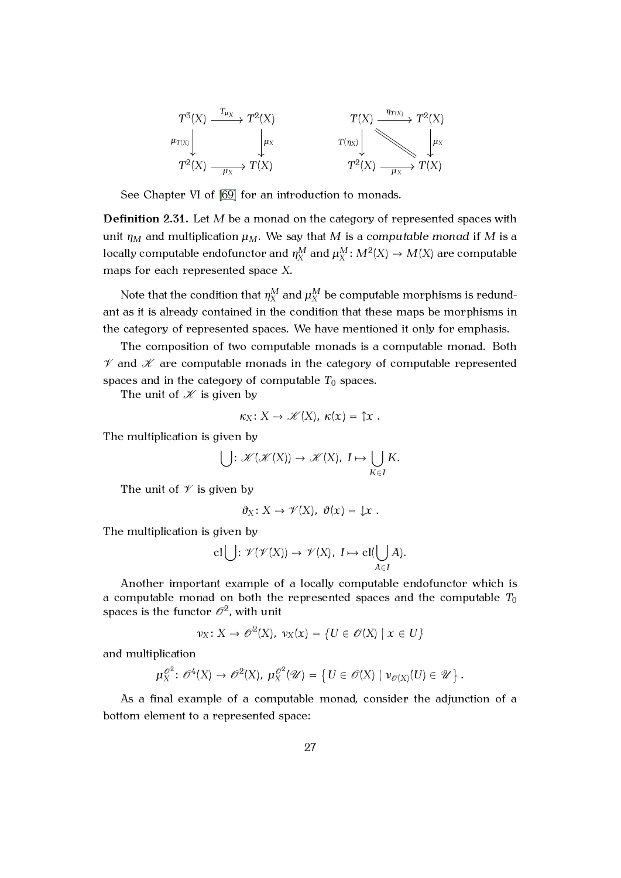

See Chapter VI of [\[69\]](#page-124-9) for an introduction to monads.

**Definition 2.31.** Let *M* be a monad on the category of represented spaces with unit  $\eta_M$  and multiplication  $\mu_M$ . We say that *M* is a *computable monad* if *M* is a  ${\rm locally\ computable\ endofunctor\ and\ }\eta^M_X{\rm\ and\ }\mu^M_X\colon M^2(X)\to M(X){\rm\ are\ computable}$ maps for each represented space *X*.

Note that the condition that  $\eta^M_X$  and  $\mu^M_X$  be computable morphisms is redundant as it is already contained in the condition that these maps be morphisms in the category of represented spaces. We have mentioned it only for emphasis.

The composition of two computable monads is a computable monad. Both  $\mathscr V$  and  $\mathscr K$  are computable monads in the category of computable represented spaces and in the category of computable  $T_0$  spaces.

The unit of  $K$  is given by

$$
\kappa_X\colon X\to\mathscr{K}(X),\ \kappa(x)=\uparrow x.
$$

The multiplication is given by

$$
\bigcup: \mathscr{K}(\mathscr{K}(X)) \to \mathscr{K}(X), I \mapsto \bigcup_{K \in I} K.
$$

The unit of  $\mathcal V$  is given by

$$
\vartheta_X\colon X\to\mathscr{V}(X),\ \vartheta(x)=\downarrow x.
$$

The multiplication is given by

$$
\text{cl}\bigcup: \mathscr{V}(\mathscr{V}(X)) \to \mathscr{V}(X), \ I \mapsto \text{cl}(\bigcup_{A \in I} A).
$$

Another important example of a locally computable endofunctor which is a computable monad on both the represented spaces and the computable *T*<sup>0</sup> spaces is the functor  $\mathscr O^2$ , with unit

$$
\nu_X\colon X\to \mathscr{O}^2(X),\ \nu_X(x)=\{U\in \mathscr{O}(X)\mid x\in U\}
$$

and multiplication

$$
\mu_X^{\mathscr{O}^2} \colon \mathscr{O}^4(X) \to \mathscr{O}^2(X), \ \mu_X^{\mathscr{O}^2}(\mathscr{U}) = \left\{ U \in \mathscr{O}(X) \mid \nu_{\mathscr{O}(X)}(U) \in \mathscr{U} \right\}.
$$

As a final example of a computable monad, consider the adjunction of a bottom element to a represented space: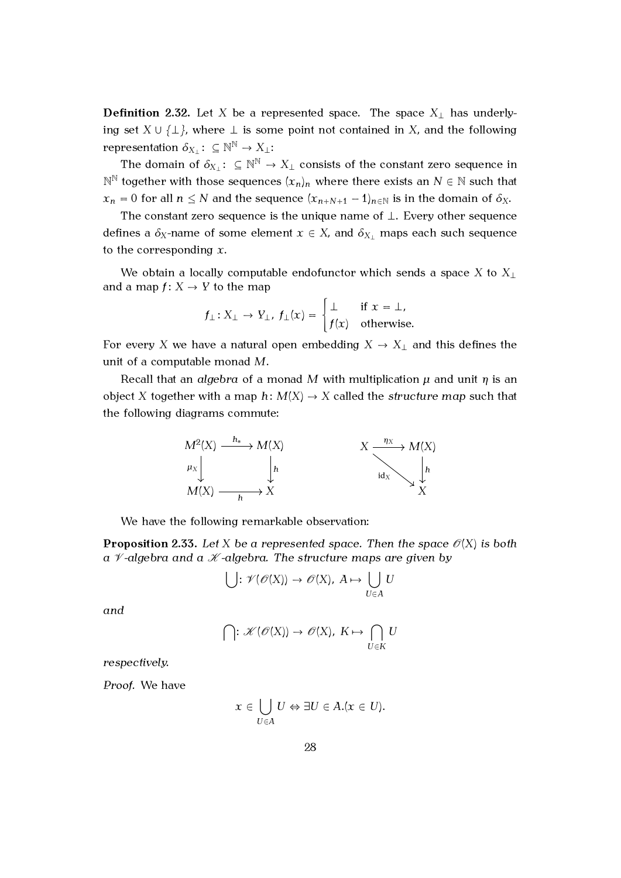**Definition 2.32.** Let *X* be a represented space. The space  $X_1$  has underlying set *X ∪ {⊥}*, where *⊥* is some point not contained in *X*, and the following representation  $\delta_{X_\perp}$ :  $\subseteq \mathbb{N}^{\mathbb{N}} \to X_\perp$ :

The domain of  $\delta_{X_\perp}$ :  $\subseteq \mathbb{N}^\mathbb{N} \to X_\perp$  consists of the constant zero sequence in  $\mathbb{N}^{\mathbb{N}}$  together with those sequences  $(x_n)_n$  where there exists an  $N\in\mathbb{N}$  such that  $x_n = 0$  for all  $n \leq N$  and the sequence  $(x_{n+N+1} - 1)_{n \in \mathbb{N}}$  is in the domain of  $\delta_X$ .

The constant zero sequence is the unique name of *⊥*. Every other sequence defines a  $\delta_X$ -name of some element  $x \in X$ , and  $\delta_{X_\perp}$  maps each such sequence to the corresponding *x*.

We obtain a locally computable endofunctor which sends a space *X* to *X<sup>⊥</sup>* and a map  $f: X \rightarrow Y$  to the map

$$
f_{\perp}: X_{\perp} \to Y_{\perp}, f_{\perp}(x) = \begin{cases} \perp & \text{if } x = \perp, \\ f(x) & \text{otherwise.} \end{cases}
$$

For every *X* we have a natural open embedding  $X \rightarrow X_{\perp}$  and this defines the unit of a computable monad *M*.

Recall that an *algebra* of a monad *M* with multiplication *µ* and unit *η* is an object *X* together with a map  $h: M(X) \to X$  called the *structure map* such that the following diagrams commute:



We have the following remarkable observation:

<span id="page-28-0"></span>**Proposition 2.33.** Let *X* be a represented space. Then the space  $\mathcal{O}(X)$  is both *a*  $\mathcal V$ -algebra and a  $\mathcal X$ -algebra. The structure maps are given by

$$
\bigcup: \mathscr{V}(\mathscr{O}(X)) \to \mathscr{O}(X), A \mapsto \bigcup_{U \in A} U
$$

*and*

$$
\bigcap : \mathcal{K}(\mathcal{O}(X)) \to \mathcal{O}(X), \ K \mapsto \bigcap_{U \in K} U
$$

*respectively.*

*Proof.* We have

$$
x \in \bigcup_{U \in A} U \Leftrightarrow \exists U \in A.(x \in U).
$$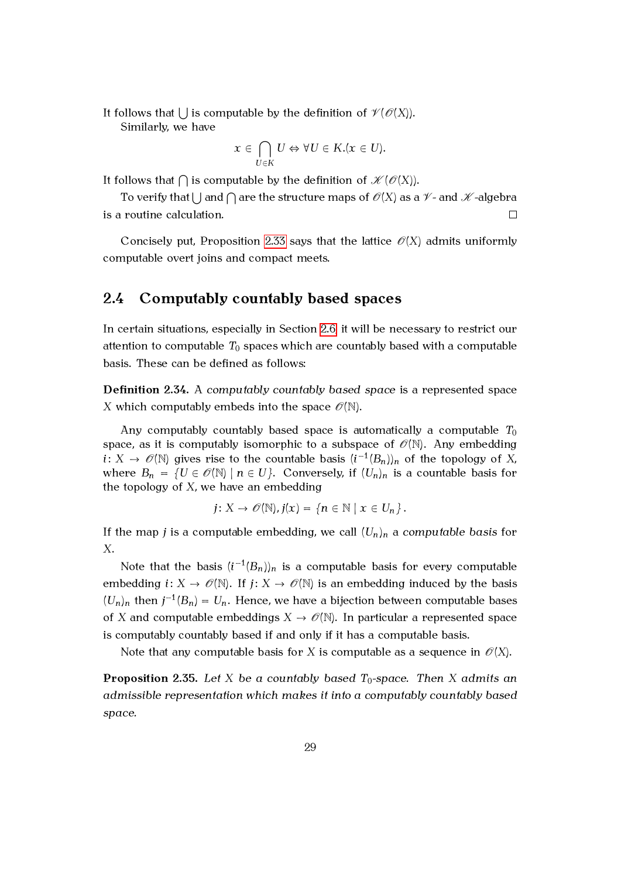It follows that  $\bigcup$  is computable by the definition of  $\mathscr{V}(\mathscr{O}(X)).$ 

Similarly, we have

$$
x \in \bigcap_{U \in K} U \Leftrightarrow \forall U \in K.(x \in U).
$$

It follows that  $\bigcap$  is computable by the definition of  $\mathscr{K}(\mathscr{O}(\mathrm{X})).$ 

To verify that  $\bigcup$  and  $\bigcap$  are the structure maps of  $\mathscr{O}(X)$  as a  $\mathscr{V}$ -and  $\mathscr{K}$ -algebra is a routine calculation.  $\Box$ 

Concisely put, Proposition [2.33](#page-28-0) says that the lattice  $\mathcal{O}(X)$  admits uniformly computable overt joins and compact meets.

#### <span id="page-29-0"></span>**2.4 Computably countably based spaces**

In certain situations, especially in Section [2.6,](#page-39-0) it will be necessary to restrict our attention to computable  $T_0$  spaces which are countably based with a computable basis. These can be defined as follows:

**Definition 2.34.** A *computably countably based space* is a represented space *X* which computably embeds into the space  $\mathcal{O}(\mathbb{N})$ .

Any computably countably based space is automatically a computable *T*<sup>0</sup> space, as it is computably isomorphic to a subspace of  $\mathcal{O}(N)$ . Any embedding *i*: *X* →  $\mathcal{O}(\mathbb{N})$  gives rise to the countable basis  $(i^{-1}(B_n))_n$  of the topology of *X*, where  $B_n = \{U \in \mathcal{O}(\mathbb{N}) \mid n \in U\}$ . Conversely, if  $(U_n)_n$  is a countable basis for the topology of *X*, we have an embedding

$$
j\colon X\to \mathscr{O}(\mathbb{N}), j(x)=\{n\in\mathbb{N}\mid x\in U_n\}.
$$

If the map *j* is a computable embedding, we call  $(U_n)_n$  a computable basis for *X*.

Note that the basis  $(i^{-1}(B_n))_n$  is a computable basis for every computable embedding  $i: X \to \mathcal{O}(\mathbb{N})$ . If  $j: X \to \mathcal{O}(\mathbb{N})$  is an embedding induced by the basis  $(U_n)_n$  then  $j^{-1}(B_n) = U_n$ . Hence, we have a bijection between computable bases of *X* and computable embeddings  $X \to \mathcal{O}(\mathbb{N})$ . In particular a represented space is computably countably based if and only if it has a computable basis.

Note that any computable basis for *X* is computable as a sequence in  $\mathcal{O}(X)$ .

**Proposition 2.35.** Let *X* be a countably based  $T_0$ -space. Then *X* admits an *admissible representation which makes it into a computably countably based space.*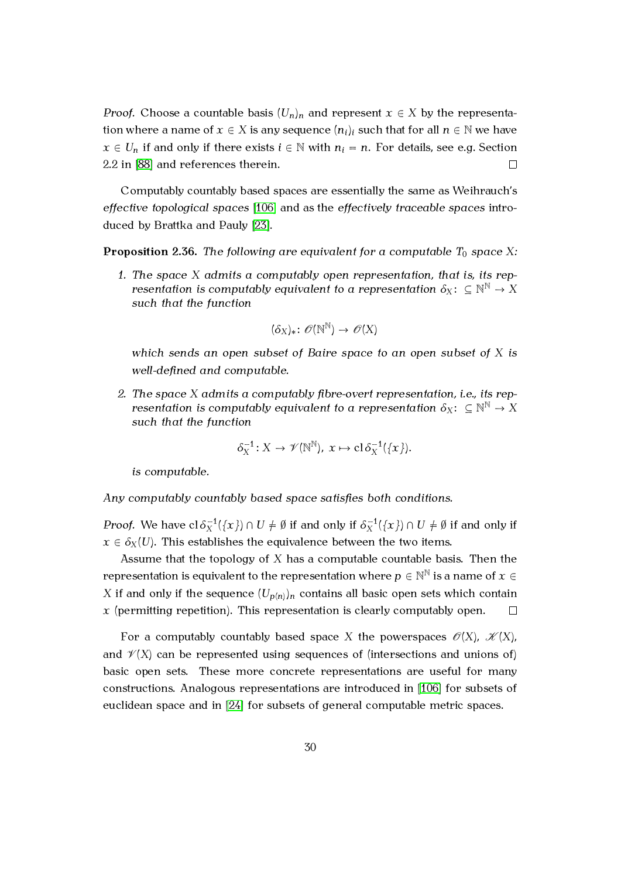*Proof.* Choose a countable basis  $(U_n)_n$  and represent  $x \in X$  by the representation where a name of  $x \in X$  is any sequence  $(n_i)_i$  such that for all  $n \in \mathbb{N}$  we have *x*  $∈$  *U<sub>n</sub>* if and only if there exists  $i ∈ ℕ$  with  $n_i = n$ . For details, see e.g. Section 2.2 in [\[88\]](#page-125-1) and references therein.  $\Box$ 

Computably countably based spaces are essentially the same as Weihrauch's *effective topological spaces* [\[106\]](#page-126-3) and as the *effectively traceable spaces* introduced by Brattka and Pauly [\[23\]](#page-121-3).

**Proposition 2.36.** The following are equivalent for a computable  $T_0$  space X:

*1. The space X admits a computably open representation, that is, its representation is computably equivalent to a representation*  $\delta_X: \subseteq \mathbb{N}^{\mathbb{N}} \to X$ *such that the function*

$$
(\delta_X)_*\colon \mathscr{O}(\mathbb{N}^\mathbb{N})\to \mathscr{O}(X)
$$

*which sends an open subset of Baire space to an open subset of X is well-defined and computable.*

*2. The space X admits a computably fibre-overt representation, i.e., its representation is computably equivalent to a representation*  $\delta_X$ :  $\subseteq \mathbb{N}^{\mathbb{N}} \to X$ *such that the function*

$$
\delta_X^{-1} \colon X \to \mathscr{V}(\mathbb{N}^{\mathbb{N}}), \ x \mapsto \text{cl}\, \delta_X^{-1}(\{x\}).
$$

*is computable.*

*Any computably countably based space satisfies both conditions.*

*Proof.* We have  $\text{cl } \delta_X^{-1}(\{x\}) \cap U \neq \emptyset$  if and only if  $\delta_X^{-1}(\{x\}) \cap U \neq \emptyset$  if and only if  $x \in \delta_X(U)$ . This establishes the equivalence between the two items.

Assume that the topology of *X* has a computable countable basis. Then the representation is equivalent to the representation where  $p \in \mathbb{N}^\mathbb{N}$  is a name of  $x \in$ *X* if and only if the sequence  $(U_{p(n)})_n$  contains all basic open sets which contain *x* (permitting repetition). This representation is clearly computably open.  $\Box$ 

For a computably countably based space *X* the powerspaces  $\mathcal{O}(X)$ ,  $\mathcal{K}(X)$ , and  $\mathcal{V}(X)$  can be represented using sequences of (intersections and unions of) basic open sets. These more concrete representations are useful for many constructions. Analogous representations are introduced in [\[106\]](#page-126-3) for subsets of euclidean space and in [\[24\]](#page-121-4) for subsets of general computable metric spaces.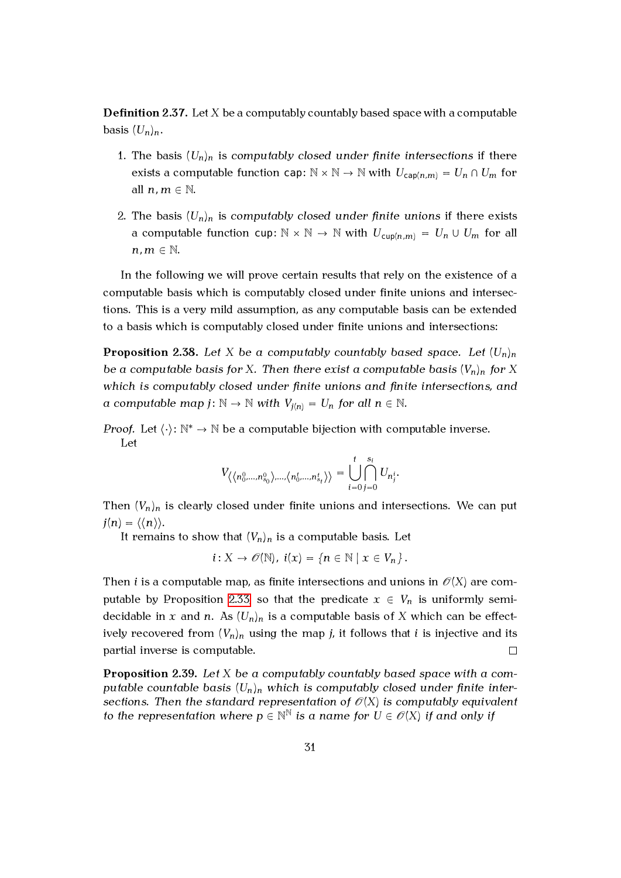**Definition 2.37.** Let *X* be a computably countably based space with a computable basis  $(U_n)_n$ .

- 1. The basis  $(U_n)_n$  is *computably closed under finite intersections* if there exists a computable function cap:  $\mathbb{N} \times \mathbb{N} \to \mathbb{N}$  with  $U_{\text{cap}(n,m)} = U_n \cap U_m$  for all  $n, m \in \mathbb{N}$ .
- 2. The basis  $(U_n)_n$  is computably closed under finite unions if there exists a computable function cup:  $\mathbb{N} \times \mathbb{N} \to \mathbb{N}$  with  $U_{\text{cup}(n,m)} = U_n \cup U_m$  for all  $n, m \in \mathbb{N}$ .

In the following we will prove certain results that rely on the existence of a computable basis which is computably closed under finite unions and intersections. This is a very mild assumption, as any computable basis can be extended to a basis which is computably closed under finite unions and intersections:

**Proposition 2.38.** Let *X* be a computably countably based space. Let  $(U_n)_n$ *be a computable basis for X. Then there exist a computable basis*  $(V_n)_n$  *for X which is computably closed under finite unions and finite intersections, and a* computable map *j*:  $\mathbb{N} \to \mathbb{N}$  *with*  $V_{j(n)} = U_n$  *for all*  $n \in \mathbb{N}$ *.* 

*Proof.* Let  $\langle \cdot \rangle$ :  $\mathbb{N}^* \to \mathbb{N}$  be a computable bijection with computable inverse. Let

$$
V_{\langle\langle n_0^0,\ldots,n_{s_0}^0\rangle,\ldots,\langle n_0^t,\ldots,n_{s_t}^t\rangle\rangle}=\bigcup_{i=0}^t\bigcap_{j=0}^{s_i}U_{n_j^i}.
$$

Then  $(V_n)_n$  is clearly closed under finite unions and intersections. We can put  $j(n) = \langle \langle n \rangle \rangle$ .

It remains to show that  $(V_n)_n$  is a computable basis. Let

 $i: X \to \mathcal{O}(\mathbb{N})$ ,  $i(x) = \{n \in \mathbb{N} \mid x \in V_n\}$ .

Then *i* is a computable map, as finite intersections and unions in  $\mathcal{O}(X)$  are com-putable by Proposition [2.33,](#page-28-0) so that the predicate  $x \in V_n$  is uniformly semidecidable in *x* and *n*. As  $(U_n)_n$  is a computable basis of *X* which can be effectively recovered from  $(V_n)_n$  using the map *j*, it follows that *i* is injective and its partial inverse is computable.  $\Box$ 

<span id="page-31-0"></span>**Proposition 2.39.** *Let X be a computably countably based space with a computable countable basis* (*Un*)*<sup>n</sup> which is computably closed under finite intersections. Then the standard representation of*  $\mathcal{O}(X)$  *is computably equivalent to the representation where*  $p \in \mathbb{N}^{\mathbb{N}}$  *is a name for*  $U \in \mathscr{O}(X)$  *if and only if*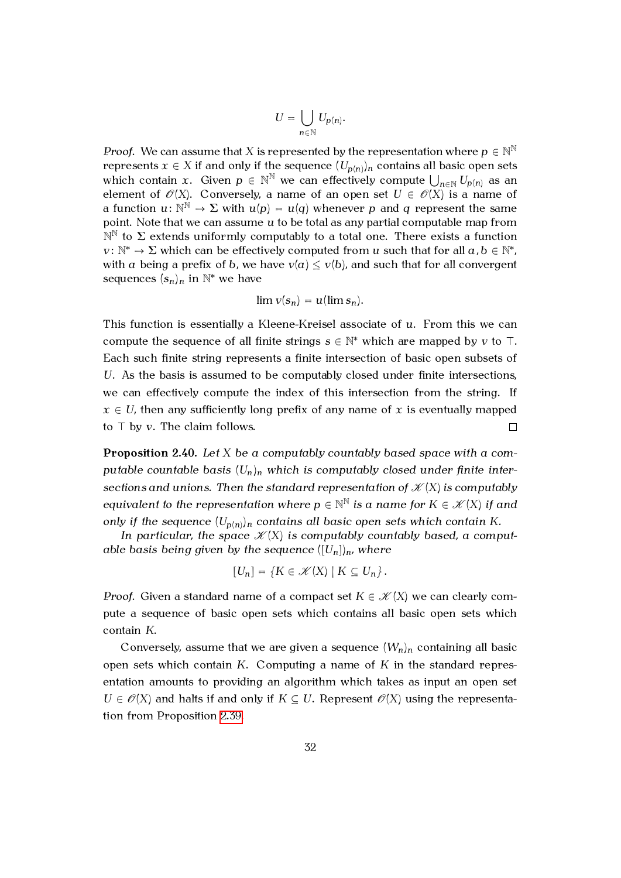$$
U=\bigcup_{n\in\mathbb{N}}U_{p(n)}.
$$

*Proof.* We can assume that *X* is represented by the representation where  $p \in \mathbb{N}^{\mathbb{N}}$ represents  $x \in X$  if and only if the sequence  $(U_{p(n)})_n$  contains all basic open sets represents  $x \in A$  if and only if the sequence  $(U_{p(n)/n}$  contains an basic open sets<br>which contain *x*. Given  $p \in \mathbb{N}^{\mathbb{N}}$  we can effectively compute  $\bigcup_{n \in \mathbb{N}} U_{p(n)}$  as an element of  $\mathcal{O}(X)$ . Conversely, a name of an open set  $U \in \mathcal{O}(X)$  is a name of a function  $u\colon \mathbb{N}^\mathbb{N}\to \Sigma$  with  $u(p)=u(q)$  whenever  $p$  and  $q$  represent the same point. Note that we can assume *u* to be total as any partial computable map from  $\mathbb{N}^{\mathbb{N}}$  to Σ extends uniformly computably to a total one. There exists a function  $v: \mathbb{N}^* \to \Sigma$  which can be effectively computed from *u* such that for all  $a, b \in \mathbb{N}^*$ , with *a* being a prefix of *b*, we have  $v(a) \le v(b)$ , and such that for all convergent sequences  $(s_n)_n$  in  $\mathbb{N}^*$  we have

$$
\lim v(s_n)=u(\lim s_n).
$$

This function is essentially a Kleene-Kreisel associate of *u*. From this we can compute the sequence of all finite strings  $s \in \mathbb{N}^*$  which are mapped by *v* to  $\top$ . Each such finite string represents a finite intersection of basic open subsets of *U*. As the basis is assumed to be computably closed under finite intersections, we can effectively compute the index of this intersection from the string. If  $x \in U$ , then any sufficiently long prefix of any name of x is eventually mapped to  $\top$  by *v*. The claim follows.  $\Box$ 

**Proposition 2.40.** *Let X be a computably countably based space with a computable countable basis* (*Un*)*<sup>n</sup> which is computably closed under finite intersections and unions. Then the standard representation of*  $\mathscr{K}(X)$  *is computably equivalent to the representation where*  $p \in \mathbb{N}^{\mathbb{N}}$  *is a name for*  $K \in \mathscr{K}(X)$  *if and only if the sequence* (*Up*(*n*) )*<sup>n</sup> contains all basic open sets which contain K.*

In particular, the space  $\mathcal{K}(X)$  is computably countably based, a comput*able basis being given by the sequence*  $([U_n])_n$ *, where* 

$$
[U_n] = \{K \in \mathcal{K}(X) \mid K \subseteq U_n\}.
$$

*Proof.* Given a standard name of a compact set  $K \in \mathcal{K}(X)$  we can clearly compute a sequence of basic open sets which contains all basic open sets which contain *K*.

Conversely, assume that we are given a sequence  $(W_n)_n$  containing all basic open sets which contain *K*. Computing a name of *K* in the standard representation amounts to providing an algorithm which takes as input an open set  $U \in \mathcal{O}(X)$  and halts if and only if  $K \subseteq U$ . Represent  $\mathcal{O}(X)$  using the representation from Proposition [2.39.](#page-31-0)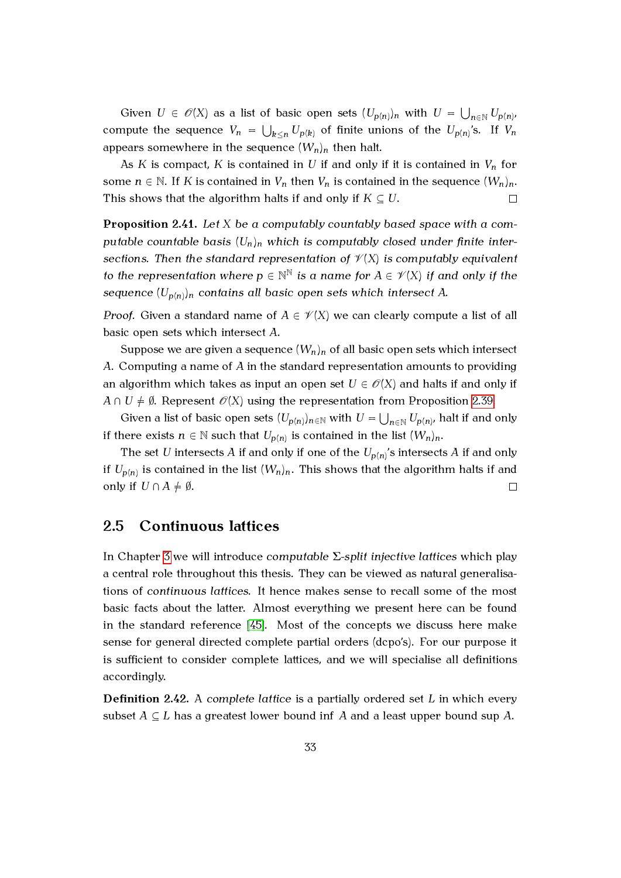Given  $U \in \mathcal{O}(X)$  as a list of basic open sets  $(U_{p(n)})_n$  with  $U =$ S  $|n$ ∈ℕ  $U_{p(n)}$ compute the sequence  $V_n = \bigcup_{k \leq n} U_{p(k)}$  of finite unions of the  $U_{p(n)}$ 's. If  $V_n$ SS<br>C appears somewhere in the sequence  $(W_n)_n$  then halt.

As *K* is compact, *K* is contained in *U* if and only if it is contained in *V<sup>n</sup>* for some  $n \in \mathbb{N}$ . If *K* is contained in  $V_n$  then  $V_n$  is contained in the sequence  $(W_n)_n$ . This shows that the algorithm halts if and only if  $K \subseteq U$ .  $\Box$ 

**Proposition 2.41.** *Let X be a computably countably based space with a computable countable basis* (*Un*)*<sup>n</sup> which is computably closed under finite intersections. Then the standard representation of*  $\mathcal{V}(X)$  *is computably equivalent to the representation where*  $p \in \mathbb{N}^{\mathbb{N}}$  *is a name for*  $A \in \mathscr{V}(X)$  *if and only if the sequence* (*Up*(*n*) )*<sup>n</sup> contains all basic open sets which intersect A.*

*Proof.* Given a standard name of  $A \in \mathcal{V}(X)$  we can clearly compute a list of all basic open sets which intersect *A*.

Suppose we are given a sequence  $(W_n)_n$  of all basic open sets which intersect *A*. Computing a name of *A* in the standard representation amounts to providing an algorithm which takes as input an open set  $U \in \mathcal{O}(X)$  and halts if and only if *A* ∩ *U*  $\neq$  *Ø*. Represent  $\mathcal{O}(X)$  using the representation from Proposition [2.39.](#page-31-0)

Given a list of basic open sets  $(U_{p(n)})_{n \in \mathbb{N}}$  with  $U =$ S *n∈*<sup>N</sup> *Up*(*n*) , halt if and only if there exists  $n \in \mathbb{N}$  such that  $U_{p(n)}$  is contained in the list  $(W_n)_n$ .

The set  $U$  intersects  $A$  if and only if one of the  $U_{p(n)}$ 's intersects  $A$  if and only if  $U_{p(n)}$  is contained in the list  $(W_n)_n.$  This shows that the algorithm halts if and only if  $U \cap A \neq ∅$ .  $\Box$ 

### <span id="page-33-0"></span>**2.5 Continuous lattices**

In Chapter [3](#page-46-0) we will introduce *computable* Σ*-split injective lattices* which play a central role throughout this thesis. They can be viewed as natural generalisations of *continuous lattices*. It hence makes sense to recall some of the most basic facts about the latter. Almost everything we present here can be found in the standard reference [\[45\]](#page-122-5). Most of the concepts we discuss here make sense for general directed complete partial orders (dcpo's). For our purpose it is sufficient to consider complete lattices, and we will specialise all definitions accordingly.

**Definition 2.42.** A *complete lattice* is a partially ordered set *L* in which every subset  $A \subseteq L$  has a greatest lower bound inf A and a least upper bound sup A.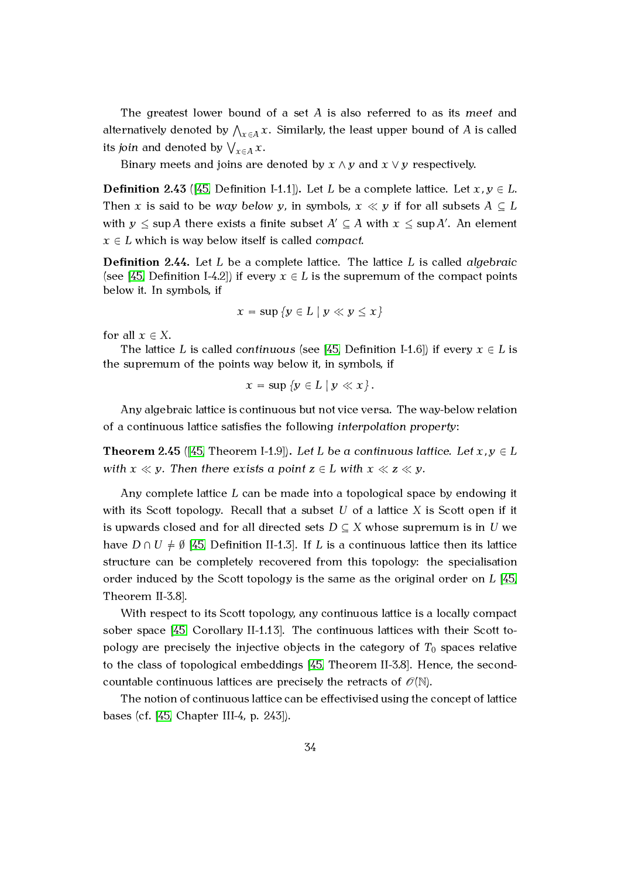The greatest lower bound of a set *A* is also referred to as its *meet* and alternatively denoted by  $\bigwedge_{x \in A} x$ . Similarly, the least upper bound of *A* is called its *join* and denoted by  $\bigvee_{x \in A} x$ .

Binary meets and joins are denoted by  $x \wedge y$  and  $x \vee y$  respectively.

**Definition 2.43** ([\[45,](#page-122-5) Definition I-1.1]). Let *L* be a complete lattice. Let  $x, y \in L$ . Then *x* is said to be *way below y*, in symbols,  $x \ll y$  if for all subsets  $A \subseteq L$ with  $y \leq \sup A$  there exists a finite subset  $A' \subseteq A$  with  $x \leq \sup A'$ . An element *x ∈ L* which is way below itself is called *compact*.

**Definition 2.44.** Let *L* be a complete lattice. The lattice *L* is called *algebraic* (see [\[45,](#page-122-5) Definition I-4.2]) if every  $x \in L$  is the supremum of the compact points below it. In symbols, if

$$
x = \sup \{ y \in L \mid y \ll y \le x \}
$$

for all  $x \in X$ .

The lattice *L* is called *continuous* (see [\[45,](#page-122-5) Definition I-1.6]) if every  $x \in L$  is the supremum of the points way below it, in symbols, if

$$
x=\sup\left\{y\in L\mid y\ll x\right\}.
$$

Any algebraic lattice is continuous but not vice versa. The way-below relation of a continuous lattice satisfies the following *interpolation property*:

**Theorem 2.45** ([\[45,](#page-122-5) Theorem I-1.9]). Let L be a continuous lattice. Let  $x, y \in L$ *with*  $x \ll y$ . Then there exists a point  $z \in L$  with  $x \ll z \ll y$ .

Any complete lattice *L* can be made into a topological space by endowing it with its Scott topology. Recall that a subset *U* of a lattice *X* is Scott open if it is upwards closed and for all directed sets  $D \subseteq X$  whose supremum is in *U* we have *D* ∩ *U*  $\neq$  Ø [\[45,](#page-122-5) Definition II-1.3]. If *L* is a continuous lattice then its lattice structure can be completely recovered from this topology: the specialisation order induced by the Scott topology is the same as the original order on *L* [\[45,](#page-122-5) Theorem II-3.8].

With respect to its Scott topology, any continuous lattice is a locally compact sober space [\[45,](#page-122-5) Corollary II-1.13]. The continuous lattices with their Scott topology are precisely the injective objects in the category of  $T_0$  spaces relative to the class of topological embeddings [\[45,](#page-122-5) Theorem II-3.8]. Hence, the secondcountable continuous lattices are precisely the retracts of  $\mathcal{O}(\mathbb{N})$ .

The notion of continuous lattice can be effectivised using the concept of lattice bases (cf. [\[45,](#page-122-5) Chapter III-4, p. 243]).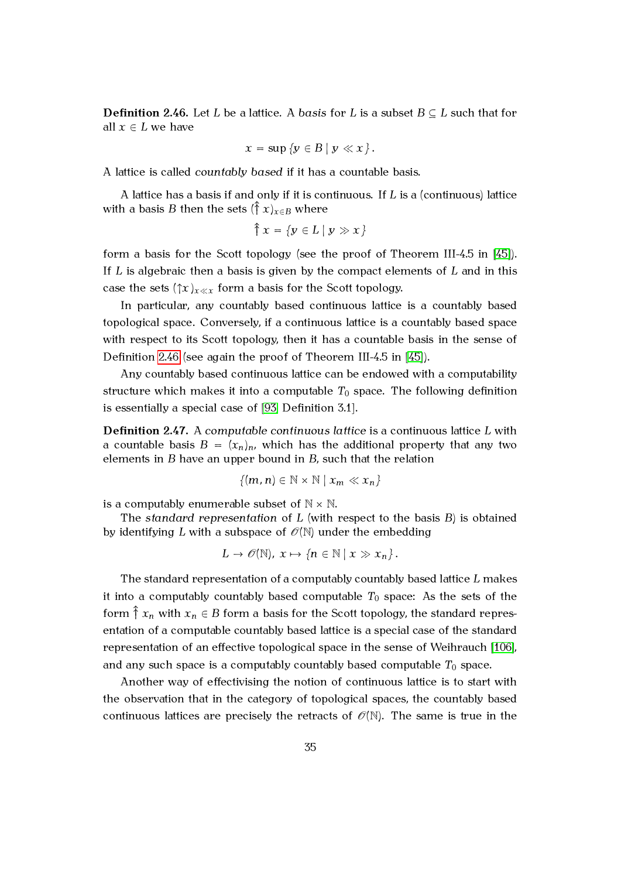<span id="page-35-0"></span>**Definition 2.46.** Let *L* be a lattice. A *basis* for *L* is a subset  $B \subseteq L$  such that for all  $x \in L$  we have

$$
x=\sup\left\{y\in B\,|\,y\ll x\right\}.
$$

A lattice is called *countably based* if it has a countable basis.

A lattice has a basis if and only if it is continuous. If *L* is a (continuous) lattice with a basis *B* then the sets (*↑ ↑ x*)*x∈B* where

$$
\hat{\uparrow} x = \{ y \in L \mid y \gg x \}
$$

form a basis for the Scott topology (see the proof of Theorem III-4.5 in [\[45\]](#page-122-5)). If *L* is algebraic then a basis is given by the compact elements of *L* and in this case the sets  $({\uparrow}x)_{x\ll x}$  form a basis for the Scott topology.

In particular, any countably based continuous lattice is a countably based topological space. Conversely, if a continuous lattice is a countably based space with respect to its Scott topology, then it has a countable basis in the sense of Definition [2.46](#page-35-0) (see again the proof of Theorem III-4.5 in [\[45\]](#page-122-5)).

Any countably based continuous lattice can be endowed with a computability structure which makes it into a computable *T*<sup>0</sup> space. The following definition is essentially a special case of [\[93,](#page-126-8) Definition 3.1].

**Definition 2.47.** A *computable continuous lattice* is a continuous lattice *L* with a countable basis  $B = (x_n)_n$ , which has the additional property that any two elements in *B* have an upper bound in *B*, such that the relation

$$
\{(m,n)\in\mathbb{N}\times\mathbb{N}\mid x_m\ll x_n\}
$$

is a computably enumerable subset of  $\mathbb{N} \times \mathbb{N}$ .

The *standard representation* of *L* (with respect to the basis *B*) is obtained by identifying *L* with a subspace of  $\mathcal{O}(\mathbb{N})$  under the embedding

$$
L \to \mathscr{O}(\mathbb{N}), \ x \mapsto \{n \in \mathbb{N} \mid x \gg x_n\}.
$$

The standard representation of a computably countably based lattice *L* makes it into a computably countably based computable  $T_0$  space: As the sets of the form  $\hat{\uparrow}$   $x_n$  with  $x_n \in B$  form a basis for the Scott topology, the standard representation of a computable countably based lattice is a special case of the standard representation of an effective topological space in the sense of Weihrauch [\[106\]](#page-126-3), and any such space is a computably countably based computable  $T_0$  space.

Another way of effectivising the notion of continuous lattice is to start with the observation that in the category of topological spaces, the countably based continuous lattices are precisely the retracts of  $\mathcal{O}(\mathbb{N})$ . The same is true in the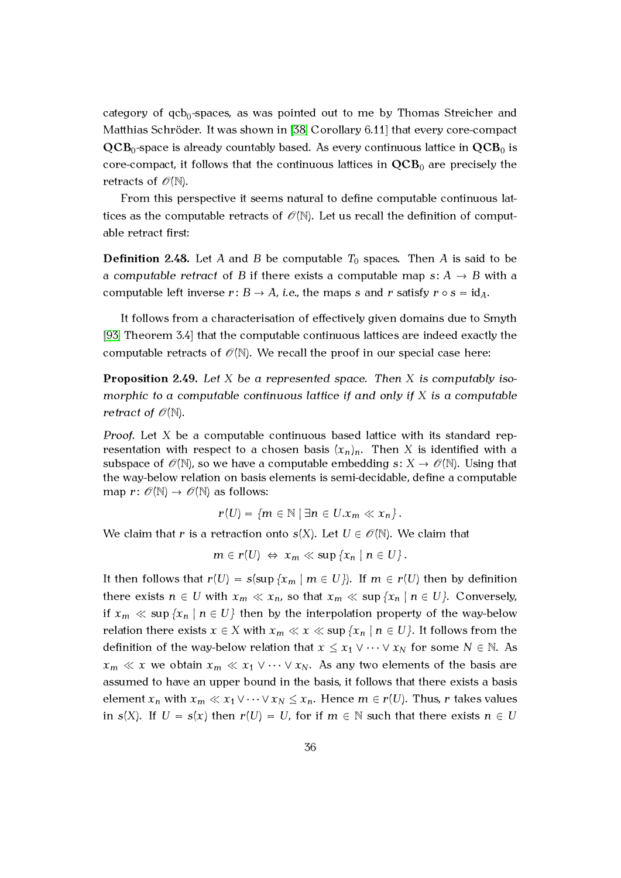category of  $qcb_0$ -spaces, as was pointed out to me by Thomas Streicher and Matthias Schröder. It was shown in [\[38,](#page-122-0) Corollary 6.11] that every core-compact  $\mathbf{QCB}_0$ -space is already countably based. As every continuous lattice in  $\mathbf{QCB}_0$  is core-compact, it follows that the continuous lattices in  $QCB<sub>0</sub>$  are precisely the retracts of  $\mathcal{O}(\mathbb{N})$ .

From this perspective it seems natural to define computable continuous lattices as the computable retracts of  $\mathcal{O}(N)$ . Let us recall the definition of computable retract first:

**Definition 2.48.** Let *A* and *B* be computable  $T_0$  spaces. Then *A* is said to be a *computable retract* of *B* if there exists a computable map  $s: A \rightarrow B$  with a computable left inverse  $r: B \to A$ , *i.e.*, the maps *s* and *r* satisfy  $r \circ s = id_A$ .

It follows from a characterisation of effectively given domains due to Smyth [\[93,](#page-126-0) Theorem 3.4] that the computable continuous lattices are indeed exactly the computable retracts of  $\mathcal{O}(N)$ . We recall the proof in our special case here:

**Proposition 2.49.** *Let X be a represented space. Then X is computably isomorphic to a computable continuous lattice if and only if X is a computable retract of*  $\mathcal{O}(\mathbb{N})$ *.* 

*Proof.* Let *X* be a computable continuous based lattice with its standard representation with respect to a chosen basis  $(x_n)_n$ . Then *X* is identified with a subspace of  $\mathcal{O}(N)$ , so we have a computable embedding  $s: X \to \mathcal{O}(N)$ . Using that the way-below relation on basis elements is semi-decidable, define a computable map  $r: \mathcal{O}(\mathbb{N}) \to \mathcal{O}(\mathbb{N})$  as follows:

$$
r(U) = \{m \in \mathbb{N} \mid \exists n \in U.x_m \ll x_n\}.
$$

We claim that *r* is a retraction onto *s*(*X*). Let  $U \in \mathcal{O}(\mathbb{N})$ . We claim that

$$
m\in r(U) \Leftrightarrow x_m \ll \sup\{x_n \mid n\in U\}.
$$

It then follows that  $r(U) = s(\sup \{x_m \mid m \in U\})$ . If  $m \in r(U)$  then by definition there exists  $n \in U$  with  $x_m \ll x_n$ , so that  $x_m \ll \sup\{x_n \mid n \in U\}$ . Conversely, if  $x_m \ll \sup \{x_n \mid n \in U\}$  then by the interpolation property of the way-below relation there exists  $x \in X$  with  $x_m \ll x \ll \sup \{x_n \mid n \in U\}$ . It follows from the definition of the way-below relation that  $x \leq x_1 \vee \cdots \vee x_N$  for some  $N \in \mathbb{N}$ . As  $x_m \ll x$  we obtain  $x_m \ll x_1 \lor \cdots \lor x_N$ . As any two elements of the basis are assumed to have an upper bound in the basis, it follows that there exists a basis element  $x_n$  with  $x_m \ll x_1 \lor \cdots \lor x_N \leq x_n$ . Hence  $m \in r(U)$ . Thus, *r* takes values in *s*(*X*). If  $U = s(x)$  then  $r(U) = U$ , for if  $m \in \mathbb{N}$  such that there exists  $n \in U$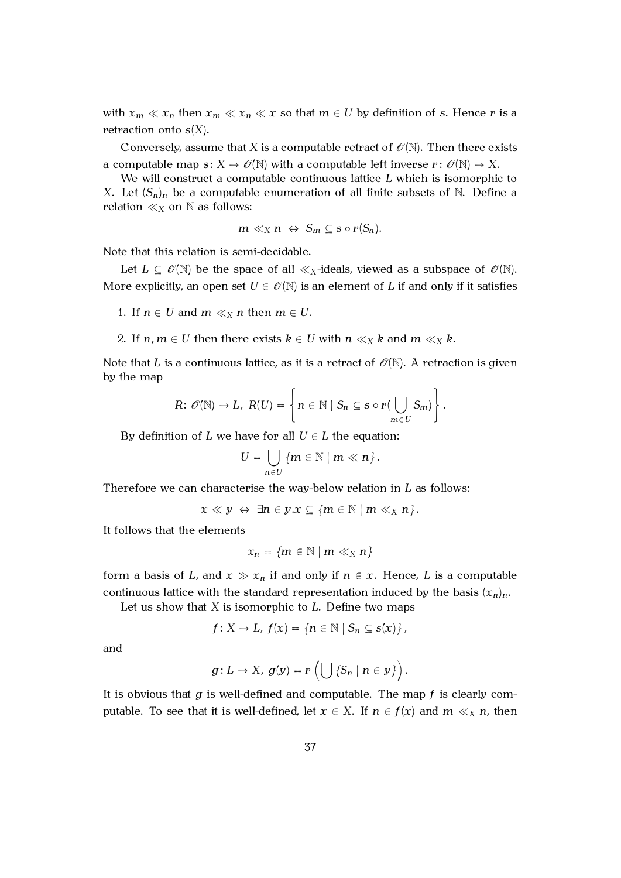with  $x_m \ll x_n$  then  $x_m \ll x_n \ll x$  so that  $m \in U$  by definition of *s*. Hence *r* is a retraction onto *s*(*X*).

Conversely, assume that *X* is a computable retract of  $\mathcal{O}(N)$ . Then there exists a computable map  $s: X \to \mathcal{O}(\mathbb{N})$  with a computable left inverse  $r: \mathcal{O}(\mathbb{N}) \to X$ .

We will construct a computable continuous lattice *L* which is isomorphic to *X*. Let  $(S_n)_n$  be a computable enumeration of all finite subsets of N. Define a relation  $\ll_X$  on  $\mathbb N$  as follows:

$$
m\ll_X n \Leftrightarrow S_m\subseteq s\circ r(S_n).
$$

Note that this relation is semi-decidable.

Let  $L \subseteq \mathcal{O}(\mathbb{N})$  be the space of all  $\ll_X$ -ideals, viewed as a subspace of  $\mathcal{O}(\mathbb{N})$ . More explicitly, an open set  $U \in \mathcal{O}(\mathbb{N})$  is an element of L if and only if it satisfies

- 1. If  $n \in U$  and  $m \ll_X n$  then  $m \in U$ .
- 2. If  $n, m \in U$  then there exists  $k \in U$  with  $n \ll_{X} k$  and  $m \ll_{X} k$ .

Note that *L* is a continuous lattice, as it is a retract of  $\mathcal{O}(N)$ . A retraction is given by the map  $\overline{)}$ 

$$
R\colon \mathscr{O}(\mathbb{N})\to L,\ R(U)=\left\{n\in\mathbb{N}\mid S_n\subseteq s\circ r\left(\bigcup_{m\in U}S_m\right)\right\}.
$$

By definition of *L* we have for all  $U \in L$  the equation:

$$
U=\bigcup_{n\in U}\{m\in\mathbb{N}\mid m\ll n\}.
$$

Therefore we can characterise the way-below relation in *L* as follows:

$$
x \ll y \Leftrightarrow \exists n \in y \ldotp x \subseteq \{m \in \mathbb{N} \mid m \ll_X n \}.
$$

It follows that the elements

$$
x_n = \{m \in \mathbb{N} \mid m \ll_X n\}
$$

form a basis of *L*, and  $x \gg x_n$  if and only if  $n \in x$ . Hence, *L* is a computable continuous lattice with the standard representation induced by the basis  $(x_n)_n$ .

Let us show that *X* is isomorphic to *L*. Define two maps

$$
f\colon X\to L,\ f(x)=\{n\in\mathbb{N}\mid S_n\subseteq s(x)\}\,.
$$

and

$$
g\colon L\to X,\ g(y)=r\left(\bigcup\{S_n\mid n\in y\}\right).
$$

It is obvious that *g* is well-defined and computable. The map *f* is clearly computable. To see that it is well-defined, let  $x \in X$ . If  $n \in f(x)$  and  $m \ll_X n$ , then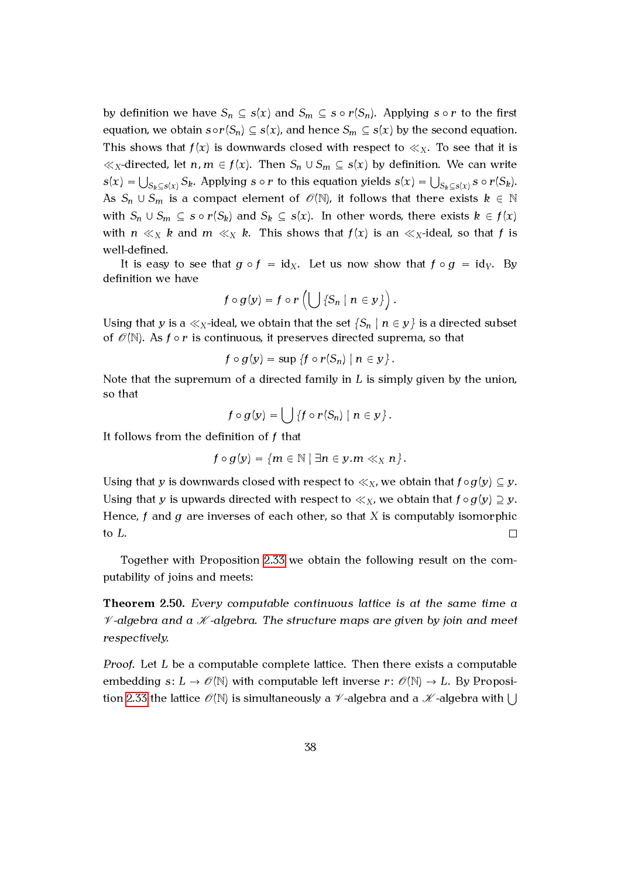by definition we have  $S_n \subseteq s(x)$  and  $S_m \subseteq s \circ r(S_n)$ . Applying  $s \circ r$  to the first equation, we obtain  $s \circ r(S_n) \subseteq s(x)$ , and hence  $S_m \subseteq s(x)$  by the second equation. This shows that  $f(x)$  is downwards closed with respect to  $\ll_{x}$ . To see that it is  $\ll$ *x*-directed, let *n, m* ∈ *f*(*x*). Then *S*<sup>*n*</sup>  $\cup$  *S*<sup>*m*</sup> ⊆ *s*(*x*) by definition. We can write  $s(x) = \bigcup_{S_k \subseteq s(x)} S_k$ . Applying  $s \circ r$  to this equation yields  $s(x) = \bigcup_{S_k \subseteq s(x)} s \circ r(S_k)$ . As  $S_n \cup S_m$  is a compact element of  $\mathcal{O}(\mathbb{N})$ , it follows that there exists  $k \in \mathbb{N}$ with  $S_n \cup S_m \subseteq s \circ r(S_k)$  and  $S_k \subseteq s(x)$ . In other words, there exists  $k \in f(x)$ with  $n \ll_X k$  and  $m \ll_X k$ . This shows that  $f(x)$  is an  $\ll_X$ -ideal, so that f is well-defined.

It is easy to see that  $g \circ f = id_X$ . Let us now show that  $f \circ g = id_Y$ . By definition we have  $\mathbf{v}$ 

$$
f\circ g(y)=f\circ r\left(\bigcup\left\{S_n\mid n\in y\right\}\right).
$$

Using that *y* is a  $\ll$ <sub>X</sub>-ideal, we obtain that the set  $\{S_n \mid n \in y\}$  is a directed subset of O(N). As *f ◦ r* is continuous, it preserves directed suprema, so that

$$
f\circ g(y)=\sup\left\{f\circ r(S_n)\mid n\in y\right\}.
$$

Note that the supremum of a directed family in *L* is simply given by the union, so that

$$
f\circ g(y)=\bigcup\{f\circ r(S_n)\mid n\in y\}.
$$

It follows from the definition of *f* that

$$
f\circ g(y)=\{m\in\mathbb{N}\mid \exists n\in y.m\ll_X n\}.
$$

Using that *y* is downwards closed with respect to  $\ll_X$ , we obtain that  $f \circ g(y) \subseteq y$ . Using that *y* is upwards directed with respect to  $\ll$ <sub>*X*</sub>, we obtain that  $f \circ g(y) \supseteq y$ . Hence, *f* and *g* are inverses of each other, so that *X* is computably isomorphic to *L*.  $\Box$ 

Together with Proposition [2.33](#page-28-0) we obtain the following result on the computability of joins and meets:

<span id="page-38-0"></span>**Theorem 2.50.** *Every computable continuous lattice is at the same time a*  $\mathcal V$ -algebra and a  $\mathcal X$ -algebra. The structure maps are given by join and meet *respectively.*

*Proof.* Let *L* be a computable complete lattice. Then there exists a computable embedding  $s: L \to \mathcal{O}(\mathbb{N})$  with computable left inverse  $r: \mathcal{O}(\mathbb{N}) \to L$ . By Proposi-tion [2.33](#page-28-0) the lattice  $\mathcal{O}(N)$  is simultaneously a  $\mathcal{V}$ -algebra and a  $\mathcal{X}$ -algebra with  $\vert \vert$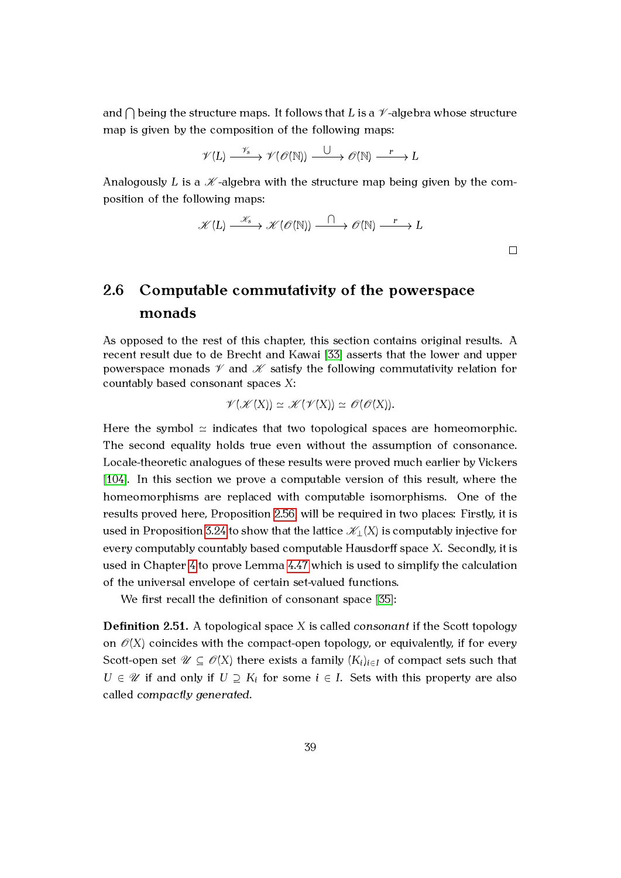and  $\bigcap$  being the structure maps. It follows that  $L$  is a  $\mathscr V$ -algebra whose structure map is given by the composition of the following maps:

$$
\mathscr{V}(L) \xrightarrow{\mathscr{V}_s} \mathscr{V}(\mathscr{O}(\mathbb{N})) \xrightarrow{\cup} \mathscr{O}(\mathbb{N}) \xrightarrow{\mathbf{r}} L
$$

Analogously L is a  $\mathscr{K}$ -algebra with the structure map being given by the composition of the following maps:

$$
\mathscr{K}(L) \xrightarrow{\mathscr{K}} \mathscr{K}(\mathscr{O}(\mathbb{N})) \xrightarrow{\cap} \mathscr{O}(\mathbb{N}) \xrightarrow{\mathbf{r}} L
$$

### **2.6 Computable commutativity of the powerspace monads**

As opposed to the rest of this chapter, this section contains original results. A recent result due to de Brecht and Kawai [\[33\]](#page-121-0) asserts that the lower and upper powerspace monads  $\mathcal V$  and  $\mathcal K$  satisfy the following commutativity relation for countably based consonant spaces *X*:

$$
\mathscr{V}(\mathscr{K}(X)) \simeq \mathscr{K}(\mathscr{V}(X)) \simeq \mathscr{O}(\mathscr{O}(X)).
$$

Here the symbol  $\simeq$  indicates that two topological spaces are homeomorphic. The second equality holds true even without the assumption of consonance. Locale-theoretic analogues of these results were proved much earlier by Vickers [\[104\]](#page-126-1). In this section we prove a computable version of this result, where the homeomorphisms are replaced with computable isomorphisms. One of the results proved here, Proposition [2.56,](#page-44-0) will be required in two places: Firstly, it is used in Proposition [3.24](#page-58-0) to show that the lattice  $\mathcal{K}_1(X)$  is computably injective for every computably countably based computable Hausdorff space *X*. Secondly, it is used in Chapter [4](#page-67-0) to prove Lemma [4.47](#page-98-0) which is used to simplify the calculation of the universal envelope of certain set-valued functions.

We first recall the definition of consonant space [\[35\]](#page-122-1):

**Definition 2.51.** A topological space *X* is called *consonant* if the Scott topology on  $\mathcal{O}(X)$  coincides with the compact-open topology, or equivalently, if for every Scott-open set  $\mathscr{U} \subseteq \mathscr{O}(X)$  there exists a family  $(K_i)_{i \in I}$  of compact sets such that *U*  $∈$  *W* if and only if *U*  $≥$  *K*<sub>*i*</sub> for some *i*  $∈$  *I*. Sets with this property are also called *compactly generated*.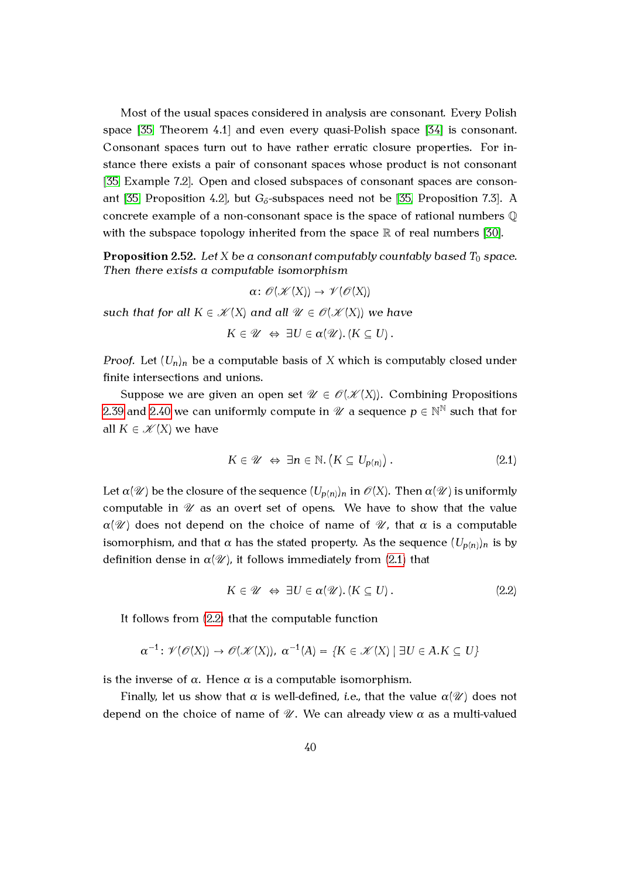Most of the usual spaces considered in analysis are consonant. Every Polish space [\[35,](#page-122-1) Theorem 4.1] and even every quasi-Polish space [\[34\]](#page-121-1) is consonant. Consonant spaces turn out to have rather erratic closure properties. For instance there exists a pair of consonant spaces whose product is not consonant [\[35,](#page-122-1) Example 7.2]. Open and closed subspaces of consonant spaces are conson-ant [\[35,](#page-122-1) Proposition 4.2], but  $G_{\delta}$ -subspaces need not be [35, Proposition 7.3]. A concrete example of a non-consonant space is the space of rational numbers Q with the subspace topology inherited from the space  $\mathbb R$  of real numbers [\[30\]](#page-121-2).

<span id="page-40-2"></span>**Proposition 2.52.** Let *X* be a consonant computably countably based  $T_0$  space. *Then there exists a computable isomorphism*

$$
\alpha\colon \mathscr{O}(\mathscr{K}(X))\to\mathscr{V}(\mathscr{O}(X))
$$

*such that for all*  $K \in \mathcal{K}(X)$  *and all*  $\mathcal{U} \in \mathcal{O}(\mathcal{K}(X))$  *we have* 

$$
K\in \mathscr{U} \ \Leftrightarrow \ \exists U\in \alpha(\mathscr{U}).\,(K\subseteq U)\,.
$$

*Proof.* Let  $(U_n)_n$  be a computable basis of *X* which is computably closed under finite intersections and unions.

Suppose we are given an open set  $\mathcal{U} \in \mathcal{O}(\mathcal{K}(X))$ . Combining Propositions [2.39](#page-31-0) and [2.40](#page-32-0) we can uniformly compute in  $\mathscr U$  a sequence  $p\in{\mathbb{N}}^{\mathbb{N}}$  such that for all  $K \in \mathcal{K}(X)$  we have

<span id="page-40-0"></span>
$$
K \in \mathscr{U} \Leftrightarrow \exists n \in \mathbb{N}. \left( K \subseteq U_{p(n)} \right). \tag{2.1}
$$

Let  $\alpha(\mathscr{U})$  be the closure of the sequence  $(U_{p(n)})_n$  in  $\mathscr{O}(X)$ . Then  $\alpha(\mathscr{U})$  is uniformly computable in  $\mathcal U$  as an overt set of opens. We have to show that the value  $\alpha(\mathcal{U})$  does not depend on the choice of name of  $\mathcal{U}$ , that  $\alpha$  is a computable isomorphism, and that  $\alpha$  has the stated property. As the sequence  $(U_{p(n)})_n$  is by definition dense in  $\alpha(\mathcal{U})$ , it follows immediately from [\(2.1\)](#page-40-0) that

<span id="page-40-1"></span>
$$
K \in \mathcal{U} \Leftrightarrow \exists U \in \alpha(\mathcal{U}). (K \subseteq U). \tag{2.2}
$$

It follows from [\(2.2\)](#page-40-1) that the computable function

$$
\alpha^{-1} \colon \mathscr{V}(\mathscr{O}(X)) \to \mathscr{O}(\mathscr{K}(X)), \ \alpha^{-1}(A) = \{K \in \mathscr{K}(X) \mid \exists U \in A.K \subseteq U\}
$$

is the inverse of *α*. Hence *α* is a computable isomorphism.

Finally, let us show that  $\alpha$  is well-defined, *i.e.*, that the value  $\alpha(\mathcal{U})$  does not depend on the choice of name of  $\mathcal{U}$ . We can already view  $\alpha$  as a multi-valued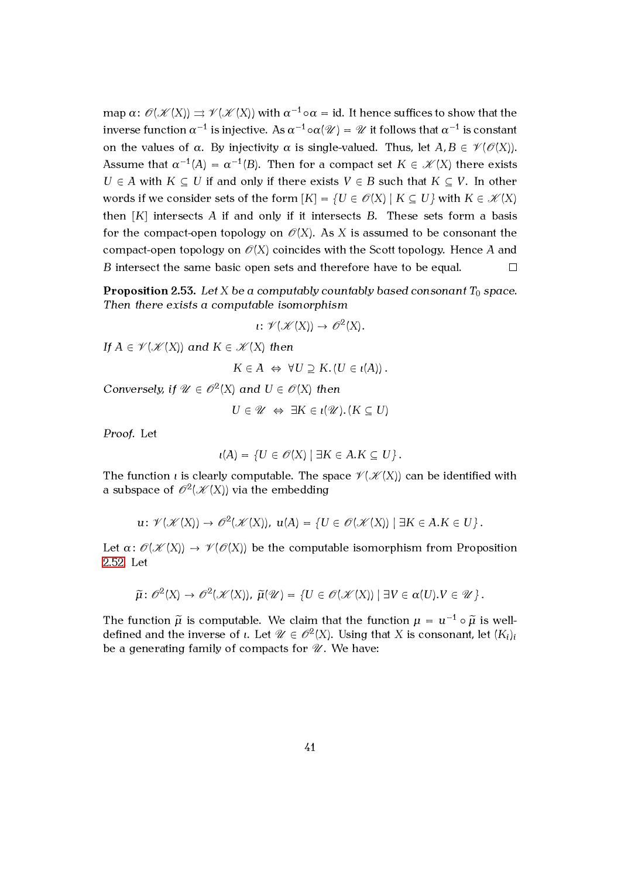$\text{map }\alpha\colon \mathscr{O}(\mathscr{K}(X))\rightrightarrows \mathscr{V}(\mathscr{K}(X))$  with  $\alpha^{-1}\circ \alpha = \text{id}.$  It hence suffices to show that the inverse function  $\alpha^{-1}$  is injective. As  $\alpha^{-1}\circ\alpha(\mathscr{U})=\mathscr{U}$  it follows that  $\alpha^{-1}$  is constant on the values of  $\alpha$ . By injectivity  $\alpha$  is single-valued. Thus, let  $A, B \in \mathcal{V}(\mathcal{O}(X))$ . Assume that  $\alpha^{-1}(A) = \alpha^{-1}(B)$ . Then for a compact set  $K \in \mathscr{K}(X)$  there exists *U*  $∈$  *A* with *K*  $subseteq$  *U* if and only if there exists *V*  $∈$  *B* such that *K*  $subseteq$  *V*. In other words if we consider sets of the form  $[K] = \{U \in \mathcal{O}(X) \mid K \subseteq U\}$  with  $K \in \mathcal{K}(X)$ then [*K*] intersects *A* if and only if it intersects *B*. These sets form a basis for the compact-open topology on  $\mathcal{O}(X)$ . As *X* is assumed to be consonant the compact-open topology on  $\mathcal{O}(X)$  coincides with the Scott topology. Hence *A* and *B* intersect the same basic open sets and therefore have to be equal.  $\Box$ 

**Proposition 2.53.** Let *X* be a computably countably based consonant  $T_0$  space. *Then there exists a computable isomorphism*

 $\iota: \mathcal{V}(\mathcal{K}(X)) \to \mathcal{O}^2(X).$ 

*If*  $A \in \mathcal{V}(\mathcal{K}(X))$  *and*  $K \in \mathcal{K}(X)$  *then* 

$$
K\in A \Leftrightarrow \forall U\supseteq K. (U\in \iota(A)).
$$

*Conversely, if*  $\mathcal{U} \in \mathcal{O}^2(X)$  and  $U \in \mathcal{O}(X)$  then

$$
U \in \mathscr{U} \Leftrightarrow \exists K \in \iota(\mathscr{U}). \,(K \subseteq U)
$$

*Proof.* Let

$$
\iota(A) = \{ U \in \mathscr{O}(X) \mid \exists K \in A.K \subseteq U \}.
$$

The function *ι* is clearly computable. The space  $\mathcal{V}(\mathcal{K}(X))$  can be identified with a subspace of  $\mathscr{O}^2(\mathscr{K}(X))$  via the embedding

$$
u: \mathscr{V}(\mathscr{K}(X)) \to \mathscr{O}^2(\mathscr{K}(X)), \ u(A) = \{U \in \mathscr{O}(\mathscr{K}(X)) \mid \exists K \in A.K \in U\}.
$$

Let  $\alpha$ :  $\mathcal{O}(\mathcal{K}(X)) \to \mathcal{V}(\mathcal{O}(X))$  be the computable isomorphism from Proposition [2.52.](#page-40-2) Let

$$
\widetilde{\mu}\colon \mathscr{O}^2(X)\to \mathscr{O}^2(\mathscr{K}(X)),\; \widetilde{\mu}(\mathscr{U})=\{U\in \mathscr{O}(\mathscr{K}(X))\mid \exists V\in \alpha(U). V\in \mathscr{U}\}\,.
$$

The function  $\widetilde{\mu}$  is computable. We claim that the function  $\mu = u^{-1} \circ \widetilde{\mu}$  is welldefined and the inverse of *ι*. Let  $\mathscr{U} \in \mathscr{O}^2(X)$ . Using that  $X$  is consonant, let  $(K_i)_i$ be a generating family of compacts for  $\mathcal{U}$ . We have: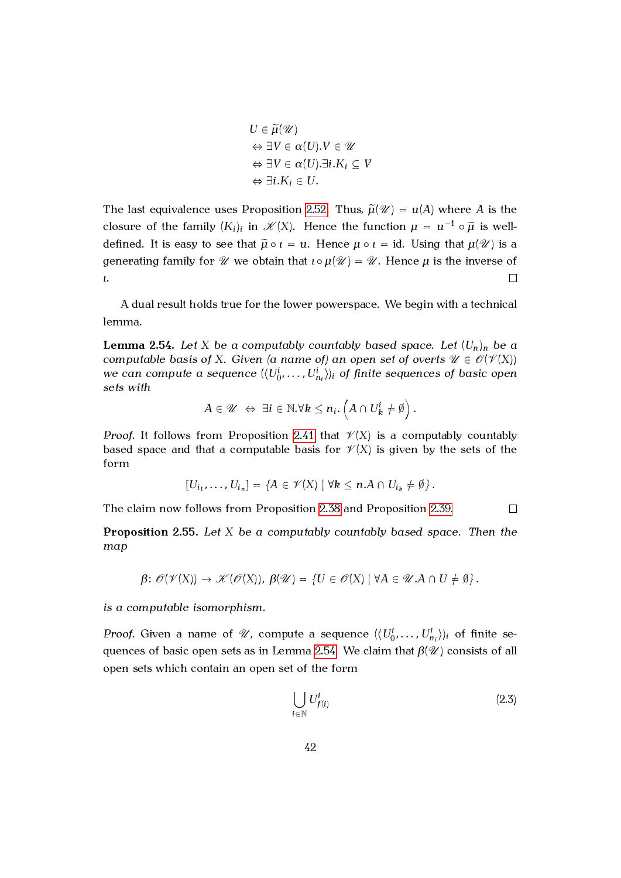$$
U \in \widetilde{\mu}(\mathscr{U})
$$
  
\n
$$
\Leftrightarrow \exists V \in \alpha(U). V \in \mathscr{U}
$$
  
\n
$$
\Leftrightarrow \exists V \in \alpha(U). \exists i. K_i \subseteq V
$$
  
\n
$$
\Leftrightarrow \exists i. K_i \in U.
$$

The last equivalence uses Proposition [2.52.](#page-40-2) Thus,  $\tilde{\mu}(\mathcal{U}) = u(A)$  where *A* is the closure of the family ( $K_i$ )*i* in  $\mathscr{K}(X)$ . Hence the function  $\mu = u^{-1} \circ \widetilde{\mu}$  is welldefined. It is easy to see that  $\tilde{\mu} \circ \iota = u$ . Hence  $\mu \circ \iota = id$ . Using that  $\mu(\mathcal{U})$  is a generating family for  $\mathcal U$  we obtain that  $\iota \circ \mu(\mathcal U) = \mathcal U$ . Hence  $\mu$  is the inverse of *ι*.  $\Box$ 

A dual result holds true for the lower powerspace. We begin with a technical lemma.

<span id="page-42-0"></span>**Lemma 2.54.** *Let X be a computably countably based space. Let*  $(U_n)_n$  *be a computable basis of X. Given (a name of) an open set of overts*  $\mathcal{U} \in \mathcal{O}(\mathcal{V}(X))$ we can compute a sequence  $\langle\langle U_0^i, \ldots, U_{n_i}^i \rangle\rangle_i$  of finite sequences of basic open *sets with*  $\overline{\phantom{a}}$  $\mathbf{r}$ 

$$
A \in \mathscr{U} \; \Leftrightarrow \; \exists i \in \mathbb{N}. \forall k \leq n_i. \left(A \cap U^i_k \neq \emptyset\right).
$$

*Proof.* It follows from Proposition [2.41](#page-33-0) that  $\mathcal{V}(X)$  is a computably countably based space and that a computable basis for  $\mathcal{V}(X)$  is given by the sets of the form

$$
[U_{i_1},\ldots,U_{i_n}]=\{A\in\mathscr{V}(X)\mid\forall k\leq n.A\cap U_{i_k}\neq\emptyset\}.
$$

The claim now follows from Proposition [2.38](#page-31-1) and Proposition [2.39.](#page-31-0)

 $\Box$ 

**Proposition 2.55.** *Let X be a computably countably based space. Then the map*

$$
\beta\colon \mathscr{O}(\mathscr{V}(X))\to \mathscr{K}(\mathscr{O}(X)),\ \beta(\mathscr{U})=\{U\in \mathscr{O}(X)\mid \forall A\in \mathscr{U}. A\cap U\neq \emptyset\}.
$$

*is a computable isomorphism.*

*Proof.* Given a name of  $\mathcal{U}$ , compute a sequence  $\langle \langle U_0^i, \ldots, U_{n_i}^i \rangle \rangle_i$  of finite se-quences of basic open sets as in Lemma [2.54.](#page-42-0) We claim that  $\beta(\mathcal{U})$  consists of all open sets which contain an open set of the form

<span id="page-42-1"></span>
$$
\bigcup_{i \in \mathbb{N}} U^i_{f(i)} \tag{2.3}
$$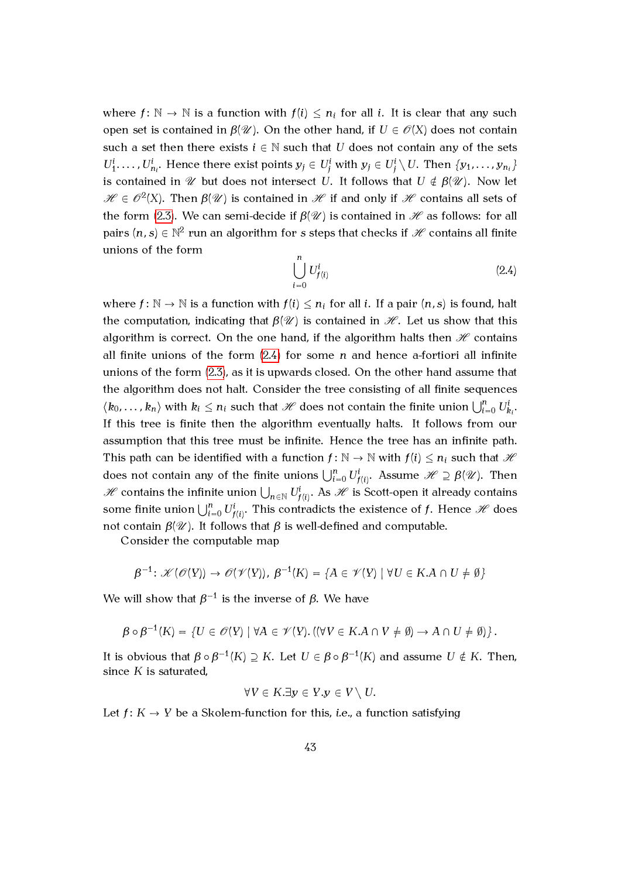where  $f: \mathbb{N} \to \mathbb{N}$  is a function with  $f(i) \leq n_i$  for all *i*. It is clear that any such open set is contained in  $\beta(\mathscr{U})$ . On the other hand, if  $U \in \mathscr{O}(X)$  does not contain such a set then there exists  $i \in \mathbb{N}$  such that *U* does not contain any of the sets  $U_1^i$ ....,  $U_{n_i}^i$ . Hence there exist points  $y_j \in U_j^i$  with  $y_j \in U_j^i \setminus U$ . Then  $\{y_1, \ldots, y_{n_i}\}$ is contained in  $\mathcal{U}$  but does not intersect *U*. It follows that  $U \notin \beta(\mathcal{U})$ . Now let  $\mathscr{H}\in\mathscr{O}^{2}(X).$  Then  $\beta(\mathscr{U})$  is contained in  $\mathscr{H}$  if and only if  $\mathscr{H}$  contains all sets of the form [\(2.3\)](#page-42-1). We can semi-decide if  $\beta(\mathcal{U})$  is contained in  $\mathcal{H}$  as follows: for all pairs  $(n,s) \in \mathbb{N}^2$  run an algorithm for  $s$  steps that checks if  $\mathscr H$  contains all finite unions of the form

<span id="page-43-0"></span>
$$
\bigcup_{i=0}^{n} U_{f(i)}^{i} \tag{2.4}
$$

where  $f: \mathbb{N} \to \mathbb{N}$  is a function with  $f(i) \leq n_i$  for all *i*. If a pair  $(n, s)$  is found, halt the computation, indicating that  $\beta(\mathcal{U})$  is contained in  $\mathcal{H}$ . Let us show that this algorithm is correct. On the one hand, if the algorithm halts then  $H$  contains all finite unions of the form [\(2.4\)](#page-43-0) for some *n* and hence a-fortiori all infinite unions of the form [\(2.3\)](#page-42-1), as it is upwards closed. On the other hand assume that the algorithm does not halt. Consider the tree consisting of all finite sequences  $\langle k_0, \ldots, k_n \rangle$  with  $k_i \leq n_i$  such that  $\mathcal{H}$  does not contain the finite union  $\bigcup_{i=0}^n U^i_{k_i}$ . If this tree is finite then the algorithm eventually halts. It follows from our assumption that this tree must be infinite. Hence the tree has an infinite path. This path can be identified with a function  $f: \mathbb{N} \to \mathbb{N}$  with  $f(i) \leq n_i$  such that  $\mathcal{H}$ does not contain any of the finite unions  $\bigcup_{i=0}^{n} U_{f(i)}^{i}$ . Assume  $\mathcal{H} \supseteq \beta(\mathcal{U})$ . Then  $\mathcal{H}$  contains the infinite union  $\bigcup_{n\in\mathbb{N}} U^i_{f(i)}$ . As  $\mathcal{H}$  is Scott-open it already contains some finite union  $\bigcup_{i=0}^{n} U_{f(i)}^i$ . This contradicts the existence of *f*. Hence *H* does not contain  $β$ (*W*). It follows that *β* is well-defined and computable.

Consider the computable map

$$
\beta^{-1}\colon \mathscr{K}(\mathscr{O}(\mathrm{Y})) \to \mathscr{O}(\mathscr{V}(\mathrm{Y})),\ \beta^{-1}(\mathrm{K})=\{A\in \mathscr{V}(\mathrm{Y})\mid \forall U\in \mathrm{K}. A\cap U\neq \emptyset\}
$$

We will show that *β −*1 is the inverse of *β*. We have

$$
\beta \circ \beta^{-1}(K) = \{ U \in \mathscr{O}(Y) \mid \forall A \in \mathscr{V}(Y) . \left( (\forall V \in K.A \cap V \neq \emptyset) \rightarrow A \cap U \neq \emptyset \right) \}.
$$

It is obvious that  $\beta \circ \beta^{-1}(K) \supseteq K$ . Let  $U \in \beta \circ \beta^{-1}(K)$  and assume  $U \notin K$ . Then, since *K* is saturated,

$$
\forall V \in K. \exists y \in Y. y \in V \setminus U.
$$

Let  $f: K \to Y$  be a Skolem-function for this, *i.e.*, a function satisfying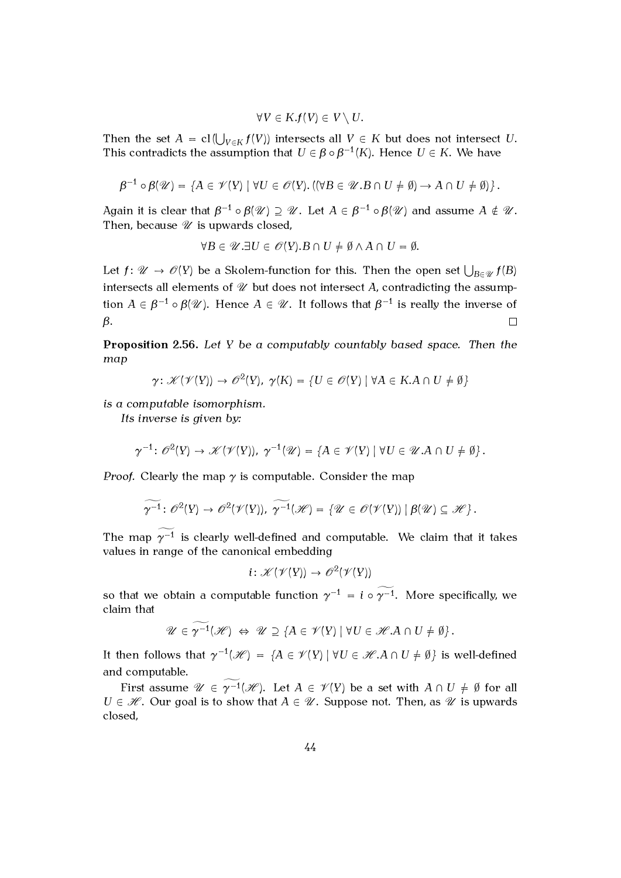$$
\forall V \in K.f(V) \in V \setminus U.
$$

Then the set *A* = cl( $\bigcup_{V \in K} f(V)$ ) intersects all  $V \in K$  but does not intersect *U*. This contradicts the assumption that  $U \in \beta \circ \beta^{-1}(K)$ . Hence  $U \in K$ . We have

$$
\beta^{-1} \circ \beta(\mathcal{U}) = \{ A \in \mathcal{V}(Y) \mid \forall U \in \mathcal{O}(Y). \left( (\forall B \in \mathcal{U}.B \cap U \neq \emptyset) \rightarrow A \cap U \neq \emptyset \right) \}.
$$

Again it is clear that  $\beta^{-1}\circ\beta(\mathscr{U})\supseteq \mathscr{U}.$  Let  $A\in\beta^{-1}\circ\beta(\mathscr{U})$  and assume  $A\notin\mathscr{U}.$ Then, because  $\mathscr U$  is upwards closed,

$$
\forall B \in \mathscr{U}.\exists U \in \mathscr{O}(Y).B \cap U \neq \emptyset \land A \cap U = \emptyset.
$$

Let  $f \colon \mathscr{U} \to \mathscr{O}(Y)$  be a Skolem-function for this. Then the open set  $\bigcup_{B \in \mathscr{U}} f(B)$ intersects all elements of  $\mathcal U$  but does not intersect A, contradicting the assumption  $A\in\beta^{-1}\circ\beta(\mathscr{U}).$  Hence  $A\in\mathscr{U}.$  It follows that  $\beta^{-1}$  is really the inverse of *β*.  $\Box$ 

<span id="page-44-0"></span>**Proposition 2.56.** *Let Y be a computably countably based space. Then the map*

$$
\gamma\colon \mathscr{K}(\mathscr{V}(Y))\to \mathscr{O}^2(Y),\,\, \gamma(K)=\{U\in \mathscr{O}(Y)\mid \forall A\in K.A\cap U\neq \emptyset\}
$$

*is a computable isomorphism.*

*Its inverse is given by:*

$$
\gamma^{-1}\colon \mathscr{O}^2(Y)\to \mathscr{K}(\mathscr{V}(Y)),\ \gamma^{-1}(\mathscr{U})=\{A\in \mathscr{V}(Y)\mid \forall U\in \mathscr{U}. A\cap U\neq \emptyset\}.
$$

*Proof.* Clearly the map *γ* is computable. Consider the map

$$
\widetilde{\gamma^{-1}}\colon \mathscr{O}^2(Y)\to \mathscr{O}^2(\mathscr{V}(Y)),\ \widetilde{\gamma^{-1}}(\mathscr{H})=\{\mathscr{U}\in \mathscr{O}(\mathscr{V}(Y))\mid \beta(\mathscr{U})\subseteq \mathscr{H}\}.
$$

The map  $\widetilde{\gamma^{-1}}$  is clearly well-defined and computable. We claim that it takes values in range of the canonical embedding

$$
i\colon \mathscr{K}(\mathscr{V}(Y)) \to \mathscr{O}^2(\mathscr{V}(Y))
$$

so that we obtain a computable function  $\gamma^{-1} = i \circ \widetilde{\gamma^{-1}}$ . More specifically, we claim that

$$
\mathscr{U}\in\widetilde{\gamma^{-1}}(\mathscr{H})\ \Leftrightarrow\ \mathscr{U}\supseteq\{A\in\mathscr{V}(Y)\mid\forall U\in\mathscr{H}.A\cap U\neq\emptyset\}\,.
$$

It then follows that  $\gamma^{-1}(\mathscr{H}) = \{A \in \mathscr{V}(Y) \mid \forall U \in \mathscr{H}. A \cap U \neq \emptyset\}$  is well-defined and computable.

First assume  $\mathscr{U} \in \widetilde{\gamma^{-1}}(\mathscr{H})$ . Let  $A \in \mathscr{V}(Y)$  be a set with  $A \cap U \neq \emptyset$  for all  $U \in \mathcal{H}$ . Our goal is to show that  $A \in \mathcal{U}$ . Suppose not. Then, as  $\mathcal{U}$  is upwards closed,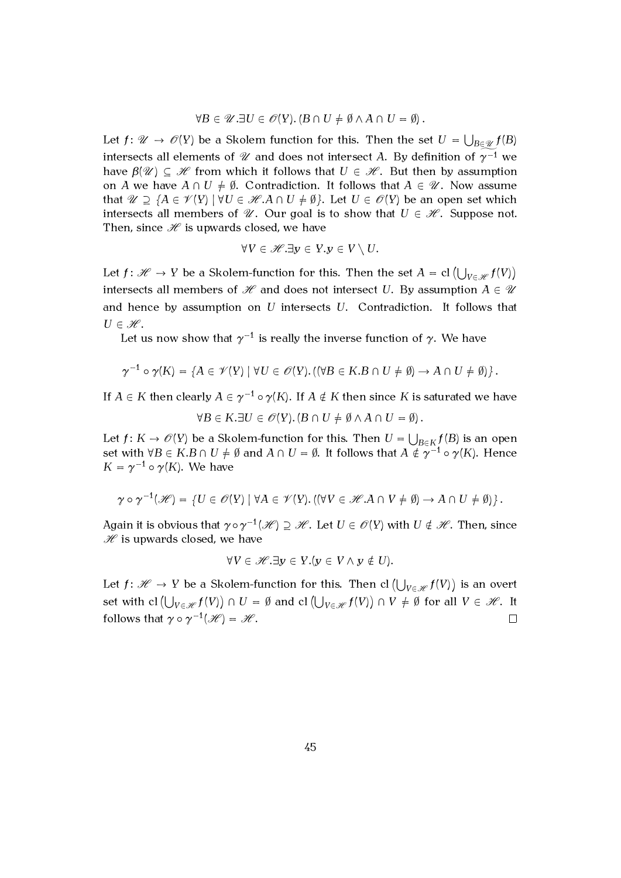$$
\forall B \in \mathscr{U}.\exists U \in \mathscr{O}(Y). (B \cap U \neq \emptyset \wedge A \cap U = \emptyset).
$$

Let  $f: \mathscr{U} \to \mathscr{O}(Y)$  be a Skolem function for this. Then the set  $U =$ S *B∈*<sup>U</sup> *f*(*B*) intersects all elements of  $\mathcal{U}$  and does not intersect *A*. By definition of  $\gamma^{-1}$  we have  $\beta(\mathcal{U}) \subseteq \mathcal{H}$  from which it follows that  $U \in \mathcal{H}$ . But then by assumption on *A* we have  $A \cap U \neq \emptyset$ . Contradiction. It follows that  $A \in \mathcal{U}$ . Now assume that  $\mathcal{U} \supseteq \{A \in \mathcal{V}(Y) \mid \forall U \in \mathcal{H} \}$ . A ∩  $U \neq \emptyset\}$ . Let  $U \in \mathcal{O}(Y)$  be an open set which intersects all members of  $\mathcal{U}$ . Our goal is to show that  $U \in \mathcal{H}$ . Suppose not. Then, since  $\mathcal H$  is upwards closed, we have

$$
\forall V \in \mathscr{H}.\exists y \in Y. y \in V \setminus U.
$$

Let  $f: \mathscr{H} \to Y$  be a Skolem-function for this. Then the set  $A = \text{cl }(\bigcup_{V \in \mathscr{H}} f(V)$  $\overline{a}$ intersects all members of  $\mathcal{H}$  and does not intersect *U*. By assumption  $A \in \mathcal{U}$ and hence by assumption on *U* intersects *U*. Contradiction. It follows that  $U \in \mathcal{H}$ .

Let us now show that  $\gamma^{-1}$  is really the inverse function of  $\gamma.$  We have

$$
\gamma^{-1} \circ \gamma(K) = \{ A \in \mathscr{V}(Y) \mid \forall U \in \mathscr{O}(Y). \left( (\forall B \in K.B \cap U \neq \emptyset) \rightarrow A \cap U \neq \emptyset \right) \}.
$$

If  $A \in K$  then clearly  $A \in \gamma^{-1} \circ \gamma(K)$ . If  $A \notin K$  then since  $K$  is saturated we have

$$
\forall B \in K. \exists U \in \mathscr{O}(Y). \ (B \cap U \neq \emptyset \land A \cap U = \emptyset).
$$

Let  $f: K \to \mathscr{O}(Y)$  be a Skolem-function for this. Then  $U =$ S *B∈K f*(*B*) is an open set with  $\forall B \in K.B \cap U \neq \emptyset$  and  $A \cap U = \emptyset$ . It follows that  $A \notin \gamma^{-1} \circ \gamma(K)$ . Hence *K* =  $\gamma^{-1} \circ \gamma(K)$ . We have

$$
\gamma \circ \gamma^{-1}(\mathscr{H}) = \{ U \in \mathscr{O}(Y) \mid \forall A \in \mathscr{V}(Y) . \left( \left( \forall V \in \mathscr{H} . A \cap V \neq \emptyset \right) \to A \cap U \neq \emptyset \right) \} .
$$

 $\lambda$ gain it is obvious that  $\gamma \circ \gamma^{-1}({\mathscr{H}}) \supseteq {\mathscr{H}}.$  Let  $U \in \mathscr{O}(Y)$  with  $U \notin {\mathscr{H}}.$  Then, since  $\mathscr H$  is upwards closed, we have

$$
\forall V \in \mathscr{H}.\exists y \in Y.(y \in V \wedge y \notin U).
$$

Let  $f \colon \mathscr{H} \to Y$  be a Skolem-function for this. Then  $\text{cl} \left( \bigcup_{V \in \mathscr{H}} f(V) \right)$  $\overline{a}$ is an overt  $\int$ set with cl  $\left(\bigcup_{V \in \mathcal{H}} f(V)\right)$  $\int$   $\cap$  *U* =  $\emptyset$  and cl  $\left(\bigcup_{V \in \mathcal{H}} f(V)\right)$  $\tilde{\cdot}$ *∩ V*  $\neq$  *Ø* for all *V*  $\in$  *H*. It follows that  $\gamma \circ \gamma^{-1}(\mathcal{H}) = \mathcal{H}$ .  $\Box$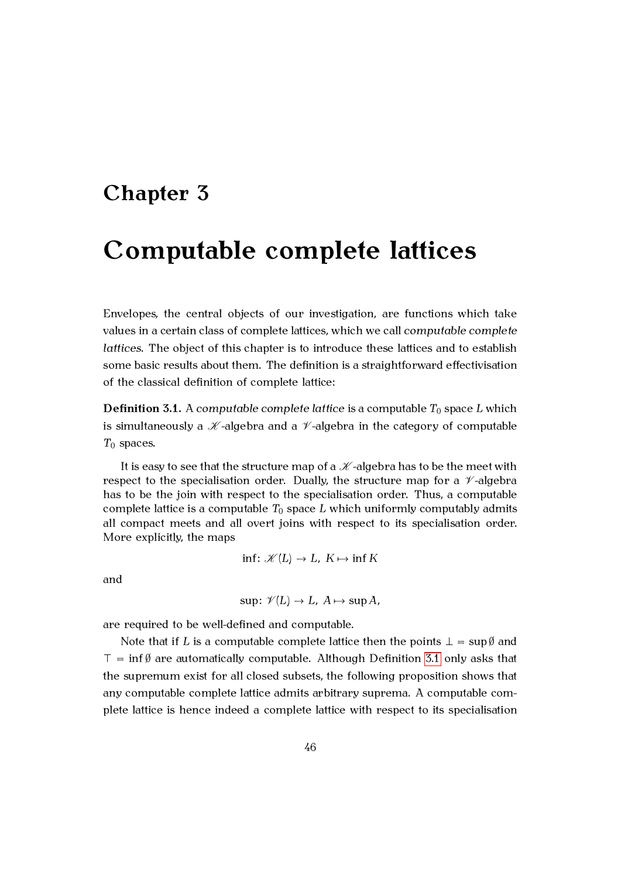## **Chapter 3**

# **Computable complete lattices**

Envelopes, the central objects of our investigation, are functions which take values in a certain class of complete lattices, which we call *computable complete lattices*. The object of this chapter is to introduce these lattices and to establish some basic results about them. The definition is a straightforward effectivisation of the classical definition of complete lattice:

<span id="page-46-0"></span>**Definition 3.1.** A *computable complete lattice* is a *computable*  $T_0$  space *L* which is simultaneously a  $\mathscr K$ -algebra and a  $\mathscr V$ -algebra in the category of computable *T*<sup>0</sup> spaces.

It is easy to see that the structure map of a  $\mathcal{K}$ -algebra has to be the meet with respect to the specialisation order. Dually, the structure map for a  $\mathcal V$ -algebra has to be the join with respect to the specialisation order. Thus, a computable complete lattice is a computable  $T_0$  space L which uniformly computably admits all compact meets and all overt joins with respect to its specialisation order. More explicitly, the maps

$$
\inf: \mathcal{K}(L) \to L, \ K \mapsto \inf K
$$

and

$$
sup: \mathscr{V}(L) \to L, A \mapsto sup A,
$$

are required to be well-defined and computable.

Note that if *L* is a computable complete lattice then the points  $\bot = \sup \emptyset$  and *>* = inf *∅* are automatically computable. Although Definition [3.1](#page-46-0) only asks that the supremum exist for all closed subsets, the following proposition shows that any computable complete lattice admits arbitrary suprema. A computable complete lattice is hence indeed a complete lattice with respect to its specialisation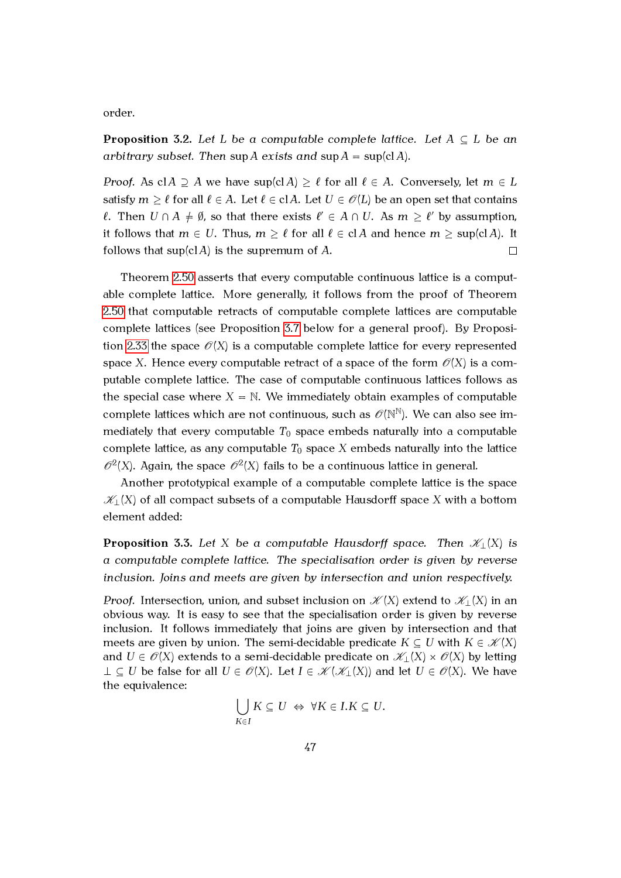order.

<span id="page-47-0"></span>**Proposition 3.2.** *Let L be a computable complete lattice. Let A ⊆ L be an arbitrary subset. Then*  $\sup A$  *exists and*  $\sup A$  =  $\sup(\text{cl } A)$ *.* 

*Proof.* As cl *A*  $\supseteq$  *A* we have sup(cl *A*)  $\geq$  *l* for all  $\ell \in A$ . Conversely, let  $m \in L$ satisfy  $m \geq \ell$  for all  $\ell \in A$ . Let  $\ell \in \text{cl } A$ . Let  $U \in \mathcal{O}(L)$  be an open set that contains  $\ell$ . Then *U* ∩ *A*  $\neq$   $\emptyset$ , so that there exists  $\ell' \in A \cap U$ . As  $m \geq \ell'$  by assumption, it follows that  $m \in U$ . Thus,  $m \geq \ell$  for all  $\ell \in \text{cl } A$  and hence  $m \geq \text{sup}(\text{cl } A)$ . It follows that sup(cl *A*) is the supremum of *A*.  $\Box$ 

Theorem [2.50](#page-38-0) asserts that every computable continuous lattice is a computable complete lattice. More generally, it follows from the proof of Theorem [2.50](#page-38-0) that computable retracts of computable complete lattices are computable complete lattices (see Proposition [3.7](#page-50-0) below for a general proof). By Proposi-tion [2.33](#page-28-0) the space  $\mathcal{O}(X)$  is a computable complete lattice for every represented space *X*. Hence every computable retract of a space of the form  $\mathcal{O}(X)$  is a computable complete lattice. The case of computable continuous lattices follows as the special case where  $X = N$ . We immediately obtain examples of computable complete lattices which are not continuous, such as  $\mathscr{O}(\mathbb{N}^{\mathbb{N}}).$  We can also see immediately that every computable  $T_0$  space embeds naturally into a computable complete lattice, as any computable  $T_0$  space  $X$  embeds naturally into the lattice  $\mathscr{O}^2(X)$ . Again, the space  $\mathscr{O}^2(X)$  fails to be a continuous lattice in general.

Another prototypical example of a computable complete lattice is the space K*⊥*(*X*) of all compact subsets of a computable Hausdorff space *X* with a bottom element added:

**Proposition 3.3.** Let *X* be a computable Hausdorff space. Then  $\mathcal{K}_1(X)$  is *a computable complete lattice. The specialisation order is given by reverse inclusion. Joins and meets are given by intersection and union respectively.*

*Proof.* Intersection, union, and subset inclusion on  $\mathcal{K}(X)$  extend to  $\mathcal{K}_1(X)$  in an obvious way. It is easy to see that the specialisation order is given by reverse inclusion. It follows immediately that joins are given by intersection and that meets are given by union. The semi-decidable predicate  $K \subseteq U$  with  $K \in \mathcal{K}(X)$ and  $U \in \mathcal{O}(X)$  extends to a semi-decidable predicate on  $\mathcal{K}_1(X) \times \mathcal{O}(X)$  by letting *⊥*  $\subset$  *U* be false for all  $U \in \mathcal{O}(X)$ . Let  $I \in \mathcal{K}(\mathcal{K}_1(X))$  and let  $U \in \mathcal{O}(X)$ . We have the equivalence:

$$
\bigcup_{K\in I} K\subseteq U \iff \forall K\in I.K\subseteq U.
$$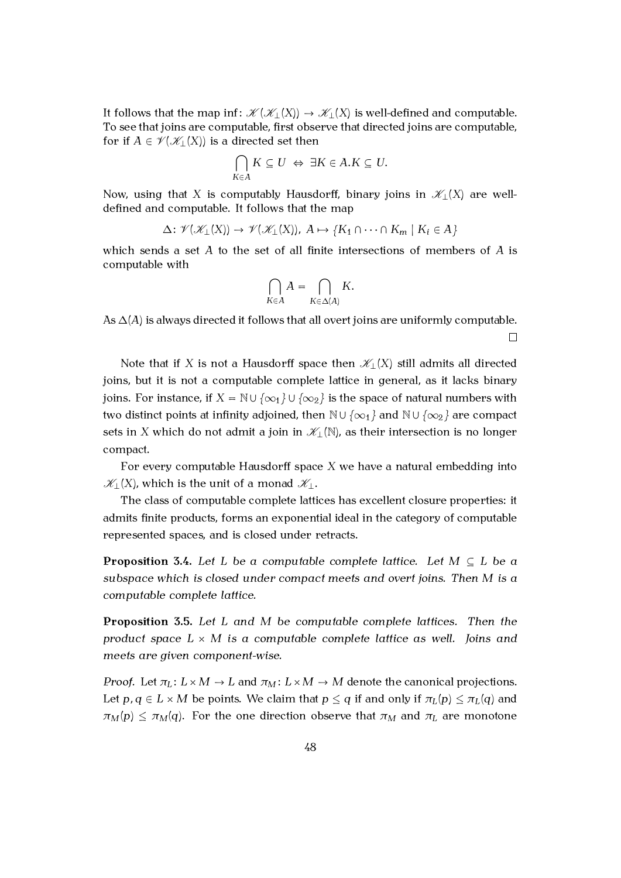It follows that the map inf:  $\mathcal{K}(\mathcal{K}_1(X)) \to \mathcal{K}_1(X)$  is well-defined and computable. To see that joins are computable, first observe that directed joins are computable, for if  $A \in \mathcal{V}(\mathcal{K}_\perp(X))$  is a directed set then

$$
\bigcap_{K\in A} K\subseteq U \Leftrightarrow \exists K\in A.K\subseteq U.
$$

Now, using that *X* is computably Hausdorff, binary joins in  $\mathscr{K}_\perp$ (*X*) are welldefined and computable. It follows that the map

$$
\Delta: \mathscr{V}(\mathscr{K}_\perp(X)) \to \mathscr{V}(\mathscr{K}_\perp(X)), A \mapsto \{K_1 \cap \cdots \cap K_m \mid K_i \in A\}
$$

which sends a set *A* to the set of all finite intersections of members of *A* is computable with

$$
\bigcap_{K\in A} A = \bigcap_{K\in\Delta(A)} K.
$$

As ∆(*A*) is always directed it follows that all overt joins are uniformly computable.  $\Box$ 

Note that if *X* is not a Hausdorff space then  $\mathcal{K}_1(X)$  still admits all directed joins, but it is not a computable complete lattice in general, as it lacks binary joins. For instance, if  $X = \mathbb{N} \cup \{\infty_1\} \cup \{\infty_2\}$  is the space of natural numbers with two distinct points at infinity adjoined, then  $\mathbb{N} \cup \{\infty_1\}$  and  $\mathbb{N} \cup \{\infty_2\}$  are compact sets in *X* which do not admit a join in  $\mathcal{X}_1(N)$ , as their intersection is no longer compact.

For every computable Hausdorff space *X* we have a natural embedding into *X*<sub>⊥</sub>(*X*), which is the unit of a monad *X*<sub>⊥</sub>.

The class of computable complete lattices has excellent closure properties: it admits finite products, forms an exponential ideal in the category of computable represented spaces, and is closed under retracts.

**Proposition 3.4.** Let L be a computable complete lattice. Let  $M \subseteq L$  be a *subspace which is closed under compact meets and overt joins. Then M is a computable complete lattice.*

<span id="page-48-0"></span>**Proposition 3.5.** *Let L and M be computable complete lattices. Then the product space L × M is a computable complete lattice as well. Joins and meets are given component-wise.*

*Proof.* Let  $\pi_L$ :  $L \times M \to L$  and  $\pi_M$ :  $L \times M \to M$  denote the canonical projections. Let  $p, q \in L \times M$  be points. We claim that  $p \leq q$  if and only if  $\pi_L(p) \leq \pi_L(q)$  and  $\pi_M(p) \leq \pi_M(q)$ . For the one direction observe that  $\pi_M$  and  $\pi_L$  are monotone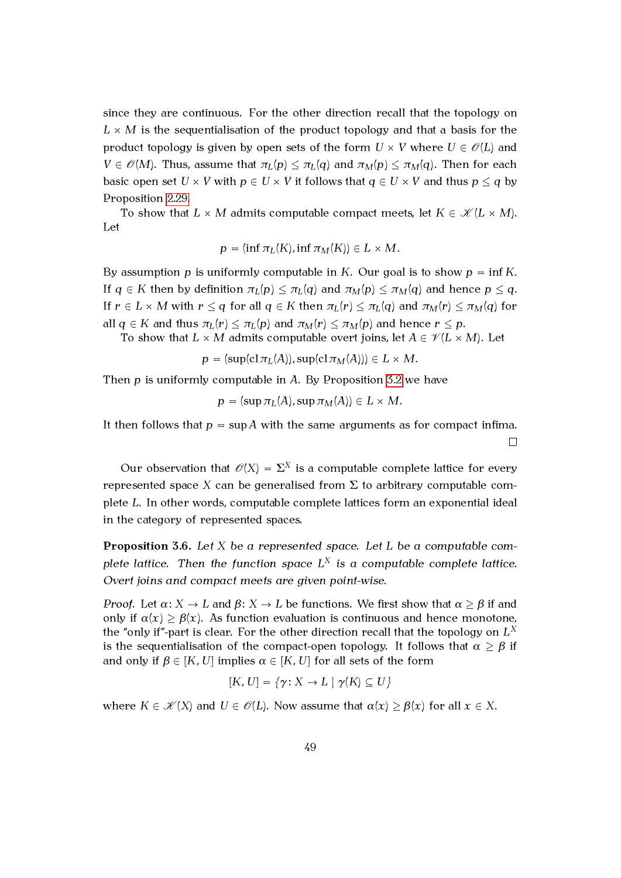since they are continuous. For the other direction recall that the topology on  $L \times M$  is the sequentialisation of the product topology and that a basis for the product topology is given by open sets of the form  $U \times V$  where  $U \in \mathcal{O}(L)$  and  $V \in \mathcal{O}(M)$ . Thus, assume that  $\pi_L(p) \leq \pi_L(q)$  and  $\pi_M(p) \leq \pi_M(q)$ . Then for each basic open set  $U \times V$  with  $p \in U \times V$  it follows that  $q \in U \times V$  and thus  $p \leq q$  by Proposition [2.29.](#page-25-0)

To show that  $L \times M$  admits computable compact meets, let  $K \in \mathcal{K}(L \times M)$ . Let

$$
p = (\inf \pi_L(K), \inf \pi_M(K)) \in L \times M.
$$

By assumption *p* is uniformly computable in *K*. Our goal is to show *p* = inf *K*. If  $q \in K$  then by definition  $\pi_L(p) \leq \pi_L(q)$  and  $\pi_M(p) \leq \pi_M(q)$  and hence  $p \leq q$ . If  $r \in L \times M$  with  $r \leq q$  for all  $q \in K$  then  $\pi_L(r) \leq \pi_L(q)$  and  $\pi_M(r) \leq \pi_M(q)$  for all  $q \in K$  and thus  $\pi_L(r) \leq \pi_L(p)$  and  $\pi_M(r) \leq \pi_M(p)$  and hence  $r \leq p$ .

To show that  $L \times M$  admits computable overt joins, let  $A \in \mathcal{V}(L \times M)$ . Let

$$
p = (\sup(\text{cl }\pi_L(A)), \sup(\text{cl }\pi_M(A))) \in L \times M.
$$

Then *p* is uniformly computable in *A*. By Proposition [3.2](#page-47-0) we have

$$
p = (\sup \pi_L(A), \sup \pi_M(A)) \in L \times M.
$$

It then follows that  $p = \sup A$  with the same arguments as for compact infima.  $\Box$ 

Our observation that  $\mathcal{O}(X) = \Sigma^X$  is a computable complete lattice for every represented space *X* can be generalised from  $\Sigma$  to arbitrary computable complete *L*. In other words, computable complete lattices form an exponential ideal in the category of represented spaces.

<span id="page-49-0"></span>**Proposition 3.6.** *Let X be a represented space. Let L be a computable complete lattice. Then the function space L <sup>X</sup> is a computable complete lattice. Overt joins and compact meets are given point-wise.*

*Proof.* Let  $\alpha: X \to L$  and  $\beta: X \to L$  be functions. We first show that  $\alpha \geq \beta$  if and only if  $\alpha(x) \geq \beta(x)$ . As function evaluation is continuous and hence monotone, the "only if"-part is clear. For the other direction recall that the topology on  $L^{\mathrm{X}}$ is the sequentialisation of the compact-open topology. It follows that  $\alpha \geq \beta$  if and only if  $\beta \in [K, U]$  implies  $\alpha \in [K, U]$  for all sets of the form

$$
[K, U] = \{ \gamma \colon X \to L \mid \gamma(K) \subseteq U \}
$$

where  $K \in \mathcal{K}(X)$  and  $U \in \mathcal{O}(L)$ . Now assume that  $\alpha(x) \geq \beta(x)$  for all  $x \in X$ .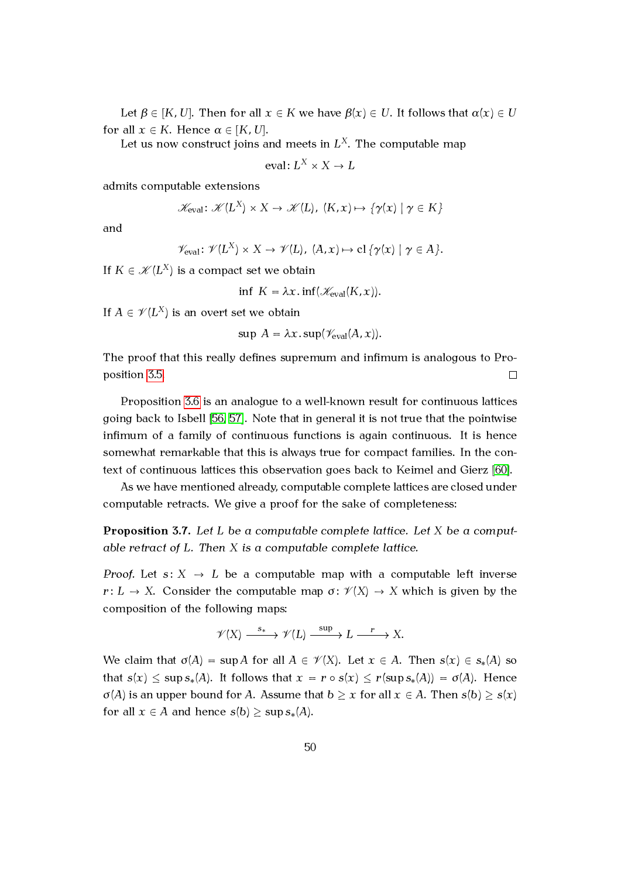Let  $\beta \in [K, U]$ . Then for all  $x \in K$  we have  $\beta(x) \in U$ . It follows that  $\alpha(x) \in U$ for all  $x \in K$ . Hence  $\alpha \in [K, U]$ .

Let us now construct joins and meets in  $L^{\mathrm{X}}.$  The computable map

eval:  $L^X \times X \to L$ 

admits computable extensions

$$
\mathscr{K}_{\text{eval}}\colon \mathscr{K}(L^X) \times X \to \mathscr{K}(L), \ (K, x) \mapsto \{ \gamma(x) \mid \gamma \in K \}
$$

and

$$
\mathscr{V}_{\text{eval}}\colon\mathscr{V}(L^X)\times X\to\mathscr{V}(L),\ (A,x)\mapsto \text{cl}\ \{\gamma(x)\mid\gamma\in A\}.
$$

If  $K \in \mathscr{K}(L^X)$  is a compact set we obtain

$$
\inf K = \lambda x.\inf(\mathscr{K}_{eval}(K,x)).
$$

If  $A \in \mathscr{V}(L^X)$  is an overt set we obtain

$$
\sup A = \lambda x. \sup (\mathscr{V}_{eval}(A, x)).
$$

The proof that this really defines supremum and infimum is analogous to Proposition [3.5.](#page-48-0)  $\Box$ 

Proposition [3.6](#page-49-0) is an analogue to a well-known result for continuous lattices going back to Isbell [\[56,](#page-123-0) [57\]](#page-123-1). Note that in general it is not true that the pointwise infimum of a family of continuous functions is again continuous. It is hence somewhat remarkable that this is always true for compact families. In the context of continuous lattices this observation goes back to Keimel and Gierz [\[60\]](#page-123-2).

As we have mentioned already, computable complete lattices are closed under computable retracts. We give a proof for the sake of completeness:

<span id="page-50-0"></span>**Proposition 3.7.** *Let L be a computable complete lattice. Let X be a computable retract of L. Then X is a computable complete lattice.*

*Proof.* Let  $s: X \rightarrow L$  be a computable map with a computable left inverse *r* :  $L \rightarrow X$ . Consider the computable map  $\sigma$  :  $\mathcal{V}(X) \rightarrow X$  which is given by the composition of the following maps:

 $\mathscr{V}(X) \xrightarrow{s_*} \mathscr{V}(L) \xrightarrow{\text{sup}} L \xrightarrow{r} X.$ 

We claim that  $\sigma(A) = \sup A$  for all  $A \in \mathcal{V}(X)$ . Let  $x \in A$ . Then  $s(x) \in s_*(A)$  so that  $s(x) \leq \sup s_*$  *(A)*. It follows that  $x = r \circ s(x) \leq r(\sup s_*$  *(A)*) =  $\sigma$  *(A)*. Hence *σ*(*A*) is an upper bound for *A*. Assume that  $b \geq x$  for all  $x \in A$ . Then  $s(b) \geq s(x)$ for all  $x \in A$  and hence  $s(b) \ge \sup s_* (A)$ .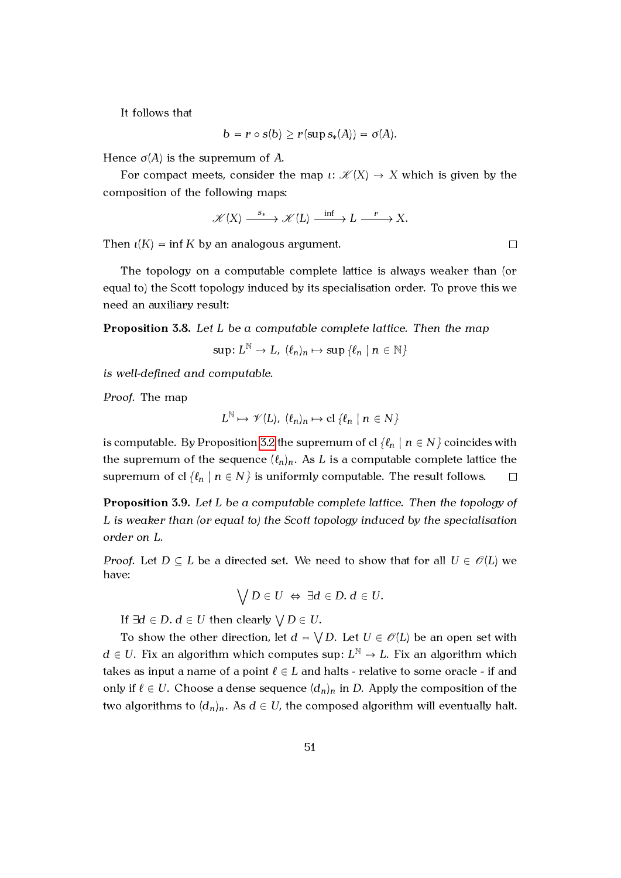It follows that

$$
b = r \circ s(b) \geq r(\sup s_*(A)) = \sigma(A).
$$

Hence *σ*(*A*) is the supremum of *A*.

For compact meets, consider the map  $\iota: \mathcal{K}(X) \to X$  which is given by the composition of the following maps:

$$
\mathscr{K}(X) \xrightarrow{\phantom{X} s_*} \mathscr{K}(L) \xrightarrow{\phantom{X} \text{inf}} L \xrightarrow{\phantom{X} r} X.
$$

Then  $\iota(K) = \inf K$  by an analogous argument.

The topology on a computable complete lattice is always weaker than (or equal to) the Scott topology induced by its specialisation order. To prove this we need an auxiliary result:

**Proposition 3.8.** *Let L be a computable complete lattice. Then the map*

 $\sup: L^{\mathbb{N}} \to L$ ,  $(\ell_n)_n \mapsto \sup \{ \ell_n \mid n \in \mathbb{N} \}$ 

*is well-defined and computable.*

*Proof.* The map

$$
L^{\mathbb{N}} \mapsto \mathscr{V}(L), \; (\ell_n)_n \mapsto \mathrm{cl} \; \{ \ell_n \mid n \in N \}
$$

is computable. By Proposition [3.2](#page-47-0) the supremum of cl  $\{ \ell_n \mid n \in N \}$  coincides with the supremum of the sequence  $(\ell_n)_n$ . As *L* is a computable complete lattice the supremum of cl  $\{ \ell_n \mid n \in N \}$  is uniformly computable. The result follows.  $\Box$ 

<span id="page-51-0"></span>**Proposition 3.9.** *Let L be a computable complete lattice. Then the topology of L is weaker than (or equal to) the Scott topology induced by the specialisation order on L.*

*Proof.* Let  $D \subseteq L$  be a directed set. We need to show that for all  $U \in \mathcal{O}(L)$  we have:  $\overline{a}$ 

$$
\bigvee D \in U \Leftrightarrow \exists d \in D. d \in U.
$$

If  $\exists d \in D$ ,  $d \in U$  then clearly  $\bigvee D \in U$ .

To show the other direction, let *d* =  $\frac{1}{\sqrt{2}}$ *D*. Let  $U \in \mathcal{O}(L)$  be an open set with  $d \in U$ . Fix an algorithm which computes sup:  $L^{\mathbb{N}} \to L$ . Fix an algorithm which takes as input a name of a point  $\ell \in L$  and halts - relative to some oracle - if and only if  $\ell \in U$ . Choose a dense sequence  $(d_n)_n$  in *D*. Apply the composition of the two algorithms to  $(d_n)_n$ . As  $d \in U$ , the composed algorithm will eventually halt.

 $\Box$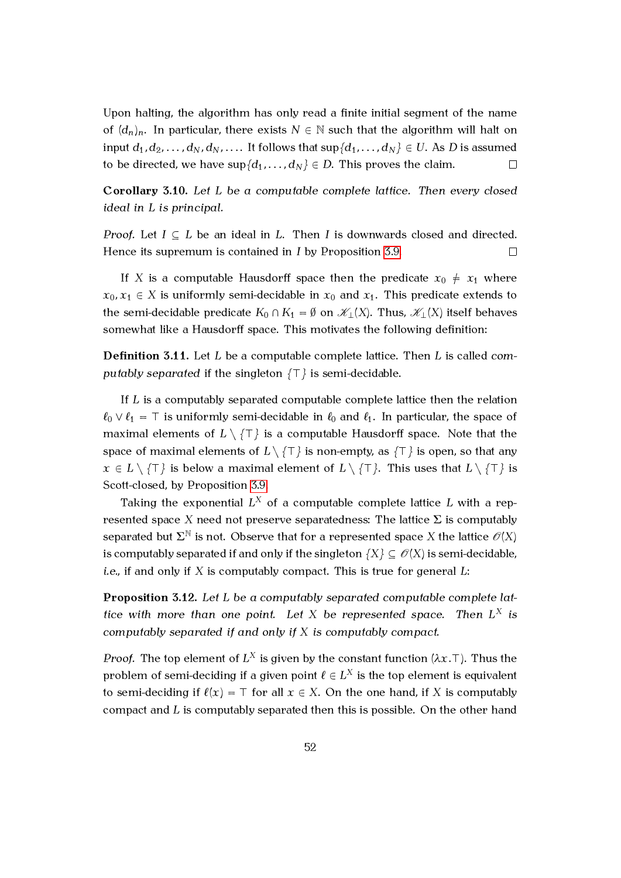Upon halting, the algorithm has only read a finite initial segment of the name of  $(d_n)_n$ . In particular, there exists  $N \in \mathbb{N}$  such that the algorithm will halt on input  $d_1, d_2, \ldots, d_N, d_N, \ldots$  It follows that  $\sup\{d_1, \ldots, d_N\} \in U$ . As *D* is assumed to be directed, we have  $\sup\{d_1, \ldots, d_N\} \in D$ . This proves the claim.  $\Box$ 

<span id="page-52-0"></span>**Corollary 3.10.** *Let L be a computable complete lattice. Then every closed ideal in L is principal.*

*Proof.* Let *I* ⊆ *L* be an ideal in *L*. Then *I* is downwards closed and directed. Hence its supremum is contained in *I* by Proposition [3.9.](#page-51-0)  $\Box$ 

If *X* is a computable Hausdorff space then the predicate  $x_0 \neq x_1$  where  $x_0, x_1 \in X$  is uniformly semi-decidable in  $x_0$  and  $x_1$ . This predicate extends to the semi-decidable predicate  $K_0 \cap K_1 = \emptyset$  on  $\mathscr{K}_\perp(X)$ . Thus,  $\mathscr{K}_\perp(X)$  itself behaves somewhat like a Hausdorff space. This motivates the following definition:

**Definition 3.11.** Let *L* be a computable complete lattice. Then *L* is called *computably separated* if the singleton  $\{T\}$  is semi-decidable.

If *L* is a computably separated computable complete lattice then the relation  $\ell_0 \vee \ell_1 = \top$  is uniformly semi-decidable in  $\ell_0$  and  $\ell_1$ . In particular, the space of maximal elements of  $L \setminus \{T\}$  is a computable Hausdorff space. Note that the space of maximal elements of  $L \setminus \{T\}$  is non-empty, as  $\{T\}$  is open, so that any  $x \in L \setminus \{\top\}$  is below a maximal element of  $L \setminus \{\top\}$ . This uses that  $L \setminus \{\top\}$  is Scott-closed, by Proposition [3.9.](#page-51-0)

Taking the exponential  $L^X$  of a computable complete lattice  $L$  with a represented space *X* need not preserve separatedness: The lattice  $\Sigma$  is computably separated but  $\Sigma^{\mathbb{N}}$  is not. Observe that for a represented space *X* the lattice  $\mathscr{O}(X)$ is computably separated if and only if the singleton  ${X} \subseteq \mathcal{O}(X)$  is semi-decidable, *i.e.*, if and only if *X* is computably compact. This is true for general *L*:

**Proposition 3.12.** *Let L be a computably separated computable complete lattice with more than one point. Let X be represented space. Then L <sup>X</sup> is computably separated if and only if X is computably compact.*

*Proof.* The top element of  $L^X$  is given by the constant function  $(\lambda x.\tau)$ . Thus the problem of semi-deciding if a given point  $\ell \in L^X$  is the top element is equivalent to semi-deciding if  $\ell(x) = \top$  for all  $x \in X$ . On the one hand, if X is computably compact and *L* is computably separated then this is possible. On the other hand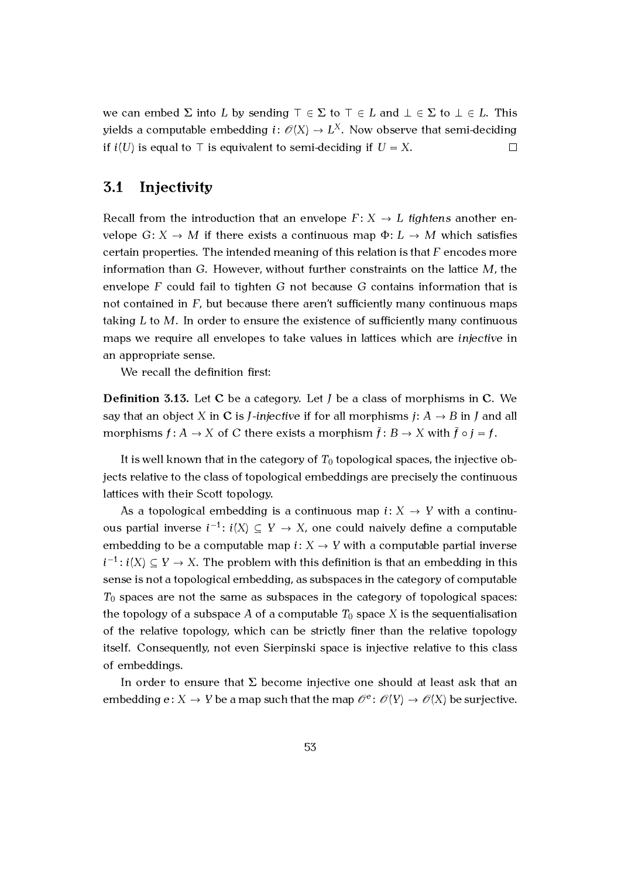we can embed  $\Sigma$  into *L* by sending  $\top \in \Sigma$  to  $\top \in L$  and  $\bot \in \Sigma$  to  $\bot \in L$ . This yields a computable embedding  $i\colon \mathscr{O}(\mathrm{X})\to L^\mathrm{X}.$  Now observe that semi-deciding if  $i(U)$  is equal to  $\top$  is equivalent to semi-deciding if  $U = X$ .  $\Box$ 

#### **3.1 Injectivity**

Recall from the introduction that an envelope  $F: X \rightarrow L$  *tightens* another envelope  $G: X \to M$  if there exists a continuous map  $\Phi: L \to M$  which satisfies certain properties. The intended meaning of this relation is that *F* encodes more information than *G*. However, without further constraints on the lattice *M*, the envelope *F* could fail to tighten *G* not because *G* contains information that is not contained in *F*, but because there aren't sufficiently many continuous maps taking *L* to *M*. In order to ensure the existence of sufficiently many continuous maps we require all envelopes to take values in lattices which are *injective* in an appropriate sense.

We recall the definition first:

**Definition 3.13.** Let **C** be a category. Let *J* be a class of morphisms in **C**. We say that an object *X* in **C** is *J*-injective if for all morphisms  $j: A \rightarrow B$  in *J* and all morphisms  $f: A \to X$  of C there exists a morphism  $\overline{f}: B \to X$  with  $\overline{f} \circ j = f$ .

It is well known that in the category of  $T_0$  topological spaces, the injective objects relative to the class of topological embeddings are precisely the continuous lattices with their Scott topology.

As a topological embedding is a continuous map  $i: X \rightarrow Y$  with a continuous partial inverse *i −*1 : *i*(*X*) *⊆ Y → X*, one could naively define a computable embedding to be a computable map  $i: X \rightarrow Y$  with a computable partial inverse *i −*1 : *i*(*X*) *⊆ Y → X*. The problem with this definition is that an embedding in this sense is not a topological embedding, as subspaces in the category of computable *T*<sub>0</sub> spaces are not the same as subspaces in the category of topological spaces: the topology of a subspace A of a computable  $T_0$  space X is the sequentialisation of the relative topology, which can be strictly finer than the relative topology itself. Consequently, not even Sierpinski space is injective relative to this class of embeddings.

In order to ensure that  $\Sigma$  become injective one should at least ask that an embedding  $e: X \to Y$  be a map such that the map  $\mathcal{O}^e: \mathcal{O}(Y) \to \mathcal{O}(X)$  be surjective.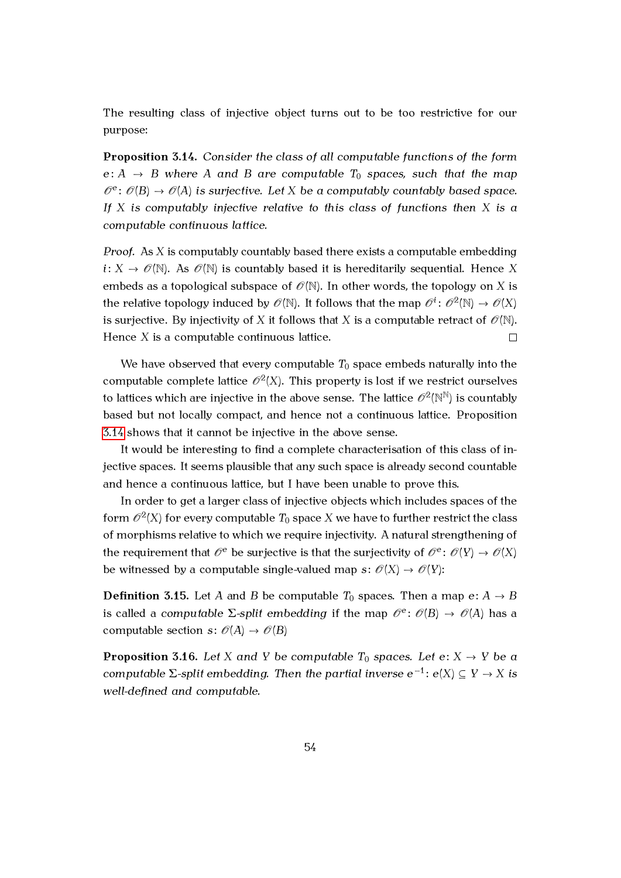The resulting class of injective object turns out to be too restrictive for our purpose:

<span id="page-54-0"></span>**Proposition 3.14.** *Consider the class of all computable functions of the form*  $e: A \rightarrow B$  where A and B are computable  $T_0$  spaces, such that the map  $\mathcal{O}^e$ :  $\mathcal{O}(B) \rightarrow \mathcal{O}(A)$  *is surjective. Let X* be a computably countably based space. *If X is computably injective relative to this class of functions then X is a computable continuous lattice.*

*Proof.* As *X* is computably countably based there exists a computable embedding *i*:  $X \rightarrow \mathcal{O}(\mathbb{N})$ . As  $\mathcal{O}(\mathbb{N})$  is countably based it is hereditarily sequential. Hence X embeds as a topological subspace of  $\mathcal{O}(N)$ . In other words, the topology on *X* is the relative topology induced by  $\mathscr{O}(\mathbb{N}).$  It follows that the map  $\mathscr{O}^i\colon \mathscr{O}^2(\mathbb{N})\to \mathscr{O}(X)$ is surjective. By injectivity of *X* it follows that *X* is a computable retract of  $\mathcal{O}(N)$ . Hence *X* is a computable continuous lattice.  $\Box$ 

We have observed that every computable  $T_0$  space embeds naturally into the computable complete lattice  $\mathscr{O}^2(X)$ . This property is lost if we restrict ourselves to lattices which are injective in the above sense. The lattice  $\mathscr{O}^2(\mathbb{N}^{\mathbb{N}})$  is countably based but not locally compact, and hence not a continuous lattice. Proposition [3.14](#page-54-0) shows that it cannot be injective in the above sense.

It would be interesting to find a complete characterisation of this class of injective spaces. It seems plausible that any such space is already second countable and hence a continuous lattice, but I have been unable to prove this.

In order to get a larger class of injective objects which includes spaces of the form  $\mathscr{O}^2(X)$  for every computable  $T_0$  space  $X$  we have to further restrict the class of morphisms relative to which we require injectivity. A natural strengthening of the requirement that  $\mathscr{O}^e$  be surjective is that the surjectivity of  $\mathscr{O}^e\colon \mathscr{O}(Y)\to \mathscr{O}(X)$ be witnessed by a computable single-valued map  $s: \mathcal{O}(X) \to \mathcal{O}(Y)$ :

**Definition 3.15.** Let *A* and *B* be computable  $T_0$  spaces. Then a map  $e: A \rightarrow B$ is called a *computable*  $\Sigma$ -*split embedding* if the map  $\mathscr{O}^e \colon \mathscr{O}(B) \to \mathscr{O}(A)$  has a computable section *s* :  $\mathcal{O}(A) \rightarrow \mathcal{O}(B)$ 

**Proposition 3.16.** *Let X and Y be computable*  $T_0$  *spaces. Let*  $e: X \rightarrow Y$  *be a computable*  $\Sigma$ -*split embedding. Then the partial inverse*  $e^{-1}$ :  $e(X) \subseteq Y \to X$  *is well-defined and computable.*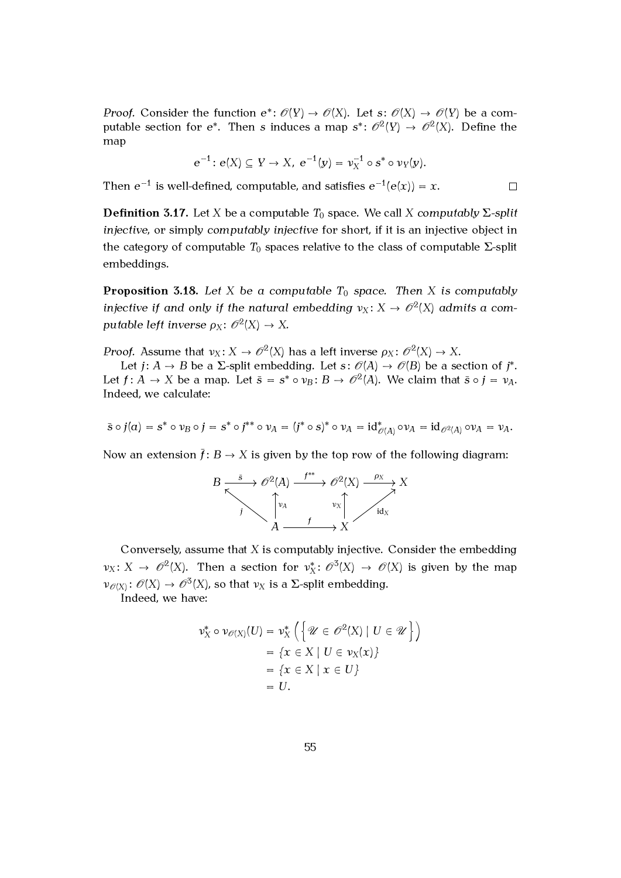*Proof.* Consider the function  $e^*: \mathcal{O}(Y) \to \mathcal{O}(X)$ . Let  $s: \mathcal{O}(X) \to \mathcal{O}(Y)$  be a computable section for  $e^*$ . Then *s* induces a map  $s^* \colon \mathscr{O}^2(Y) \to \mathscr{O}^2(X)$ . Define the map

$$
e^{-1}: e(X) \subseteq Y \to X, e^{-1}(y) = v_X^{-1} \circ s^* \circ v_Y(y).
$$

 $\Box$ 

Then  $e^{-1}$  is well-defined, computable, and satisfies  $e^{-1}(e(x)) = x$ .

**Definition 3.17.** Let *X* be a computable  $T_0$  space. We call *X computably*  $\Sigma$ -split *injective*, or simply *computably injective* for short, if it is an injective object in the category of computable  $T_0$  spaces relative to the class of computable  $\Sigma$ -split embeddings.

<span id="page-55-0"></span>**Proposition 3.18.** Let *X* be a computable  $T_0$  space. Then *X* is computably *injective if and only if the natural embedding*  $v_X: X \to \mathcal{O}^2(X)$  admits a com*putable left inverse*  $\rho_X \colon \mathscr{O}^2(X) \to X$ .

*Proof.* Assume that  $\nu_X \colon X \to \mathcal{O}^2(X)$  has a left inverse  $\rho_X \colon \mathcal{O}^2(X) \to X$ .

Let *j*: *A*  $\rightarrow$  *B* be a  $\Sigma$ -split embedding. Let *s*:  $\mathcal{O}(A) \rightarrow \mathcal{O}(B)$  be a section of *j*<sup>\*</sup>. Let  $f: A \to X$  be a map. Let  $\bar{s} = s^* \circ \nu_B: B \to \mathcal{O}^2(A)$ . We claim that  $\bar{s} \circ j = \nu_A$ . Indeed, we calculate:

$$
\bar{s}\circ j(a)=s^*\circ \nu_B\circ j=s^*\circ j^{**}\circ \nu_A=(j^*\circ s)^*\circ \nu_A=\mathrm{id}_{\mathscr{O}(A)}^*\circ \nu_A=\mathrm{id}_{\mathscr{O}^2(A)}\circ \nu_A=\nu_A.
$$

Now an extension  $\bar{f}$ :  $B \to X$  is given by the top row of the following diagram:

$$
B \xrightarrow[\text{A}]{\text{S}} \mathscr{O}^2(A) \xrightarrow{f^{**}} \mathscr{O}^2(X) \xrightarrow{\rho_X} X
$$
\n
$$
\uparrow_{\text{V}_A} \qquad \qquad \downarrow_{\text{V}_X} \qquad \qquad \downarrow_{\text{Id}_X} \qquad \qquad \downarrow_{\text{Id}_X}
$$

Conversely, assume that *X* is computably injective. Consider the embedding *ν*<sub>*X</sub>*: *X*  $\rightarrow \mathcal{O}^2(X)$ . Then a section for  $v_X^* \colon \mathcal{O}^3(X) \rightarrow \mathcal{O}(X)$  is given by the map</sub>  $ν_{\mathscr{O}(X)}$ :  $\mathscr{O}(X) \to \mathscr{O}^{3}(X)$ , so that  $ν_X$  is a Σ-split embedding.

Indeed, we have:

$$
\begin{aligned} \nu_X^* \circ \nu_{\mathscr{O}(X)}(U) &= \nu_X^* \left( \left\{ \mathscr{U} \in \mathscr{O}^2(X) \mid U \in \mathscr{U} \right\} \right) \\ &= \left\{ x \in X \mid U \in \nu_X(x) \right\} \\ &= \left\{ x \in X \mid x \in U \right\} \\ &= U. \end{aligned}
$$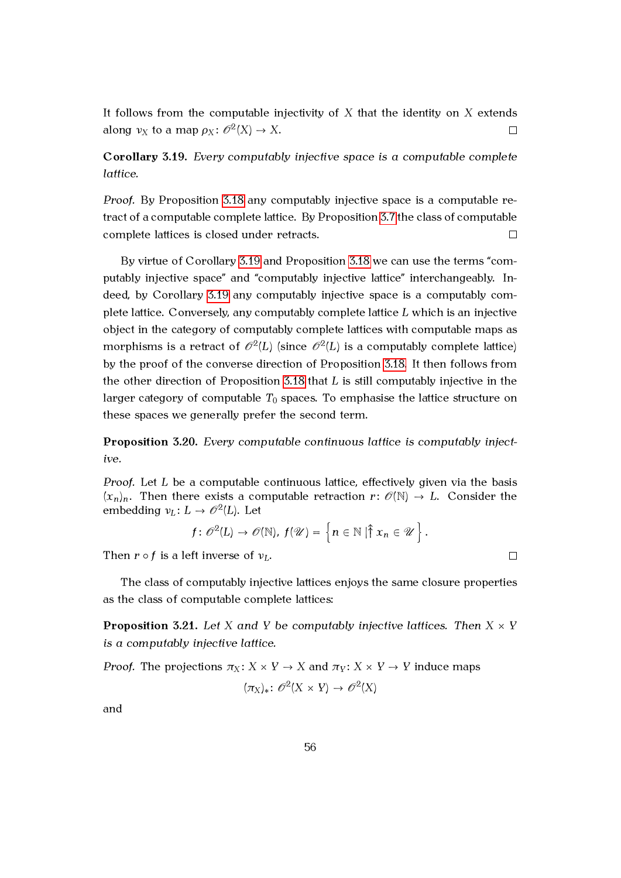It follows from the computable injectivity of *X* that the identity on *X* extends along  $\nu_X$  to a map  $\rho_X \colon \mathscr{O}^2(X) \to X$ .  $\Box$ 

<span id="page-56-0"></span>**Corollary 3.19.** *Every computably injective space is a computable complete lattice.*

*Proof.* By Proposition [3.18](#page-55-0) any computably injective space is a computable retract of a computable complete lattice. By Proposition [3.7](#page-50-0) the class of computable complete lattices is closed under retracts.  $\Box$ 

By virtue of Corollary [3.19](#page-56-0) and Proposition [3.18](#page-55-0) we can use the terms "computably injective space" and "computably injective lattice" interchangeably. Indeed, by Corollary [3.19](#page-56-0) any computably injective space is a computably complete lattice. Conversely, any computably complete lattice *L* which is an injective object in the category of computably complete lattices with computable maps as morphisms is a retract of  $\mathscr{O}^2(L)$  (since  $\mathscr{O}^2(L)$  is a computably complete lattice) by the proof of the converse direction of Proposition [3.18.](#page-55-0) It then follows from the other direction of Proposition [3.18](#page-55-0) that *L* is still computably injective in the larger category of computable  $T_0$  spaces. To emphasise the lattice structure on these spaces we generally prefer the second term.

**Proposition 3.20.** *Every computable continuous lattice is computably injective.*

*Proof.* Let *L* be a computable continuous lattice, effectively given via the basis  $(x_n)_n$ . Then there exists a computable retraction  $r: \mathcal{O}(\mathbb{N}) \to L$ . Consider the embedding  $v_L: L \to \mathcal{O}^2(L)$ . Let o

$$
f\colon \mathscr{O}^2(L)\to \mathscr{O}(\mathbb{N}),\ f(\mathscr{U})=\left\{n\in\mathbb{N}\ |\hat{\uparrow} \ x_n\in \mathscr{U}\right\}.
$$

 $\Box$ 

Then  $r \circ f$  is a left inverse of  $v_L$ .

The class of computably injective lattices enjoys the same closure properties as the class of computable complete lattices:

**Proposition 3.21.** Let *X* and *Y* be computably injective lattices. Then  $X \times Y$ *is a computably injective lattice.*

*Proof.* The projections  $\pi_X: X \times Y \to X$  and  $\pi_Y: X \times Y \to Y$  induce maps  $(\pi_X)_*: \mathscr{O}^2(X \times Y) \to \mathscr{O}^2(X)$ 

and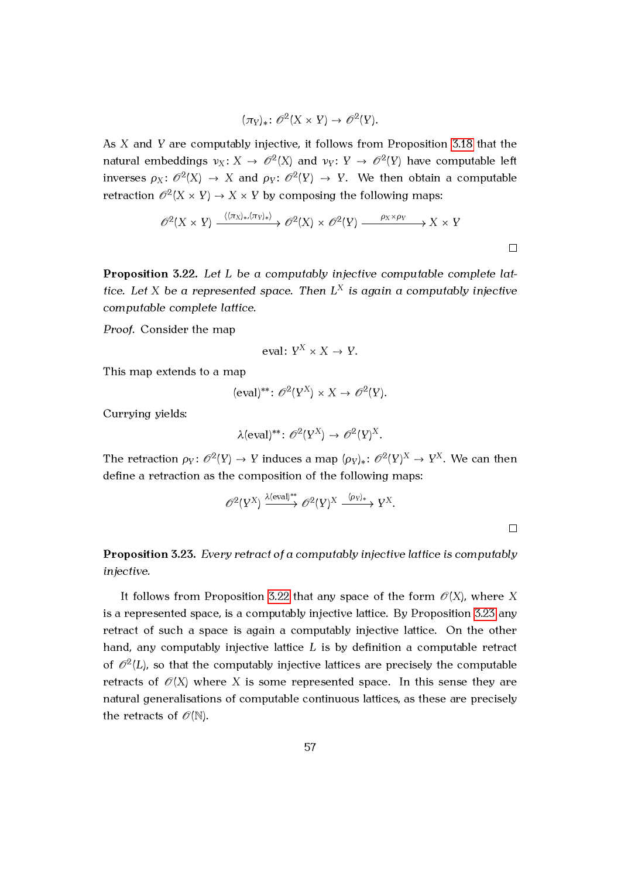$$
(\pi_Y)_* \colon \mathscr{O}^2(X \times Y) \to \mathscr{O}^2(Y).
$$

As *X* and *Y* are computably injective, it follows from Proposition [3.18](#page-55-0) that the natural embeddings  $\nu_X\colon X\,\to\,\mathscr O^2(X)$  and  $\nu_Y\colon Y\,\to\,\mathscr O^2(Y)$  have computable left inverses  $\rho_X\colon \mathscr{O}^2(X)\ \to\ X$  and  $\rho_Y\colon \mathscr{O}^2(Y)\ \to\ Y.$  We then obtain a computable retraction  $\mathscr{O}^2(X \times Y) \to X \times Y$  by composing the following maps:

$$
\mathscr{O}^2(X \times Y) \xrightarrow{\langle (\pi_X)_*, (\pi_Y)_* \rangle} \mathscr{O}^2(X) \times \mathscr{O}^2(Y) \xrightarrow{\rho_X \times \rho_Y} X \times Y
$$

<span id="page-57-0"></span>**Proposition 3.22.** *Let L be a computably injective computable complete lattice. Let X be a represented space. Then L <sup>X</sup> is again a computably injective computable complete lattice.*

*Proof.* Consider the map

eval: 
$$
Y^X \times X \rightarrow Y
$$
.

This map extends to a map

$$
(eval)^{**}: \mathcal{O}^2(Y^X) \times X \to \mathcal{O}^2(Y).
$$

Currying yields:

$$
\lambda(\text{eval})^{**} \colon \mathscr{O}^2(Y^X) \to \mathscr{O}^2(Y)^X.
$$

The retraction  $\rho_Y\colon \mathscr{O}^2(Y)\to Y$  induces a map  $(\rho_Y)_*\colon \mathscr{O}^2(Y)^X\to Y^X.$  We can then define a retraction as the composition of the following maps:

$$
\mathscr{O}^2(Y^X) \xrightarrow{\lambda(\text{eval})^{**}} \mathscr{O}^2(Y)^X \xrightarrow{(\rho_Y)_*} Y^X.
$$

<span id="page-57-1"></span>**Proposition 3.23.** *Every retract of a computably injective lattice is computably injective.*

It follows from Proposition [3.22](#page-57-0) that any space of the form  $\mathcal{O}(X)$ , where X is a represented space, is a computably injective lattice. By Proposition [3.23](#page-57-1) any retract of such a space is again a computably injective lattice. On the other hand, any computably injective lattice *L* is by definition a computable retract of  $\mathcal{O}^2(L)$ , so that the computably injective lattices are precisely the computable retracts of  $\mathcal{O}(X)$  where X is some represented space. In this sense they are natural generalisations of computable continuous lattices, as these are precisely the retracts of  $\mathcal{O}(\mathbb{N})$ .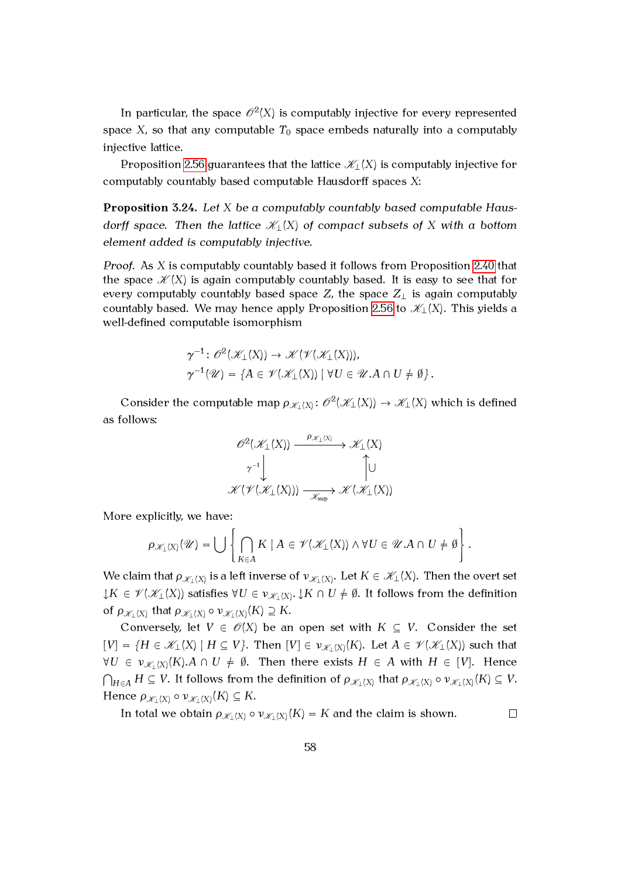In particular, the space  $\mathscr{O}^2(X)$  is computably injective for every represented space  $X$ , so that any computable  $T_0$  space embeds naturally into a computably injective lattice.

Proposition [2.56](#page-44-0) guarantees that the lattice  $\mathscr{K}_\perp$ (*X*) is computably injective for computably countably based computable Hausdorff spaces *X*:

<span id="page-58-0"></span>**Proposition 3.24.** *Let X be a computably countably based computable Hausdorff space. Then the lattice*  $\mathcal{K}_1(X)$  *of compact subsets of X with a bottom element added is computably injective.*

*Proof.* As *X* is computably countably based it follows from Proposition [2.40](#page-32-0) that the space  $\mathscr{K}(X)$  is again computably countably based. It is easy to see that for every computably countably based space  $Z$ , the space  $Z_1$  is again computably countably based. We may hence apply Proposition [2.56](#page-44-0) to  $\mathcal{K}_\perp(X)$ . This yields a well-defined computable isomorphism

$$
\gamma^{-1} \colon \mathscr{O}^2(\mathscr{K}_\perp(X)) \to \mathscr{K}(\mathscr{V}(\mathscr{K}_\perp(X))),
$$
  

$$
\gamma^{-1}(\mathscr{U}) = \{ A \in \mathscr{V}(\mathscr{K}_\perp(X)) \mid \forall U \in \mathscr{U}. A \cap U \neq \emptyset \}.
$$

Consider the computable map  $\rho_{\mathscr{K}_\perp(X)}\colon {\mathscr O}^2(\mathscr{K}_\perp(X))\to \mathscr{K}_\perp(X)$  which is defined as follows:

$$
\begin{array}{c}\n\mathcal{O}^2(\mathcal{K}_\perp(X)) \xrightarrow{\rho_{\mathcal{K}_\perp(X)}} \mathcal{K}_\perp(X) \\
\uparrow^{\neg 1} & \uparrow \cup \\
\mathcal{K}(\mathcal{V}(\mathcal{K}_\perp(X))) \xrightarrow{\mathcal{K}_{\text{sup}}} \mathcal{K}(\mathcal{K}_\perp(X))\n\end{array}
$$

More explicitly, we have:

$$
\rho_{\mathscr{K}_\perp(X)}(\mathscr{U}) = \bigcup \left\{ \bigcap_{K \in A} K \mid A \in \mathscr{V}(\mathscr{K}_\perp(X)) \land \forall U \in \mathscr{U}. A \cap U \neq \emptyset \right\}.
$$

We claim that  $\rho_{\mathscr{K}_\perp(X)}$  is a left inverse of  $\nu_{\mathscr{K}_\perp(X)}.$  Let  $K\in\mathscr{K}_\perp(X).$  Then the overt set *↓K ∈* V (K*⊥*(*X*)) satisfies *∀U ∈ ν*K*⊥*(*X*) *. ↓K ∩ U 6*= *∅*. It follows from the definition  $\text{of } \rho_{\mathscr{K}_\perp(X)} \text{ that } \rho_{\mathscr{K}_\perp(X)} \circ \nu_{\mathscr{K}_\perp(X)}(K) \supseteq K.$ 

Conversely, let  $V \in \mathcal{O}(X)$  be an open set with  $K \subseteq V$ . Consider the set  $[V] = \{H \in \mathscr{K}_\perp(X) \mid H \subseteq V\}$ . Then  $[V] \in \nu_{\mathscr{K}_\perp(X)}(K)$ . Let  $A \in \mathscr{V}(\mathscr{K}_\perp(X))$  such that  $\forall U \in \nu_{\mathscr{K}_\perp(X)}(K). A \,\cap \, U \,\neq \,\emptyset.$  Then there exists  $H \,\in \,A$  with  $H \,\in \, [V].$  Hence  $\overline{\phantom{a}}$  $H \in A$  *H*  $\subseteq$  *V*. It follows from the definition of  $\rho_{\mathscr{K}_\perp(X)}$  that  $\rho_{\mathscr{K}_\perp(X)} \circ \nu_{\mathscr{K}_\perp(X)}(K) \subseteq V.$  $H$ ence  $\rho_{\mathscr{K}_\perp(X)} \circ \nu_{\mathscr{K}_\perp(X)}(K) \subseteq K$ .

In total we obtain  $\rho_{\mathscr{K}_\perp(X)}\circ \nu_{\mathscr{K}_\perp(X)}(K)=K$  and the claim is shown.  $\Box$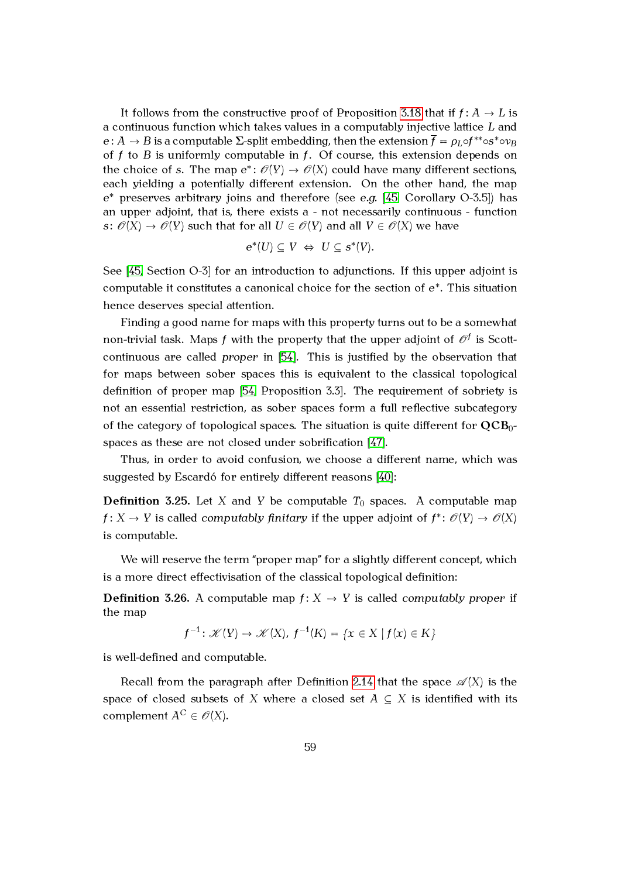It follows from the constructive proof of Proposition [3.18](#page-55-0) that if  $f: A \rightarrow L$  is a continuous function which takes values in a computably injective lattice *L* and  $e\colon A\to B$  is a computable  $\Sigma$ -split embedding, then the extension  $\overline{f}=\rho_L\circ f^{**}\circ s^*\circ \nu_B$ of *f* to *B* is uniformly computable in *f*. Of course, this extension depends on the choice of *s*. The map  $e^*$ :  $\mathcal{O}(Y) \to \mathcal{O}(X)$  could have many different sections, each yielding a potentially different extension. On the other hand, the map *e*<sup>∗</sup> preserves arbitrary joins and therefore (see *e.g.* [\[45,](#page-122-2) Corollary O-3.5]) has an upper adjoint, that is, there exists a - not necessarily continuous - function *s*:  $\mathcal{O}(X) \rightarrow \mathcal{O}(Y)$  such that for all  $U \in \mathcal{O}(Y)$  and all  $V \in \mathcal{O}(X)$  we have

$$
e^*(U) \subseteq V \Leftrightarrow U \subseteq s^*(V).
$$

See [\[45,](#page-122-2) Section O-3] for an introduction to adjunctions. If this upper adjoint is computable it constitutes a canonical choice for the section of *e ∗* . This situation hence deserves special attention.

Finding a good name for maps with this property turns out to be a somewhat non-trivial task. Maps  $f$  with the property that the upper adjoint of  $\mathscr{O}^f$  is Scottcontinuous are called *proper* in [\[54\]](#page-123-3). This is justified by the observation that for maps between sober spaces this is equivalent to the classical topological definition of proper map [\[54,](#page-123-3) Proposition 3.3]. The requirement of sobriety is not an essential restriction, as sober spaces form a full reflective subcategory of the category of topological spaces. The situation is quite different for  $\mathbf{QCB}_0$ spaces as these are not closed under sobrification [\[47\]](#page-122-3).

Thus, in order to avoid confusion, we choose a different name, which was suggested by Escardó for entirely different reasons [\[40\]](#page-122-4):

**Definition 3.25.** Let *X* and *Y* be computable  $T_0$  spaces. A computable map *f* : *X* → *Y* is called *computably finitary* if the upper adjoint of  $f^*$ :  $\mathcal{O}(Y) \rightarrow \mathcal{O}(X)$ is computable.

We will reserve the term "proper map" for a slightly different concept, which is a more direct effectivisation of the classical topological definition:

**Definition 3.26.** A computable map  $f: X \rightarrow Y$  is called *computably proper* if the map

$$
f^{-1} \colon \mathcal{K}(Y) \to \mathcal{K}(X), \ f^{-1}(K) = \{x \in X \mid f(x) \in K\}
$$

is well-defined and computable.

Recall from the paragraph after Definition [2.14](#page-21-0) that the space  $\mathscr{A}(X)$  is the space of closed subsets of *X* where a closed set  $A \subseteq X$  is identified with its complement  $A^C \in \mathcal{O}(X)$ .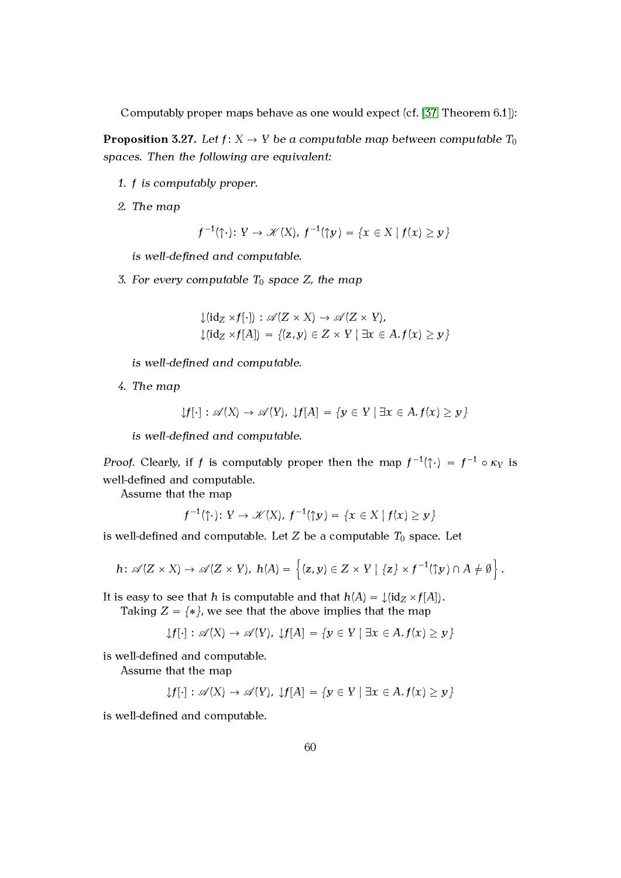Computably proper maps behave as one would expect (cf. [\[37,](#page-122-5) Theorem 6.1]):

**Proposition 3.27.** *Let*  $f: X \to Y$  *be a computable map between computable*  $T_0$ *spaces. Then the following are equivalent:*

- *1. f is computably proper.*
- *2. The map*

$$
f^{-1}(\uparrow \cdot): Y \to \mathcal{K}(X), \ f^{-1}(\uparrow y) = \{x \in X \mid f(x) \geq y\}
$$

*is well-defined and computable.*

*3. For every computable T*<sup>0</sup> *space Z, the map*

$$
\downarrow \left(\text{id}_{Z} \times f[\cdot]\right) : \mathscr{A}(Z \times X) \to \mathscr{A}(Z \times Y),
$$
  

$$
\downarrow \left(\text{id}_{Z} \times f[A]\right) = \{(z, y) \in Z \times Y \mid \exists x \in A, f(x) \geq y\}
$$

*is well-defined and computable.*

*4. The map*

$$
\downarrow f[\cdot]: \mathscr{A}(X) \to \mathscr{A}(Y), \ \downarrow f[A] = \{ y \in Y \mid \exists x \in A \cdot f(x) \geq y \}
$$

*is well-defined and computable.*

*Proof.* Clearly, if *f* is computably proper then the map  $f^{-1}(\uparrow \cdot) = f^{-1} \circ \kappa_{Y}$  is well-defined and computable.

Assume that the map

$$
f^{-1}(\uparrow \cdot): Y \to \mathscr{K}(X), \ f^{-1}(\uparrow y) = \{x \in X \mid f(x) \geq y\}
$$

is well-defined and computable. Let  $Z$  be a computable  $T_0$  space. Let

$$
h\colon\mathscr{A}(Z\times X)\to\mathscr{A}(Z\times Y),\ h(A)=\left\{(z,y)\in Z\times Y\mid\{z\}\times f^{-1}(\mathop{\uparrow}\nolimits y)\cap A\neq\emptyset\right\}.
$$

It is easy to see that *h* is computable and that  $h(A) = \downarrow (id_Z \times f[A]).$ 

Taking  $Z = \{*\}$ , we see that the above implies that the map

$$
\downarrow f[\cdot]: \mathscr{A}(X) \to \mathscr{A}(Y), \ \downarrow f[A] = \{y \in Y \mid \exists x \in A \cdot f(x) \geq y\}
$$

is well-defined and computable.

Assume that the map

$$
\downarrow f[\cdot]: \mathscr{A}(X) \to \mathscr{A}(Y), \ \downarrow f[A] = \{y \in Y \mid \exists x \in A \ldotp f(x) \geq y\}
$$

is well-defined and computable.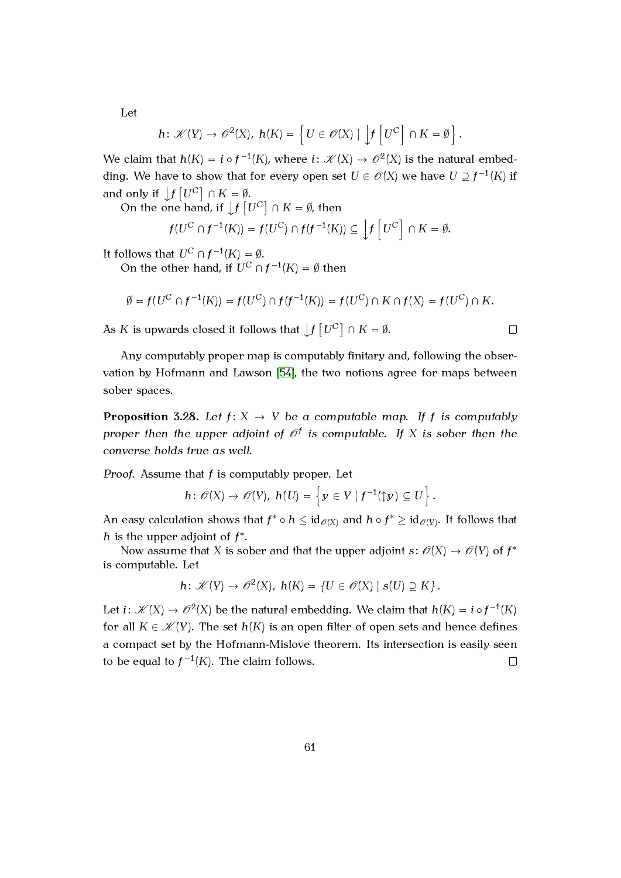Let

$$
h\colon \mathscr{K}(Y)\to \mathscr{O}^2(X),\ h(K)=\left\{\,U\in \mathscr{O}(X)\mid \,\left\lfloor f\left[\,U^C\right]\,\cap\,K=\emptyset\right.\right\}\,.
$$

We claim that  $h(K) = i \circ f^{-1}(K)$ , where  $i: \mathcal{K}(X) \to \mathcal{O}^2(X)$  is the natural embedding. We have to show that for every open set  $U \in \mathscr{O}(X)$  we have  $U \supseteq f^{-1}(K)$  if and only if  $\int f[U^C]$ *∩ K* = *∅*. -

 $\begin{bmatrix} 0 & \text{if } 0 \\ 0 & \text{if } 0 \end{bmatrix}$  if  $K = y$ .<br>On the one hand, if  $\begin{bmatrix} f & U^C \end{bmatrix}$ *∩ K* = *∅*, then

$$
f(U^C \cap f^{-1}(K)) = f(U^C) \cap f(f^{-1}(K)) \subseteq \left\lfloor f\left[U^C\right] \cap K = \emptyset \right\rfloor
$$

It follows that  $U^C \cap f^{-1}(K) = \emptyset$ .

On the other hand, if  $U^C \cap f^{-1}(K) = \emptyset$  then

$$
\emptyset = f(U^C \cap f^{-1}(K)) = f(U^C) \cap f(f^{-1}(K)) = f(U^C) \cap K \cap f(X) = f(U^C) \cap K.
$$

As *K* is upwards closed it follows that  $\lfloor f \lfloor U^C \rfloor$ *∩ K* = *∅*.

Any computably proper map is computably finitary and, following the observation by Hofmann and Lawson [\[54\]](#page-123-3), the two notions agree for maps between sober spaces.

<span id="page-61-0"></span>**Proposition 3.28.** Let  $f: X \rightarrow Y$  be a computable map. If  $f$  is computably *proper then the upper adjoint of*  $\mathscr{O}^f$  *is computable. If*  $X$  *is sober then the converse holds true as well.*

*Proof.* Assume that *f* is computably proper. Let

$$
h\colon \mathscr{O}(X)\to \mathscr{O}(Y),\ h(U)=\left\{y\in Y\mid f^{-1}(\uparrow y)\subseteq U\right\}.
$$

An easy calculation shows that  $f^* \circ h \leq \mathrm{id}_{\mathscr{O}(X)}$  and  $h \circ f^* \geq \mathrm{id}_{\mathscr{O}(Y)}$ . It follows that *h* is the upper adjoint of *f ∗* .

Now assume that *X* is sober and that the upper adjoint  $s: \mathcal{O}(X) \to \mathcal{O}(Y)$  of  $f^*$ is computable. Let

$$
h\colon \mathscr{K}(Y)\to \mathscr{O}^2(X),\ h(K)=\{U\in \mathscr{O}(X)\mid s(U)\supseteq K\}.
$$

Let  $i: \mathscr{K}(X) \to \mathscr{O}^2(X)$  be the natural embedding. We claim that  $h(K) = i \circ f^{-1}(K)$ for all  $K \in \mathcal{K}(Y)$ . The set  $h(K)$  is an open filter of open sets and hence defines a compact set by the Hofmann-Mislove theorem. Its intersection is easily seen to be equal to  $f^{-1}(K)$ . The claim follows.  $\Box$ 

 $\Box$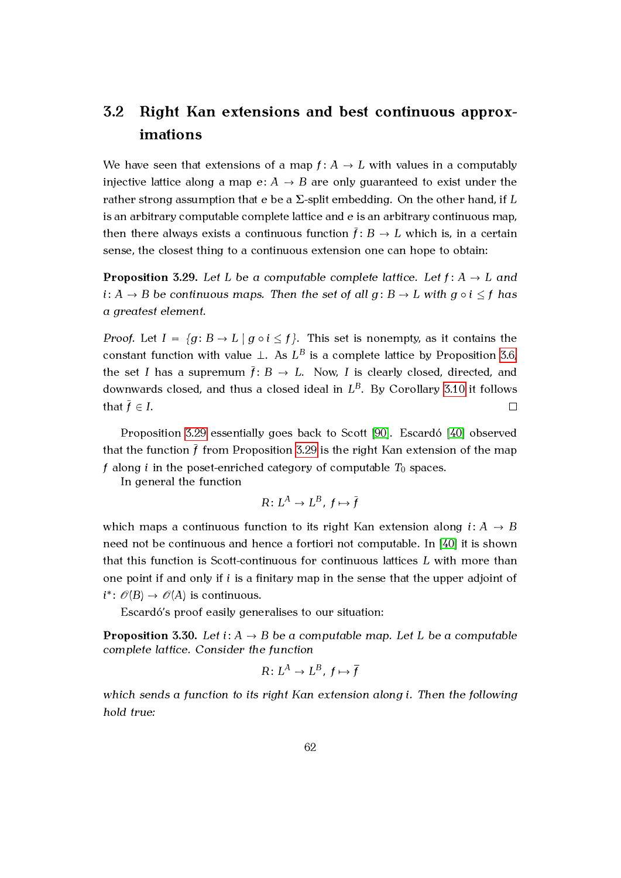### **3.2 Right Kan extensions and best continuous approximations**

We have seen that extensions of a map  $f: A \rightarrow L$  with values in a computably injective lattice along a map  $e: A \rightarrow B$  are only guaranteed to exist under the rather strong assumption that *e* be a Σ-split embedding. On the other hand, if *L* is an arbitrary computable complete lattice and *e* is an arbitrary continuous map, then there always exists a continuous function  $\bar{f}$ :  $B \to L$  which is, in a certain sense, the closest thing to a continuous extension one can hope to obtain:

<span id="page-62-0"></span>**Proposition 3.29.** Let L be a computable complete lattice. Let  $f: A \rightarrow L$  and *i*:  $A$  →  $B$  be continuous maps. Then the set of all  $g : B \to L$  with  $g ∘ i ≤ f$  has *a greatest element.*

*Proof.* Let  $I = \{g : B \to L \mid g \circ i \leq f\}$ . This set is nonempty, as it contains the constant function with value *⊥*. As *L <sup>B</sup>* is a complete lattice by Proposition [3.6,](#page-49-0) the set *I* has a supremum  $\bar{f}: B \to L$ . Now, *I* is clearly closed, directed, and downwards closed, and thus a closed ideal in  $L^B$ . By Corollary [3.10](#page-52-0) it follows that  $\bar{f} \in I$ .  $\Box$ 

Proposition [3.29](#page-62-0) essentially goes back to Scott [\[90\]](#page-125-0). Escardó [\[40\]](#page-122-4) observed that the function  $\bar{f}$  from Proposition [3.29](#page-62-0) is the right Kan extension of the map *f* along *i* in the poset-enriched category of computable  $T_0$  spaces.

In general the function

$$
R\colon L^A\to L^B, f\mapsto \bar{f}
$$

which maps a continuous function to its right Kan extension along  $i: A \rightarrow B$ need not be continuous and hence a fortiori not computable. In [\[40\]](#page-122-4) it is shown that this function is Scott-continuous for continuous lattices *L* with more than one point if and only if *i* is a finitary map in the sense that the upper adjoint of  $i^*$ :  $\mathcal{O}(B) \rightarrow \mathcal{O}(A)$  is continuous.

Escardó's proof easily generalises to our situation:

**Proposition 3.30.** *Let*  $i: A \rightarrow B$  *be a computable map. Let L be a computable complete lattice. Consider the function*

$$
R\colon L^A\to L^B,\ f\mapsto \overline{f}
$$

*which sends a function to its right Kan extension along i. Then the following hold true:*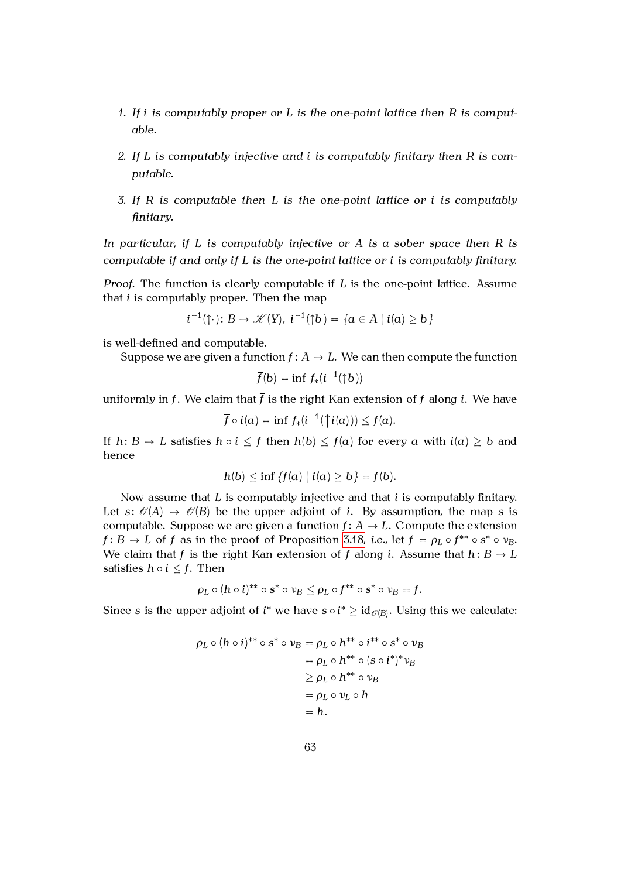- *1. If i is computably proper or L is the one-point lattice then R is computable.*
- *2. If L is computably injective and i is computably finitary then R is computable.*
- *3. If R is computable then L is the one-point lattice or i is computably finitary.*

*In particular, if L is computably injective or A is a sober space then R is computable if and only if L is the one-point lattice or i is computably finitary.*

*Proof.* The function is clearly computable if *L* is the one-point lattice. Assume that *i* is computably proper. Then the map

$$
i^{-1}(\uparrow \cdot): B \to \mathscr{K}(Y), i^{-1}(\uparrow b) = \{a \in A \mid i(a) \geq b\}
$$

is well-defined and computable.

Suppose we are given a function 
$$
f: A \to L
$$
. We can then compute the function

$$
\overline{f}(b) = \inf f_*(i^{-1}(\uparrow b))
$$

uniformly in *f*. We claim that  $\bar{f}$  is the right Kan extension of *f* along *i*. We have

$$
\overline{f}\circ i\langle a\rangle=\inf f_*(i^{-1}(\bigcap i\langle a\rangle))\leq f\langle a\rangle.
$$

If *h*: *B* → *L* satisfies *h*  $\circ$  *i*  $\leq$  *f* then *h*(*b*)  $\leq$  *f*(*a*) for every *a* with *i*(*a*)  $\geq$  *b* and hence

$$
h(b) \leq \inf \{f(a) \mid i(a) \geq b\} = \overline{f}(b).
$$

Now assume that *L* is computably injective and that *i* is computably finitary. Let  $s: \mathcal{O}(A) \to \mathcal{O}(B)$  be the upper adjoint of *i*. By assumption, the map *s* is computable. Suppose we are given a function  $f: A \rightarrow L$ . Compute the extension  $\overline{f}: B \to L$  of  $f$  as in the proof of Proposition [3.18,](#page-55-0) *i.e.,* let  $\overline{f} = \rho_L \circ f^{**} \circ s^* \circ \nu_B.$ We claim that  $\overline{f}$  is the right Kan extension of  $f$  along *i*. Assume that  $h: B \to L$ satisfies  $h \circ i \leq f$ . Then

$$
\rho_L \circ (h \circ i)^{**} \circ s^* \circ \nu_B \leq \rho_L \circ f^{**} \circ s^* \circ \nu_B = \overline{f}.
$$

Since *s* is the upper adjoint of *i*<sup>\*</sup> we have  $s \circ i^* \geq id_{\mathscr{O}(B)}$ . Using this we calculate:

$$
\rho_L \circ (h \circ i)^{**} \circ s^* \circ \nu_B = \rho_L \circ h^{**} \circ i^{**} \circ s^* \circ \nu_B
$$
  
=  $\rho_L \circ h^{**} \circ (s \circ i^*)^* \nu_B$   
 $\geq \rho_L \circ h^{**} \circ \nu_B$   
=  $\rho_L \circ \nu_L \circ h$   
= h.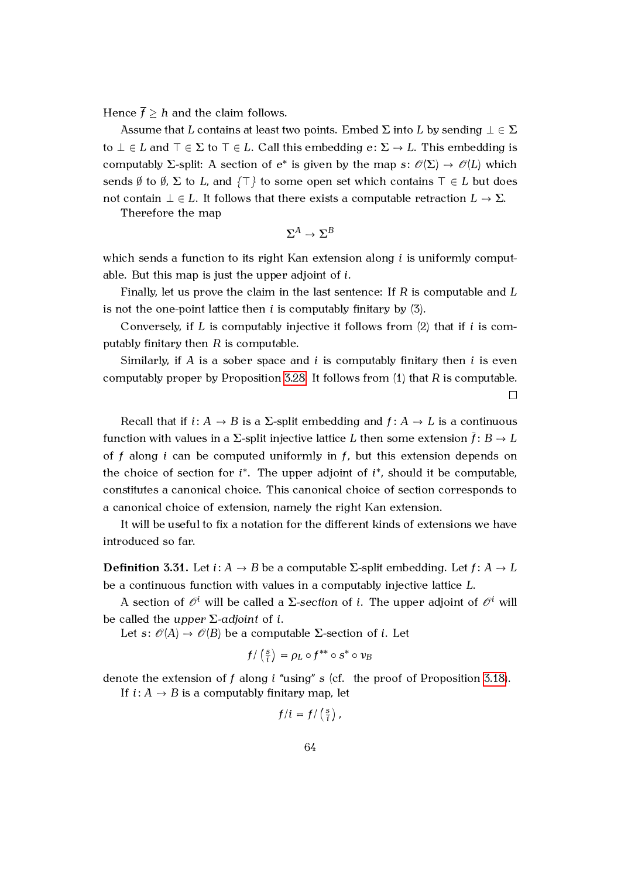Hence  $\bar{f}$  *> h* and the claim follows.

Assume that *L* contains at least two points. Embed Σ into *L* by sending *⊥ ∈* Σ to  $\bot$  ∈ *L* and  $\top$  ∈  $\Sigma$  to  $\top$  ∈ *L*. Call this embedding  $e: \Sigma \to L$ . This embedding is computably  $\Sigma$ -split: A section of  $e^*$  is given by the map  $s: \mathcal{O}(\Sigma) \to \mathcal{O}(L)$  which sends  $\emptyset$  to  $\emptyset$ ,  $\Sigma$  to *L*, and  $\{\top\}$  to some open set which contains  $\top \in L$  but does not contain *⊥ ∈ L*. It follows that there exists a computable retraction *L →* Σ.

Therefore the map

$$
\Sigma^A \to \Sigma^B
$$

which sends a function to its right Kan extension along *i* is uniformly computable. But this map is just the upper adjoint of *i*.

Finally, let us prove the claim in the last sentence: If *R* is computable and *L* is not the one-point lattice then *i* is computably finitary by (3).

Conversely, if *L* is computably injective it follows from (2) that if *i* is computably finitary then *R* is computable.

Similarly, if *A* is a sober space and *i* is computably finitary then *i* is even computably proper by Proposition [3.28.](#page-61-0) It follows from (1) that *R* is computable.

 $\Box$ 

Recall that if  $i: A \rightarrow B$  is a  $\Sigma$ -split embedding and  $f: A \rightarrow L$  is a continuous function with values in a  $\Sigma$ -split injective lattice L then some extension  $\bar{f}$ :  $B \to L$ of *f* along *i* can be computed uniformly in *f*, but this extension depends on the choice of section for *i ∗* . The upper adjoint of *i ∗* , should it be computable, constitutes a canonical choice. This canonical choice of section corresponds to a canonical choice of extension, namely the right Kan extension.

It will be useful to fix a notation for the different kinds of extensions we have introduced so far.

**Definition 3.31.** Let *i*:  $A \rightarrow B$  be a computable  $\Sigma$ -split embedding. Let *f*:  $A \rightarrow L$ be a continuous function with values in a computably injective lattice *L*.

A section of  $\mathcal{O}^i$  will be called a *Σ*-section of *i*. The upper adjoint of  $\mathcal{O}^i$  will be called the *upper* Σ*-adjoint* of *i*.

Let *s*:  $\mathcal{O}(A) \rightarrow \mathcal{O}(B)$  be a computable  $\Sigma$ -section of *i*. Let

$$
f/\left(\frac{s}{i}\right) = \rho_L \circ f^{**} \circ s^* \circ \nu_B
$$

denote the extension of *f* along *i* "using" *s* (cf. the proof of Proposition [3.18\)](#page-55-0). If  $i: A \rightarrow B$  is a computably finitary map, let

$$
f/i = f/\left(\frac{s}{i}\right),
$$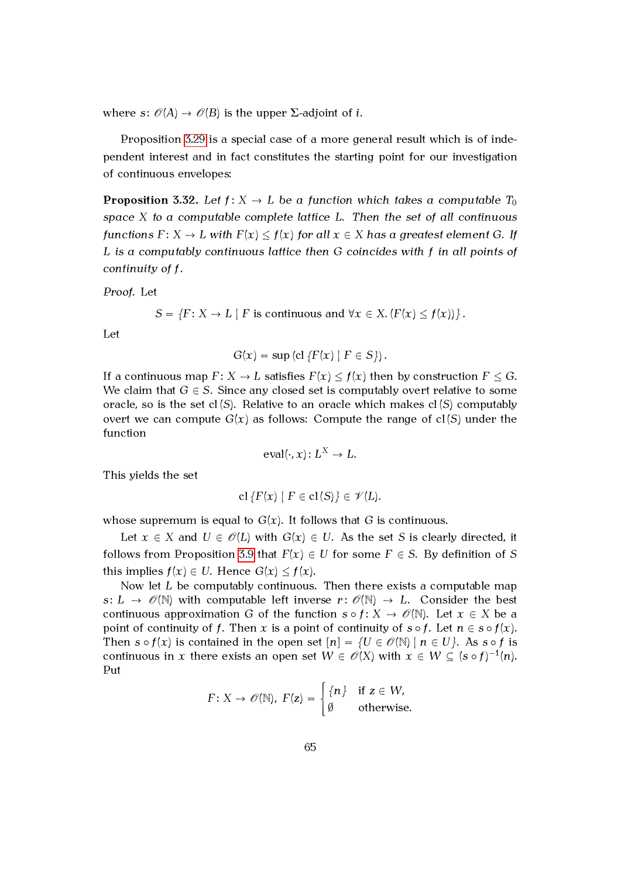where  $s: \mathcal{O}(A) \to \mathcal{O}(B)$  is the upper  $\Sigma$ -adjoint of *i*.

Proposition [3.29](#page-62-0) is a special case of a more general result which is of independent interest and in fact constitutes the starting point for our investigation of continuous envelopes:

<span id="page-65-0"></span>**Proposition 3.32.** Let  $f: X \to L$  be a function which takes a computable  $T_0$ *space X to a computable complete lattice L. Then the set of all continuous functions*  $F: X \to L$  *with*  $F(x) \le f(x)$  *for all*  $x \in X$  *has a greatest element G. If L is a computably continuous lattice then G coincides with f in all points of continuity of f.*

*Proof.* Let

 $S = \{F : X \to L \mid F \text{ is continuous and } \forall x \in X. (F(x) \leq f(x))\}$ .

Let

$$
G(x) = \sup \left( \text{cl} \left\{ F(x) \mid F \in S \right\} \right).
$$

If a continuous map  $F: X \to L$  satisfies  $F(x) \le f(x)$  then by construction  $F \le G$ . We claim that  $G \in S$ . Since any closed set is computably overt relative to some oracle, so is the set cl (*S*). Relative to an oracle which makes cl (*S*) computably overt we can compute *G*(*x*) as follows: Compute the range of cl (*S*) under the function

$$
eval(\cdot, x): L^X \to L.
$$

This yields the set

$$
\mathrm{cl}\, \{F(x)\mid F\in\mathrm{cl}\,(S)\}\in\mathscr{V}(L).
$$

whose supremum is equal to  $G(x)$ . It follows that G is continuous.

Let  $x \in X$  and  $U \in \mathcal{O}(L)$  with  $G(x) \in U$ . As the set *S* is clearly directed, it follows from Proposition [3.9](#page-51-0) that  $F(x) \in U$  for some  $F \in S$ . By definition of S this implies  $f(x) \in U$ . Hence  $G(x) \le f(x)$ .

Now let *L* be computably continuous. Then there exists a computable map *s*:  $L \rightarrow \mathcal{O}(\mathbb{N})$  with computable left inverse  $r : \mathcal{O}(\mathbb{N}) \rightarrow L$ . Consider the best continuous approximation *G* of the function  $s \circ f : X \to \mathcal{O}(\mathbb{N})$ . Let  $x \in X$  be a point of continuity of *f*. Then *x* is a point of continuity of  $s \circ f$ . Let  $n \in s \circ f(x)$ . Then  $s \circ f(x)$  is contained in the open set  $[n] = \{U \in \mathcal{O}(\mathbb{N}) \mid n \in U\}$ . As  $s \circ f$  is continuous in *x* there exists an open set  $W \in \mathscr{O}(X)$  with  $x \in W \subseteq (s \circ f)^{-1}(n)$ . Put

$$
F: X \to \mathscr{O}(\mathbb{N}), F(z) = \begin{cases} \{n\} & \text{if } z \in W, \\ \emptyset & \text{otherwise.} \end{cases}
$$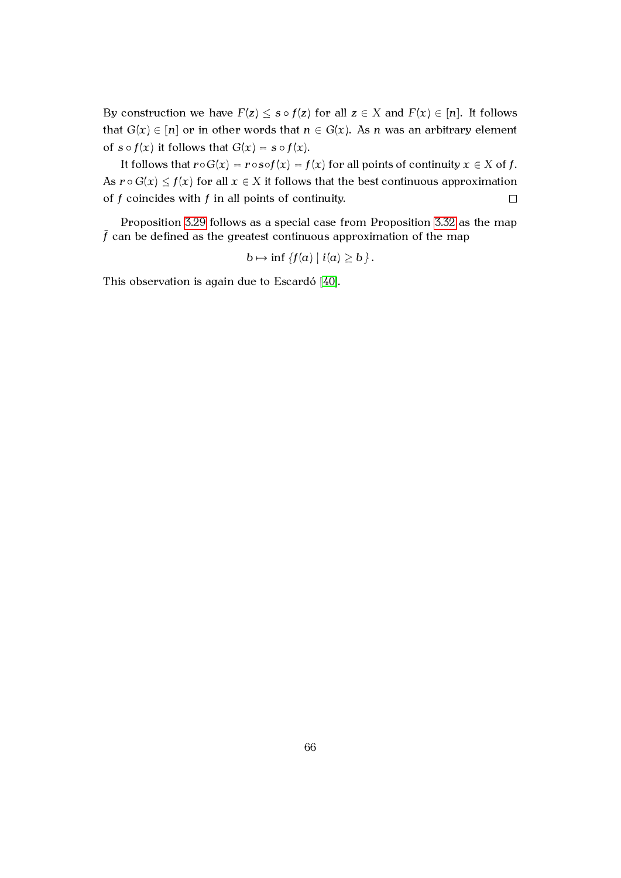By construction we have  $F(z) \leq s \circ f(z)$  for all  $z \in X$  and  $F(x) \in [n]$ . It follows that  $G(x) \in [n]$  or in other words that  $n \in G(x)$ . As *n* was an arbitrary element of  $s \circ f(x)$  it follows that  $G(x) = s \circ f(x)$ .

It follows that  $r \circ G(x) = r \circ s \circ f(x) = f(x)$  for all points of continuity  $x \in X$  of *f*. As  $r \circ G(x) \leq f(x)$  for all  $x \in X$  it follows that the best continuous approximation of *f* coincides with *f* in all points of continuity.  $\Box$ 

Proposition [3.29](#page-62-0) follows as a special case from Proposition [3.32](#page-65-0) as the map  $\bar{f}$  can be defined as the greatest continuous approximation of the map

 $b \mapsto \inf \{f(a) \mid i(a) \geq b\}$ .

This observation is again due to Escardó [\[40\]](#page-122-4).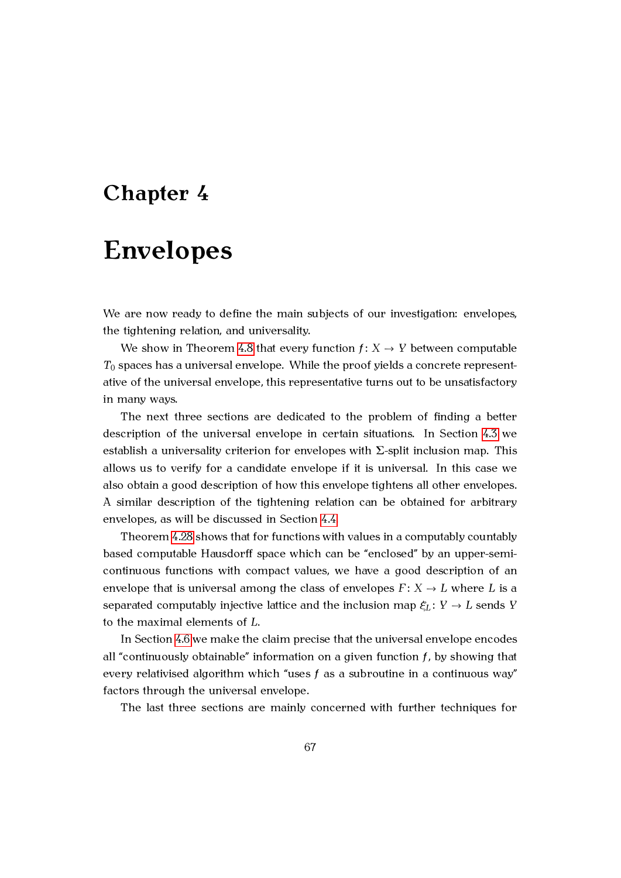## <span id="page-67-0"></span>**Chapter 4**

# **Envelopes**

We are now ready to define the main subjects of our investigation: envelopes, the tightening relation, and universality.

We show in Theorem [4.8](#page-73-0) that every function  $f: X \rightarrow Y$  between computable *T*<sup>0</sup> spaces has a universal envelope. While the proof yields a concrete representative of the universal envelope, this representative turns out to be unsatisfactory in many ways.

The next three sections are dedicated to the problem of finding a better description of the universal envelope in certain situations. In Section [4.3](#page-75-0) we establish a universality criterion for envelopes with  $\Sigma$ -split inclusion map. This allows us to verify for a candidate envelope if it is universal. In this case we also obtain a good description of how this envelope tightens all other envelopes. A similar description of the tightening relation can be obtained for arbitrary envelopes, as will be discussed in Section [4.4.](#page-81-0)

Theorem [4.28](#page-85-0) shows that for functions with values in a computably countably based computable Hausdorff space which can be "enclosed" by an upper-semicontinuous functions with compact values, we have a good description of an envelope that is universal among the class of envelopes  $F: X \to L$  where L is a separated computably injective lattice and the inclusion map *ξ<sup>L</sup>* : *Y → L* sends *Y* to the maximal elements of *L*.

In Section [4.6](#page-86-0) we make the claim precise that the universal envelope encodes all "continuously obtainable" information on a given function *f*, by showing that every relativised algorithm which "uses  $f$  as a subroutine in a continuous way" factors through the universal envelope.

The last three sections are mainly concerned with further techniques for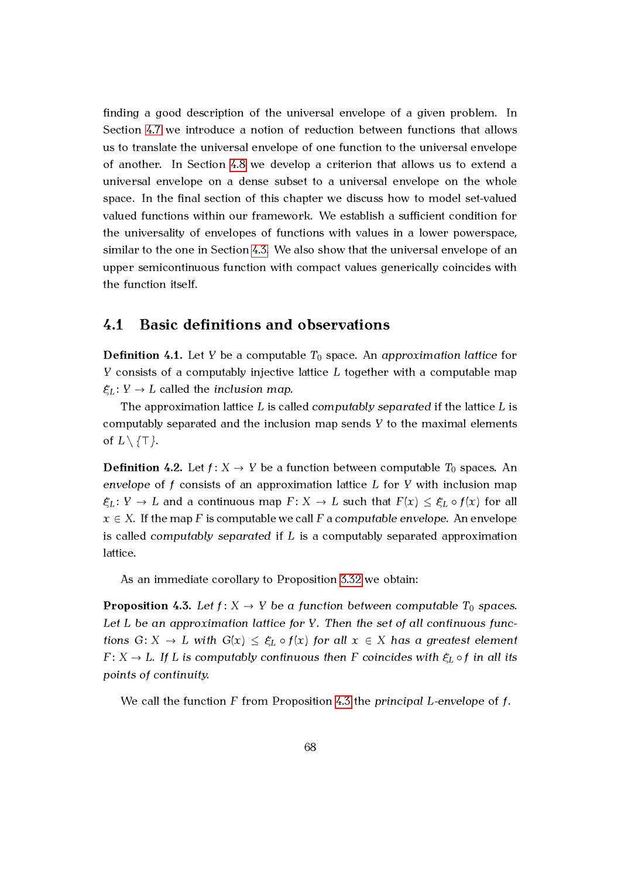finding a good description of the universal envelope of a given problem. In Section [4.7](#page-91-0) we introduce a notion of reduction between functions that allows us to translate the universal envelope of one function to the universal envelope of another. In Section [4.8](#page-95-0) we develop a criterion that allows us to extend a universal envelope on a dense subset to a universal envelope on the whole space. In the final section of this chapter we discuss how to model set-valued valued functions within our framework. We establish a sufficient condition for the universality of envelopes of functions with values in a lower powerspace, similar to the one in Section [4.3.](#page-75-0) We also show that the universal envelope of an upper semicontinuous function with compact values generically coincides with the function itself.

#### **4.1 Basic definitions and observations**

**Definition 4.1.** Let *Y* be a computable  $T_0$  space. An approximation lattice for *Y* consists of a computably injective lattice *L* together with a computable map  $\xi$ <sup>*L*</sup> :  $Y \rightarrow L$  called the *inclusion map*.

The approximation lattice *L* is called *computably separated* if the lattice *L* is computably separated and the inclusion map sends *Y* to the maximal elements of  $L \setminus \{\top\}.$ 

**Definition 4.2.** Let  $f: X \to Y$  be a function between computable  $T_0$  spaces. An *envelope* of *f* consists of an approximation lattice *L* for *Y* with inclusion map *ξ*<sub>*L*</sub>: *Y*  $\rightarrow$  *L* and a continuous map *F* : *X*  $\rightarrow$  *L* such that  $F(x) \leq \xi$ *L*  $\circ$  *f*(*x*) for all  $x \in X$ . If the map *F* is computable we call *F* a *computable envelope*. An envelope is called *computably separated* if *L* is a computably separated approximation lattice.

As an immediate corollary to Proposition [3.32](#page-65-0) we obtain:

<span id="page-68-0"></span>**Proposition 4.3.** Let  $f: X \to Y$  be a function between computable  $T_0$  spaces. *Let L be an approximation lattice for Y. Then the set of all continuous functions*  $G: X \to L$  *with*  $G(x) \leq \xi_L \circ f(x)$  *for all*  $x \in X$  *has a greatest element F* : *X → L. If L is computably continuous then F coincides with ξ<sup>L</sup> ◦ f in all its points of continuity.*

We call the function *F* from Proposition [4.3](#page-68-0) the *principal L-envelope* of *f*.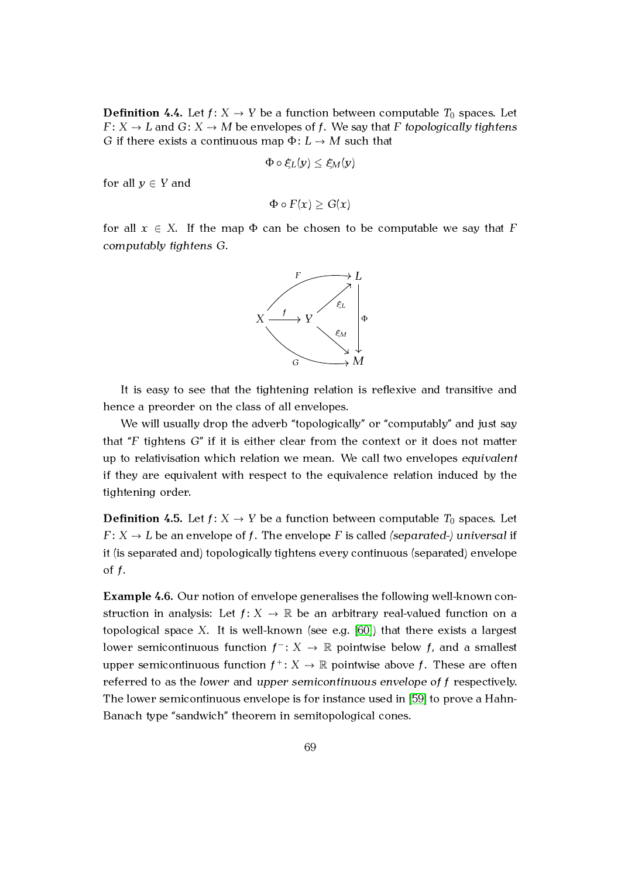**Definition 4.4.** Let  $f: X \to Y$  be a function between computable  $T_0$  spaces. Let  $F: X \to L$  and  $G: X \to M$  be envelopes of *f*. We say that *F topologically tightens G* if there exists a continuous map  $\Phi: L \to M$  such that

$$
\Phi\circ\xi_L(y)\leq\xi_M(y)
$$

for all  $y \in Y$  and

$$
\Phi \circ F(x) \ge G(x)
$$

for all  $x \in X$ . If the map  $\Phi$  can be chosen to be computable we say that *F computably tightens G*.



It is easy to see that the tightening relation is reflexive and transitive and hence a preorder on the class of all envelopes.

We will usually drop the adverb "topologically" or "computably" and just say that "*F* tightens *G*" if it is either clear from the context or it does not matter up to relativisation which relation we mean. We call two envelopes *equivalent* if they are equivalent with respect to the equivalence relation induced by the tightening order.

**Definition 4.5.** Let  $f: X \to Y$  be a function between computable  $T_0$  spaces. Let  $F: X \to L$  be an envelope of *f*. The envelope *F* is called *(separated-) universal* if it (is separated and) topologically tightens every continuous (separated) envelope of *f*.

**Example 4.6.** Our notion of envelope generalises the following well-known construction in analysis: Let  $f: X \to \mathbb{R}$  be an arbitrary real-valued function on a topological space *X*. It is well-known (see e.g. [\[60\]](#page-123-2)) that there exists a largest lower semicontinuous function *f <sup>−</sup>* : *X →* R pointwise below *f*, and a smallest upper semicontinuous function  $f^{\dagger}$ :  $X \to \mathbb{R}$  pointwise above f. These are often referred to as the *lower* and *upper semicontinuous envelope of f* respectively. The lower semicontinuous envelope is for instance used in [\[59\]](#page-123-4) to prove a Hahn-Banach type "sandwich" theorem in semitopological cones.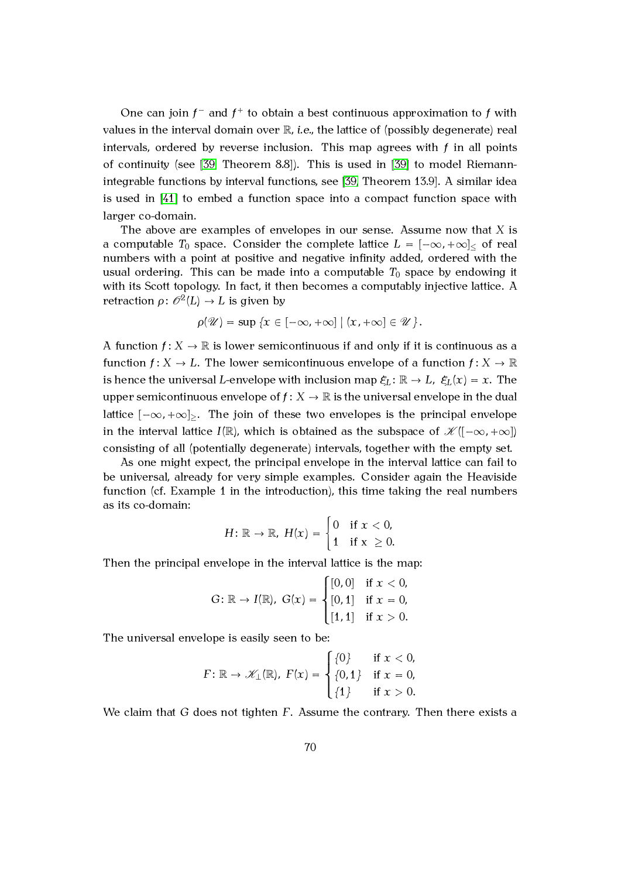One can join *f <sup>−</sup>* and *f* <sup>+</sup> to obtain a best continuous approximation to *f* with values in the interval domain over R, *i.e.*, the lattice of (possibly degenerate) real intervals, ordered by reverse inclusion. This map agrees with *f* in all points of continuity (see [\[39,](#page-122-6) Theorem 8.8]). This is used in [\[39\]](#page-122-6) to model Riemannintegrable functions by interval functions, see [\[39,](#page-122-6) Theorem 13.9]. A similar idea is used in [\[41\]](#page-122-7) to embed a function space into a compact function space with larger co-domain.

The above are examples of envelopes in our sense. Assume now that *X* is a computable  $T_0$  space. Consider the complete lattice  $L = [-\infty, +\infty]$ <sub><</sub> of real numbers with a point at positive and negative infinity added, ordered with the usual ordering. This can be made into a computable  $T_0$  space by endowing it with its Scott topology. In fact, it then becomes a computably injective lattice. A retraction  $\rho\colon \mathscr{O}^2(L)\to L$  is given by

$$
\rho(\mathscr{U}) = \sup \{x \in [-\infty, +\infty] \mid (x, +\infty) \in \mathscr{U} \}.
$$

A function  $f: X \to \mathbb{R}$  is lower semicontinuous if and only if it is continuous as a function  $f: X \to L$ . The lower semicontinuous envelope of a function  $f: X \to \mathbb{R}$ is hence the universal *L*-envelope with inclusion map  $\xi_L$ :  $\mathbb{R} \to L$ ,  $\xi_L(x) = x$ . The upper semicontinuous envelope of  $f: X \to \mathbb{R}$  is the universal envelope in the dual lattice [*−∞,* +*∞*]*≥*. The join of these two envelopes is the principal envelope in the interval lattice *I*( $\mathbb{R}$ ), which is obtained as the subspace of  $\mathcal{K}([-\infty, +\infty])$ consisting of all (potentially degenerate) intervals, together with the empty set.

As one might expect, the principal envelope in the interval lattice can fail to be universal, already for very simple examples. Consider again the Heaviside function (cf. Example 1 in the introduction), this time taking the real numbers as its co-domain:

$$
H: \mathbb{R} \to \mathbb{R}, H(x) = \begin{cases} 0 & \text{if } x < 0, \\ 1 & \text{if } x \geq 0. \end{cases}
$$

Then the principal envelope in the interval lattice is the map:

$$
G: \mathbb{R} \to I(\mathbb{R}), \ G(x) = \begin{cases} [0,0] & \text{if } x < 0, \\ [0,1] & \text{if } x = 0, \\ [1,1] & \text{if } x > 0. \end{cases}
$$

The universal envelope is easily seen to be:

$$
F: \mathbb{R} \to \mathscr{K}_{\perp}(\mathbb{R}), \ F(x) = \begin{cases} \{0\} & \text{if } x < 0, \\ \{0, 1\} & \text{if } x = 0, \\ \{1\} & \text{if } x > 0. \end{cases}
$$

We claim that *G* does not tighten *F*. Assume the contrary. Then there exists a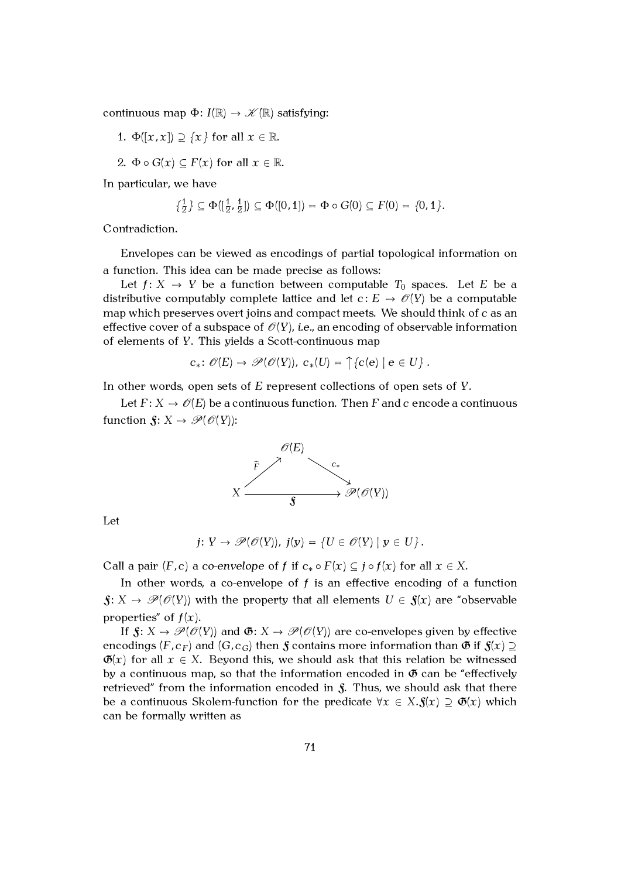continuous map  $\Phi: I(\mathbb{R}) \to \mathcal{K}(\mathbb{R})$  satisfying:

1.  $\Phi([x, x]) \supset \{x\}$  for all  $x \in \mathbb{R}$ .

2.  $\Phi \circ G(x) \subseteq F(x)$  for all  $x \in \mathbb{R}$ .

In particular, we have

$$
\{\frac{1}{2}\}\subseteq \Phi([\frac{1}{2},\frac{1}{2}])\subseteq \Phi([0,1])=\Phi\circ G(0)\subseteq F(0)=\{0,1\}.
$$

Contradiction.

Envelopes can be viewed as encodings of partial topological information on a function. This idea can be made precise as follows:

Let  $f: X \to Y$  be a function between computable  $T_0$  spaces. Let *E* be a distributive computably complete lattice and let  $c: E \to \mathcal{O}(Y)$  be a computable map which preserves overt joins and compact meets. We should think of *c* as an effective cover of a subspace of  $\mathcal{O}(Y)$ , *i.e.*, an encoding of observable information of elements of *Y*. This yields a Scott-continuous map

$$
c_*\colon \mathscr{O}(E)\to \mathscr{P}(\mathscr{O}(Y)),\; c_*(U)=\bigcap\{c(e)\mid e\in U\}\,.
$$

In other words, open sets of *E* represent collections of open sets of *Y*.

Let  $F: X \to \mathcal{O}(E)$  be a continuous function. Then F and c encode a continuous function  $\mathfrak{F}: X \to \mathscr{P}(\mathcal{O}(Y))$ :



Let

$$
j\colon Y\to \mathscr{P}(\mathscr{O}(Y)),\ j(y)=\{U\in \mathscr{O}(Y)\mid y\in U\}\,.
$$

Call a pair  $(F, c)$  a *co-envelope* of  $f$  if  $c_* \circ F(x) \subseteq f \circ f(x)$  for all  $x \in X$ .

In other words, a co-envelope of *f* is an effective encoding of a function  $\mathbf{f}: X \to \mathcal{P}(\mathcal{O}(Y))$  with the property that all elements  $U \in \mathbf{f}(x)$  are "observable" properties" of  $f(x)$ .

If  $\mathbf{S}: X \to \mathcal{P}(\mathcal{O}(Y))$  and  $\mathbf{G}: X \to \mathcal{P}(\mathcal{O}(Y))$  are co-envelopes given by effective encodings (*F*,  $c_F$ ) and (*G*,  $c_G$ ) then *f* contains more information than  $\mathfrak{G}$  if  $f(x) \supseteq$  $\mathfrak{G}(x)$  for all  $x \in X$ . Beyond this, we should ask that this relation be witnessed by a continuous map, so that the information encoded in  $\sigma$  can be "effectively" retrieved" from the information encoded in  $\mathcal{S}$ . Thus, we should ask that there be a continuous Skolem-function for the predicate  $\forall x \in X$ . $\mathbf{f}(x) \supset \mathbf{G}(x)$  which can be formally written as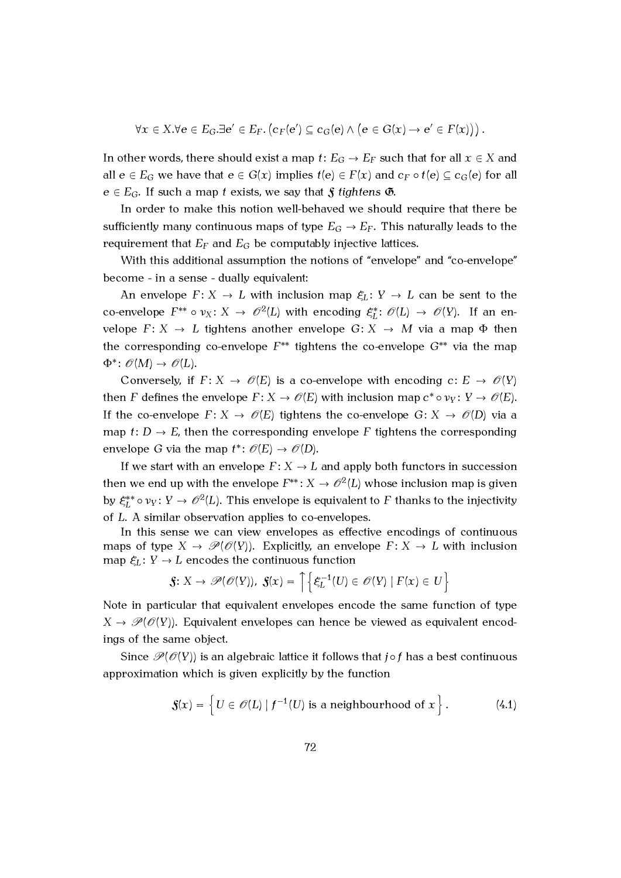$$
\forall x \in X. \forall e \in E_G. \exists e' \in E_F. (c_F(e') \subseteq c_G(e) \land (e \in G(x) \rightarrow e' \in F(x)) ).
$$

In other words, there should exist a map  $t: E_G \to E_F$  such that for all  $x \in X$  and all  $e \in E_G$  we have that  $e \in G(x)$  implies  $t(e) \in F(x)$  and  $c_F \circ t(e) \subseteq c_G(e)$  for all  $e \in E_G$ . If such a map *t* exists, we say that *f tightens*  $\tilde{\varphi}$ .

In order to make this notion well-behaved we should require that there be sufficiently many continuous maps of type  $E_G \rightarrow E_F$ . This naturally leads to the requirement that  $E_F$  and  $E_G$  be computably injective lattices.

With this additional assumption the notions of "envelope" and "co-envelope" become - in a sense - dually equivalent:

An envelope  $F: X \to L$  with inclusion map  $\xi_L: Y \to L$  can be sent to the co-envelope  $F^{**} \circ \nu_X \colon X \to \mathcal{O}^2(L)$  with encoding  $\xi_L^* \colon \mathcal{O}(L) \to \mathcal{O}(Y)$ . If an envelope  $F: X \to L$  tightens another envelope  $G: X \to M$  via a map  $\Phi$  then the corresponding co-envelope *F ∗∗* tightens the co-envelope *G∗∗* via the map  $\Phi^* \colon \mathcal{O}(M) \to \mathcal{O}(L).$ 

Conversely, if  $F: X \to \mathcal{O}(E)$  is a co-envelope with encoding  $c: E \to \mathcal{O}(Y)$ then *F* defines the envelope  $F: X \to \mathscr{O}(E)$  with inclusion map  $c^* \circ \nu_Y: Y \to \mathscr{O}(E)$ . If the co-envelope  $F: X \to \mathcal{O}(E)$  tightens the co-envelope  $G: X \to \mathcal{O}(D)$  via a map  $t: D \to E$ , then the corresponding envelope F tightens the corresponding envelope *G* via the map  $t^*$ :  $\mathcal{O}(E) \rightarrow \mathcal{O}(D)$ .

If we start with an envelope  $F: X \to L$  and apply both functors in succession then we end up with the envelope  $F^{**}\colon X\to \mathscr O^2(L)$  whose inclusion map is given by  $\xi_L^{**} \circ \nu_Y \colon Y \to \mathcal{O}^2(L)$ . This envelope is equivalent to *F* thanks to the injectivity of *L*. A similar observation applies to co-envelopes.

In this sense we can view envelopes as effective encodings of continuous maps of type  $X \to \mathcal{P}(\mathcal{O}(Y))$ . Explicitly, an envelope  $F: X \to L$  with inclusion  $\mathfrak{m}$ ap  $\xi_L \colon Y \to L$  encodes the continuous function

$$
\mathbf{S}: X \to \mathscr{P}(\mathscr{O}(Y)), \ \mathbf{S}(x) = \bigcap \{ \xi_L^{-1}(U) \in \mathscr{O}(Y) \mid F(x) \in U \}
$$

Note in particular that equivalent envelopes encode the same function of type  $X \to \mathcal{P}(\mathcal{O}(Y))$ . Equivalent envelopes can hence be viewed as equivalent encodings of the same object.

Since  $\mathcal{P}(\mathcal{O}(Y))$  is an algebraic lattice it follows that *j* ∘ *f* has a best continuous approximation which is given explicitly by the function

<span id="page-72-0"></span>
$$
\mathbf{S}(x) = \left\{ U \in \mathcal{O}(L) \mid f^{-1}(U) \text{ is a neighbourhood of } x \right\}.
$$
 (4.1)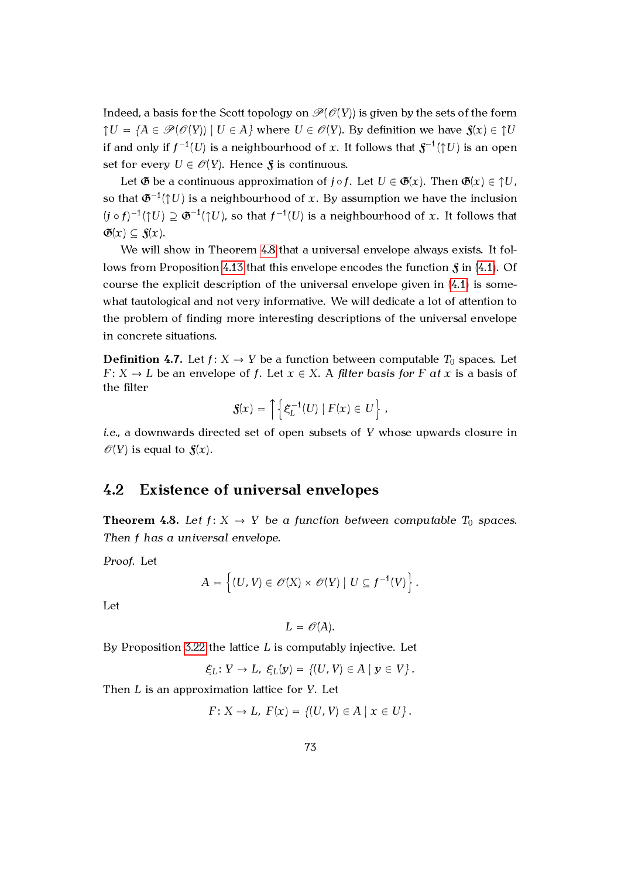Indeed, a basis for the Scott topology on  $\mathcal{P}(\mathcal{O}(Y))$  is given by the sets of the form  $\uparrow U = \{A \in \mathcal{P}(\mathcal{O}(Y)) \mid U \in A\}$  where  $U \in \mathcal{O}(Y)$ . By definition we have  $\mathbf{S}(x) \in \uparrow U$ if and only if  $f^{-1}(U)$  is a neighbourhood of  $x.$  It follows that  $\pmb{\mathfrak{z}}^{-1}(\uparrow U)$  is an open set for every  $U \in \mathcal{O}(Y)$ . Hence  $\boldsymbol{\mathfrak{F}}$  is continuous.

Let  $\mathfrak{F}$  be a continuous approximation of *j*  $\circ$  *f*. Let  $U \in \mathfrak{F}(x)$ . Then  $\mathfrak{F}(x) \in \uparrow U$ , so that G *−*1 (*↑U* ) is a neighbourhood of *x*. By assumption we have the inclusion  $(j \circ f)^{-1}(\uparrow U) \supseteq \mathfrak{G}^{-1}(\uparrow U)$ , so that  $f^{-1}(U)$  is a neighbourhood of *x*. It follows that  $\mathfrak{G}(x) \subseteq \mathfrak{F}(x)$ .

We will show in Theorem [4.8](#page-73-0) that a universal envelope always exists. It fol-lows from Proposition [4.13](#page-77-0) that this envelope encodes the function  $\mathfrak{F}$  in [\(4.1\)](#page-72-0). Of course the explicit description of the universal envelope given in [\(4.1\)](#page-72-0) is somewhat tautological and not very informative. We will dedicate a lot of attention to the problem of finding more interesting descriptions of the universal envelope in concrete situations.

**Definition 4.7.** Let  $f: X \to Y$  be a function between computable  $T_0$  spaces. Let *F* : *X*  $\rightarrow$  *L* be an envelope of *f*. Let  $x \in X$ . A *filter basis for F at x* is a basis of the filter

$$
\mathbf{S}(x) = \left[ \left\{ \xi_L^{-1}(U) \mid F(x) \in U \right\} \right],
$$

*i.e.*, a downwards directed set of open subsets of *Y* whose upwards closure in  $\mathscr{O}(Y)$  is equal to  $\mathfrak{F}(x)$ .

#### **4.2 Existence of universal envelopes**

<span id="page-73-0"></span>**Theorem 4.8.** Let  $f: X \rightarrow Y$  be a function between computable  $T_0$  spaces. *Then f has a universal envelope.*

*Proof.* Let

$$
A = \left\{ (U, V) \in \mathscr{O}(X) \times \mathscr{O}(Y) \mid U \subseteq f^{-1}(V) \right\}.
$$

Let

$$
L = \mathscr{O}(A).
$$

By Proposition [3.22](#page-57-0) the lattice *L* is computably injective. Let

$$
\xi_L \colon Y \to L, \ \xi_L(y) = \{ (U, V) \in A \mid y \in V \}.
$$

Then *L* is an approximation lattice for *Y*. Let

$$
F: X \to L, \ F(x) = \{(U, V) \in A \mid x \in U\}.
$$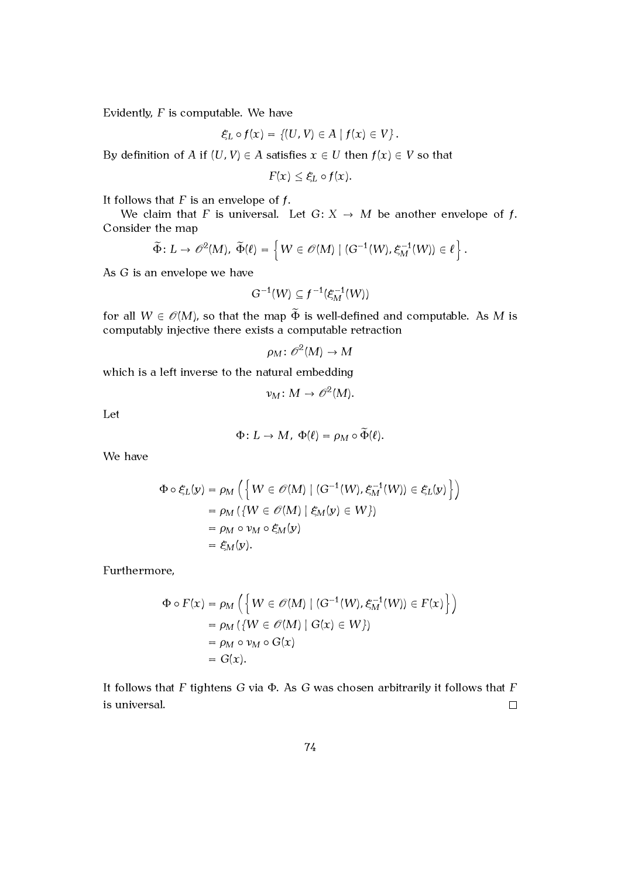Evidently, *F* is computable. We have

$$
\xi_L \circ f(x) = \{(U, V) \in A \mid f(x) \in V\}.
$$

By definition of *A* if  $(U, V) \in A$  satisfies  $x \in U$  then  $f(x) \in V$  so that

$$
F(x) \leq \mathcal{E}_L \circ f(x).
$$

It follows that *F* is an envelope of *f*.

We claim that *F* is universal. Let  $G: X \rightarrow M$  be another envelope of *f*. Consider the map

$$
\widetilde{\Phi} \colon L \to \mathscr{O}^2(M), \; \widetilde{\Phi}(\ell) = \left\{ W \in \mathscr{O}(M) \; | \; (G^{-1}(W), \mathcal{E}_M^{-1}(W)) \in \ell \right\}.
$$

As *G* is an envelope we have

$$
G^{-1}(W)\subseteq f^{-1}(\xi_M^{-1}(W))
$$

for all  $W \in \mathcal{O}(M)$ , so that the map  $\widetilde{\Phi}$  is well-defined and computable. As M is computably injective there exists a computable retraction

$$
\rho_M\colon \mathscr{O}^2(M)\to M
$$

which is a left inverse to the natural embedding

$$
\nu_M\colon M\to \mathscr{O}^2(M).
$$

Let

$$
\Phi\colon L\to M,\ \Phi(\ell)=\rho_M\circ\widetilde{\Phi}(\ell).
$$

We have

$$
\Phi \circ \xi_L(y) = \rho_M \left( \left\{ W \in \mathscr{O}(M) \mid (G^{-1}(W), \xi_M^{-1}(W)) \in \xi_L(y) \right\} \right)
$$
  
=  $\rho_M \left( \{ W \in \mathscr{O}(M) \mid \xi_M(y) \in W \} \right)$   
=  $\rho_M \circ \nu_M \circ \xi_M(y)$   
=  $\xi_M(y)$ .

Furthermore,

$$
\Phi \circ F(x) = \rho_M \left( \left\{ W \in \mathcal{O}(M) \mid (G^{-1}(W), \xi_M^{-1}(W)) \in F(x) \right\} \right)
$$
  
=  $\rho_M \left( \left\{ W \in \mathcal{O}(M) \mid G(x) \in W \right\} \right)$   
=  $\rho_M \circ \nu_M \circ G(x)$   
=  $G(x)$ .

It follows that *F* tightens *G* via Φ. As *G* was chosen arbitrarily it follows that *F* is universal.  $\Box$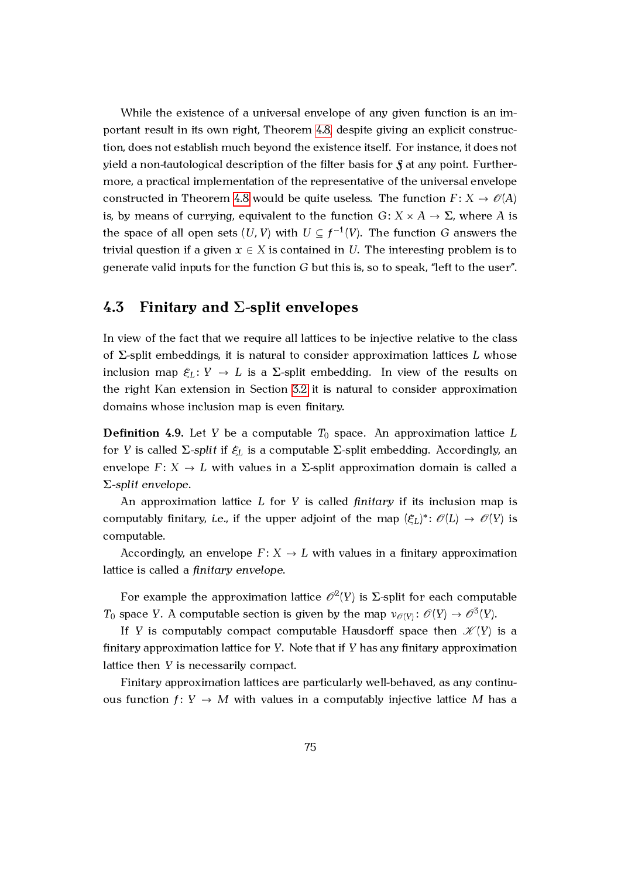While the existence of a universal envelope of any given function is an important result in its own right, Theorem [4.8,](#page-73-0) despite giving an explicit construction, does not establish much beyond the existence itself. For instance, it does not yield a non-tautological description of the filter basis for  $\zeta$  at any point. Furthermore, a practical implementation of the representative of the universal envelope constructed in Theorem [4.8](#page-73-0) would be quite useless. The function  $F: X \to \mathcal{O}(A)$ is, by means of currying, equivalent to the function  $G: X \times A \rightarrow \Sigma$ , where *A* is the space of all open sets  $(U, V)$  with  $U \subseteq f^{-1}(V)$ . The function  $G$  answers the trivial question if a given  $x \in X$  is contained in U. The interesting problem is to generate valid inputs for the function *G* but this is, so to speak, "left to the user".

#### **4.3 Finitary and** Σ**-split envelopes**

In view of the fact that we require all lattices to be injective relative to the class of Σ-split embeddings, it is natural to consider approximation lattices *L* whose inclusion map  $\xi_L$ :  $Y \to L$  is a  $\Sigma$ -split embedding. In view of the results on the right Kan extension in Section [3.2](#page-62-0) it is natural to consider approximation domains whose inclusion map is even finitary.

**Definition 4.9.** Let *Y* be a computable  $T_0$  space. An approximation lattice *L* for *Y* is called Σ*-split* if *ξ<sup>L</sup>* is a computable Σ-split embedding. Accordingly, an envelope  $F: X \to L$  with values in a  $\Sigma$ -split approximation domain is called a Σ*-split envelope*.

An approximation lattice *L* for *Y* is called *finitary* if its inclusion map is computably finitary, *i.e.*, if the upper adjoint of the map  $(\xi_L)^* \colon \mathcal{O}(L) \to \mathcal{O}(Y)$  is computable.

Accordingly, an envelope  $F: X \to L$  with values in a finitary approximation lattice is called a *finitary envelope*.

For example the approximation lattice  $\mathscr{O}^2(Y)$  is  $\Sigma$ -split for each computable *T*<sub>0</sub> space *Y*. A computable section is given by the map  $\nu_{\mathscr{O}(Y)}: \mathscr{O}(Y) \to \mathscr{O}^{3}(Y)$ .

If *Y* is computably compact computable Hausdorff space then  $\mathcal{K}(Y)$  is a finitary approximation lattice for *Y*. Note that if *Y* has any finitary approximation lattice then *Y* is necessarily compact.

Finitary approximation lattices are particularly well-behaved, as any continuous function  $f: Y \to M$  with values in a computably injective lattice M has a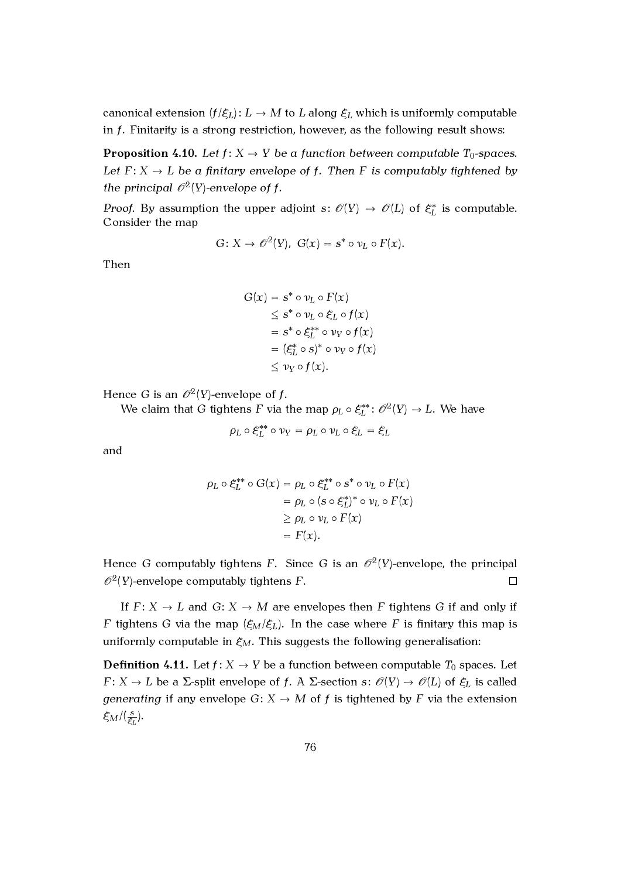canonical extension  $(f/\xi_L)$ :  $L \to M$  to  $L$  along  $\xi_L$  which is uniformly computable in *f*. Finitarity is a strong restriction, however, as the following result shows:

**Proposition 4.10.** *Let*  $f: X \to Y$  *be a function between computable*  $T_0$ -spaces. *Let*  $F: X \to L$  *be a finitary envelope of f. Then F is computably tightened by the principal*  $\mathcal{O}^2(Y)$ -envelope of *f*.

*Proof.* By assumption the upper adjoint  $s: \mathcal{O}(Y) \to \mathcal{O}(L)$  of  $\xi_L^*$  is computable. Consider the map

$$
G: X \to \mathcal{O}^2(Y), G(x) = s^* \circ \nu_L \circ F(x).
$$

Then

$$
G(x) = s^* \circ \nu_L \circ F(x)
$$
  
\n
$$
\leq s^* \circ \nu_L \circ \xi_L \circ f(x)
$$
  
\n
$$
= s^* \circ \xi_L^{**} \circ \nu_Y \circ f(x)
$$
  
\n
$$
= (\xi_L^* \circ s)^* \circ \nu_Y \circ f(x)
$$
  
\n
$$
\leq \nu_Y \circ f(x).
$$

Hence *G* is an  $\mathcal{O}^2(Y)$ -envelope of *f*.

We claim that *G* tightens *F* via the map  $\rho_L \circ \xi_L^{**}$ :  $\mathscr{O}^2(Y) \to L$ . We have

$$
\rho_L \circ \xi_L^{**} \circ \nu_Y = \rho_L \circ \nu_L \circ \xi_L = \xi_L
$$

and

$$
\rho_L \circ \xi_L^{**} \circ G(x) = \rho_L \circ \xi_L^{**} \circ s^* \circ \nu_L \circ F(x)
$$
  
=  $\rho_L \circ (s \circ \xi_L^*)^* \circ \nu_L \circ F(x)$   
 $\ge \rho_L \circ \nu_L \circ F(x)$   
=  $F(x)$ .

Hence *G* computably tightens *F*. Since *G* is an  $\mathcal{O}^2(Y)$ -envelope, the principal  $\mathcal{O}^2(Y)$ -envelope computably tightens *F*.  $\Box$ 

If  $F: X \to L$  and  $G: X \to M$  are envelopes then  $F$  tightens  $G$  if and only if *F* tightens *G* via the map  $(\xi_M/\xi_L)$ . In the case where *F* is finitary this map is uniformly computable in *ξM*. This suggests the following generalisation:

**Definition 4.11.** Let  $f: X \to Y$  be a function between computable  $T_0$  spaces. Let *F* : *X*  $\rightarrow$  *L* be a *Σ*-split envelope of *f*. A *Σ*-section *s*:  $\mathcal{O}(Y) \rightarrow \mathcal{O}(L)$  of  $\xi_L$  is called *generating* if any envelope  $G: X \rightarrow M$  of f is tightened by F via the extension *ξM/*( *s ξL* ).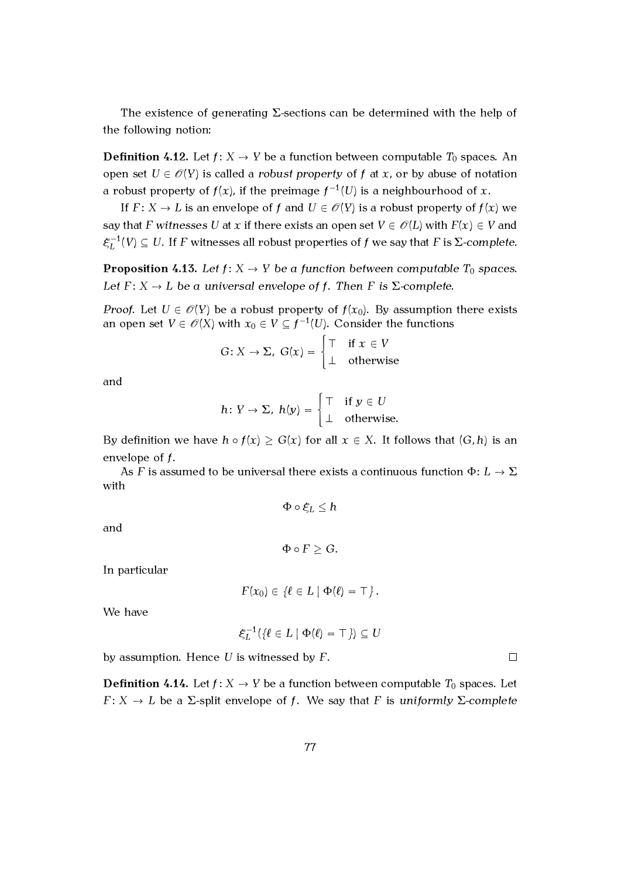The existence of generating  $\Sigma$ -sections can be determined with the help of the following notion:

**Definition 4.12.** Let  $f: X \to Y$  be a function between computable  $T_0$  spaces. An open set  $U \in \mathcal{O}(Y)$  is called a *robust property* of f at *x*, or by abuse of notation a robust property of  $f(x)$ , if the preimage  $f^{-1}(U)$  is a neighbourhood of  $x.$ 

If  $F: X \to L$  is an envelope of *f* and  $U \in \mathcal{O}(Y)$  is a robust property of  $f(x)$  we say that *F* witnesses *U* at *x* if there exists an open set  $V \in \mathcal{O}(L)$  with  $F(x) \in V$  and  $\xi_L^{-1}(V) \subseteq U$ . If *F* witnesses all robust properties of *f* we say that *F* is Σ*-complete*.

<span id="page-77-0"></span>**Proposition 4.13.** Let  $f: X \to Y$  be a function between computable  $T_0$  spaces. *Let*  $F: X \to L$  *be a universal envelope of f. Then F is*  $\Sigma$ -complete.

*Proof.* Let  $U \in \mathcal{O}(Y)$  be a robust property of  $f(x_0)$ . By assumption there exists an open set  $V \in \mathscr{O}(X)$  with  $x_0 \in V \subseteq f^{-1}(U)$ . Consider the functions

$$
G: X \to \Sigma, \ G(x) = \begin{cases} \top & \text{if } x \in V \\ \bot & \text{otherwise} \end{cases}
$$

and

$$
h\colon Y\to\Sigma,\ h(y)=\begin{cases} \top & \text{if } y\in U \\ \bot & \text{otherwise.} \end{cases}
$$

By definition we have  $h \circ f(x) \ge G(x)$  for all  $x \in X$ . It follows that  $(G, h)$  is an envelope of *f*.

As *F* is assumed to be universal there exists a continuous function  $\Phi: L \to \Sigma$ with

$$
\Phi\circ\xi_L\leq h
$$

and

 $\Phi \circ F \geq G.$ 

In particular

$$
F(x_0) \in \{\ell \in L \mid \Phi(\ell) = \top\}.
$$

We have

$$
\mathcal{E}_L^{-1}(\{\ell\in L\mid \Phi(\ell)=\top\})\subseteq U
$$

by assumption. Hence *U* is witnessed by *F*.

**Definition 4.14.** Let  $f: X \to Y$  be a function between computable  $T_0$  spaces. Let *F* : *X*  $\rightarrow$  *L* be a *Σ*-split envelope of *f*. We say that *F* is *uniformly Σ*-complete

 $\Box$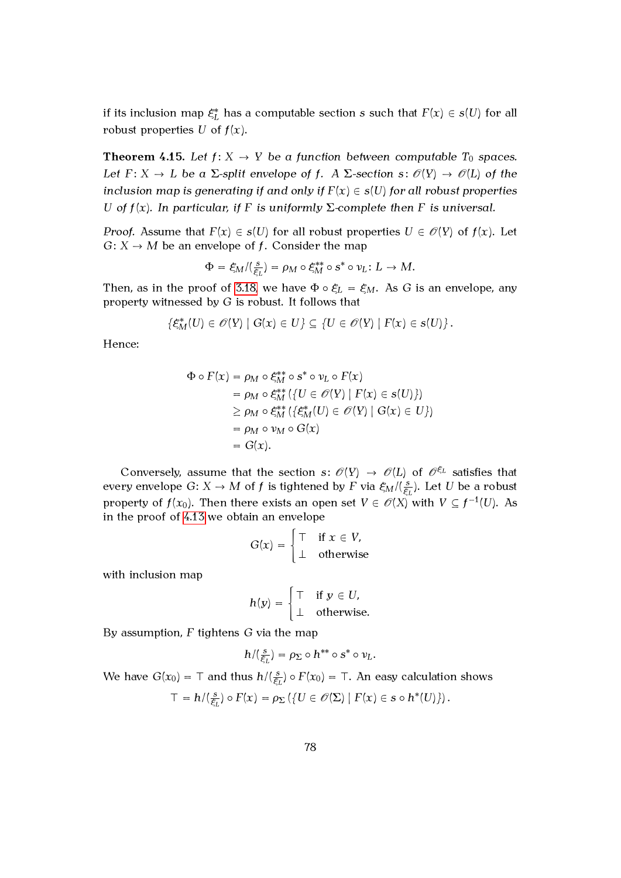if its inclusion map  $\xi_L^*$  has a computable section *s* such that  $F(x) \in s(U)$  for all robust properties  $U$  of  $f(x)$ .

<span id="page-78-0"></span>**Theorem 4.15.** Let  $f: X \rightarrow Y$  be a function between computable  $T_0$  spaces. *Let*  $F: X \to L$  *be a*  $\Sigma$ *-split envelope of f. A*  $\Sigma$ *-section s*:  $\mathcal{O}(Y) \to \mathcal{O}(L)$  *of the inclusion map is generating if and only if*  $F(x) \in s(U)$  *for all robust properties U of f*(*x*)*. In particular, if F is uniformly* Σ*-complete then F is universal.*

*Proof.* Assume that  $F(x) \in s(U)$  for all robust properties  $U \in \mathcal{O}(Y)$  of  $f(x)$ . Let  $G: X \rightarrow M$  be an envelope of *f*. Consider the map

$$
\Phi = \xi_M / (\frac{s}{\xi_L}) = \rho_M \circ \xi_M^{**} \circ s^* \circ \nu_L \colon L \to M.
$$

Then, as in the proof of [3.18,](#page-55-0) we have  $\Phi \circ \xi_L = \xi_M$ . As *G* is an envelope, any property witnessed by *G* is robust. It follows that

$$
\{\mathcal{E}_M^*(U) \in \mathscr{O}(Y) \mid G(x) \in U\} \subseteq \{U \in \mathscr{O}(Y) \mid F(x) \in s(U)\}.
$$

Hence:

$$
\Phi \circ F(x) = \rho_M \circ \xi_M^{**} \circ s^* \circ \nu_L \circ F(x)
$$
  
=  $\rho_M \circ \xi_M^{**} (\{U \in \mathcal{O}(Y) \mid F(x) \in s(U)\})$   
 $\geq \rho_M \circ \xi_M^{**} (\{\xi_M^*(U) \in \mathcal{O}(Y) \mid G(x) \in U\})$   
=  $\rho_M \circ \nu_M \circ G(x)$   
=  $G(x)$ .

Conversely, assume that the section *s*:  $\mathcal{O}(Y) \rightarrow \mathcal{O}(L)$  of  $\mathcal{O}^{\xi_L}$  satisfies that every envelope *G*: *X*  $\rightarrow$  *M* of *f* is tightened by *F* via  $\mathcal{E}_M / (\frac{S}{\mathcal{E}_M})$ *ξL* ). Let *U* be a robust property of  $f(x_0)$ . Then there exists an open set  $V \in \mathcal{O}(X)$  with  $V \subseteq f^{-1}(U)$ . As in the proof of [4.13](#page-77-0) we obtain an envelope

$$
G(x) = \begin{cases} \top & \text{if } x \in V, \\ \bot & \text{otherwise} \end{cases}
$$

with inclusion map

$$
h(y) = \begin{cases} \top & \text{if } y \in U, \\ \bot & \text{otherwise.} \end{cases}
$$

By assumption, *F* tightens *G* via the map

$$
h/(\tfrac{s}{\xi_L}) = \rho_\Sigma \circ h^{**} \circ s^* \circ \nu_L.
$$

We have  $G(x_0) = T$  and thus  $h/(\frac{s}{\xi_1})$  $\left(\frac{s}{\xi_L}\right) \circ F(x_0) = \top.$  An easy calculation shows  $\top$  =  $h/(\frac{s}{\varepsilon})$  $\frac{s}{\xi_L}$ )  $\circ$   $F(x) = \rho_{\Sigma}$  ( $\{U \in \mathscr{O}(\Sigma) \mid F(x) \in s \circ h^*(U)\}\$ ).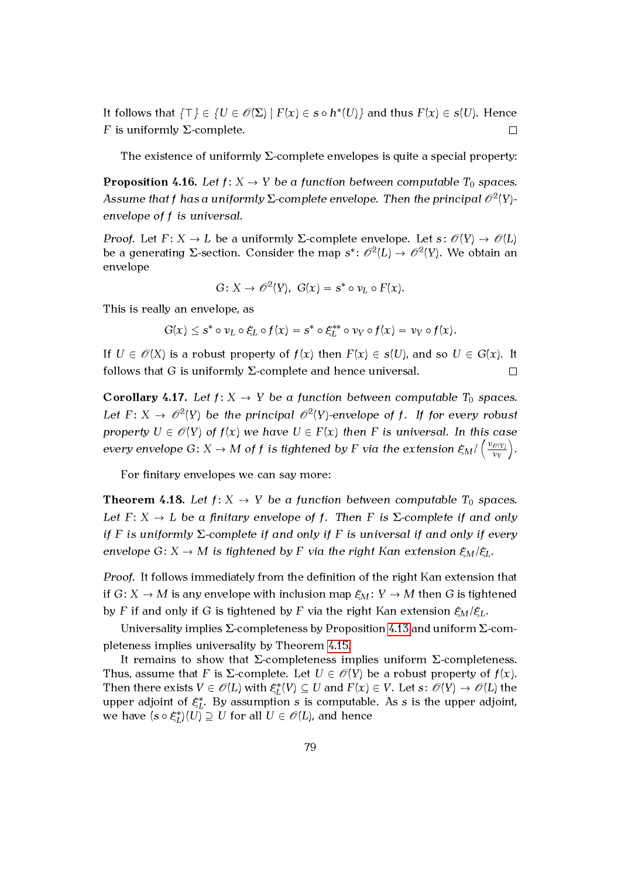It follows that  $\{T\} \in \{U \in \mathcal{O}(\Sigma) \mid F(x) \in s \circ h^*(U)\}$  and thus  $F(x) \in s(U)$ . Hence *F* is uniformly Σ-complete.  $\Box$ 

The existence of uniformly  $\Sigma$ -complete envelopes is quite a special property:

<span id="page-79-0"></span>**Proposition 4.16.** *Let*  $f: X \to Y$  *be a function between computable*  $T_0$  *spaces.*  $A$ ssume that  $f$  has a uniformly  $\Sigma$ -complete envelope. Then the principal  $\mathscr{O}^2(Y)$ *envelope of f is universal.*

*Proof.* Let  $F: X \to L$  be a uniformly  $\Sigma$ -complete envelope. Let  $s: \mathcal{O}(Y) \to \mathcal{O}(L)$ be a generating ∑-section. Consider the map  $s^*\colon \mathscr{O}^2(L) \to \mathscr{O}^2(Y)$ . We obtain an envelope

 $G: X \to \mathcal{O}^2(Y)$ ,  $G(x) = s^* \circ \nu_L \circ F(x)$ .

This is really an envelope, as

$$
G(x) \leq s^* \circ \nu_L \circ \mathcal{E}_L \circ f(x) = s^* \circ \mathcal{E}_L^{**} \circ \nu_Y \circ f(x) = \nu_Y \circ f(x).
$$

If  $U \in \mathcal{O}(X)$  is a robust property of  $f(x)$  then  $F(x) \in s(U)$ , and so  $U \in G(x)$ . It follows that *G* is uniformly  $\Sigma$ -complete and hence universal.  $\Box$ 

**Corollary 4.17.** *Let*  $f: X \rightarrow Y$  *be a function between computable*  $T_0$  *spaces.* Let  $F: X \to \mathcal{O}^2(Y)$  be the principal  $\mathcal{O}^2(Y)$ -envelope of f. If for every robust *property*  $U \in \mathscr{O}(Y)$  *of*  $f(x)$  *we have*  $U \in F(x)$  *then*  $F$  *is universal. In this case every envelope G*: *X*  $\rightarrow$  *M of f is tightened by F via the extension*  $\xi_M / \left( \frac{v_{\partial(Y)}}{v_V} \right)$  $\frac{\mathscr{O}(Y)}{\mathcal{V}_Y}$  ).

For finitary envelopes we can say more:

<span id="page-79-1"></span>**Theorem 4.18.** Let  $f: X \rightarrow Y$  be a function between computable  $T_0$  spaces. *Let*  $F: X \to L$  *be a finitary envelope of f. Then F is*  $\Sigma$ -complete *if and only if F is uniformly* Σ*-complete if and only if F is universal if and only if every envelope*  $G: X \to M$  *is tightened by F via the right Kan extension*  $\xi_M/\xi_L$ *.* 

*Proof.* It follows immediately from the definition of the right Kan extension that if  $G: X \to M$  is any envelope with inclusion map  $\xi_M: Y \to M$  then G is tightened by *F* if and only if *G* is tightened by *F* via the right Kan extension *ξM/ξL*.

Universality implies  $\Sigma$ -completeness by Proposition [4.13](#page-77-0) and uniform  $\Sigma$ -completeness implies universality by Theorem [4.15.](#page-78-0)

It remains to show that  $\Sigma$ -completeness implies uniform  $\Sigma$ -completeness. Thus, assume that *F* is  $\Sigma$ -complete. Let  $U \in \mathcal{O}(Y)$  be a robust property of  $f(x)$ . Then there exists  $V \in \mathcal{O}(L)$  with  $\xi_L^*(V) \subseteq U$  and  $F(x) \in V$ . Let  $s \colon \mathcal{O}(Y) \to \mathcal{O}(L)$  the upper adjoint of *ξ ∗ L* . By assumption *s* is computable. As *s* is the upper adjoint, we have  $(s \circ \xi_L^*)(U) \supseteq U$  for all  $U \in \mathscr{O}(L)$ , and hence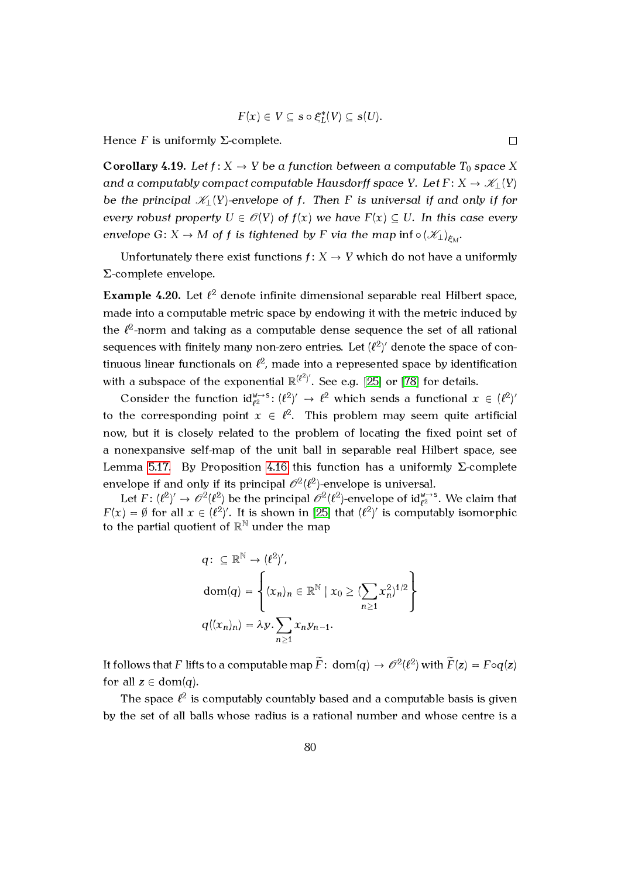$$
F(x) \in V \subseteq s \circ \mathcal{E}_L^*(V) \subseteq s(U).
$$

Hence  $F$  is uniformly  $\Sigma$ -complete.

**Corollary 4.19.** *Let*  $f: X \to Y$  *be a function between a computable*  $T_0$  *space*  $X$ *and a computably compact computable Hausdorff space <i>Y*. Let  $F: X \to \mathscr{K}_1(Y)$ *be the principal*  $\mathcal{K}_\perp$  (*Y*)-envelope of *f.* Then *F* is universal if and only if for *every robust property*  $U \in \mathcal{O}(Y)$  *of*  $f(x)$  *we have*  $F(x) \subseteq U$ *. In this case every*  $e$ nvelope  $G\colon X\to M$  of  $f$  is tightened by  $F$  via the map  $\inf\circ (\mathscr{K}_{\perp})_{\mathscr{E}_{M}}.$ 

Unfortunately there exist functions  $f: X \rightarrow Y$  which do not have a uniformly Σ-complete envelope.

<span id="page-80-0"></span>**Example 4.20.** Let  $\ell^2$  denote infinite dimensional separable real Hilbert space, made into a computable metric space by endowing it with the metric induced by the  $\ell^2$ -norm and taking as a computable dense sequence the set of all rational sequences with finitely many non-zero entries. Let  $(\ell^2)'$  denote the space of continuous linear functionals on  $\ell^2$ , made into a represented space by identification with a subspace of the exponential  $\mathbb{R}^{(\ell^2)'}$ . See e.g. [\[25\]](#page-121-0) or [\[78\]](#page-125-0) for details.

Consider the function  $id_{\ell^2}^{\omega \to s}$ :  $(\ell^2)' \to \ell^2$  which sends a functional  $x \in (\ell^2)'$ to the corresponding point  $x \in \ell^2$ . This problem may seem quite artificial now, but it is closely related to the problem of locating the fixed point set of a nonexpansive self-map of the unit ball in separable real Hilbert space, see Lemma [5.17.](#page-115-0) By Proposition [4.16](#page-79-0) this function has a uniformly  $\Sigma$ -complete envelope if and only if its principal  $\mathscr{O}^2(\ell^2)$ -envelope is universal.

Let  $F: (\ell^2)' \to \mathcal{O}^2(\ell^2)$  be the principal  $\mathcal{O}^2(\ell^2)$ -envelope of id $_{\ell^2}^{\omega \to s}$ . We claim that  $F(x) = \emptyset$  for all  $x \in (l^2)'$ . It is shown in [\[25\]](#page-121-0) that  $(l^2)'$  is computably isomorphic to the partial quotient of  $\mathbb{R}^{\mathbb{N}}$  under the map

$$
q: \subseteq \mathbb{R}^{\mathbb{N}} \to (\ell^2)',
$$
  
dom(q) = 
$$
\left\{ (x_n)_n \in \mathbb{R}^{\mathbb{N}} \mid x_0 \geq (\sum_{n \geq 1} x_n^2)^{1/2} \right\}
$$
  

$$
q((x_n)_n) = \lambda y. \sum_{n \geq 1} x_n y_{n-1}.
$$

It follows that  $F$  lifts to a computable map  $\widetilde{F}\colon \text{dom}(q) \to \mathscr{O}^2(\ell^2)$  with  $\widetilde{F}(\mathsf{z}) = F \circ q(\mathsf{z})$ for all  $z \in \text{dom}(q)$ .

The space  $\ell^2$  is computably countably based and a computable basis is given by the set of all balls whose radius is a rational number and whose centre is a

 $\Box$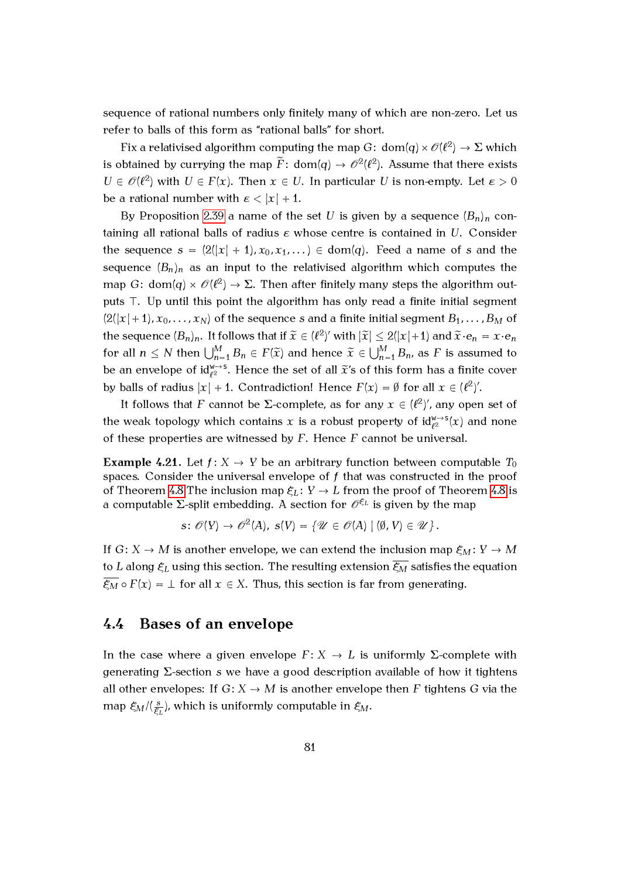sequence of rational numbers only finitely many of which are non-zero. Let us refer to balls of this form as "rational balls" for short.

Fix a relativised algorithm computing the map  $G\colon\mathop{\rm dom}(q)\times\mathscr O(\ell^2)\to\Sigma$  which is obtained by currying the map  $\widetilde{F}\colon \text{dom}(q) \to \mathscr{O}^2(\ell^2).$  Assume that there exists  $U \in \mathcal{O}(\ell^2)$  with  $U \in F(x)$ . Then  $x \in U$ . In particular *U* is non-empty. Let  $\varepsilon > 0$ be a rational number with  $\varepsilon < |x| + 1$ .

By Proposition [2.39](#page-31-0) a name of the set *U* is given by a sequence  $(B_n)_n$  containing all rational balls of radius *ε* whose centre is contained in *U*. Consider the sequence  $s = (2(|x| + 1), x_0, x_1, \ldots) \in \text{dom}(q)$ . Feed a name of *s* and the sequence  $(B_n)_n$  as an input to the relativised algorithm which computes the map  $G$ : dom $\langle q \rangle \times \mathcal{O}(\ell^2) \to \Sigma$ . Then after finitely many steps the algorithm outputs <sup>T</sup>. Up until this point the algorithm has only read a finite initial segment  $(2(|x|+1), x_0, \ldots, x_N)$  of the sequence *s* and a finite initial segment  $B_1, \ldots, B_M$  of  $\int f(x) \, dx \leq 2(|x|+1)$  and  $\widetilde{x} \cdot e_n = x \cdot e_n$ for all  $n \leq N$  then  $\bigcup_{n=1}^{M} B_n \in F(\tilde{x})$  and hence  $\tilde{x} \in \bigcup_{n=1}^{M}$  $n_{n=1}^{M}$  *B*<sub>*n*</sub>, as *F* is assumed to be an envelope of id $_{\ell^2}^{\text{w}\to\text{s}}$ . Hence the set of all  $\widetilde{x}$ 's of this form has a finite cover by balls of radius  $|x| + 1$ . Contradiction! Hence  $F(x) = \emptyset$  for all  $x \in (\ell^2)'$ .

It follows that *F* cannot be  $\Sigma$ -complete, as for any  $x \in (l^2)'$ , any open set of the weak topology which contains  $x$  is a robust property of  $id_{\ell^2}^{\mathsf{w}\rightarrow\mathsf{s}}(x)$  and none of these properties are witnessed by *F*. Hence *F* cannot be universal.

**Example 4.21.** Let  $f: X \rightarrow Y$  be an arbitrary function between computable  $T_0$ spaces. Consider the universal envelope of *f* that was constructed in the proof of Theorem [4.8](#page-73-0) The inclusion map  $\xi_L$ :  $Y \to L$  from the proof of Theorem 4.8 is a computable Σ-split embedding. A section for O*ξ<sup>L</sup>* is given by the map

$$
s\colon \mathscr{O}(Y)\to \mathscr{O}^2(A),\; s(V)=\{\mathscr{U}\in \mathscr{O}(A)\mid (\emptyset,V)\in \mathscr{U}\}.
$$

If  $G: X \to M$  is another envelope, we can extend the inclusion map  $\xi_M: Y \to M$ to *L* along *ξ<sup>L</sup>* using this section. The resulting extension *ξ<sup>M</sup>* satisfies the equation  $\overline{\xi_M} \circ F(x) = \bot$  for all  $x \in X$ . Thus, this section is far from generating.

#### **4.4 Bases of an envelope**

In the case where a given envelope  $F: X \to L$  is uniformly  $\Sigma$ -complete with generating Σ-section *s* we have a good description available of how it tightens all other envelopes: If  $G: X \to M$  is another envelope then *F* tightens *G* via the map *ξM/*( *s ξL* ), which is uniformly computable in *ξM*.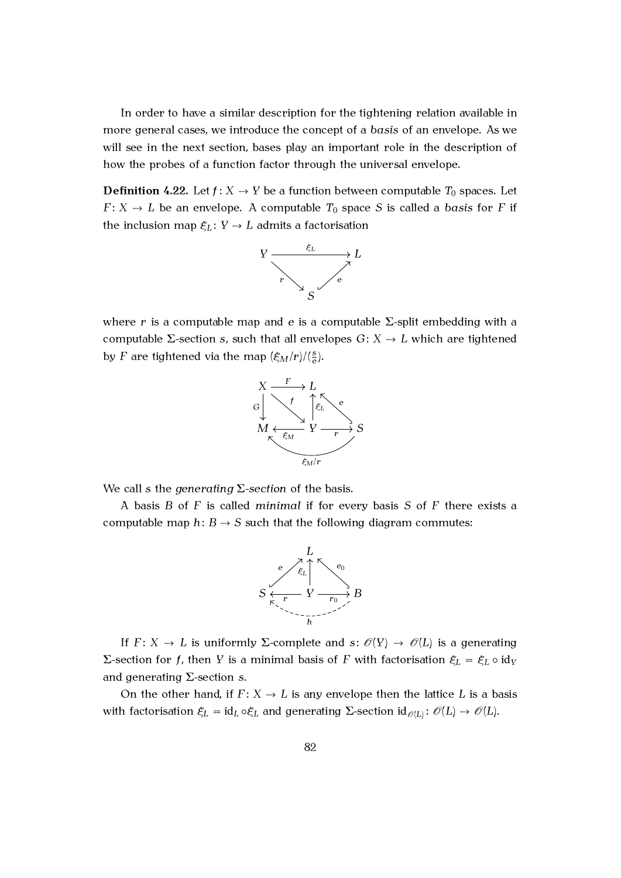In order to have a similar description for the tightening relation available in more general cases, we introduce the concept of a *basis* of an envelope. As we will see in the next section, bases play an important role in the description of how the probes of a function factor through the universal envelope.

**Definition 4.22.** Let  $f: X \to Y$  be a function between computable  $T_0$  spaces. Let  $F: X \to L$  be an envelope. A computable  $T_0$  space *S* is called a *basis* for *F* if the inclusion map  $\xi_L: Y \to L$  admits a factorisation



where *r* is a computable map and *e* is a computable  $\Sigma$ -split embedding with a computable  $\Sigma$ -section *s*, such that all envelopes  $G: X \to L$  which are tightened by *F* are tightened via the map  $(\xi_M/r)/(\frac{s}{e})$ *e* ).



We call *s* the *generating* Σ*-section* of the basis.

A basis *B* of *F* is called *minimal* if for every basis *S* of *F* there exists a computable map  $h: B \rightarrow S$  such that the following diagram commutes:



If  $F: X \to L$  is uniformly  $\Sigma$ -complete and  $s: \mathcal{O}(Y) \to \mathcal{O}(L)$  is a generating Σ-section for *f*, then *Y* is a minimal basis of *F* with factorisation *ξ<sup>L</sup>* = *ξ<sup>L</sup> ◦* id*<sup>Y</sup>* and generating Σ-section *s*.

On the other hand, if  $F: X \to L$  is any envelope then the lattice L is a basis with factorisation  $\xi_L = \mathrm{id}_L\circ \xi_L$  and generating  $\Sigma$ -section  $\mathrm{id}_{\mathscr{O}(L)}\colon \mathscr{O}(L) \to \mathscr{O}(L).$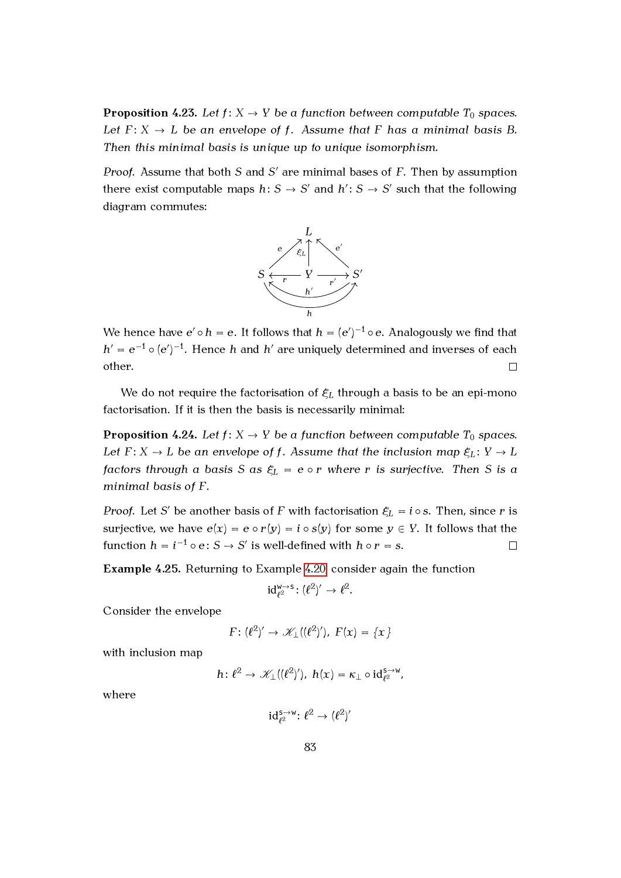**Proposition 4.23.** Let  $f: X \to Y$  be a function between computable  $T_0$  spaces. *Let*  $F: X \rightarrow L$  *be an envelope of f. Assume that*  $F$  *has a minimal basis*  $B$ *. Then this minimal basis is unique up to unique isomorphism.*

*Proof.* Assume that both *S* and *S'* are minimal bases of *F*. Then by assumption there exist computable maps  $h: S \to S'$  and  $h': S \to S'$  such that the following diagram commutes:



We hence have  $e' \circ h = e$ . It follows that  $h = (e')^{-1} \circ e$ . Analogously we find that  $h' = e^{-1} \circ (e')^{-1}$ . Hence *h* and *h*<sup>*'*</sup> are uniquely determined and inverses of each other.  $\Box$ 

We do not require the factorisation of *ξ<sup>L</sup>* through a basis to be an epi-mono factorisation. If it is then the basis is necessarily minimal:

**Proposition 4.24.** Let  $f: X \to Y$  be a function between computable  $T_0$  spaces. *Let*  $F: X \to L$  *be an envelope of f. Assume that the inclusion map*  $\xi_L: Y \to L$ *factors through a basis S as ξ<sup>L</sup>* = *e ◦ r where r is surjective. Then S is a minimal basis of F.*

*Proof.* Let *S*<sup> $\prime$ </sup> be another basis of *F* with factorisation  $\xi$ <sup>*L*</sup> = *i*  $\circ$  *s*. Then, since *r* is surjective, we have  $e(x) = e \circ r(y) = i \circ s(y)$  for some  $y \in Y$ . It follows that the function  $h = i^{-1} \circ e$ :  $S \to S'$  is well-defined with  $h \circ r = s$ .  $\Box$ 

**Example 4.25.** Returning to Example [4.20,](#page-80-0) consider again the function

$$
id_{\ell^2}^{\mathsf{W}\rightarrow\mathsf{S}}\colon(\ell^2)'\rightarrow\ell^2.
$$

Consider the envelope

$$
F: (\ell^2)' \to \mathscr{K}_\perp((\ell^2)'), F(x) = \{x\}
$$

with inclusion map

$$
h\colon \ell^2\to \mathscr{K}_{\perp}(\ell^2)'),\ h(x)=\kappa_{\perp}\circ \mathrm{id}_{\ell^2}^{\mathsf{s}\to \mathsf{w}},
$$

where

 $\mathrm{id}_{\ell^2}^{\mathsf{S}\to\mathsf{W}}\colon \ell^2 \to (\ell^2)'$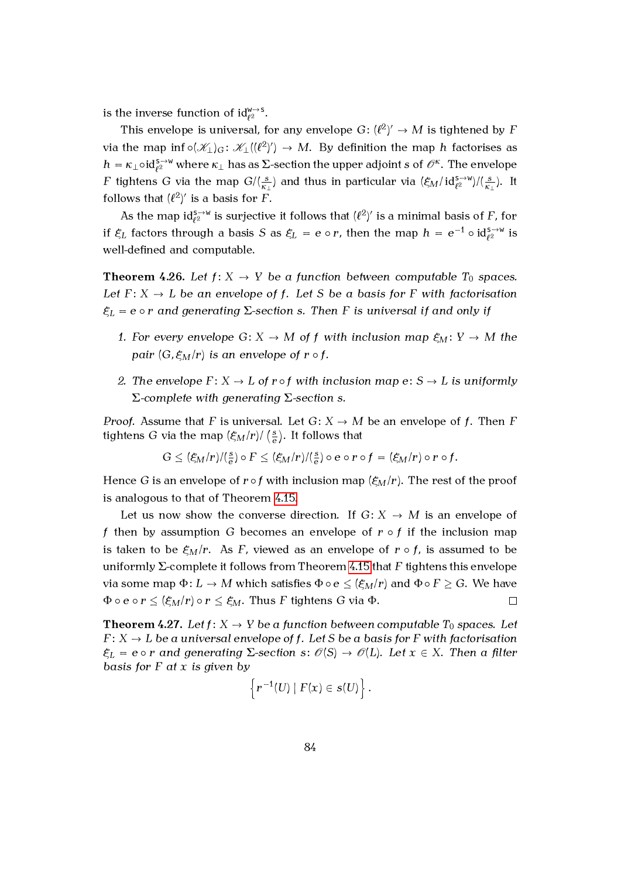is the inverse function of  $id_{\ell^2}^{\mathsf{w}\to\mathsf{s}}$ .

This envelope is universal, for any envelope  $G: (\ell^2)' \to M$  is tightened by F via the map inf *◦*(K*⊥*)*<sup>G</sup>* : K*⊥*((*`* 2 ) *0* ) *→ M*. By definition the map *h* factorises as  $h = \kappa_{\perp} \circ id_{\ell^2}^{s \to w}$  where  $\kappa_{\perp}$  has as  $\Sigma$ -section the upper adjoint *s* of  $\mathscr{O}^{\kappa}$ . The envelope *F* tightens *G* via the map  $G/(\frac{s}{\kappa})$  $\frac{s}{\kappa_{\perp}}$ ) and thus in particular via  $(\xi_M / \mathrm{id}_{\ell^2}^{\mathsf{S} \to \mathsf{W}}) / (\frac{s}{\kappa_{\perp}})$ *κ<sup>⊥</sup>* ). It follows that  $(\ell^2)'$  is a basis for *F*.

As the map  $id_{\ell^2}^{\mathsf{S} \to \mathsf{w}}$  is surjective it follows that  $(\ell^2)'$  is a minimal basis of *F*, for if  $\xi$ <sup>*L*</sup> factors through a basis *S* as  $\xi$ <sup>*L*</sup> = *e ∘ r*, then the map *h* =  $e^{-1} \circ id_{\ell^2}^{s \to w}$  is well-defined and computable.

<span id="page-84-0"></span>**Theorem 4.26.** Let  $f: X \rightarrow Y$  be a function between computable  $T_0$  spaces. *Let*  $F: X \to L$  *be an envelope of f. Let S be a basis for F with factorisation ξ<sup>L</sup>* = *e ◦ r and generating* Σ*-section s. Then F is universal if and only if*

- *i. For every envelope*  $G: X \rightarrow M$  *of f with inclusion map*  $\xi_M: Y \rightarrow M$  *the pair*  $(G, \xi_M/r)$  *is an envelope of r*  $\circ f$ *.*
- *2.* The envelope  $F: X \to L$  of  $r \circ f$  with inclusion map  $e: S \to L$  is uniformly Σ*-complete with generating* Σ*-section s.*

*Proof.* Assume that *F* is universal. Let  $G: X \to M$  be an envelope of *f*. Then *F* tightens *G* via the map  $(\xi_M/r)/(\frac{s}{e})$ *e* . It follows that

$$
G \leq (\xi_M/r)/(\frac{s}{e}) \circ F \leq (\xi_M/r)/(\frac{s}{e}) \circ e \circ r \circ f = (\xi_M/r) \circ r \circ f.
$$

Hence *G* is an envelope of *r ◦ f* with inclusion map (*ξM/r*). The rest of the proof is analogous to that of Theorem [4.15.](#page-78-0)

Let us now show the converse direction. If  $G: X \to M$  is an envelope of *f* then by assumption *G* becomes an envelope of *r ◦ f* if the inclusion map is taken to be  $\xi_M/r$ . As F, viewed as an envelope of  $r \circ f$ , is assumed to be uniformly Σ-complete it follows from Theorem [4.15](#page-78-0) that *F* tightens this envelope via some map  $\Phi: L \to M$  which satisfies  $\Phi \circ e \leq (\xi_M/r)$  and  $\Phi \circ F \geq G$ . We have  $\Phi \circ \mathbf{e} \circ \mathbf{r} \leq (\xi_M/\mathbf{r}) \circ \mathbf{r} \leq \xi_M$ . Thus *F* tightens *G* via  $\Phi$ .  $\Box$ 

**Theorem 4.27.** Let  $f: X \to Y$  be a function between computable  $T_0$  spaces. Let  $F: X \to L$  be a universal envelope of f. Let S be a basis for F with factorisation *ξ*<sub>*L*</sub> = *e* ◦ *r and generating* Σ-section *s*:  $\mathcal{O}(S)$  →  $\mathcal{O}(L)$ *. Let x* ∈ *X.* Then *a filter basis for F at x is given by*

$$
\left\{r^{-1}(U) \mid F(x) \in s(U)\right\}.
$$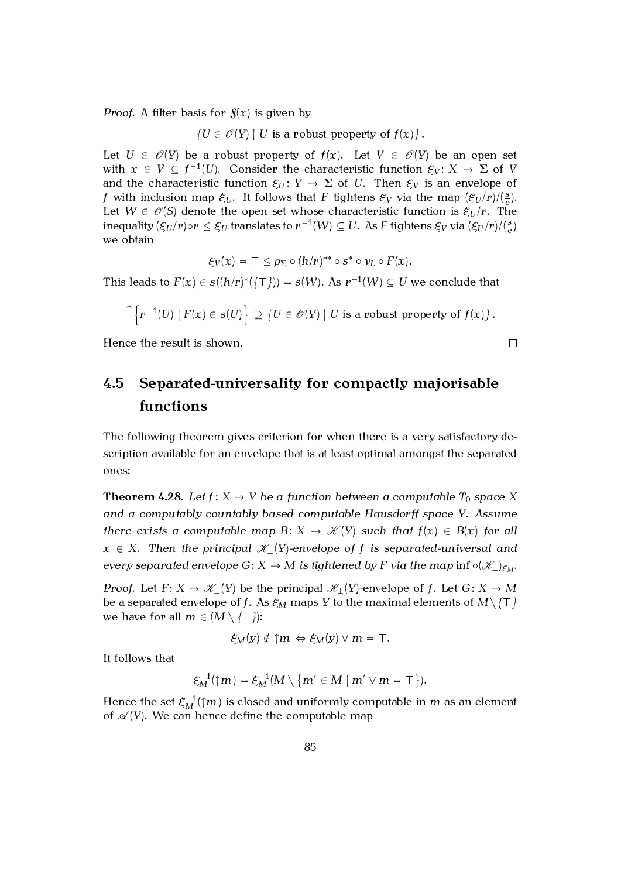*Proof.* A filter basis for  $f(x)$  is given by

 $\{U \in \mathcal{O}(Y) \mid U$  is a robust property of  $f(x)$ .

Let  $U \in \mathcal{O}(Y)$  be a robust property of  $f(x)$ . Let  $V \in \mathcal{O}(Y)$  be an open set with  $x \in V \subseteq f^{-1}(U)$ . Consider the characteristic function  $\xi_V: X \to \Sigma$  of *V* and the characteristic function  $\xi_U: Y \to \Sigma$  of *U*. Then  $\xi_V$  is an envelope of *f* with inclusion map  $\xi_U$ . It follows that *F* tightens  $\xi_V$  via the map  $(\xi_U/r)/(\frac{s}{e})$  $\frac{s}{e}$ ). Let  $W \in \mathcal{O}(S)$  denote the open set whose characteristic function is  $\xi_U/r$ . The  $i$ nequality ( $\xi_U/r$ ) $\circ r\leq \xi_U$  translates to  $r^{-1}(W)\subseteq U.$  As  $F$  tightens  $\xi_V$  via ( $\xi_U/r$ )/( $\frac{\xi}{e}$  $\frac{s}{e}$ we obtain

$$
\xi_V(x) = \top \leq \rho_{\Sigma} \circ (h/r)^{**} \circ s^* \circ \nu_L \circ F(x).
$$

This leads to  $F(x) \in s((h/r)^*(\{\top\})) = s(W)$ . As  $r^{-1}(W) \subseteq U$  we conclude that

$$
\bigcap \{r^{-1}(U) \mid F(x) \in s(U)\big\} \supseteq \{U \in \mathscr{O}(Y) \mid U \text{ is a robust property of } f(x)\}.
$$

Hence the result is shown.

#### $\Box$

### **4.5 Separated-universality for compactly majorisable functions**

The following theorem gives criterion for when there is a very satisfactory description available for an envelope that is at least optimal amongst the separated ones:

<span id="page-85-0"></span>**Theorem 4.28.** Let  $f: X \to Y$  be a function between a computable  $T_0$  space X *and a computably countably based computable Hausdorff space Y. Assume there exists a computable map*  $B: X \to \mathcal{K}(Y)$  *such that*  $f(x) \in B(x)$  *for all*  $x \in X$ . Then the principal  $\mathcal{K}_1(Y)$ -envelope of f is separated-universal and *every separated envelope*  $G: X \to M$  *is tightened by F via the map* inf ∘( $\mathcal{K}_\perp$ )<sub> $\epsilon_M$ </sub>.

*Proof.* Let  $F: X \to \mathcal{K}_1(Y)$  be the principal  $\mathcal{K}_1(Y)$ -envelope of *f*. Let  $G: X \to M$ be a separated envelope of *f*. As *ξ<sup>M</sup>* maps *Y* to the maximal elements of *M \ {>}* we have for all  $m \in (M \setminus \{\top\})$ :

$$
\xi_M(y)\notin {\uparrow} m\, \Leftrightarrow \xi_M(y)\vee m=\top.
$$

It follows that

$$
\mathcal{E}_M^{-1}(\uparrow m)=\mathcal{E}_M^{-1}(M\setminus\{m'\in M\mid m'\vee m=\top\}).
$$

Hence the set *ξ −*1 *<sup>M</sup>* (*↑m*) is closed and uniformly computable in *m* as an element of  $\mathscr{A}(Y)$ . We can hence define the computable map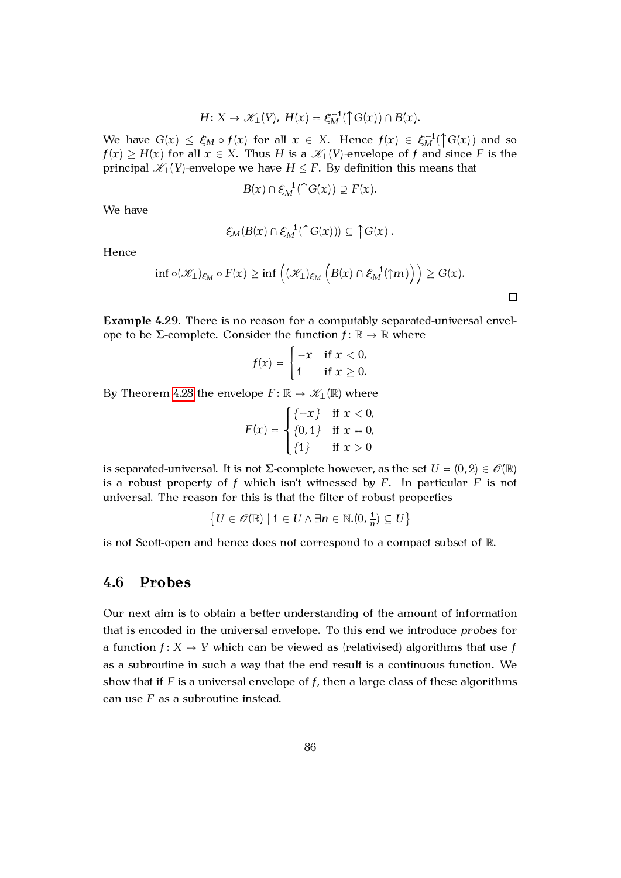$$
H: X \to \mathscr{K}_\perp(Y), H(x) = \xi_M^{-1}(\uparrow G(x)) \cap B(x).
$$

We have  $G(x) \leq \xi_M \circ f(x)$  for all  $x \in X$ . Hence  $f(x) \in \xi_M^{-1}(x)$  $\int G(x)$  and so *f*(*x*)  $≥$  *H*(*x*) for all  $x ∈ X$ . Thus *H* is a  $\mathcal{K}_\perp(Y)$ -envelope of *f* and since *F* is the principal  $\mathcal{K}_1(Y)$ -envelope we have  $H \leq F$ . By definition this means that

$$
B(x) \cap \mathcal{E}_M^{-1}(\uparrow G(x)) \supseteq F(x).
$$

We have

$$
\xi_M(B(x)\cap \xi_M^{-1}(\uparrow G(x)))\subseteq \uparrow G(x).
$$

Hence

$$
\inf\circ (\mathscr{K}_{\perp})_{\xi_M}\circ F(\mathbf{x})\geq \inf\left((\mathscr{K}_{\perp})_{\xi_M}\left(B(\mathbf{x})\cap\mathcal{E}_M^{-1}({\uparrow} m)\right)\right)\geq G(\mathbf{x}).
$$

 $\Box$ 

**Example 4.29.** There is no reason for a computably separated-universal envelope to be Σ-complete. Consider the function *f* : R *→* R where

$$
f(x) = \begin{cases} -x & \text{if } x < 0, \\ 1 & \text{if } x \ge 0. \end{cases}
$$

By Theorem [4.28](#page-85-0) the envelope  $F: \mathbb{R} \to \mathcal{K}_1(\mathbb{R})$  where

$$
F(x) = \begin{cases} \{-x\} & \text{if } x < 0, \\ \{0, 1\} & \text{if } x = 0, \\ \{1\} & \text{if } x > 0 \end{cases}
$$

is separated-universal. It is not  $\Sigma$ -complete however, as the set  $U = (0, 2) \in \mathcal{O}(\mathbb{R})$ is a robust property of *f* which isn't witnessed by *F*. In particular *F* is not universal. The reason for this is that the filter of robust properties

$$
\big\{U\in\mathscr{O}(\mathbb{R})\mid 1\in U\wedge\exists n\in\mathbb{N}.(0,\tfrac{1}{n})\subseteq U\big\}
$$

is not Scott-open and hence does not correspond to a compact subset of R.

#### **4.6 Probes**

Our next aim is to obtain a better understanding of the amount of information that is encoded in the universal envelope. To this end we introduce *probes* for a function  $f: X \to Y$  which can be viewed as (relativised) algorithms that use f as a subroutine in such a way that the end result is a continuous function. We show that if *F* is a universal envelope of *f*, then a large class of these algorithms can use *F* as a subroutine instead.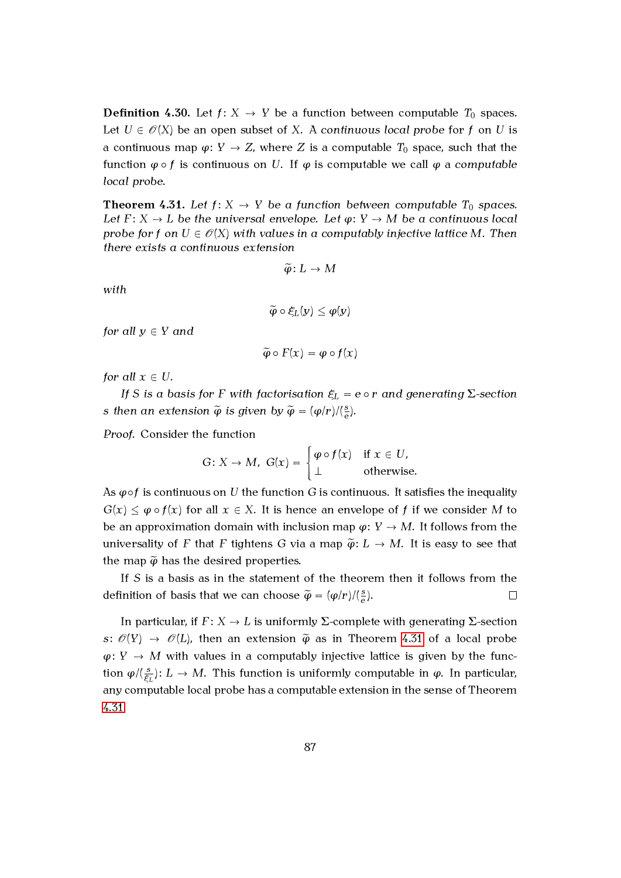**Definition 4.30.** Let  $f: X \rightarrow Y$  be a function between computable  $T_0$  spaces. Let  $U \in \mathcal{O}(X)$  be an open subset of *X*. A *continuous local probe* for *f* on *U* is a continuous map  $\varphi: Y \to Z$ , where *Z* is a computable  $T_0$  space, such that the function  $\varphi \circ f$  is continuous on *U*. If  $\varphi$  is computable we call  $\varphi$  a *computable local probe*.

<span id="page-87-0"></span>**Theorem 4.31.** Let  $f: X \to Y$  be a function between computable  $T_0$  spaces. *Let*  $F: X \to L$  *be the universal envelope. Let*  $\varphi: Y \to M$  *be a continuous local probe for f* on  $U \in \mathcal{O}(X)$  *with values in a computably injective lattice M. Then there exists a continuous extension*

$$
\widetilde{\varphi} \colon L \to M
$$

*with*

$$
\widetilde{\pmb{\varphi}} \circ \xi_L(\pmb{y}) \leq \pmb{\varphi}(\pmb{y})
$$

*for all y ∈ Y and*

$$
\widetilde{\varphi}\circ F(x)=\varphi\circ f(x)
$$

*for all*  $x \in U$ .

*If S is a basis for F with factorisation ξ<sup>L</sup>* = *e ◦ r and generating* Σ*-section s* then an extension  $\widetilde{\varphi}$  *is given by*  $\widetilde{\varphi} = (\varphi/r)/(\frac{s}{c})$ *e* )*.*

*Proof.* Consider the function

$$
G: X \to M, G(x) = \begin{cases} \varphi \circ f(x) & \text{if } x \in U, \\ \perp & \text{otherwise.} \end{cases}
$$

As *φ◦f* is continuous on *U* the function *G* is continuous. It satisfies the inequality  $G(x) \leq \varphi \circ f(x)$  for all  $x \in X$ . It is hence an envelope of f if we consider M to be an approximation domain with inclusion map  $\varphi: Y \to M$ . It follows from the universality of *F* that *F* tightens *G* via a map  $\tilde{\varphi}$ :  $L \rightarrow M$ . It is easy to see that the map  $\tilde{\varphi}$  has the desired properties.

If *S* is a basis as in the statement of the theorem then it follows from the definition of basis that we can choose  $\widetilde{\varphi} = {\varphi/r}/{{\frac{8}{\epsilon^2}}}$ *e* ).  $\Box$ 

In particular, if  $F: X \to L$  is uniformly  $\Sigma$ -complete with generating  $\Sigma$ -section *s*:  $\mathcal{O}(Y) \rightarrow \mathcal{O}(L)$ , then an extension  $\tilde{\varphi}$  as in Theorem [4.31](#page-87-0) of a local probe  $\varphi: Y \to M$  with values in a computably injective lattice is given by the function  $\varphi / (\frac{s}{\varepsilon})$  $\frac{s}{\xi_L}$ ):  $L \to M$ . This function is uniformly computable in *φ*. In particular, any computable local probe has a computable extension in the sense of Theorem [4.31.](#page-87-0)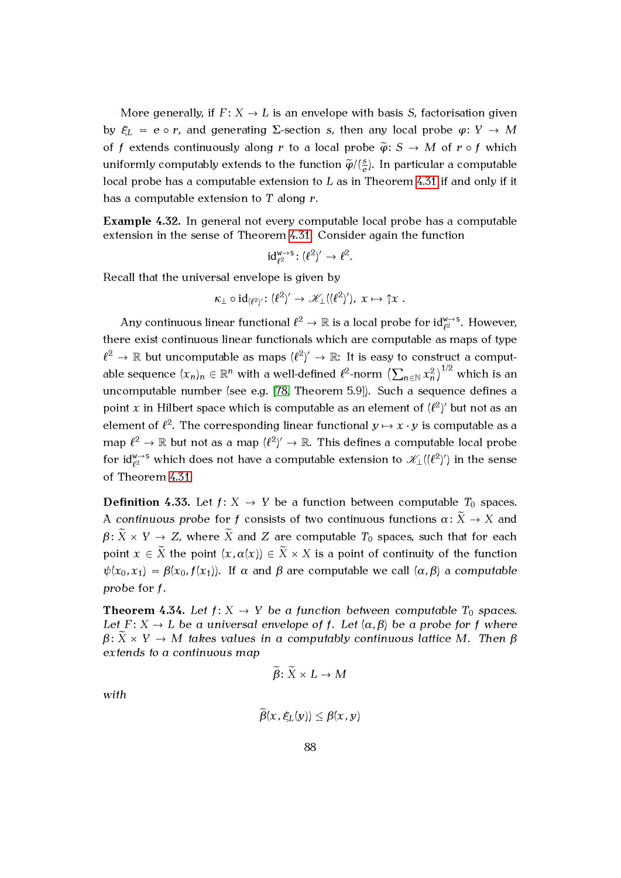More generally, if  $F: X \to L$  is an envelope with basis *S*, factorisation given by  $\xi$ <sup>L</sup> = e ∘ r, and generating Σ-section *s*, then any local probe  $\varphi$ :  $Y \to M$ of *f* extends continuously along *r* to a local probe  $\tilde{\varphi}$ : *S*  $\rightarrow$  *M* of *r*  $\circ$  *f* which uniformly computably extends to the function  $\widetilde{\varphi}/(\frac{s}{e})$ *e* ). In particular a computable local probe has a computable extension to *L* as in Theorem [4.31](#page-87-0) if and only if it has a computable extension to *T* along *r*.

**Example 4.32.** In general not every computable local probe has a computable extension in the sense of Theorem [4.31.](#page-87-0) Consider again the function

$$
id_{\ell^2}^{\mathsf{W}\rightarrow\mathsf{S}}\colon(\ell^2)'\rightarrow\ell^2.
$$

Recall that the universal envelope is given by

$$
\kappa_\perp\circ {\rm id}_{(\ell^2)'}\colon (\ell^2)'\to \mathscr{K}_\perp((\ell^2)'),\; x\mapsto {\uparrow} x\;.
$$

Any continuous linear functional  $\ell^2 \to \mathbb{R}$  is a local probe for id $_{\ell^2}^{\textsf{w}\to\textsf{s}}$ . However, there exist continuous linear functionals which are computable as maps of type  $\ell^2 \to \mathbb{R}$  but uncomputable as maps  $(\ell^2)' \to \mathbb{R}$ : It is easy to construct a computable sequence  $(x_n)_n \in \mathbb{R}^n$  with a well-defined  $\ell^2$ -norm  $\left(\sum_{n\in\mathbb{N}} x_n^2\right)$  $\int_0^{1/2}$  which is an uncomputable number (see e.g. [\[78,](#page-125-0) Theorem 5.9]). Such a sequence defines a point x in Hilbert space which is computable as an element of  $(\ell^2)'$  but not as an element of  $\ell^2$ . The corresponding linear functional  $y \mapsto x \cdot y$  is computable as a map  $\ell^2 \to \mathbb{R}$  but not as a map  $(\ell^2)' \to \mathbb{R}$ . This defines a computable local probe for  $\mathrm{id}_{\ell^2}^{\mathsf{w}\to\mathsf{s}}$  which does not have a computable extension to  $\mathscr{K}_\mathsf{L}(\langle \ell^2 \rangle')$  in the sense of Theorem [4.31.](#page-87-0)

**Definition 4.33.** Let  $f: X \rightarrow Y$  be a function between computable  $T_0$  spaces. A *continuous probe* for *f* consists of two continuous functions  $\alpha: \tilde{X} \to X$  and  $\beta \colon \widetilde{X} \times Y \to Z$ , where  $\widetilde{X}$  and *Z* are computable  $T_0$  spaces, such that for each point  $x \in \tilde{X}$  the point  $(x, \alpha(x)) \in \tilde{X} \times X$  is a point of continuity of the function *ψ*(*x*0*, x*1) = *β*(*x*0*, f*(*x*1)). If *α* and *β* are computable we call (*α, β*) a *computable probe* for *f*.

<span id="page-88-0"></span>**Theorem 4.34.** Let  $f: X \to Y$  be a function between computable  $T_0$  spaces. *Let*  $F: X \to L$  *be a universal envelope of f. Let*  $(\alpha, \beta)$  *be a probe for f where β* : *X*e *× Y → M takes values in a computably continuous lattice M. Then β extends to a continuous map*

$$
\widetilde{\beta} \colon \widetilde{X} \times L \to M
$$

*with*

$$
\widetilde{\beta}(x,\xi_L(y)) \leq \beta(x,y)
$$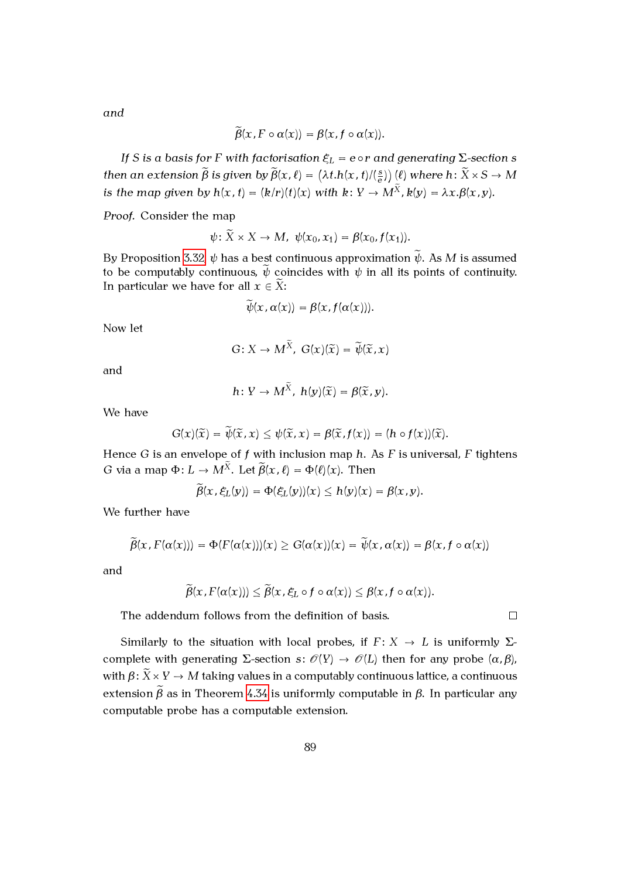$$
\widetilde{\beta}(x,F\circ\alpha(x))=\beta(x,f\circ\alpha(x)).
$$

*If S* is a basis for *F* with factorisation  $\xi_L$  = e∘r and generating  $\Sigma$ -section *s then an extension*  $\tilde{\beta}$  *is given by*  $\tilde{\beta}(x, \ell) = (\lambda t.h(x, t)/\frac{s}{s})$  $\frac{s}{e}$  $($  *(* $i$ ) *where*  $h: \widetilde{X} \times S \rightarrow M$ *is the map given by*  $h(x, t) = (k/r)(t)(x)$  *with*  $k: Y \to M^{\tilde{X}}$ ,  $k(y) = \lambda x \cdot \beta(x, y)$ .

*Proof.* Consider the map

$$
\psi\colon \widetilde{X}\times X\to M,\ \psi(x_0,x_1)=\beta(x_0,f(x_1)).
$$

By Proposition [3.32,](#page-65-0)  $\psi$  has a best continuous approximation  $\widetilde{\psi}$ . As M is assumed to be computably continuous,  $\psi$  coincides with  $\psi$  in all its points of continuity. In particular we have for all  $x \in X$ :

$$
\widetilde{\psi}(x,\alpha(x))=\beta(x,f(\alpha(x))).
$$

Now let

$$
G\colon X\to M^{\widetilde{X}},\ G(x)(\widetilde{x})=\widetilde{\psi}(\widetilde{x},x)
$$

and

$$
h\colon Y\to M^{\widetilde{X}},\ h(y)(\widetilde{x})=\beta(\widetilde{x},y).
$$

We have

$$
G(x)(\widetilde{x}) = \widetilde{\psi}(\widetilde{x},x) \leq \psi(\widetilde{x},x) = \beta(\widetilde{x},f(x)) = (h \circ f(x))(\widetilde{x}).
$$

Hence *G* is an envelope of *f* with inclusion map *h*. As *F* is universal, *F* tightens *G* via a map  $\Phi: L \to M^{\tilde{X}}$ . Let  $\tilde{\beta}(x, \ell) = \Phi(\ell)(x)$ . Then

$$
\widetilde{\beta}(x,\xi_L(y))=\Phi(\xi_L(y))(x)\leq h(y)(x)=\beta(x,y).
$$

We further have

$$
\widetilde{\beta}(x,F(\alpha(x))) = \Phi(F(\alpha(x)))(x) \ge G(\alpha(x))(x) = \widetilde{\psi}(x,\alpha(x)) = \beta(x,f \circ \alpha(x))
$$

and

$$
\widetilde{\beta}(x,F(\alpha(x))) \leq \widetilde{\beta}(x,\xi_L \circ f \circ \alpha(x)) \leq \beta(x,f \circ \alpha(x)).
$$

The addendum follows from the definition of basis.

Similarly to the situation with local probes, if  $F: X \rightarrow L$  is uniformly  $\Sigma$ complete with generating  $\Sigma$ -section *s*:  $\mathcal{O}(Y) \to \mathcal{O}(L)$  then for any probe  $(\alpha, \beta)$ , with *β* :  $\widetilde{X}$  × *Y* → *M* taking values in a computably continuous lattice, a continuous extension  $\tilde{\beta}$  as in Theorem [4.34](#page-88-0) is uniformly computable in  $\beta$ . In particular any computable probe has a computable extension.

*and*

 $\Box$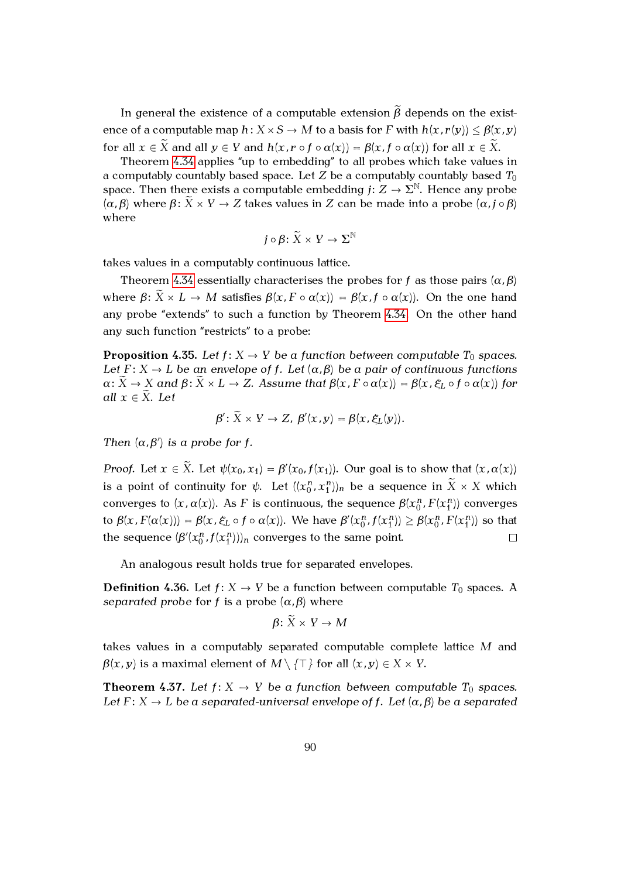In general the existence of a computable extension  $\tilde{\beta}$  depends on the existence of a computable map  $h: X \times S \rightarrow M$  to a basis for *F* with  $h(x, r(y)) \leq \beta(x, y)$ for all  $x \in \tilde{X}$  and all  $y \in Y$  and  $h(x, r \circ f \circ \alpha(x)) = \beta(x, f \circ \alpha(x))$  for all  $x \in \tilde{X}$ .

Theorem [4.34](#page-88-0) applies "up to embedding" to all probes which take values in a computably countably based space. Let  $Z$  be a computably countably based  $T_0$ space. Then there exists a computable embedding  $j: Z \to \Sigma^{\mathbb{N}}$ . Hence any probe  $(\alpha, \beta)$  where  $\beta \colon \widetilde{X} \times Y \to Z$  takes values in *Z* can be made into a probe  $(\alpha, j \circ \beta)$ where

$$
j\circ\beta\colon\widetilde{X}\times Y\to\Sigma^{\mathbb{N}}
$$

takes values in a computably continuous lattice.

Theorem [4.34](#page-88-0) essentially characterises the probes for *f* as those pairs  $(\alpha, \beta)$ where  $\beta: X \times L \to M$  satisfies  $\beta(x, F \circ \alpha(x)) = \beta(x, f \circ \alpha(x))$ . On the one hand any probe "extends" to such a function by Theorem [4.34.](#page-88-0) On the other hand any such function "restricts" to a probe:

**Proposition 4.35.** Let  $f: X \to Y$  be a function between computable  $T_0$  spaces. *Let*  $F: X \to L$  *be an envelope of f. Let*  $(\alpha, \beta)$  *be a pair of continuous functions*  $\alpha: \tilde{X} \to X$  and  $\beta: \tilde{X} \times L \to Z$ . Assume that  $\beta(x, F \circ \alpha(x)) = \beta(x, \xi_L \circ f \circ \alpha(x))$  for *all*  $x \in \tilde{X}$ *. Let* 

$$
\beta'\colon \widetilde{X}\times Y\to Z,\ \beta'(x,y)=\beta(x,\xi_L(y)).
$$

*Then*  $(\alpha, \beta')$  *is a probe for f.* 

*Proof.* Let  $x \in \tilde{X}$ . Let  $\psi(x_0, x_1) = \beta'(x_0, f(x_1))$ . Our goal is to show that  $(x, \alpha(x))$ is a point of continuity for  $\psi$ . Let  $((x_0^n, x_1^n))_n$  be a sequence in  $\widetilde{X} \times X$  which converges to  $(x, \alpha(x))$ . As *F* is continuous, the sequence  $\beta(x_0^n, F(x_1^n))$  converges to  $\beta(x,F(\alpha(x))) = \beta(x,\xi_L \circ f \circ \alpha(x))$ . We have  $\beta'(x_0^n,f(x_1^n)) \geq \beta(x_0^n,F(x_1^n))$  so that the sequence  $(\beta'(x_0^n, f(x_1^n)))_n$  converges to the same point.  $\Box$ 

An analogous result holds true for separated envelopes.

**Definition 4.36.** Let  $f: X \to Y$  be a function between computable  $T_0$  spaces. A *separated probe for f* is a probe  $(\alpha, \beta)$  where

$$
\beta \colon \widetilde{X} \times Y \to M
$$

takes values in a computably separated computable complete lattice *M* and *β*(*x, y*) is a maximal element of  $M \setminus \{T\}$  for all  $(x, y) \in X \times Y$ .

<span id="page-90-0"></span>**Theorem 4.37.** Let  $f: X \rightarrow Y$  be a function between computable  $T_0$  spaces. *Let*  $F: X \to L$  *be a separated-universal envelope of f. Let*  $(\alpha, \beta)$  *be a separated*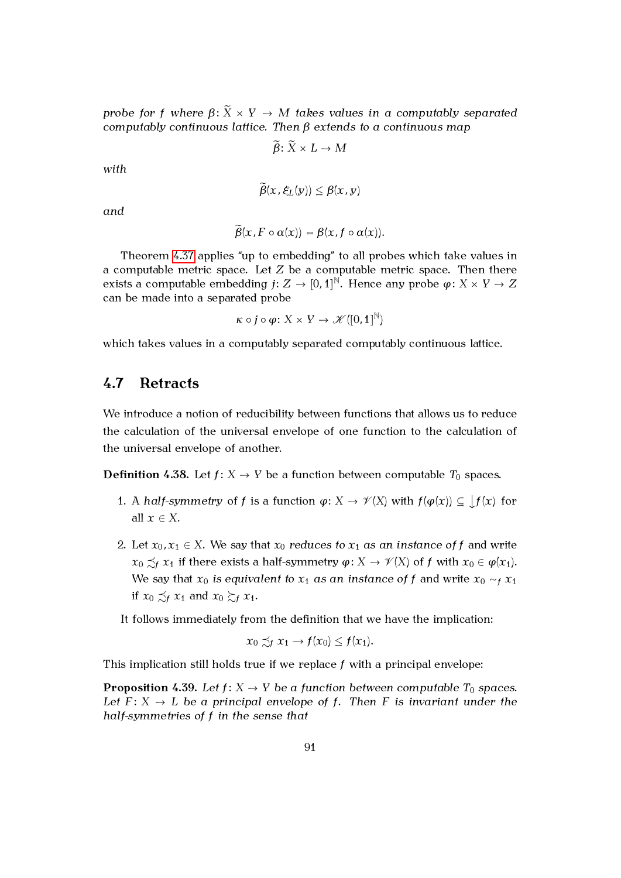*probe for f where*  $\beta: \widetilde{X} \times Y \to M$  *takes values in a computably separated computably continuous lattice. Then β extends to a continuous map*

$$
\widetilde{\beta} \colon \widetilde{X} \times L \to M
$$

*with*

$$
\widetilde{\beta}(x,\xi_L(y)) \leq \beta(x,y)
$$

*and*

$$
\widetilde{\beta}(x,F\circ\alpha(x))=\beta(x,f\circ\alpha(x)).
$$

Theorem [4.37](#page-90-0) applies "up to embedding" to all probes which take values in a computable metric space. Let *Z* be a computable metric space. Then there exists a computable embedding  $j: Z \to [0, 1]^{\mathbb{N}}$ . Hence any probe  $\varphi: X \times Y \to Z$ can be made into a separated probe

$$
\kappa \circ j \circ \varphi \colon X \times Y \to \mathscr{K}([0,1]^{\mathbb{N}})
$$

which takes values in a computably separated computably continuous lattice.

#### **4.7 Retracts**

We introduce a notion of reducibility between functions that allows us to reduce the calculation of the universal envelope of one function to the calculation of the universal envelope of another.

**Definition 4.38.** Let  $f: X \rightarrow Y$  be a function between computable  $T_0$  spaces.

- 1. A *half-symmetry* of *f* is a function  $\varphi: X \to \mathcal{V}(X)$  with  $f(\varphi(x)) \subseteq$  $\int f(x)$  for all  $x \in X$ .
- 2. Let  $x_0, x_1 \in X$ . We say that  $x_0$  *reduces to*  $x_1$  *as an instance of f* and write  $x_0 \preceq_f x_1$  if there exists a half-symmetry  $\varphi: X \to \mathcal{V}(X)$  of *f* with  $x_0 \in \varphi(x_1)$ . We say that  $x_0$  *is equivalent to*  $x_1$  *as an instance of f* and write  $x_0 \sim_f x_1$ if  $x_0 \precsim_f x_1$  and  $x_0 \succeq_f x_1$ .
- It follows immediately from the definition that we have the implication:

$$
x_0 \precsim_f x_1 \to f(x_0) \le f(x_1).
$$

This implication still holds true if we replace *f* with a principal envelope:

<span id="page-91-0"></span>**Proposition 4.39.** Let  $f: X \to Y$  be a function between computable  $T_0$  spaces. *Let*  $F: X \rightarrow L$  *be a principal envelope of f. Then F is invariant under the half-symmetries of f in the sense that*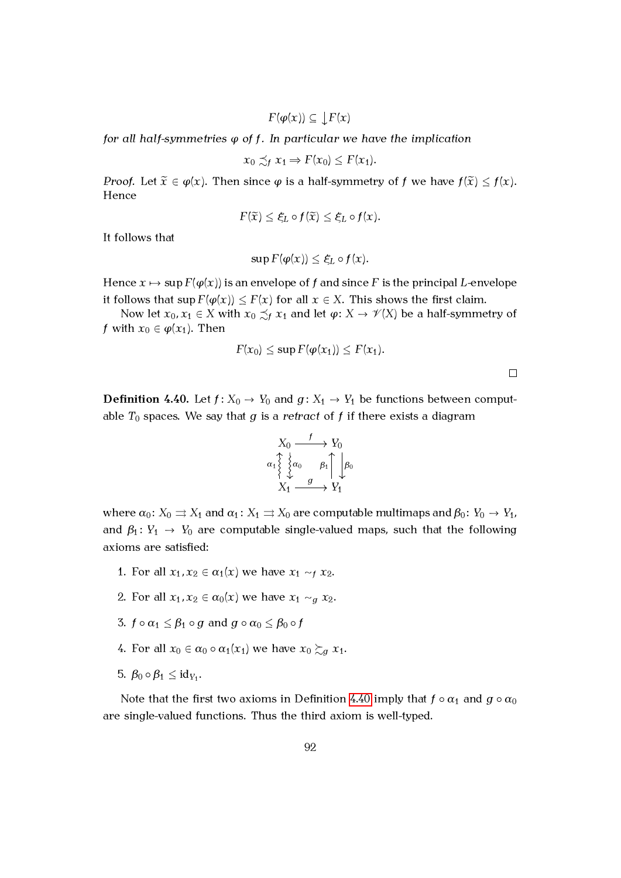$$
F(\varphi(x)) \subseteq \bigcup F(x)
$$

*for all half-symmetries φ of f. In particular we have the implication*

$$
x_0 \precsim_f x_1 \Rightarrow F(x_0) \leq F(x_1).
$$

*Proof.* Let  $\tilde{x} \in \varphi(x)$ . Then since  $\varphi$  is a half-symmetry of *f* we have  $f(\tilde{x}) \le f(x)$ . Hence

$$
F(\widetilde{x}) \leq \xi_L \circ f(\widetilde{x}) \leq \xi_L \circ f(x).
$$

It follows that

$$
\sup F(\varphi(x)) \leq \xi_L \circ f(x).
$$

Hence  $x \mapsto \sup F(\varphi(x))$  is an envelope of f and since F is the principal *L*-envelope it follows that  $\sup F(\varphi(x)) \leq F(x)$  for all  $x \in X$ . This shows the first claim.

Now let  $x_0, x_1 \in X$  with  $x_0 \preceq_f x_1$  and let  $\varphi: X \to \mathcal{V}(X)$  be a half-symmetry of *f* with  $x_0 \in \varphi(x_1)$ . Then

$$
F(x_0) \leq \sup F(\varphi(x_1)) \leq F(x_1).
$$

<span id="page-92-0"></span>**Definition 4.40.** Let  $f: X_0 \to Y_0$  and  $g: X_1 \to Y_1$  be functions between computable  $T_0$  spaces. We say that  $g$  is a *retract* of  $f$  if there exists a diagram



where  $\alpha_0: X_0 \rightrightarrows X_1$  and  $\alpha_1: X_1 \rightrightarrows X_0$  are computable multimaps and  $\beta_0: Y_0 \to Y_1$ , and  $\beta_1: Y_1 \rightarrow Y_0$  are computable single-valued maps, such that the following axioms are satisfied:

- 1. For all  $x_1, x_2 \in \alpha_1(x)$  we have  $x_1 \sim_f x_2$ .
- 2. For all  $x_1, x_2 \in \alpha_0(x)$  we have  $x_1 \sim_g x_2$ .
- 3.  $f \circ \alpha_1 \leq \beta_1 \circ q$  and  $q \circ \alpha_0 \leq \beta_0 \circ f$
- 4. For all  $x_0 \in \alpha_0 \circ \alpha_1(x_1)$  we have  $x_0 \succsim_g x_1$ .
- 5.  $\beta_0 \circ \beta_1 \leq \text{id}_{Y_1}.$

Note that the first two axioms in Definition [4.40](#page-92-0) imply that  $f \circ \alpha_1$  and  $g \circ \alpha_0$ are single-valued functions. Thus the third axiom is well-typed.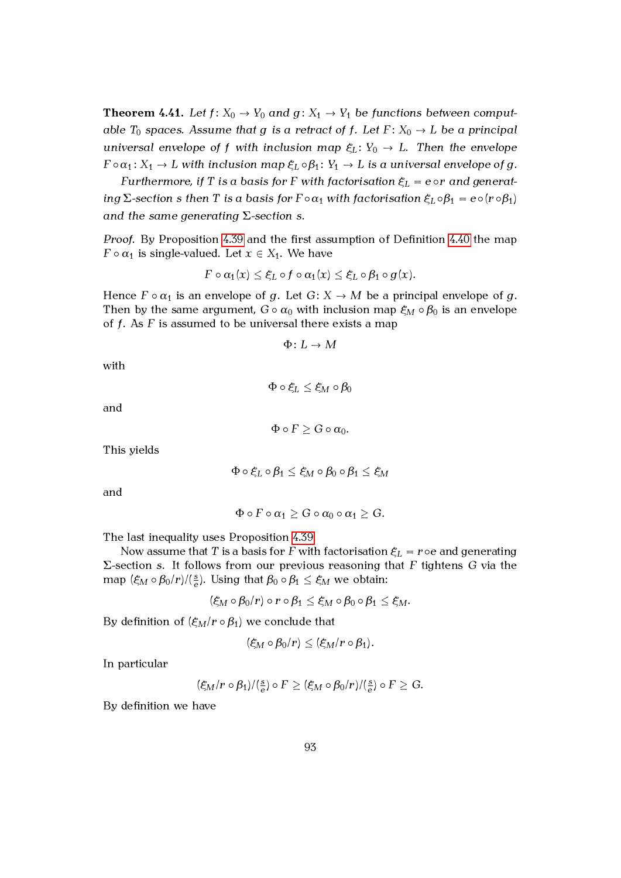**Theorem 4.41.** Let  $f: X_0 \to Y_0$  and  $g: X_1 \to Y_1$  be functions between comput*able*  $T_0$  *spaces. Assume that g is a retract of f.* Let  $F: X_0 \to L$  be a principal *universal envelope of f with inclusion map*  $\xi_L: Y_0 \to L$ . Then the envelope *F*  $\circ \alpha_1: X_1 \to L$  *with inclusion map*  $\xi_L \circ \beta_1: Y_1 \to L$  *is a universal envelope of g.* 

*Furthermore, if T is α basis for F with factorisation*  $ξ$ *L* = *e*◦*r and generating* Σ-section *s* then *T* is a basis for  $F \circ \alpha_1$  with factorisation  $\xi_L \circ \beta_1 = e \circ (r \circ \beta_1)$ *and the same generating* Σ*-section s.*

*Proof.* By Proposition [4.39](#page-91-0) and the first assumption of Definition [4.40](#page-92-0) the map *F*  $\circ$   $\alpha_1$  is single-valued. Let  $x \in X_1$ . We have

$$
F\circ\alpha_1(x)\leq \xi_L\circ f\circ\alpha_1(x)\leq \xi_L\circ\beta_1\circ g(x).
$$

Hence  $F \circ \alpha_1$  is an envelope of g. Let  $G: X \to M$  be a principal envelope of g. Then by the same argument,  $G \circ \alpha_0$  with inclusion map  $\xi_M \circ \beta_0$  is an envelope of *f*. As *F* is assumed to be universal there exists a map

$$
\Phi\colon L\to M
$$

with

Φ *◦ ξ<sup>L</sup> ≤ ξ<sup>M</sup> ◦ β*<sup>0</sup>

and

 $\Phi \circ F \geq G \circ \alpha_0$ .

This yields

$$
\Phi\circ\xi_L\circ\beta_1\leq\xi_M\circ\beta_0\circ\beta_1\leq\xi_M
$$

and

$$
\Phi\circ F\circ \alpha_1\geq G\circ \alpha_0\circ \alpha_1\geq G.
$$

The last inequality uses Proposition [4.39.](#page-91-0)

Now assume that *T* is a basis for *F* with factorisation  $\xi_L$  = *r*∘e and generating Σ-section *s*. It follows from our previous reasoning that *F* tightens *G* via the map  $(\xi_M \circ \beta_0/r)/(\frac{s}{e})$  $\frac{s}{e}$ ). Using that  $β$ <sub>0</sub> ◦  $β$ <sub>1</sub>  $≤$   $ξ$ <sub>*M*</sub> we obtain:

$$
(\xi_M\circ\beta_0/r)\circ r\circ\beta_1\leq\xi_M\circ\beta_0\circ\beta_1\leq\xi_M.
$$

By definition of  $(ξ_M/r ∘ β_1)$  we conclude that

$$
(\xi_M \circ \beta_0/r) \leq (\xi_M/r \circ \beta_1).
$$

In particular

$$
\langle \xi_M/r \circ \beta_1 \rangle / (\frac{s}{e}) \circ F \geq \langle \xi_M \circ \beta_0/r \rangle / (\frac{s}{e}) \circ F \geq G.
$$

By definition we have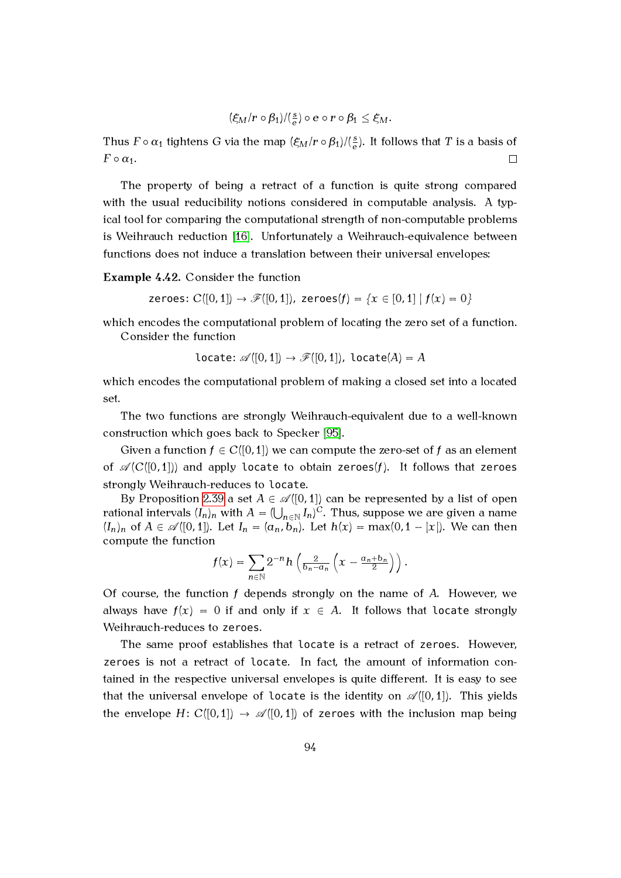$$
(\xi_M/r\circ\beta_1)/(\tfrac{s}{e})\circ e\circ r\circ\beta_1\leq \xi_M.
$$

Thus  $F \circ \alpha_1$  tightens  $G$  via the map  $(\xi_M/r \circ \beta_1) / (\frac{s}{e})$ *e* ). It follows that *T* is a basis of  $F \circ \alpha_1$ .  $\Box$ 

The property of being a retract of a function is quite strong compared with the usual reducibility notions considered in computable analysis. A typical tool for comparing the computational strength of non-computable problems is Weihrauch reduction [\[16\]](#page-120-0). Unfortunately a Weihrauch-equivalence between functions does not induce a translation between their universal envelopes:

**Example 4.42.** Consider the function

$$
\mathsf{zeroes}\colon C([0,1])\to \mathscr{F}([0,1]),\ \mathsf{zeroes}(f)=\{x\in [0,1]\ |\ f(x)=0\}
$$

which encodes the computational problem of locating the zero set of a function. Consider the function

 $locate: \mathscr{A}([0,1]) \rightarrow \mathscr{F}([0,1])$ ,  $locate(A) = A$ 

which encodes the computational problem of making a closed set into a located set.

The two functions are strongly Weihrauch-equivalent due to a well-known construction which goes back to Specker [\[95\]](#page-126-0).

Given a function  $f \in C([0,1])$  we can compute the zero-set of f as an element of  $\mathcal{A}(C([0,1]))$  and apply locate to obtain zeroes(f). It follows that zeroes strongly Weihrauch-reduces to locate.

By Proposition [2.39](#page-31-0) a set  $A \in \mathcal{A}([0,1])$  can be represented by a list of open  $\Delta y$  *E*<sub>1</sub> (b)  $\Delta y$  and  $\Delta z$  ([b, 1]) can be represented by a list of open rational intervals  $(I_n)_n$  with  $A = (\bigcup_{n \in \mathbb{N}} I_n)^C$ . Thus, suppose we are given a name  $(I_n)_n$  of  $A \in \mathcal{A}([0,1])$ . Let  $I_n = (a_n, b_n)$ . Let  $h(x) = \max(0, 1 - |x|)$ . We can then compute the function  $\overline{\phantom{a}}$  $\overline{\phantom{a}}$  $\sqrt{1}$ 

$$
f(x)=\sum_{n\in\mathbb{N}}2^{-n}h\left(\frac{2}{b_n-a_n}\left(x-\frac{a_n+b_n}{2}\right)\right).
$$

Of course, the function *f* depends strongly on the name of *A*. However, we always have  $f(x) = 0$  if and only if  $x \in A$ . It follows that locate strongly Weihrauch-reduces to zeroes.

The same proof establishes that locate is a retract of zeroes. However, zeroes is not a retract of locate. In fact, the amount of information contained in the respective universal envelopes is quite different. It is easy to see that the universal envelope of locate is the identity on  $\mathscr{A}([0,1])$ . This yields the envelope  $H: C([0,1]) \to \mathcal{A}([0,1])$  of zeroes with the inclusion map being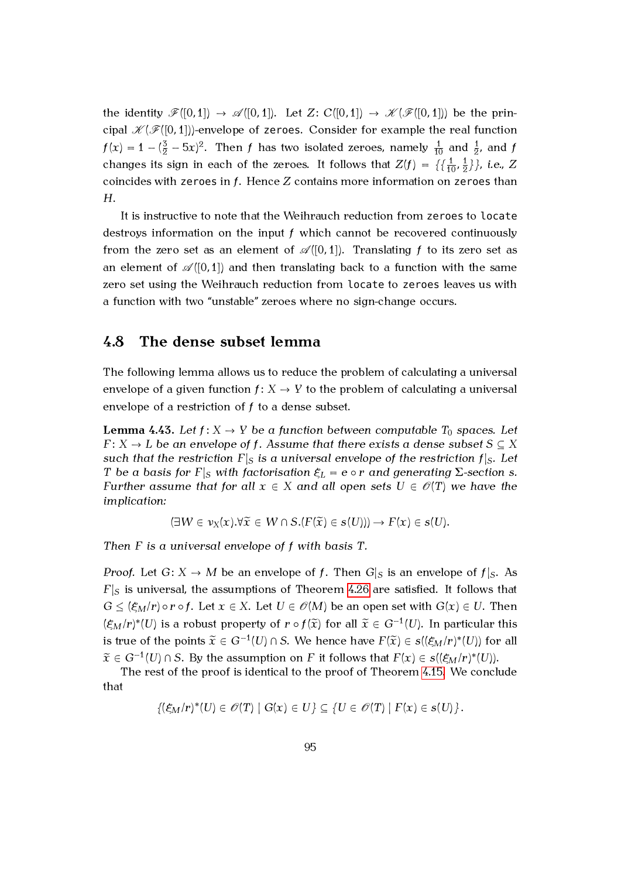the identity  $\mathscr{F}([0,1]) \to \mathscr{A}([0,1])$ . Let  $Z: C([0,1]) \to \mathscr{K}(\mathscr{F}([0,1]))$  be the principal  $\mathscr{K}(\mathscr{F}([0,1]))$ -envelope of zeroes. Consider for example the real function  $f(x) = 1 - (\frac{3}{2} - 5x)^2$ . Then *f* has two isolated zeroes, namely  $\frac{1}{10}$  and  $\frac{1}{2}$ , and *f* changes its sign in each of the zeroes. It follows that  $Z(f) = \{ \{\frac{1}{10}, \frac{1}{2}$ 2 *}}*, *i.e.*, *Z* coincides with zeroes in *f*. Hence *Z* contains more information on zeroes than *H*.

It is instructive to note that the Weihrauch reduction from zeroes to locate destroys information on the input *f* which cannot be recovered continuously from the zero set as an element of  $\mathcal{A}([0,1])$ . Translating f to its zero set as an element of  $\mathscr{A}([0,1])$  and then translating back to a function with the same zero set using the Weihrauch reduction from locate to zeroes leaves us with a function with two "unstable" zeroes where no sign-change occurs.

#### **4.8 The dense subset lemma**

The following lemma allows us to reduce the problem of calculating a universal envelope of a given function  $f: X \to Y$  to the problem of calculating a universal envelope of a restriction of *f* to a dense subset.

<span id="page-95-0"></span>**Lemma 4.43.** Let  $f: X \to Y$  be a function between computable  $T_0$  spaces. Let  $F: X \to L$  be an envelope of f. Assume that there exists a dense subset  $S \subseteq X$ *such that the restriction*  $F|_S$  *is a universal envelope of the restriction*  $f|_S$ *. Let T* be a basis for  $F|_S$  with factorisation  $\xi_L = e \circ r$  and generating  $\Sigma$ -section *s*. *Further assume that for all*  $x \in X$  *and all open sets*  $U \in \mathcal{O}(T)$  *we have the implication:*

 $(\exists W \in \nu_X(x).\forall \tilde{x} \in W \cap S.(F(\tilde{x}) \in s(U))) \rightarrow F(x) \in s(U).$ 

*Then F is a universal envelope of f with basis T.*

*Proof.* Let  $G: X \to M$  be an envelope of *f*. Then  $G|_S$  is an envelope of  $f|_S$ . As *F|<sup>S</sup>* is universal, the assumptions of Theorem [4.26](#page-84-0) are satisfied. It follows that *G* ≤ ( $\xi$ *M*/*r*)  $\circ$  *r*  $\circ$  *f*. Let *x*  $\in$  *X*. Let *U*  $\in$   $\mathcal{O}(M)$  be an open set with  $G(x) \in U$ . Then  $(\xi_M/r)^*(U)$  is a robust property of  $r \circ f(\tilde{x})$  for all  $\tilde{x} \in G^{-1}(U)$ . In particular this is true of the points  $\widetilde{x}\in G^{-1}(U)\cap S.$  We hence have  $F(\widetilde{x})\in s((\xi_M/r)^*(U))$  for all *x* ∈ *G*<sup>−1</sup>(*U*) ∩ *S*. By the assumption on *F* it follows that  $F(x) ∈ s((\xi_M/r)^*(U)).$ 

The rest of the proof is identical to the proof of Theorem [4.15.](#page-78-0) We conclude that

$$
\{(\xi_M/r)^*(U)\in \mathscr{O}(T)\mid G(x)\in U\}\subseteq \{U\in \mathscr{O}(T)\mid F(x)\in s(U)\}.
$$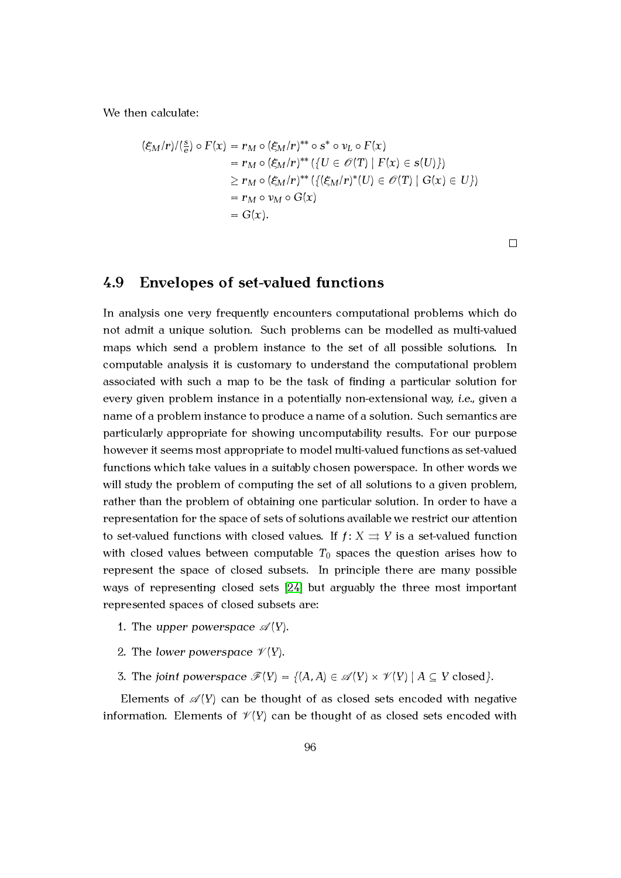We then calculate:

$$
\langle \xi_M/r \rangle / \langle \frac{s}{e} \rangle \circ F(x) = r_M \circ \langle \xi_M/r \rangle^{**} \circ s^* \circ \nu_L \circ F(x)
$$
  
=  $r_M \circ \langle \xi_M/r \rangle^{**} \langle \{ U \in \mathcal{O}(T) \mid F(x) \in s(U) \} \rangle$   
 $\ge r_M \circ \langle \xi_M/r \rangle^{**} \langle \{ \langle \xi_M/r \rangle^{*}(U) \in \mathcal{O}(T) \mid G(x) \in U \} \rangle$   
=  $r_M \circ \nu_M \circ G(x)$   
=  $G(x)$ .

 $\Box$ 

#### **4.9 Envelopes of set-valued functions**

In analysis one very frequently encounters computational problems which do not admit a unique solution. Such problems can be modelled as multi-valued maps which send a problem instance to the set of all possible solutions. In computable analysis it is customary to understand the computational problem associated with such a map to be the task of finding a particular solution for every given problem instance in a potentially non-extensional way, *i.e.*, given a name of a problem instance to produce a name of a solution. Such semantics are particularly appropriate for showing uncomputability results. For our purpose however it seems most appropriate to model multi-valued functions as set-valued functions which take values in a suitably chosen powerspace. In other words we will study the problem of computing the set of all solutions to a given problem, rather than the problem of obtaining one particular solution. In order to have a representation for the space of sets of solutions available we restrict our attention to set-valued functions with closed values. If  $f: X \rightrightarrows Y$  is a set-valued function with closed values between computable  $T_0$  spaces the question arises how to represent the space of closed subsets. In principle there are many possible ways of representing closed sets [\[24\]](#page-121-1) but arguably the three most important represented spaces of closed subsets are:

- 1. The *upper powerspace*  $\mathcal{A}(Y)$ .
- 2. The *lower powerspace*  $\mathcal{V}(Y)$ .
- 3. The *joint powerspace*  $\mathscr{F}(Y) = \{(A, A) \in \mathscr{A}(Y) \times \mathscr{V}(Y) \mid A \subseteq Y \text{ closed}\}.$

Elements of  $\mathcal{A}(Y)$  can be thought of as closed sets encoded with negative information. Elements of  $\mathcal{V}(Y)$  can be thought of as closed sets encoded with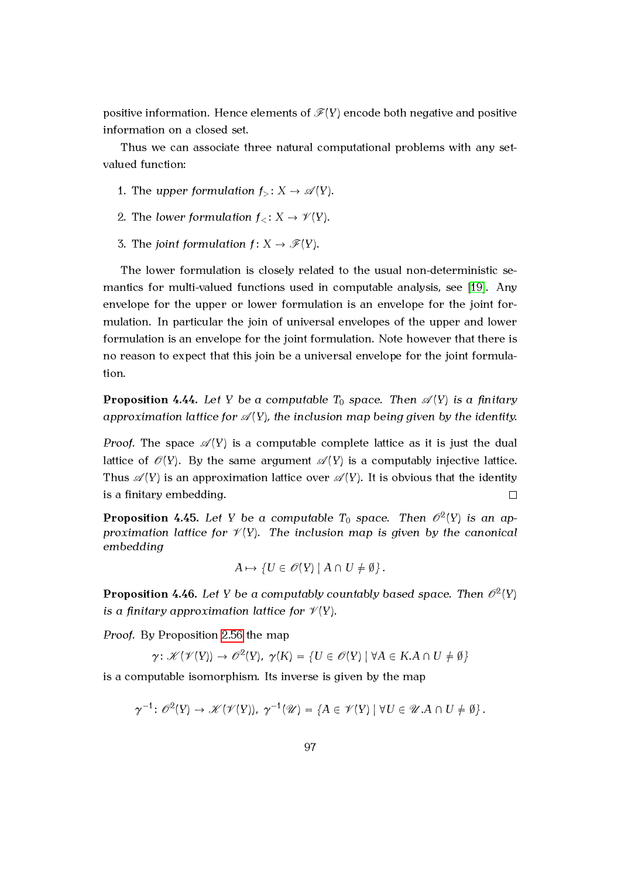positive information. Hence elements of  $\mathscr{F}(Y)$  encode both negative and positive information on a closed set.

Thus we can associate three natural computational problems with any setvalued function:

- 1. The *upper formulation*  $f_>: X \to \mathcal{A}(Y)$ .
- 2. The *lower formulation*  $f_{\leq}$ :  $X \to \mathcal{V}(Y)$ .
- 3. The *joint formulation*  $f: X \to \mathcal{F}(Y)$ .

The lower formulation is closely related to the usual non-deterministic semantics for multi-valued functions used in computable analysis, see [\[19\]](#page-120-1). Any envelope for the upper or lower formulation is an envelope for the joint formulation. In particular the join of universal envelopes of the upper and lower formulation is an envelope for the joint formulation. Note however that there is no reason to expect that this join be a universal envelope for the joint formulation.

**Proposition 4.44.** Let Y be a computable  $T_0$  space. Then  $\mathscr{A}(Y)$  is a finitary approximation lattice for  $\mathcal{A}(Y)$ , the inclusion map being given by the identity.

*Proof.* The space  $\mathcal{A}(Y)$  is a computable complete lattice as it is just the dual lattice of  $\mathcal{O}(Y)$ . By the same argument  $\mathcal{A}(Y)$  is a computably injective lattice. Thus  $\mathscr{A}(Y)$  is an approximation lattice over  $\mathscr{A}(Y)$ . It is obvious that the identity is a finitary embedding.  $\Box$ 

**Proposition 4.45.** Let Y be a computable  $T_0$  space. Then  $\mathcal{O}^2(Y)$  is an ap*proximation lattice for*  $\mathcal{V}(Y)$ *. The inclusion map is given by the canonical embedding*

$$
A \mapsto \{ U \in \mathscr{O}(Y) \mid A \cap U \neq \emptyset \}.
$$

<span id="page-97-0"></span>**Proposition 4.46.** Let Y be a computably countably based space. Then  $\mathscr{O}^2(Y)$ *is a finitary approximation lattice for*  $\mathcal{V}(Y)$ *.* 

*Proof.* By Proposition [2.56](#page-44-0) the map

$$
\gamma\colon \mathscr{K}(\mathscr{V}(\mathrm{Y})) \to \mathscr{O}^2(\mathrm{Y}), \ \gamma(K) = \{U \in \mathscr{O}(\mathrm{Y}) \ | \ \forall A \in K.A \cap U \neq \emptyset\}
$$

is a computable isomorphism. Its inverse is given by the map

$$
\gamma^{-1}\colon \mathscr{O}^2(Y)\to \mathscr{K}(\mathscr{V}(Y)),\,\, \gamma^{-1}(\mathscr{U})=\{A\in \mathscr{V}(Y)\mid \forall U\in \mathscr{U}. A\cap U\neq \emptyset\}\,.
$$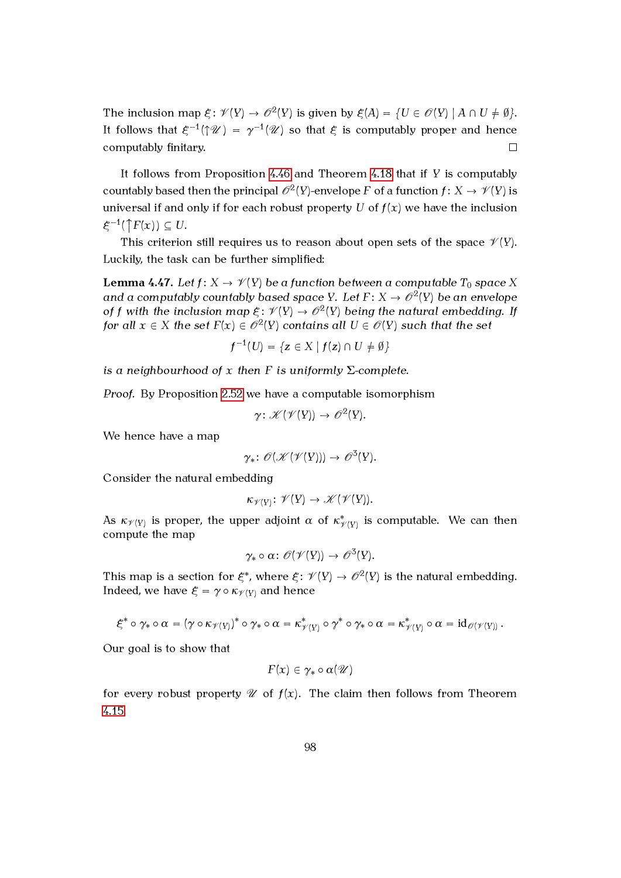The inclusion map  $\xi \colon \mathscr{V}(Y) \to \mathscr{O}^2(Y)$  is given by  $\xi(A) = \{U \in \mathscr{O}(Y) \mid A \cap U \neq \emptyset\}.$ It follows that  $\xi^{-1}(\uparrow \mathscr{U}) = \gamma^{-1}(\mathscr{U})$  so that  $\xi$  is computably proper and hence computably finitary.  $\Box$ 

It follows from Proposition [4.46](#page-97-0) and Theorem [4.18](#page-79-1) that if *Y* is computably countably based then the principal  $\mathscr{O}^2(Y)$ -envelope  $F$  of a function  $f\colon X\to \mathscr{V}(Y)$  is universal if and only if for each robust property *U* of  $f(x)$  we have the inclusion *ξ −*1 (  $\uparrow$ *F*(*x*)) ⊆ *U*.

This criterion still requires us to reason about open sets of the space  $\mathcal{V}(Y)$ . Luckily, the task can be further simplified:

<span id="page-98-0"></span>**Lemma 4.47.** Let  $f: X \to \mathcal{V}(Y)$  be a function between a computable  $T_0$  space X *and a computably countably based space Y. Let*  $F: X \to \mathscr{O}^2(Y)$  *be an envelope of f with the inclusion map*  $\xi \colon \mathscr{V}(Y) \to \mathscr{O}^2(Y)$  *bei<i>ng the natural embedding. If for all*  $x \in X$  *the set*  $F(x) \in \mathscr{O}^2(Y)$  *contains all*  $U \in \mathscr{O}(Y)$  *such that the set* 

$$
f^{-1}(U) = \{ z \in X \mid f(z) \cap U \neq \emptyset \}
$$

*is a neighbourhood of x then F is uniformly* Σ*-complete.*

*Proof.* By Proposition [2.52](#page-40-0) we have a computable isomorphism

$$
\gamma\colon \mathscr{K}(\mathscr{V}(Y)) \to \mathscr{O}^2(Y).
$$

We hence have a map

$$
\gamma_*\colon \mathscr{O}(\mathscr{K}(\mathscr{V}(Y))) \to \mathscr{O}^3(Y).
$$

Consider the natural embedding

$$
\kappa_{\mathscr{V}(Y)}\colon \mathscr{V}(Y)\to \mathscr{K}(\mathscr{V}(Y)).
$$

As  $\kappa_{\mathscr{V}(Y)}$  is proper, the upper adjoint  $\alpha$  of  $\kappa_{\mathscr{V}(Y)}^*$  is computable. We can then compute the map

$$
\gamma_* \circ \alpha \colon \mathscr{O}(\mathscr{V}(Y)) \to \mathscr{O}^3(Y).
$$

This map is a section for  $\xi^*$ , where  $\xi \colon \mathscr{V}(Y) \to \mathscr{O}^2(Y)$  is the natural embedding. Indeed, we have  $\xi = \gamma \circ \kappa_{\gamma(Y)}$  and hence

$$
\xi^*\circ\gamma_*\circ\alpha=(\gamma\circ\kappa_{\mathscr{V}(Y)})^*\circ\gamma_*\circ\alpha=\kappa_{\mathscr{V}(Y)}^*\circ\gamma^*\circ\gamma_*\circ\alpha=\kappa_{\mathscr{V}(Y)}^*\circ\alpha=\text{id}_{\mathscr{O}(\mathscr{V}(Y))}.
$$

Our goal is to show that

$$
F(x) \in \gamma_* \circ \alpha(\mathscr{U})
$$

for every robust property  $\mathscr U$  of  $f(x)$ . The claim then follows from Theorem [4.15.](#page-78-0)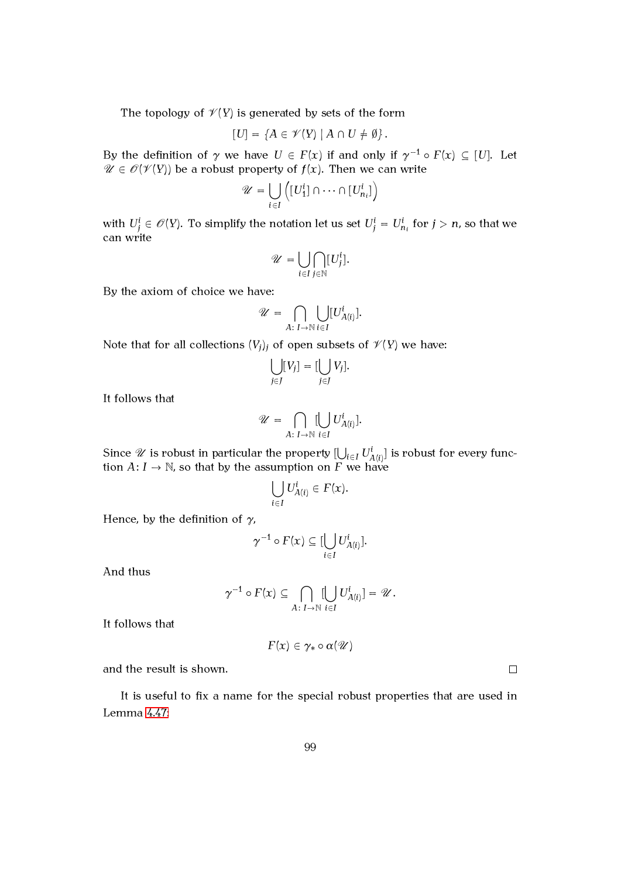The topology of  $\mathcal{V}(Y)$  is generated by sets of the form

$$
[U] = \{A \in \mathscr{V}(Y) \mid A \cap U \neq \emptyset\}.
$$

By the definition of  $\gamma$  we have  $U \in F(x)$  if and only if  $\gamma^{-1} \circ F(x) \subseteq [U]$ . Let  $\mathscr{U} \in \mathscr{O}(\mathscr{V}(Y))$  be a robust property of  $f(x)$ . Then we can write

$$
\mathscr{U} = \bigcup_{i \in I} \left( [U_1^i] \cap \cdots \cap [U_{n_i}^i] \right)
$$

with  $U_j^i \in \mathcal{O}(Y)$ . To simplify the notation let us set  $U_j^i = U_{n_i}^i$  for  $j > n$ , so that we can write

$$
\mathscr{U} = \bigcup_{i \in I} \bigcap_{j \in \mathbb{N}} [U_j^i].
$$

By the axiom of choice we have:

$$
\mathscr{U} = \bigcap_{A: I \to \mathbb{N}} \bigcup_{i \in I} [U^i_{A(i)}].
$$

Note that for all collections  $(V_j)_j$  of open subsets of  $\mathscr{V}(Y)$  we have:

$$
\bigcup_{j\in J}[V_j]=[\bigcup_{j\in J}V_j].
$$

It follows that

$$
\mathscr{U} = \bigcap_{A \colon I \to \mathbb{N}} \bigl[ \bigcup_{i \in I} U_{A(i)}^i \bigr].
$$

Since  $\mathscr U$  is robust in particular the property [ S  $\mathcal{V}_{A(i)}^{i}$ ] is robust for every function  $A: I \to \mathbb{N}$ , so that by the assumption on  $\overline{F}$  we have

$$
\bigcup_{i\in I}U^i_{A(i)}\in F(x).
$$

Hence, by the definition of *γ*,

$$
\gamma^{-1}\circ F(x)\subseteq[\bigcup_{i\in I}U^i_{A(i)}].
$$

And thus

$$
\gamma^{-1}\circ F(x)\subseteq \bigcap_{A\colon I\to\mathbb{N}}\left[\bigcup_{i\in I}U_{A(i)}^i\right]=\mathscr{U}.
$$

It follows that

$$
F(x) \in \gamma_* \circ \alpha(\mathscr{U})
$$

and the result is shown.

It is useful to fix a name for the special robust properties that are used in Lemma [4.47:](#page-98-0)

 $\Box$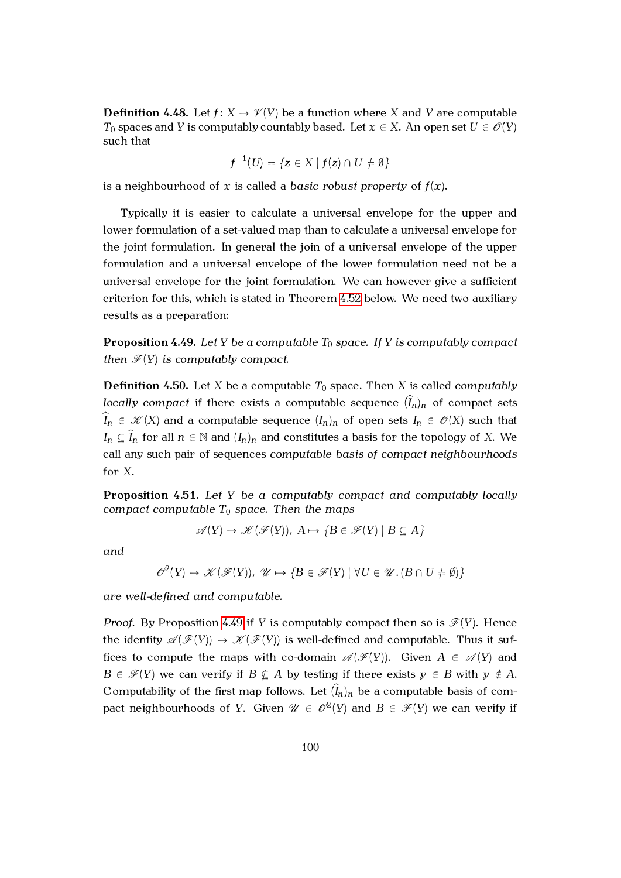**Definition 4.48.** Let  $f: X \to \mathcal{V}(Y)$  be a function where X and Y are computable *T*<sub>0</sub> spaces and *Y* is computably countably based. Let  $x \in X$ . An open set  $U \in \mathcal{O}(Y)$ such that

$$
f^{-1}(U) = \{ z \in X \mid f(z) \cap U \neq \emptyset \}
$$

is a neighbourhood of *x* is called a *basic robust property* of *f*(*x*).

Typically it is easier to calculate a universal envelope for the upper and lower formulation of a set-valued map than to calculate a universal envelope for the joint formulation. In general the join of a universal envelope of the upper formulation and a universal envelope of the lower formulation need not be a universal envelope for the joint formulation. We can however give a sufficient criterion for this, which is stated in Theorem [4.52](#page-101-0) below. We need two auxiliary results as a preparation:

<span id="page-100-0"></span>**Proposition 4.49.** *Let Y be a computable T*<sup>0</sup> *space. If Y is computably compact then*  $\mathcal{F}(Y)$  *is computably compact.* 

**Definition 4.50.** Let *X* be a computable *T*<sup>0</sup> space. Then *X* is called *computably locally compact* if there exists a computable sequence  $(\hat{I}_n)_n$  of compact sets  $\widehat{I}_n \in \mathscr{K}(X)$  and a computable sequence  $(I_n)_n$  of open sets  $I_n \in \mathscr{O}(X)$  such that  $I_n \subseteq I_n$  for all  $n \in \mathbb{N}$  and  $(I_n)_n$  and constitutes a basis for the topology of *X*. We call any such pair of sequences *computable basis of compact neighbourhoods* for *X*.

<span id="page-100-1"></span>**Proposition 4.51.** *Let Y be a computably compact and computably locally compact computable*  $T_0$  *space. Then the maps* 

$$
\mathscr{A}(Y) \to \mathscr{K}(\mathscr{F}(Y)), A \mapsto \{B \in \mathscr{F}(Y) \mid B \subseteq A\}
$$

*and*

$$
\mathscr{O}^{2}(Y) \to \mathscr{K}(\mathscr{F}(Y)), \ \mathscr{U} \mapsto \{B \in \mathscr{F}(Y) \mid \forall U \in \mathscr{U}. \ (B \cap U \neq \emptyset)\}
$$

*are well-defined and computable.*

*Proof.* By Proposition [4.49](#page-100-0) if *Y* is computably compact then so is  $\mathcal{F}(Y)$ . Hence the identity  $\mathscr{A}(\mathscr{F}(Y)) \to \mathscr{K}(\mathscr{F}(Y))$  is well-defined and computable. Thus it suffices to compute the maps with co-domain  $\mathscr{A}(\mathscr{F}(Y))$ . Given  $A \in \mathscr{A}(Y)$  and  $B \in \mathcal{F}(Y)$  we can verify if  $B \nsubseteq A$  by testing if there exists  $y \in B$  with  $y \notin A$ . Computability of the first map follows. Let  $(\hat{I}_n)_n$  be a computable basis of compact neighbourhoods of *Y*. Given  $\mathscr{U} \in \mathscr{O}^2(Y)$  and  $B \in \mathscr{F}(Y)$  we can verify if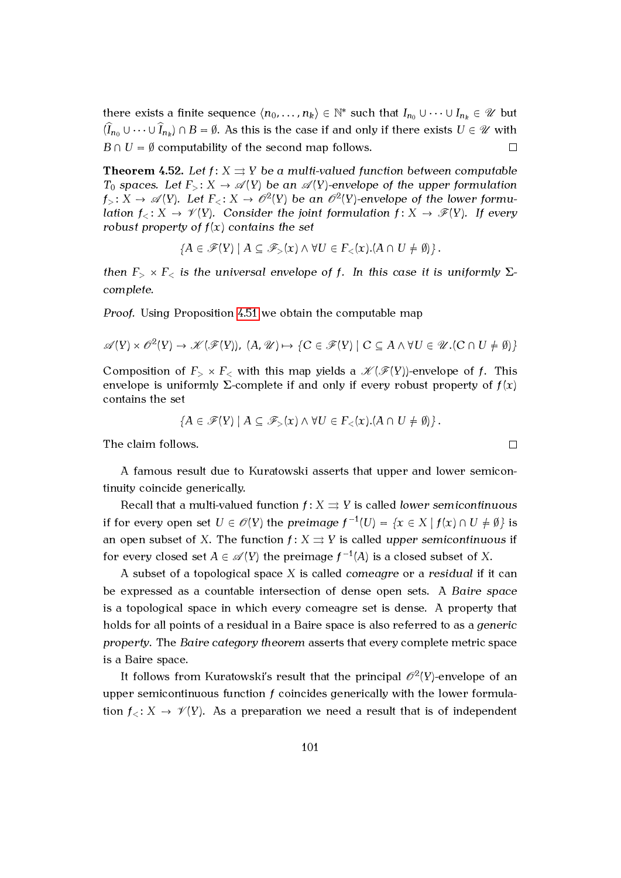there exists a finite sequence  $\langle n_0, \ldots, n_k \rangle \in \mathbb{N}^*$  such that  $I_{n_0} \cup \cdots \cup I_{n_k} \in \mathscr{U}$  but  $(\widehat{l}_{n_0}\cup\cdots\cup\widehat{l}_{n_k})\cap B=\emptyset.$  As this is the case if and only if there exists  $U\in\mathscr{U}$  with  $B \cap U = \emptyset$  computability of the second map follows.  $\Box$ 

<span id="page-101-0"></span>**Theorem 4.52.** *Let*  $f: X \rightrightarrows Y$  *be a multi-valued function between computable T*<sub>0</sub> *spaces.* Let  $F$ <sub>></sub> :  $X \rightarrow \mathcal{A}(Y)$  be an  $\mathcal{A}(Y)$ -envelope of the upper formulation  $f_> \colon X \to \mathscr{A}(Y)$ *. Let*  $F_< \colon X \to \mathscr{O}^2(Y)$  be an  $\mathscr{O}^2(Y)$ -envelope of the lower formu*lation*  $f_{\leq}$ :  $X \to \mathcal{V}(Y)$ *. Consider the joint formulation*  $f: X \to \mathcal{F}(Y)$ *. If every robust property of*  $f(x)$  *contains the set* 

$$
\{A\in\mathscr{F}(Y)\mid A\subseteq\mathscr{F}_{>}(\mathbf{x})\wedge\forall U\in F_{<}(\mathbf{x}).(A\cap U\neq\emptyset)\}.
$$

*then*  $F_{>} \times F_{<}$  *is the universal envelope of f. In this case it is uniformly*  $\Sigma$ *complete.*

*Proof.* Using Proposition [4.51](#page-100-1) we obtain the computable map

$$
\mathscr{A}(Y) \times \mathscr{O}^2(Y) \to \mathscr{K}(\mathscr{F}(Y)), (A, \mathscr{U}) \mapsto \{C \in \mathscr{F}(Y) \mid C \subseteq A \wedge \forall U \in \mathscr{U}. (C \cap U \neq \emptyset) \}
$$

Composition of  $F$ <sup>*>*</sup>  $\times$   $F$ <sub> $\lt$ </sub> with this map yields a  $\mathcal{K}(\mathcal{F}(Y))$ -envelope of *f*. This envelope is uniformly  $\Sigma$ -complete if and only if every robust property of  $f(x)$ contains the set

$$
\{A\in\mathscr{F}(Y)\mid A\subseteq\mathscr{F}_{>}(\mathbf{x})\land\forall U\in F_{<}(\mathbf{x}).(A\cap U\neq\emptyset)\}.
$$

 $\Box$ 

The claim follows.

A famous result due to Kuratowski asserts that upper and lower semicontinuity coincide generically.

Recall that a multi-valued function  $f: X \rightrightarrows Y$  is called *lower semicontinuous* if for every open set  $U \in \mathcal{O}(Y)$  the *preimage*  $f^{-1}(U) = \{x \in X \mid f(x) \cap U \neq \emptyset\}$  is an open subset of *X*. The function  $f: X \rightrightarrows Y$  is called *upper semicontinuous* if for every closed set  $A \in \mathscr{A}(Y)$  the preimage  $f^{-1}(A)$  is a closed subset of  $X$ .

A subset of a topological space *X* is called *comeagre* or a *residual* if it can be expressed as a countable intersection of dense open sets. A *Baire space* is a topological space in which every comeagre set is dense. A property that holds for all points of a residual in a Baire space is also referred to as a *generic property*. The *Baire category theorem* asserts that every complete metric space is a Baire space.

It follows from Kuratowski's result that the principal  $\mathscr{O}^2(Y)$ -envelope of an upper semicontinuous function *f* coincides generically with the lower formulation  $f_{\leq}$ :  $X \to \mathcal{V}(Y)$ . As a preparation we need a result that is of independent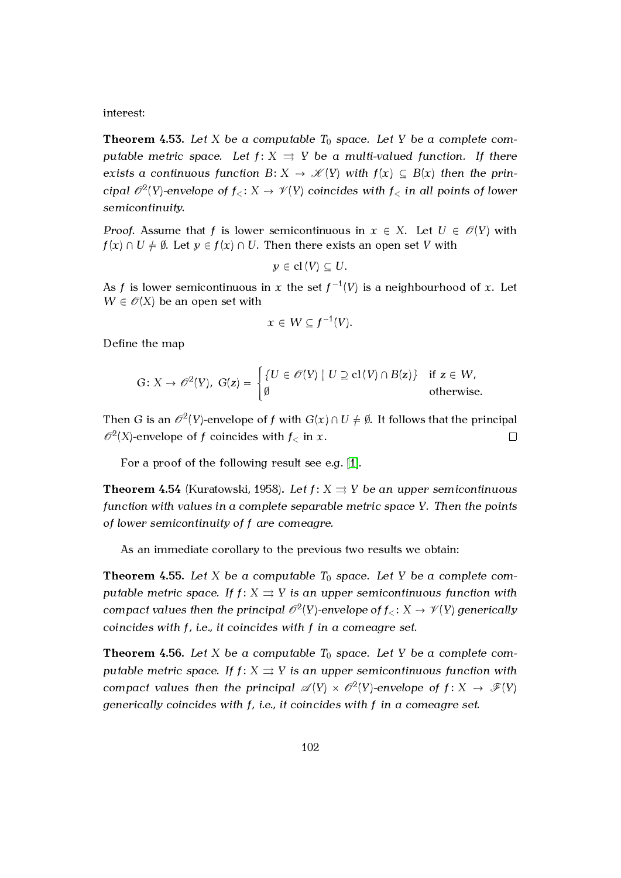interest:

**Theorem 4.53.** Let *X* be a computable  $T_0$  space. Let *Y* be a complete com*putable metric space.* Let  $f: X \implies Y$  be a multi-valued function. If there *exists a continuous function*  $B: X \to \mathcal{K}(Y)$  *with*  $f(x) \subseteq B(x)$  *then the principal*  $\mathscr{O}^2(Y)$ -envelope of  $f_{\leq}: X \to \mathscr{V}(Y)$  coincides with  $f_{\leq}$  in all points of lower *semicontinuity.*

*Proof.* Assume that *f* is lower semicontinuous in  $x \in X$ . Let  $U \in \mathcal{O}(Y)$  with *f*(*x*) ∩ *U*  $\neq$  Ø. Let  $y \in f(x)$  ∩ *U*. Then there exists an open set *V* with

$$
y\in\mathrm{cl}\,(V)\subseteq U.
$$

As *f* is lower semicontinuous in  $x$  the set  $f^{-1}(V)$  is a neighbourhood of  $x$ . Let  $W \in \mathcal{O}(X)$  be an open set with

$$
x\in W\subseteq f^{-1}(V).
$$

Define the map

$$
G\colon X\to \mathscr{O}^2(Y),\ G(z)=\begin{cases} \{U\in \mathscr{O}(Y)\mid U\supseteq \mathrm{cl}\,(V)\cap B(z)\} & \text{if } z\in W, \\ \emptyset & \text{otherwise.} \end{cases}
$$

Then *G* is an  $\mathscr{O}^2(Y)$ -envelope of  $f$  with  $G(x) \cap U \neq \emptyset$ . It follows that the principal  $\mathscr{O}^2(X)$ -envelope of *f* coincides with  $f_<$  in *x*.  $\Box$ 

For a proof of the following result see e.g. [\[1\]](#page-119-0).

**Theorem 4.54** (Kuratowski, 1958). Let  $f: X \rightrightarrows Y$  be an upper semicontinuous *function with values in a complete separable metric space Y. Then the points of lower semicontinuity of f are comeagre.*

As an immediate corollary to the previous two results we obtain:

**Theorem 4.55.** Let *X* be a computable  $T_0$  space. Let *Y* be a complete com*putable metric space. If*  $f: X \rightrightarrows Y$  *is an upper semicontinuous function with*  $\emph{compact values}$  then the principal  $\mathscr{O}^2(Y)$ -envelope of  $f_< \colon X \to \mathscr{V}(Y)$  generically *coincides with f, i.e., it coincides with f in a comeagre set.*

**Theorem 4.56.** Let *X* be a computable  $T_0$  space. Let *Y* be a complete com*putable metric space. If*  $f: X \rightrightarrows Y$  *is an upper semicontinuous function with compact values then the principal*  $\mathscr{A}(Y) \times \mathscr{O}^2(Y)$ -envelope of  $f: X \to \mathscr{F}(Y)$ *generically coincides with f, i.e., it coincides with f in a comeagre set.*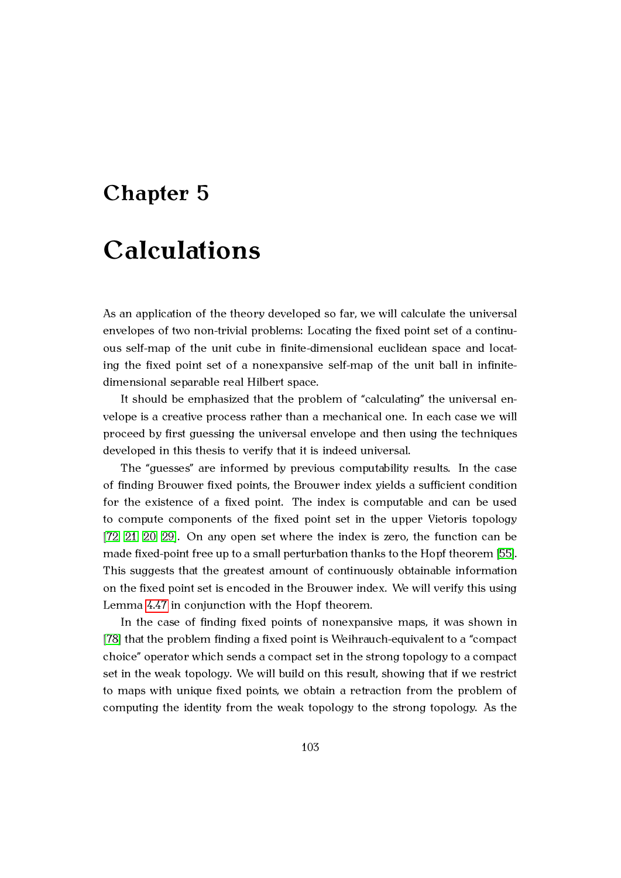## **Chapter 5**

# **Calculations**

As an application of the theory developed so far, we will calculate the universal envelopes of two non-trivial problems: Locating the fixed point set of a continuous self-map of the unit cube in finite-dimensional euclidean space and locating the fixed point set of a nonexpansive self-map of the unit ball in infinitedimensional separable real Hilbert space.

It should be emphasized that the problem of "calculating" the universal envelope is a creative process rather than a mechanical one. In each case we will proceed by first guessing the universal envelope and then using the techniques developed in this thesis to verify that it is indeed universal.

The "guesses" are informed by previous computability results. In the case of finding Brouwer fixed points, the Brouwer index yields a sufficient condition for the existence of a fixed point. The index is computable and can be used to compute components of the fixed point set in the upper Vietoris topology [\[72,](#page-124-0) [21,](#page-120-2) [20,](#page-120-3) [29\]](#page-121-2). On any open set where the index is zero, the function can be made fixed-point free up to a small perturbation thanks to the Hopf theorem [\[55\]](#page-123-0). This suggests that the greatest amount of continuously obtainable information on the fixed point set is encoded in the Brouwer index. We will verify this using Lemma [4.47](#page-98-0) in conjunction with the Hopf theorem.

In the case of finding fixed points of nonexpansive maps, it was shown in [\[78\]](#page-125-0) that the problem finding a fixed point is Weihrauch-equivalent to a "compact choice" operator which sends a compact set in the strong topology to a compact set in the weak topology. We will build on this result, showing that if we restrict to maps with unique fixed points, we obtain a retraction from the problem of computing the identity from the weak topology to the strong topology. As the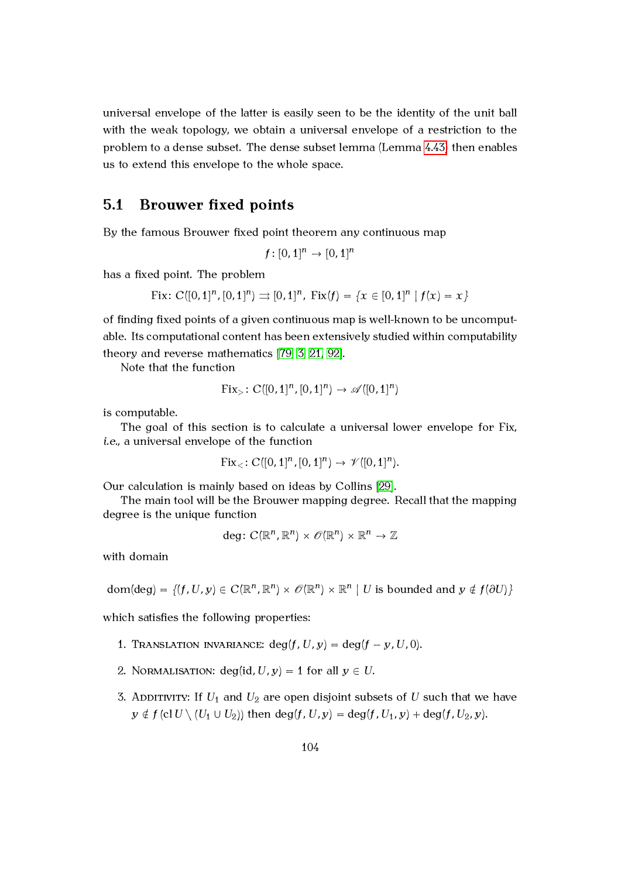universal envelope of the latter is easily seen to be the identity of the unit ball with the weak topology, we obtain a universal envelope of a restriction to the problem to a dense subset. The dense subset lemma (Lemma [4.43\)](#page-95-0) then enables us to extend this envelope to the whole space.

#### **5.1 Brouwer fixed points**

By the famous Brouwer fixed point theorem any continuous map

$$
f: [0, 1]^n \to [0, 1]^n
$$

has a fixed point. The problem

Fix: 
$$
C([0,1]^n, [0,1]^n) \rightrightarrows [0,1]^n
$$
, Fix $(f) = \{x \in [0,1]^n | f(x) = x\}$ 

of finding fixed points of a given continuous map is well-known to be uncomputable. Its computational content has been extensively studied within computability theory and reverse mathematics [\[79,](#page-125-1) [3,](#page-119-1) [21,](#page-120-2) [92\]](#page-126-1).

Note that the function

Fix<sub>></sub>: 
$$
C([0,1]^n, [0,1]^n) \to \mathscr{A}([0,1]^n)
$$

is computable.

The goal of this section is to calculate a universal lower envelope for Fix, *i.e.*, a universal envelope of the function

Fix<sub><</sub>: 
$$
C([0,1]^n, [0,1]^n) \rightarrow \mathcal{V}([0,1]^n)
$$
.

Our calculation is mainly based on ideas by Collins [\[29\]](#page-121-2).

The main tool will be the Brouwer mapping degree. Recall that the mapping degree is the unique function

$$
\deg\colon C(\mathbb{R}^n,\mathbb{R}^n)\times\mathscr{O}(\mathbb{R}^n)\times\mathbb{R}^n\to\mathbb{Z}
$$

with domain

 $\text{dom}(\text{deg}) = \{(f, U, y) \in C(\mathbb{R}^n, \mathbb{R}^n) \times \mathscr{O}(\mathbb{R}^n) \times \mathbb{R}^n \mid U \text{ is bounded and } y \notin f(\partial U)\}$ 

which satisfies the following properties:

- 1. TRANSLATION INVARIANCE:  $deg(f, U, y) = deg(f y, U, 0)$ .
- 2. NORMALISATION:  $deg(id, U, y) = 1$  for all  $y \in U$ .
- 3. ADDITIVITY: If  $U_1$  and  $U_2$  are open disjoint subsets of  $U$  such that we have  $y \notin f$  (cl  $U \setminus (U_1 \cup U_2)$ ) then deg(*f, U, y*) = deg(*f, U<sub>1</sub>, y*) + deg(*f, U<sub>2</sub>, y*).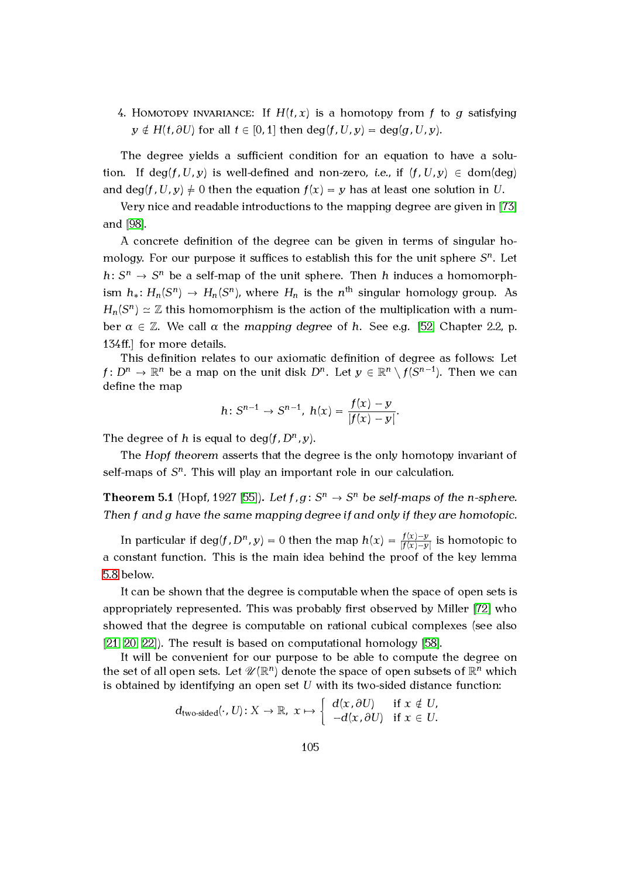4. HOMOTOPY INVARIANCE: If  $H(t, x)$  is a homotopy from f to g satisfying *y* ∉ *H*(*t*,  $\partial U$ ) for all *t* ∈ [0, 1] then deg(*f*, *U*, *y*) = deg(*g*, *U*, *y*).

The degree yields a sufficient condition for an equation to have a solution. If deg( $f, U, y$ ) is well-defined and non-zero, *i.e.*, if  $(f, U, y) \in \text{dom}(\text{deg})$ and deg(*f*, *U*, *y*)  $\neq$  0 then the equation  $f(x) = y$  has at least one solution in *U*.

Very nice and readable introductions to the mapping degree are given in [\[73\]](#page-124-1) and [\[98\]](#page-126-2).

A concrete definition of the degree can be given in terms of singular homology. For our purpose it suffices to establish this for the unit sphere *S n* . Let  $h: S^n \to S^n$  be a self-map of the unit sphere. Then *h* induces a homomorphism  $h_*\colon H_n(S^n) \to H_n(S^n)$ , where  $H_n$  is the  $n^{\text{th}}$  singular homology group. As  $H_n(S^n) \simeq \mathbb{Z}$  this homomorphism is the action of the multiplication with a number  $\alpha \in \mathbb{Z}$ . We call  $\alpha$  the *mapping degree* of h. See e.g. [\[52,](#page-123-1) Chapter 2.2, p. 134ff.] for more details.

This definition relates to our axiomatic definition of degree as follows: Let *f* : *D*<sup>*n*</sup> →  $\mathbb{R}^n$  be a map on the unit disk *D*<sup>*n*</sup>. Let *y* ∈  $\mathbb{R}^n \setminus f(S^{n-1})$ . Then we can define the map

$$
h\colon S^{n-1}\to S^{n-1},\ h(x)=\frac{f(x)-y}{|f(x)-y|}.
$$

The degree of *h* is equal to  $deg(f, D^n, y)$ .

The *Hopf theorem* asserts that the degree is the only homotopy invariant of self-maps of  $S<sup>n</sup>$ . This will play an important role in our calculation.

**Theorem 5.1** (Hopf, 1927 [\[55\]](#page-123-0)). Let  $f, g: S^n \to S^n$  be self-maps of the *n*-sphere. *Then f and g have the same mapping degree if and only if they are homotopic.*

In particular if  $deg(f, D^n, y) = 0$  then the map  $h(x) = \frac{f(x)-y}{|f(x)-y|}$  is homotopic to a constant function. This is the main idea behind the proof of the key lemma [5.8](#page-108-0) below.

It can be shown that the degree is computable when the space of open sets is appropriately represented. This was probably first observed by Miller [\[72\]](#page-124-0) who showed that the degree is computable on rational cubical complexes (see also [\[21,](#page-120-2) [20,](#page-120-3) [22\]](#page-121-3)). The result is based on computational homology [\[58\]](#page-123-2).

It will be convenient for our purpose to be able to compute the degree on the set of all open sets. Let  $\mathscr{U}(\mathbb{R}^n)$  denote the space of open subsets of  $\mathbb{R}^n$  which is obtained by identifying an open set *U* with its two-sided distance function:

$$
d_{\text{two-sided}}(\cdot, U) \colon X \to \mathbb{R}, \ x \mapsto \left\{ \begin{array}{ll} d(x, \partial U) & \text{if } x \notin U, \\ -d(x, \partial U) & \text{if } x \in U. \end{array} \right.
$$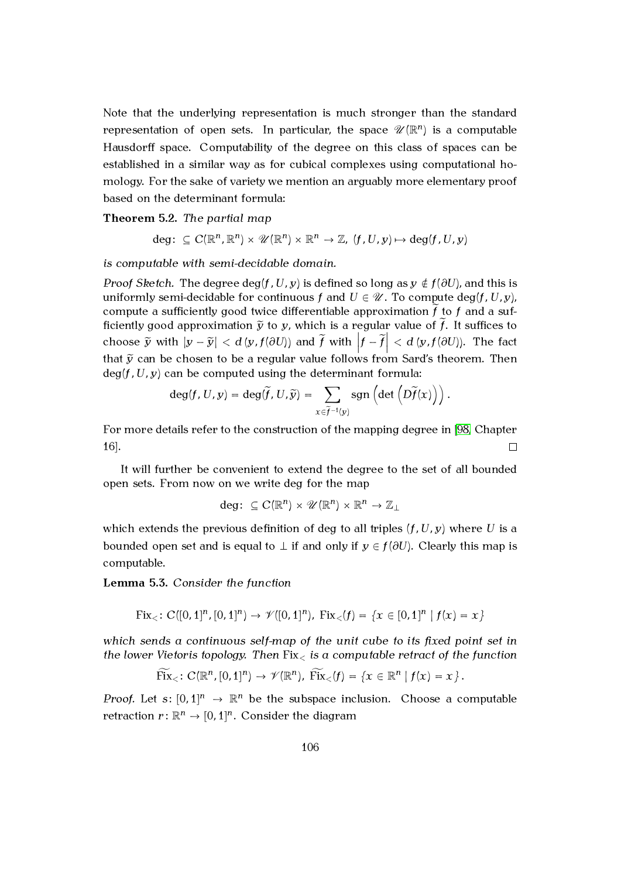Note that the underlying representation is much stronger than the standard representation of open sets. In particular, the space  $\mathscr{U}(\mathbb{R}^n)$  is a computable Hausdorff space. Computability of the degree on this class of spaces can be established in a similar way as for cubical complexes using computational homology. For the sake of variety we mention an arguably more elementary proof based on the determinant formula:

**Theorem 5.2.** *The partial map*

$$
deg\colon\subseteq C(\mathbb{R}^n,\mathbb{R}^n)\times\mathscr{U}(\mathbb{R}^n)\times\mathbb{R}^n\to\mathbb{Z},\ (f,U,y)\mapsto deg(f,U,y)
$$

*is computable with semi-decidable domain.*

*Proof Sketch.* The degree  $\text{deg}(f, U, y)$  is defined so long as  $y \notin f(\partial U)$ , and this is uniformly semi-decidable for continuous *f* and  $U \in \mathcal{U}$ . To compute deg(*f*, *U*, *y*), compute a sufficiently good twice differentiable approximation  $f$  to  $f$  and a sufficiently good approximation  $\tilde{y}$  to *y*, which is a regular value of  $\tilde{f}$ . It suffices to choose  $\widetilde{y}$  with  $|y - \widetilde{y}| < d(y, f(\partial U))$  and  $\widetilde{f}$  with  $|f - \widetilde{f}| < d(y, f(\partial U))$ . The fact that  $\tilde{y}$  can be chosen to be a regular value follows from Sard's theorem. Then deg(*f, U, y*) can be computed using the determinant formula:

$$
\deg(f, U, y) = \deg(\widetilde{f}, U, \widetilde{y}) = \sum_{x \in \widetilde{f}^{-1}(y)} \operatorname{sgn} \left( \det \left( D\widetilde{f}(x) \right) \right).
$$

For more details refer to the construction of the mapping degree in [\[98,](#page-126-2) Chapter 16].  $\Box$ 

It will further be convenient to extend the degree to the set of all bounded open sets. From now on we write deg for the map

$$
deg\colon\subseteq C(\mathbb{R}^n)\times \mathscr{U}(\mathbb{R}^n)\times \mathbb{R}^n\to \mathbb{Z}_\perp
$$

which extends the previous definition of deg to all triples (*f, U, y*) where *U* is a bounded open set and is equal to  $\perp$  if and only if  $y \in f(\partial U)$ . Clearly this map is computable.

**Lemma 5.3.** *Consider the function*

Fix<sub><</sub>: 
$$
C([0,1]^n, [0,1]^n) \rightarrow \mathcal{V}([0,1]^n)
$$
, Fix<sub><</sub> $(f) = \{x \in [0,1]^n | f(x) = x\}$ 

*which sends a continuous self-map of the unit cube to its fixed point set in the lower Vietoris topology. Then* Fix*<sup>&</sup>lt; is a computable retract of the function*

$$
\widetilde{\mathrm{Fix}}_{<}: C(\mathbb{R}^n, [0,1]^n) \to \mathscr{V}(\mathbb{R}^n), \widetilde{\mathrm{Fix}}_{<}(f) = \{x \in \mathbb{R}^n \mid f(x) = x\}.
$$

*Proof.* Let  $s: [0,1]^n \to \mathbb{R}^n$  be the subspace inclusion. Choose a computable retraction  $r: \mathbb{R}^n \to [0,1]^n$ . Consider the diagram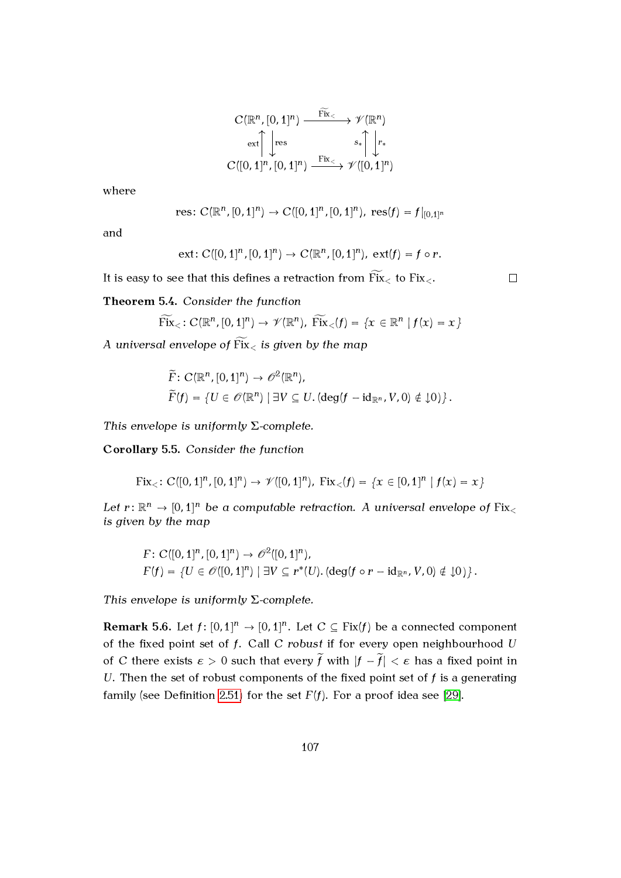$$
C(\mathbb{R}^n, [0, 1]^n) \xrightarrow{\widetilde{\mathrm{Fix}}_<} \mathscr{V}(\mathbb{R}^n)
$$

$$
\operatorname{ext}\Big|\downarrow_{\operatorname{res}} \operatorname{cs}\Big|\downarrow_{r_*}
$$

$$
C([0, 1]^n, [0, 1]^n) \xrightarrow{\operatorname{Fix}} \mathscr{V}([0, 1]^n)
$$

where

res: 
$$
C(\mathbb{R}^n, [0, 1]^n) \to C([0, 1]^n, [0, 1]^n)
$$
, res $(f) = f|_{[0, 1]^n}$ 

and

ext: 
$$
C([0,1]^n, [0,1]^n) \to C(\mathbb{R}^n, [0,1]^n)
$$
, ext $(f) = f \circ r$ .

It is easy to see that this defines a retraction from  $\widetilde{Fix}_<$  to  $Fix_{<}$ .

 $\Box$ 

**Theorem 5.4.** *Consider the function*

$$
\widetilde{\mathrm{Fix}}_{<}\colon C(\mathbb{R}^n,[0,1]^n)\to\mathscr{V}(\mathbb{R}^n),\ \widetilde{\mathrm{Fix}}_{<}(f)=\{x\in\mathbb{R}^n\mid f(x)=x\}
$$

*A* universal envelope of  $\widetilde{Fix}_<$  *is given by the map* 

$$
\widetilde{F} \colon C(\mathbb{R}^n, [0,1]^n) \to \mathscr{O}^2(\mathbb{R}^n), \n\widetilde{F}(f) = \{U \in \mathscr{O}(\mathbb{R}^n) \mid \exists V \subseteq U. \langle \deg(f - \mathrm{id}_{\mathbb{R}^n}, V, 0) \notin \downarrow 0) \}.
$$

*This envelope is uniformly* Σ*-complete.*

**Corollary 5.5.** *Consider the function*

 $Fix_{<}: C([0,1]^n, [0,1]^n) \to \mathcal{V}([0,1]^n)$ ,  $Fix_{<}(f) = \{x \in [0,1]^n \mid f(x) = x\}$ 

*Let*  $r: \mathbb{R}^n \to [0,1]^n$  *be a computable retraction. A universal envelope of* Fix<sub> $\leq$ </sub> *is given by the map*

$$
F: C([0,1]^n, [0,1]^n) \to \mathscr{O}^2([0,1]^n),
$$
  

$$
F(f) = \{U \in \mathscr{O}([0,1]^n) \mid \exists V \subseteq r^*(U). (\deg(f \circ r - id_{\mathbb{R}^n}, V, 0) \notin \downarrow 0) \}.
$$

*This envelope is uniformly* Σ*-complete.*

**Remark 5.6.** Let  $f: [0, 1]^n \to [0, 1]^n$ . Let  $C \subseteq Fix(f)$  be a connected component of the fixed point set of *f*. Call *C robust* if for every open neighbourhood *U* of *C* there exists  $\varepsilon > 0$  such that every  $\tilde{f}$  with  $|f - \tilde{f}| < \varepsilon$  has a fixed point in *U*. Then the set of robust components of the fixed point set of *f* is a generating family (see Definition [2.51\)](#page-39-0) for the set  $F(f)$ . For a proof idea see [\[29\]](#page-121-2).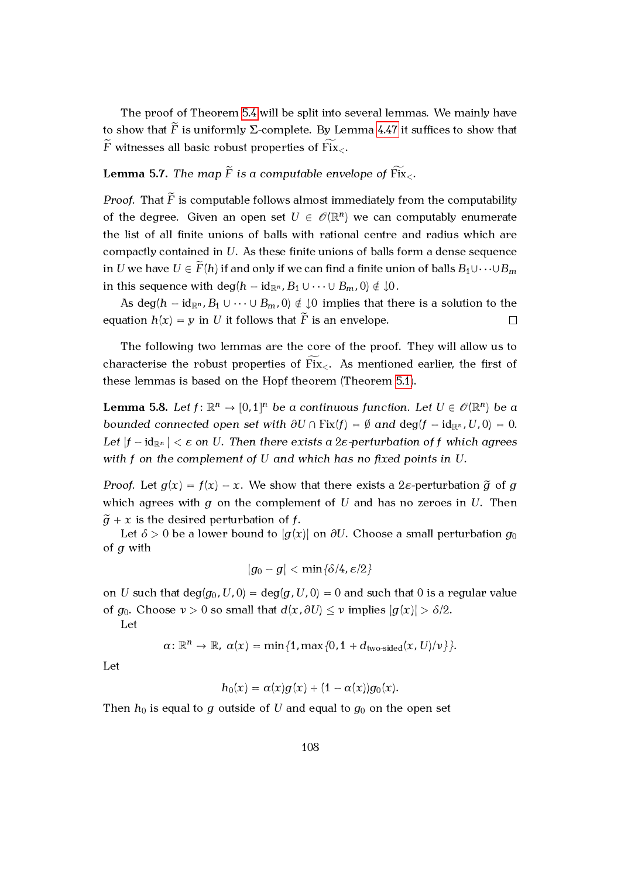The proof of Theorem [5.4](#page-107-0) will be split into several lemmas. We mainly have to show that  $\tilde{F}$  is uniformly  $\Sigma$ -complete. By Lemma [4.47](#page-98-0) it suffices to show that  $\widetilde{F}$  witnesses all basic robust properties of  $\widetilde{Fix}_\leq$ .

**Lemma 5.7.** The map  $\widetilde{F}$  is a computable envelope of  $\widetilde{Fix}_{\leq \ell}$ .

*Proof.* That  $\tilde{F}$  is computable follows almost immediately from the computability of the degree. Given an open set  $U \in \mathscr{O}(\mathbb{R}^n)$  we can computably enumerate the list of all finite unions of balls with rational centre and radius which are compactly contained in *U*. As these finite unions of balls form a dense sequence in *U* we have  $U \in \tilde{F}(h)$  if and only if we can find a finite union of balls  $B_1 \cup \cdots \cup B_m$ in this sequence with deg( $h - id_{\mathbb{R}^n}$ ,  $B_1 \cup \cdots \cup B_m$ ,  $0 \notin \downarrow 0$ .

As deg( $h - id_{\mathbb{R}^n}$ ,  $B_1 \cup \cdots \cup B_m$ , 0)  $\notin \downarrow 0$  implies that there is a solution to the equation  $h(x) = y$  in *U* it follows that  $\tilde{F}$  is an envelope.  $\Box$ 

The following two lemmas are the core of the proof. They will allow us to characterise the robust properties of  $\widetilde{Fix}_<$ . As mentioned earlier, the first of these lemmas is based on the Hopf theorem (Theorem [5.1\)](#page-105-0).

<span id="page-108-0"></span>**Lemma 5.8.** Let  $f: \mathbb{R}^n \to [0,1]^n$  be a continuous function. Let  $U \in \mathcal{O}(\mathbb{R}^n)$  be a *bounded connected open set with*  $\partial U \cap \text{Fix}(f) = \emptyset$  *and* deg( $f - \text{id}_{\mathbb{R}^n}$ ,  $U, 0$ ) = 0. *Let*  $|f - id_{\mathbb{R}^n}| < \varepsilon$  *on U. Then there exists a 2* $\varepsilon$ *-perturbation of f which agrees with f on the complement of U and which has no fixed points in U.*

*Proof.* Let  $g(x) = f(x) - x$ . We show that there exists a 2*ε*-perturbation  $\tilde{g}$  of *g* which agrees with *g* on the complement of *U* and has no zeroes in *U*. Then  $\tilde{g}$  + *x* is the desired perturbation of *f*.

Let  $\delta > 0$  be a lower bound to  $|g(x)|$  on  $\partial U$ . Choose a small perturbation  $g_0$ of *g* with

$$
|g_0-g|<\min\{\delta/4,\varepsilon/2\}
$$

on *U* such that  $deg(q_0, U, 0) = deg(q, U, 0) = 0$  and such that 0 is a regular value of  $g_0$ . Choose  $v > 0$  so small that  $d(x, \partial U) \le v$  implies  $|g(x)| > \delta/2$ .

Let

$$
\alpha \colon \mathbb{R}^n \to \mathbb{R}, \ \alpha(x) = \min\{1, \max\{0, 1 + d_{\text{two-sided}}(x, U)/\nu\}\}.
$$

Let

$$
h_0(x) = \alpha(x)g(x) + (1 - \alpha(x))g_0(x).
$$

Then  $h_0$  is equal to  $g$  outside of  $U$  and equal to  $g_0$  on the open set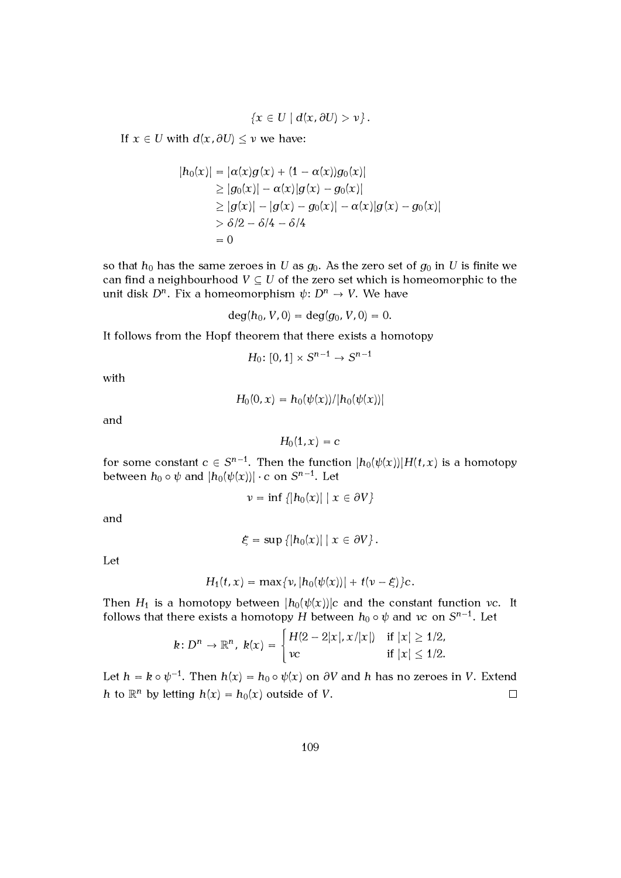$$
\{x\in U\mid d(x,\partial U)>\nu\}.
$$

If  $x \in U$  with  $d(x, \partial U) \leq \nu$  we have:

$$
|h_0(x)| = |\alpha(x)g(x) + (1 - \alpha(x))g_0(x)|
$$
  
\n
$$
\geq |g_0(x)| - \alpha(x)|g(x) - g_0(x)|
$$
  
\n
$$
\geq |g(x)| - |g(x) - g_0(x)| - \alpha(x)|g(x) - g_0(x)|
$$
  
\n
$$
> \delta/2 - \delta/4 - \delta/4
$$
  
\n
$$
= 0
$$

so that  $h_0$  has the same zeroes in *U* as  $g_0$ . As the zero set of  $g_0$  in *U* is finite we can find a neighbourhood  $V \subseteq U$  of the zero set which is homeomorphic to the unit disk *D<sup>n</sup>* . Fix a homeomorphism *ψ*: *D<sup>n</sup> → V*. We have

$$
\deg(h_0, V, 0) = \deg(g_0, V, 0) = 0.
$$

It follows from the Hopf theorem that there exists a homotopy

$$
H_0\colon [0,1]\times S^{n-1}\to S^{n-1}
$$

with

$$
H_0(0,x) = h_0(\psi(x))/|h_0(\psi(x))|
$$

and

$$
H_0(1,x)=c
$$

for some constant  $c \in S^{n-1}$ . Then the function  $|h_0(\psi(x))|H(t,x)$  is a homotopy between  $h_0\circ \psi$  and  $|h_0(\psi(x))|\cdot c$  on  $S^{n-1}.$  Let

$$
\nu = \inf \{|h_0(x)| \mid x \in \partial V\}
$$

and

$$
\xi = \sup \{|h_0(x)| \mid x \in \partial V\}.
$$

Let

$$
H_1(t,x) = \max\{v, |h_0(\psi(x))| + t(v - \xi)\}c.
$$

Then  $H_1$  is a homotopy between  $|h_0(\psi(x))|c$  and the constant function *νc*. It follows that there exists a homotopy  $H$  between  $h_0 \circ \psi$  and  $\nu c$  on  $S^{n-1}.$  Let

$$
k: D^{n} \to \mathbb{R}^{n}, \ k(x) = \begin{cases} H(2-2|x|,x/|x|) & \text{if } |x| \geq 1/2, \\ \nu c & \text{if } |x| \leq 1/2. \end{cases}
$$

Let  $h = k \circ \psi^{-1}$ . Then  $h(x) = h_0 \circ \psi(x)$  on  $\partial V$  and  $h$  has no zeroes in  $V$ . Extend *h* to  $\mathbb{R}^n$  by letting  $h(x) = h_0(x)$  outside of *V*.  $\Box$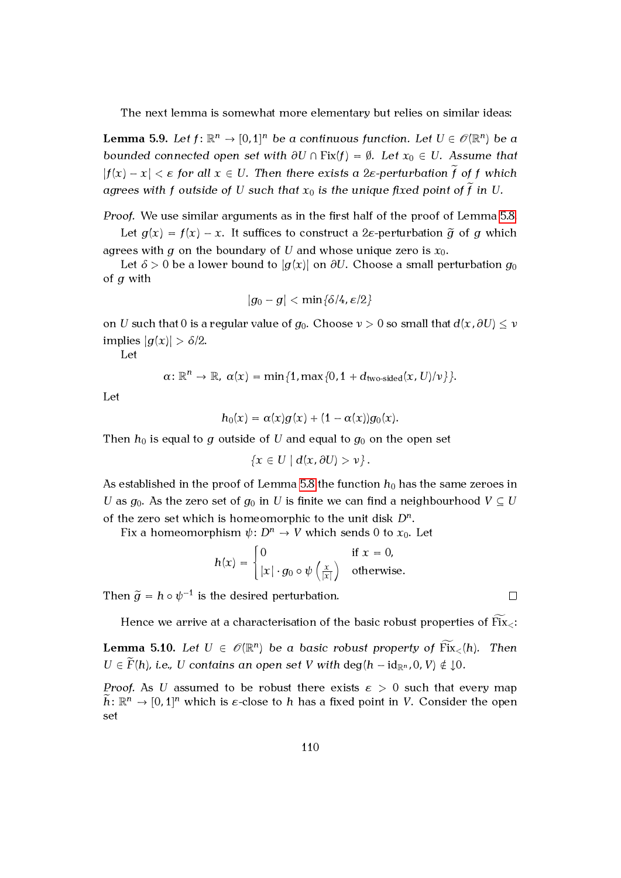The next lemma is somewhat more elementary but relies on similar ideas:

<span id="page-110-0"></span>**Lemma 5.9.** Let  $f: \mathbb{R}^n \to [0,1]^n$  be a continuous function. Let  $U \in \mathcal{O}(\mathbb{R}^n)$  be a *bounded connected open set with*  $\partial U \cap Fix(f) = ∅$ . Let  $x_0 \in U$ . Assume that  $|f(x) - x| < \varepsilon$  *for all*  $x \in U$ . Then there exists a 2*ε-perturbation*  $\tilde{f}$  *of f* which *agrees with f* outside of U such that  $x_0$  is the unique fixed point of f in U.

*Proof.* We use similar arguments as in the first half of the proof of Lemma [5.8.](#page-108-0)

Let  $g(x) = f(x) - x$ . It suffices to construct a 2*ε*-perturbation  $\tilde{g}$  of *g* which agrees with *g* on the boundary of *U* and whose unique zero is  $x_0$ .

Let  $\delta > 0$  be a lower bound to  $|g(x)|$  on  $\partial U$ . Choose a small perturbation  $g_0$ of *g* with

$$
|g_0-g|<\min\{\delta/4,\varepsilon/2\}
$$

on *U* such that 0 is a regular value of  $g_0$ . Choose  $\nu > 0$  so small that  $d(x, \partial U) \leq \nu$ implies  $|g(x)| > \delta/2$ .

Let

 $\alpha \colon \mathbb{R}^n \to \mathbb{R}$ ,  $\alpha(x) = \min\{1, \max\{0, 1 + d_{\text{two-sided}}(x, U)/\nu\}\}.$ 

Let

$$
h_0(x)=\alpha(x)g(x)+(1-\alpha(x))g_0(x).
$$

Then  $h_0$  is equal to *g* outside of *U* and equal to  $g_0$  on the open set

$$
\{x\in U\mid d(x,\partial U)>\nu\}.
$$

As established in the proof of Lemma [5.8](#page-108-0) the function  $h_0$  has the same zeroes in *U* as  $g_0$ . As the zero set of  $g_0$  in *U* is finite we can find a neighbourhood  $V \subseteq U$ of the zero set which is homeomorphic to the unit disk *D<sup>n</sup>* .

Fix a homeomorphism  $\psi: D^n \to V$  which sends 0 to  $x_0$ . Let

$$
h(x) = \begin{cases} 0 & \text{if } x = 0, \\ |x| \cdot g_0 \circ \psi\left(\frac{x}{|x|}\right) & \text{otherwise.} \end{cases}
$$

Then  $\widetilde{g} = h \circ \psi^{-1}$  is the desired perturbation.

Hence we arrive at a characterisation of the basic robust properties of  $\widetilde{Fix}$ .

**Lemma 5.10.** *Let*  $U \in \mathcal{O}(\mathbb{R}^n)$  be a basic robust property of  $\widetilde{\text{Fix}}_{\leq}(h)$ *.* Then  $U \in F(h)$ , *i.e.,*  $U$  *contains an open set*  $V$  *with* deg( $h$  *-* id<sub> $\mathbb{R}^n$ , 0,  $V \notin \mathbb{U}$ .</sub>

*Proof.* As *U* assumed to be robust there exists  $\epsilon > 0$  such that every map  $\widetilde{h}: \mathbb{R}^n \to [0,1]^n$  which is  $\varepsilon$ -close to *h* has a fixed point in *V*. Consider the open set

 $\Box$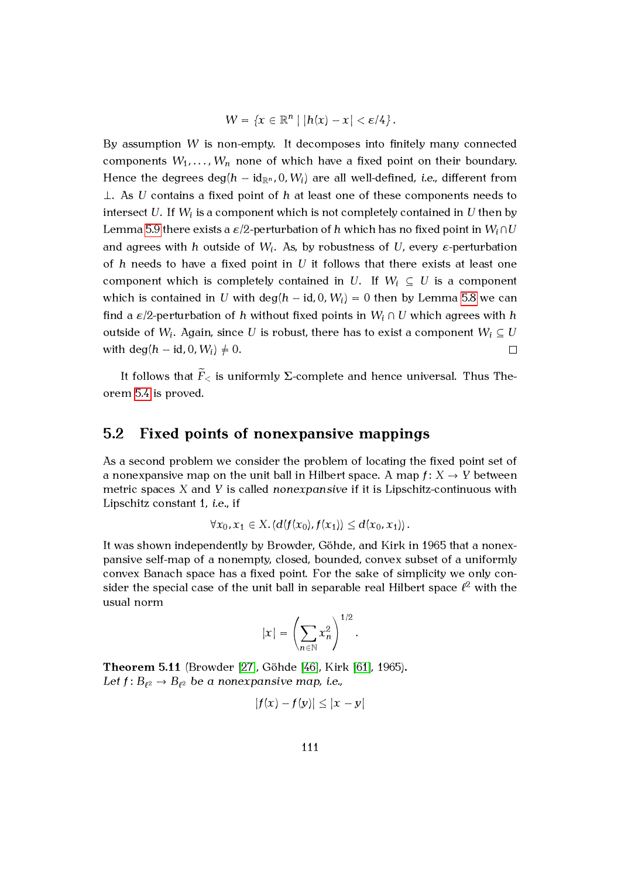$$
W = \{x \in \mathbb{R}^n \mid |h(x) - x| < \varepsilon/4\}.
$$

By assumption *W* is non-empty. It decomposes into finitely many connected components  $W_1, \ldots, W_n$  none of which have a fixed point on their boundary. Hence the degrees deg( $h - id_{\mathbb{R}^n}$ , 0,  $W_i$ ) are all well-defined, *i.e.*, different from *⊥*. As *U* contains a fixed point of *h* at least one of these components needs to intersect  $U.$  If  $W_i$  is a component which is not completely contained in  $U$  then by Lemma [5.9](#page-110-0) there exists a *ε/*2-perturbation of *h* which has no fixed point in *Wi∩U* and agrees with *h* outside of *W<sup>i</sup>* . As, by robustness of *U*, every *ε*-perturbation of *h* needs to have a fixed point in *U* it follows that there exists at least one component which is completely contained in *U*. If  $W_i \subseteq U$  is a component which is contained in *U* with deg( $h - id$ , 0*, W*<sub>i</sub>) = 0 then by Lemma [5.8](#page-108-0) we can find a  $\varepsilon/2$ -perturbation of *h* without fixed points in  $W_i \cap U$  which agrees with *h* outside of  $W_i$ . Again, since  $U$  is robust, there has to exist a component  $W_i \subseteq U$ with deg( $h - id$ , 0*, W<sub>i</sub>*)  $\neq 0$ .  $\Box$ 

It follows that  $\widetilde{F}_\leq$  is uniformly  $\Sigma$ -complete and hence universal. Thus Theorem [5.4](#page-107-0) is proved.

## **5.2 Fixed points of nonexpansive mappings**

As a second problem we consider the problem of locating the fixed point set of a nonexpansive map on the unit ball in Hilbert space. A map  $f: X \to Y$  between metric spaces *X* and *Y* is called *nonexpansive* if it is Lipschitz-continuous with Lipschitz constant 1, *i.e.*, if

$$
\forall x_0, x_1 \in X. \left(d(f(x_0), f(x_1)) \leq d(x_0, x_1)\right).
$$

It was shown independently by Browder, Göhde, and Kirk in 1965 that a nonexpansive self-map of a nonempty, closed, bounded, convex subset of a uniformly convex Banach space has a fixed point. For the sake of simplicity we only consider the special case of the unit ball in separable real Hilbert space  $\ell^2$  with the usual norm

$$
|x| = \left(\sum_{n \in \mathbb{N}} x_n^2\right)^{1/2}.
$$

**Theorem 5.11** (Browder [\[27\]](#page-121-0), Göhde [\[46\]](#page-122-0), Kirk [\[61\]](#page-123-0), 1965)**.** Let  $f: B_{\ell^2} \to B_{\ell^2}$  be a nonexpansive map, i.e.,

$$
|f(x)-f(y)|\leq |x-y|
$$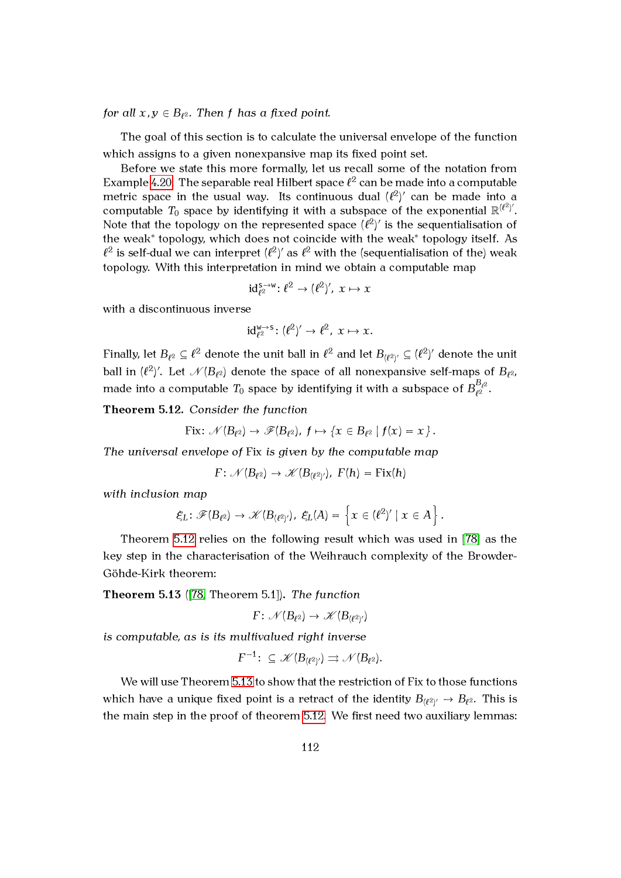*for all*  $x, y \in B_{\ell^2}$ . Then *f* has a fixed point.

The goal of this section is to calculate the universal envelope of the function which assigns to a given nonexpansive map its fixed point set.

Before we state this more formally, let us recall some of the notation from Example [4.20.](#page-80-0) The separable real Hilbert space  $\ell^2$  can be made into a computable metric space in the usual way. Its continuous dual  $(\ell^2)'$  can be made into a computable  $T_0$  space by identifying it with a subspace of the exponential  $\mathbb{R}^{(\ell^2)'}$ . Note that the topology on the represented space  $(\ell^2)'$  is the sequentialisation of the weak\* topology, which does not coincide with the weak\* topology itself. As  $\ell^2$  is self-dual we can interpret  $(\ell^2)'$  as  $\ell^2$  with the (sequentialisation of the) weak topology. With this interpretation in mind we obtain a computable map

$$
\mathrm{id}_{\ell^2}^{\mathsf{s}\to\mathsf{w}}\colon \ell^2\to (\ell^2)',\ x\mapsto x
$$

with a discontinuous inverse

$$
id_{\ell^2}^{\mathsf{W}\rightarrow\mathsf{S}}: (\ell^2)'\rightarrow \ell^2, \ x\mapsto x.
$$

Finally, let  $B_{\ell^2} \subseteq \ell^2$  denote the unit ball in  $\ell^2$  and let  $B_{(\ell^2)'} \subseteq (\ell^2)'$  denote the unit ball in  $(\ell^2)'$ . Let  $\mathcal{N}(B_{\ell^2})$  denote the space of all nonexpansive self-maps of  $B_{\ell^2}$ , made into a computable  $T_0$  space by identifying it with a subspace of  $B_{\rho_2}^{B_{\rho_2}}$  $\frac{D_{\ell}Z}{\ell^2}$  .

<span id="page-112-0"></span>**Theorem 5.12.** *Consider the function*

Fix: 
$$
\mathcal{N}(B_{\ell^2}) \to \mathcal{F}(B_{\ell^2})
$$
,  $f \mapsto \{x \in B_{\ell^2} \mid f(x) = x\}$ .

*The universal envelope of* Fix *is given by the computable map*

$$
F\colon \mathscr{N}(B_{\ell^2}) \to \mathscr{K}(B_{(\ell^2)'}),\ F(h) = \mathrm{Fix}(h)
$$

*with inclusion map*

$$
\xi_L\colon \mathscr{F}(B_{\ell^2})\to \mathscr{K}(B_{(\ell^2)'}),\ \xi_L(A)=\left\{x\in (\ell^2)'\mid x\in A\right\}.
$$

Theorem [5.12](#page-112-0) relies on the following result which was used in [\[78\]](#page-125-0) as the key step in the characterisation of the Weihrauch complexity of the Browder-Göhde-Kirk theorem:

<span id="page-112-1"></span>**Theorem 5.13** ([\[78,](#page-125-0) Theorem 5.1])**.** *The function*

$$
F: \mathcal{N}(B_{\ell^2}) \to \mathcal{K}(B_{(\ell^2)'})
$$

*is computable, as is its multivalued right inverse*

$$
F^{-1} \colon \subseteq \mathscr{K}(B_{(\ell^2)'}) \rightrightarrows \mathscr{N}(B_{\ell^2}).
$$

We will use Theorem [5.13](#page-112-1) to show that the restriction of Fix to those functions which have a unique fixed point is a retract of the identity  $B_{(\ell^2)'} \to B_{\ell^2}$ . This is the main step in the proof of theorem [5.12.](#page-112-0) We first need two auxiliary lemmas: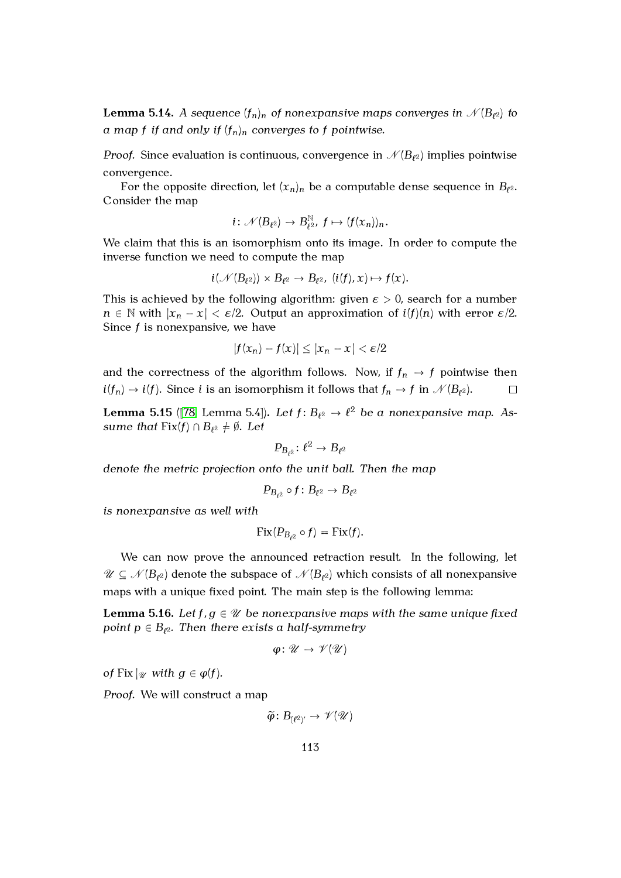<span id="page-113-1"></span>**Lemma 5.14.** A sequence  $(f_n)_n$  of nonexpansive maps converges in  $\mathscr{N}(B_{\ell^2})$  to *a* map *f* if and only if  $(f_n)_n$  converges to *f* pointwise.

*Proof.* Since evaluation is continuous, convergence in  $\mathcal{N}(B_{\ell^2})$  implies pointwise convergence.

For the opposite direction, let  $(x_n)_n$  be a computable dense sequence in  $B_{\ell^2}$ . Consider the map

$$
i\colon \mathscr{N}(B_{\ell^2})\to B_{\ell^2}^{\mathbb{N}},\ f\mapsto (f(x_n))_n.
$$

We claim that this is an isomorphism onto its image. In order to compute the inverse function we need to compute the map

$$
i(\mathcal{N}(B_{\ell^2}))\times B_{\ell^2}\to B_{\ell^2},\ (i(f),x)\mapsto f(x).
$$

This is achieved by the following algorithm: given  $\varepsilon > 0$ , search for a number  $n \in \mathbb{N}$  with  $|x_n - x| < \varepsilon/2$ . Output an approximation of  $i(f)(n)$  with error  $\varepsilon/2$ . Since *f* is nonexpansive, we have

$$
|f(x_n)-f(x)|\leq |x_n-x|<\varepsilon/2
$$

and the correctness of the algorithm follows. Now, if  $f_n \rightarrow f$  pointwise then  $i(f_n) \to i(f)$ . Since *i* is an isomorphism it follows that  $f_n \to f$  in  $\mathcal{N}(B_{\ell^2})$ .  $\Box$ 

<span id="page-113-0"></span>**Lemma 5.15** ([\[78,](#page-125-0) Lemma 5.4]). Let  $f: B_{\ell^2} \to \ell^2$  be a nonexpansive map. As*sume that*  $Fix(f) \cap B_{\ell^2} \neq ∅$ *. Let* 

$$
P_{B_{\ell^2}}\colon \ell^2\to B_{\ell^2}
$$

*denote the metric projection onto the unit ball. Then the map*

$$
P_{B_{\ell^2}} \circ f \colon B_{\ell^2} \to B_{\ell^2}
$$

*is nonexpansive as well with*

$$
Fix(P_{B_{\ell^2}}\circ f)=Fix(f).
$$

We can now prove the announced retraction result. In the following, let  $\mathscr{U} \subseteq \mathscr{N}(B_{\ell^2})$  denote the subspace of  $\mathscr{N}(B_{\ell^2})$  which consists of all nonexpansive maps with a unique fixed point. The main step is the following lemma:

<span id="page-113-2"></span>**Lemma 5.16.** *Let*  $f, g \in \mathcal{U}$  *be nonexpansive maps with the same unique fixed point p ∈ B`* <sup>2</sup> *. Then there exists a half-symmetry*

$$
\varphi\colon \mathscr{U}\to \mathscr{V}(\mathscr{U})
$$

*of* Fix  $|_{\mathcal{U}}$  *with*  $g \in \varphi(f)$ *.* 

*Proof.* We will construct a map

$$
\widetilde{\varphi} \colon B_{(\ell^2)'} \to \mathscr{V}(\mathscr{U})
$$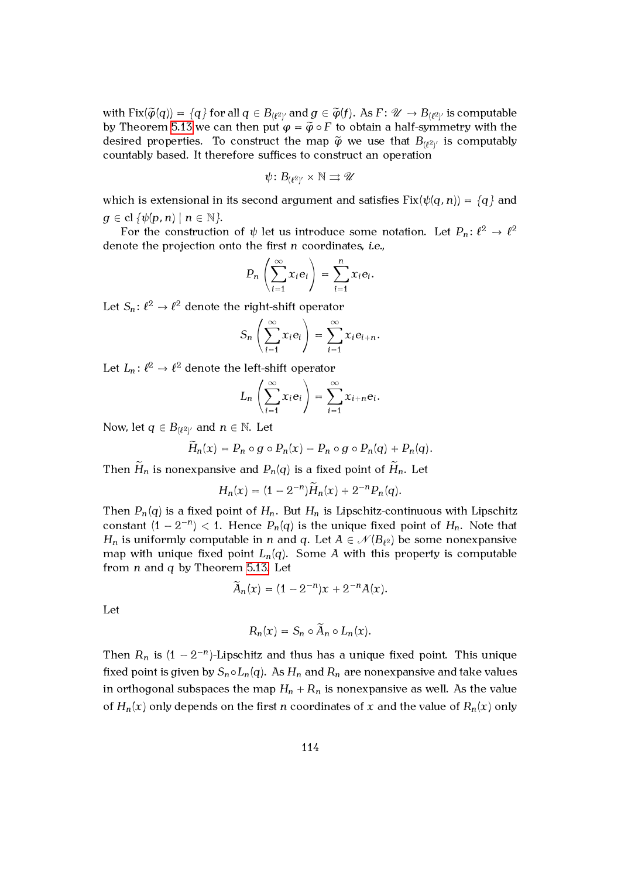with  $\mathrm{Fix}(\widetilde{\varphi}(q)) = \{q\}$  for all  $q \in B_{(\ell^2)'}$  and  $g \in \widetilde{\varphi}(f).$  As  $F \colon \mathscr{U} \to B_{(\ell^2)'}$  is computable by Theorem [5.13](#page-112-1) we can then put  $\varphi = \widetilde{\varphi} \circ F$  to obtain a half-symmetry with the desired properties. To construct the map  $\widetilde{\varphi}$  we use that  $B_{(\ell^2)'}$  is computably countably based. It therefore suffices to construct an operation

$$
\psi\colon B_{(\ell^2)'}\times \mathbb{N}\rightrightarrows \mathscr{U}
$$

which is extensional in its second argument and satisfies  $Fix(\psi(q, n)) = \{q\}$  and  $g \in \text{cl } \{\psi(p, n) \mid n \in \mathbb{N}\}.$ 

For the construction of  $\psi$  let us introduce some notation. Let  $P_n \colon \ell^2 \to \ell^2$ denote the projection onto the first *n* coordinates, *i.e.*,

$$
P_n\left(\sum_{i=1}^{\infty}x_ie_i\right)=\sum_{i=1}^n x_ie_i.
$$

Let  $S_n: \ell^2 \to \ell^2$  denote the right-shift operator

$$
S_n\left(\sum_{i=1}^{\infty}x_ie_i\right)=\sum_{i=1}^{\infty}x_ie_{i+n}.
$$

Let  $L_n: \ell^2 \to \ell^2$  denote the left-shift operator

$$
L_n\left(\sum_{i=1}^{\infty}x_ie_i\right)=\sum_{i=1}^{\infty}x_{i+n}e_i.
$$

Now, let  $q \in B_{(\ell^2)'}$  and  $n \in \mathbb{N}$ . Let

$$
\widetilde{H}_n(x) = P_n \circ g \circ P_n(x) - P_n \circ g \circ P_n(q) + P_n(q).
$$

Then  $\widetilde{H}_n$  is nonexpansive and  $P_n(q)$  is a fixed point of  $\widetilde{H}_n.$  Let

$$
H_n(x) = (1 - 2^{-n})\widetilde{H}_n(x) + 2^{-n}P_n(q).
$$

Then  $P_n(q)$  is a fixed point of  $H_n$ . But  $H_n$  is Lipschitz-continuous with Lipschitz constant  $(1 - 2^{-n}) < 1$ . Hence  $P_n(q)$  is the unique fixed point of  $H_n$ . Note that *H*<sub>n</sub> is uniformly computable in *n* and *q*. Let  $A \in \mathcal{N}(B_{\ell^2})$  be some nonexpansive map with unique fixed point  $L_n(q)$ . Some A with this property is computable from *n* and *q* by Theorem [5.13.](#page-112-1) Let

$$
\widetilde{A}_n(x) = (1 - 2^{-n})x + 2^{-n}A(x).
$$

Let

$$
R_n(x) = S_n \circ \widetilde{A}_n \circ L_n(x).
$$

Then *R<sup>n</sup>* is (1 *−* 2 *−n* )-Lipschitz and thus has a unique fixed point. This unique fixed point is given by  $S_n \circ L_n(q)$ . As  $H_n$  and  $R_n$  are nonexpansive and take values in orthogonal subspaces the map  $H_n + R_n$  is nonexpansive as well. As the value of  $H_n(x)$  only depends on the first *n* coordinates of *x* and the value of  $R_n(x)$  only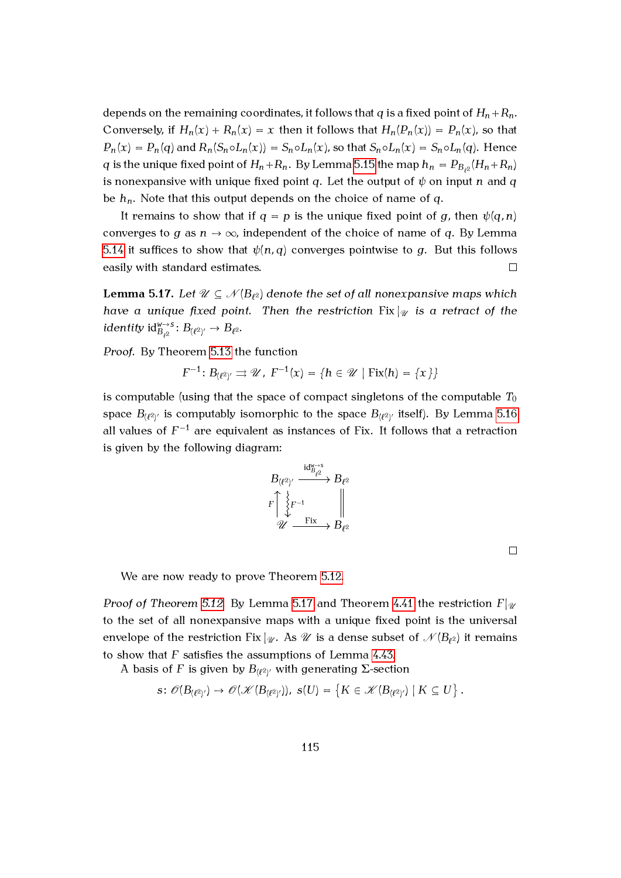depends on the remaining coordinates, it follows that *q* is a fixed point of  $H_n + R_n$ . Conversely, if  $H_n(x) + R_n(x) = x$  then it follows that  $H_n(P_n(x)) = P_n(x)$ , so that  $P_n(x) = P_n(q)$  and  $R_n(S_n \circ L_n(x)) = S_n \circ L_n(x)$ , so that  $S_n \circ L_n(x) = S_n \circ L_n(q)$ . Hence *q* is the unique fixed point of  $H_n + R_n$ . By Lemma [5.15](#page-113-0) the map  $h_n = P_{B_{\ell^2}}(H_n + R_n)$ is nonexpansive with unique fixed point *q*. Let the output of *ψ* on input *n* and *q* be *hn*. Note that this output depends on the choice of name of *q*.

It remains to show that if  $q = p$  is the unique fixed point of *g*, then  $\psi(q, n)$ converges to *g* as  $n \to \infty$ , independent of the choice of name of *q*. By Lemma [5.14](#page-113-1) it suffices to show that  $\psi(n,q)$  converges pointwise to g. But this follows easily with standard estimates.  $\Box$ 

<span id="page-115-0"></span>**Lemma 5.17.** *Let*  $\mathscr{U} \subseteq \mathscr{N}(B_{\ell^2})$  denote the set of all nonexpansive maps which *have a unique fixed point. Then the restriction*  $Fix|_{\mathcal{U}}$  *is a retract of the*  $\mathbf{i}$ *dentity*  $\mathbf{i} \mathbf{d}_{B_{\ell^2}}^{\mathsf{w}\to\mathsf{s}}$ :  $B_{(\ell^2)'} \to B_{\ell^2}$ *.* 

*Proof.* By Theorem [5.13](#page-112-1) the function

$$
F^{-1} \colon B_{(\ell^2)'} \rightrightarrows \mathscr{U}, \ F^{-1}(x) = \{h \in \mathscr{U} \mid \text{Fix}(h) = \{x\}\}
$$

is computable (using that the space of compact singletons of the computable  $T_0$ space  $B_{(\ell^2)'}$  is computably isomorphic to the space  $B_{(\ell^2)'}$  itself). By Lemma [5.16](#page-113-2) all values of *F <sup>−</sup>*<sup>1</sup> are equivalent as instances of Fix. It follows that a retraction is given by the following diagram:

$$
\begin{array}{ccc}\n & \mathrm{id}_{B_{\ell^2}}^{\mathrm{id}_{B_{\ell^2}}} \\
B_{(\ell^2)'} & \xrightarrow{\mathrm{id}_{B_{\ell^2}}^{\mathrm{w}\to\mathrm{s}}} B_{\ell^2} \\
\downarrow & \xrightarrow{\mathrm{Fix}} & B_{\ell^2}\n \end{array}
$$

We are now ready to prove Theorem [5.12.](#page-112-0)

*Proof of Theorem [5.12.](#page-112-0)* By Lemma [5.17](#page-115-0) and Theorem [4.41](#page-93-0) the restriction  $F|_{\mathscr{U}}$ to the set of all nonexpansive maps with a unique fixed point is the universal envelope of the restriction Fix  $|_{\mathscr{U}}.$  As  $\mathscr{U}$  is a dense subset of  $\mathscr{N}(B_{\ell^2})$  it remains to show that *F* satisfies the assumptions of Lemma [4.43.](#page-95-0)

A basis of  $F$  is given by  $B_{(\ell^2)'}$  with generating  $\Sigma$ -section

$$
s\colon \mathscr{O}(B_{(\ell^2)'})\to \mathscr{O}(\mathscr{K}(B_{(\ell^2)'})),\ s(U)=\left\{K\in \mathscr{K}(B_{(\ell^2)'})\mid K\subseteq U\right\}.
$$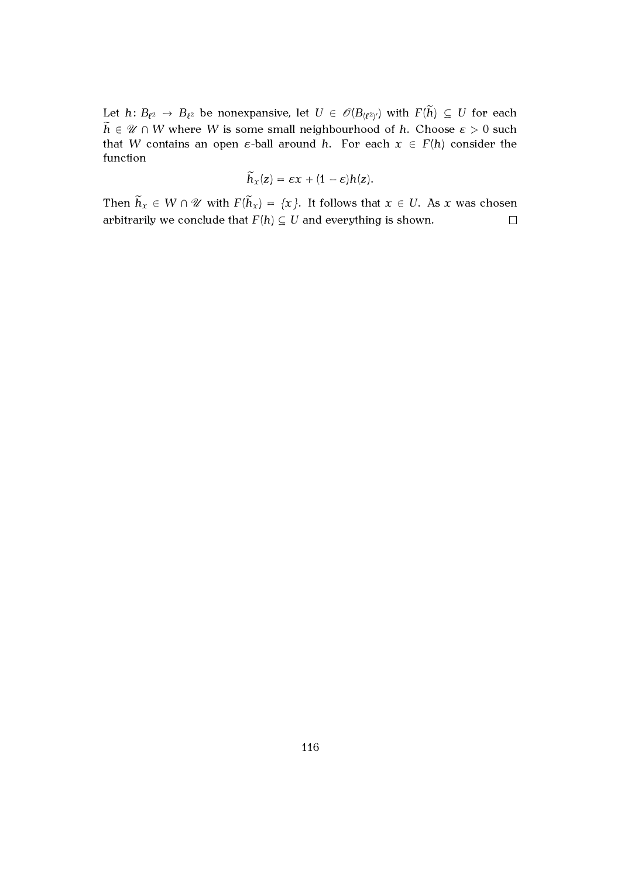Let  $h\colon B_{\ell^2}\to B_{\ell^2}$  be nonexpansive, let  $U\,\in\,\mathscr{O}(B_{(\ell^2)'})$  with  $F(\widetilde{h})\,\subseteq\,U$  for each  $\widetilde{h} \in \mathcal{U} \cap W$  where *W* is some small neighbourhood of *h*. Choose  $\varepsilon > 0$  such that *W* contains an open *ε*-ball around *h*. For each  $x \in F(h)$  consider the function

$$
\widetilde{h}_x(z)=\varepsilon x+(1-\varepsilon)h(z).
$$

Then  $\widetilde{h}_x \in W \cap \mathscr{U}$  with  $F(\widetilde{h}_x) = \{x\}$ . It follows that  $x \in U$ . As  $x$  was chosen arbitrarily we conclude that  $F(h) \subseteq U$  and everything is shown.  $\Box$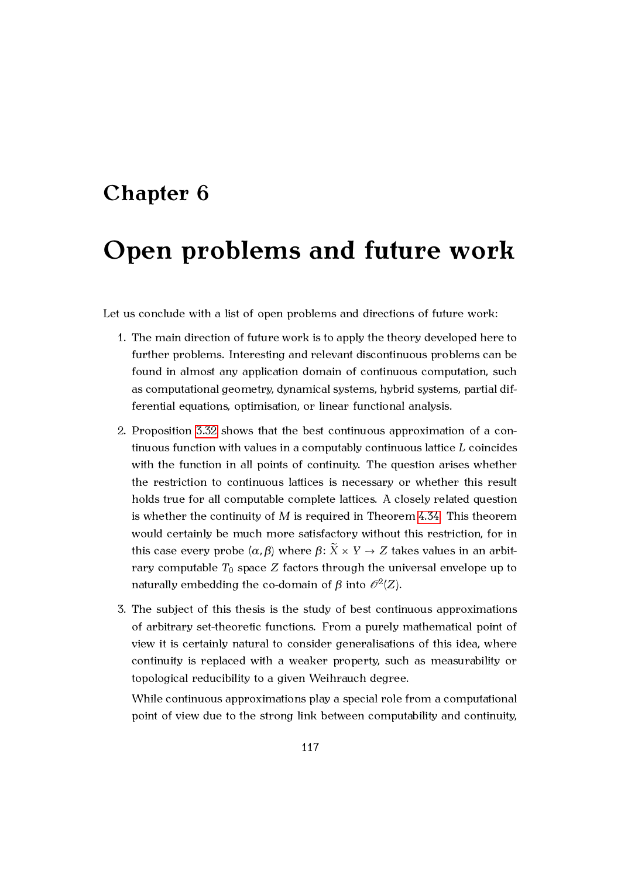## **Chapter 6**

## **Open problems and future work**

Let us conclude with a list of open problems and directions of future work:

- 1. The main direction of future work is to apply the theory developed here to further problems. Interesting and relevant discontinuous problems can be found in almost any application domain of continuous computation, such as computational geometry, dynamical systems, hybrid systems, partial differential equations, optimisation, or linear functional analysis.
- 2. Proposition [3.32](#page-65-0) shows that the best continuous approximation of a continuous function with values in a computably continuous lattice *L* coincides with the function in all points of continuity. The question arises whether the restriction to continuous lattices is necessary or whether this result holds true for all computable complete lattices. A closely related question is whether the continuity of *M* is required in Theorem [4.34.](#page-88-0) This theorem would certainly be much more satisfactory without this restriction, for in this case every probe  $(\alpha, \beta)$  where  $\beta: \widetilde{X} \times Y \to Z$  takes values in an arbitrary computable  $T_0$  space  $Z$  factors through the universal envelope up to naturally embedding the co-domain of  $\beta$  into  $\mathscr O^2(Z)$ .
- 3. The subject of this thesis is the study of best continuous approximations of arbitrary set-theoretic functions. From a purely mathematical point of view it is certainly natural to consider generalisations of this idea, where continuity is replaced with a weaker property, such as measurability or topological reducibility to a given Weihrauch degree.

While continuous approximations play a special role from a computational point of view due to the strong link between computability and continuity,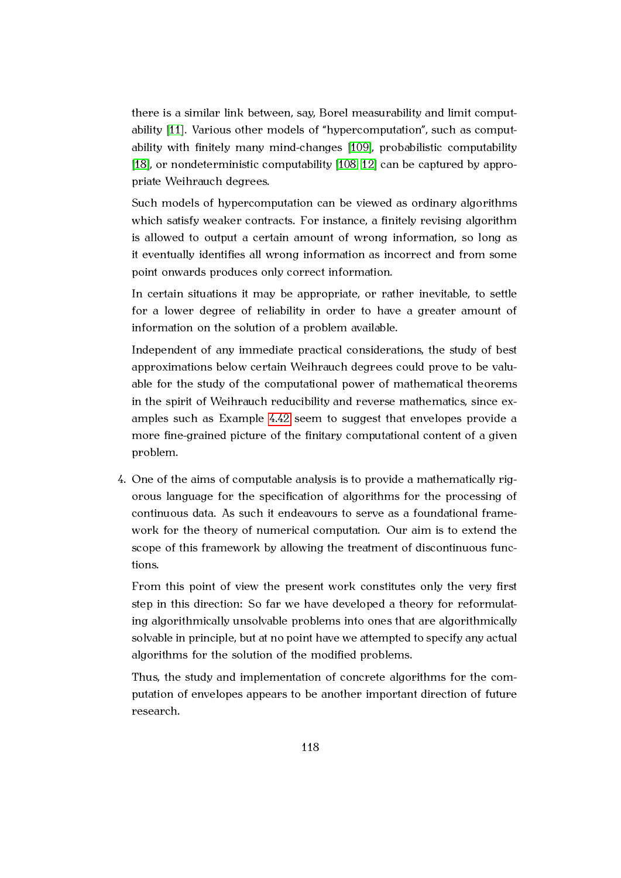there is a similar link between, say, Borel measurability and limit computability [\[11\]](#page-119-0). Various other models of "hypercomputation", such as computability with finitely many mind-changes [\[109\]](#page-127-0), probabilistic computability [\[18\]](#page-120-0), or nondeterministic computability [\[108,](#page-127-1) [12\]](#page-120-1) can be captured by appropriate Weihrauch degrees.

Such models of hypercomputation can be viewed as ordinary algorithms which satisfy weaker contracts. For instance, a finitely revising algorithm is allowed to output a certain amount of wrong information, so long as it eventually identifies all wrong information as incorrect and from some point onwards produces only correct information.

In certain situations it may be appropriate, or rather inevitable, to settle for a lower degree of reliability in order to have a greater amount of information on the solution of a problem available.

Independent of any immediate practical considerations, the study of best approximations below certain Weihrauch degrees could prove to be valuable for the study of the computational power of mathematical theorems in the spirit of Weihrauch reducibility and reverse mathematics, since examples such as Example [4.42](#page-94-0) seem to suggest that envelopes provide a more fine-grained picture of the finitary computational content of a given problem.

4. One of the aims of computable analysis is to provide a mathematically rigorous language for the specification of algorithms for the processing of continuous data. As such it endeavours to serve as a foundational framework for the theory of numerical computation. Our aim is to extend the scope of this framework by allowing the treatment of discontinuous functions.

From this point of view the present work constitutes only the very first step in this direction: So far we have developed a theory for reformulating algorithmically unsolvable problems into ones that are algorithmically solvable in principle, but at no point have we attempted to specify any actual algorithms for the solution of the modified problems.

Thus, the study and implementation of concrete algorithms for the computation of envelopes appears to be another important direction of future research.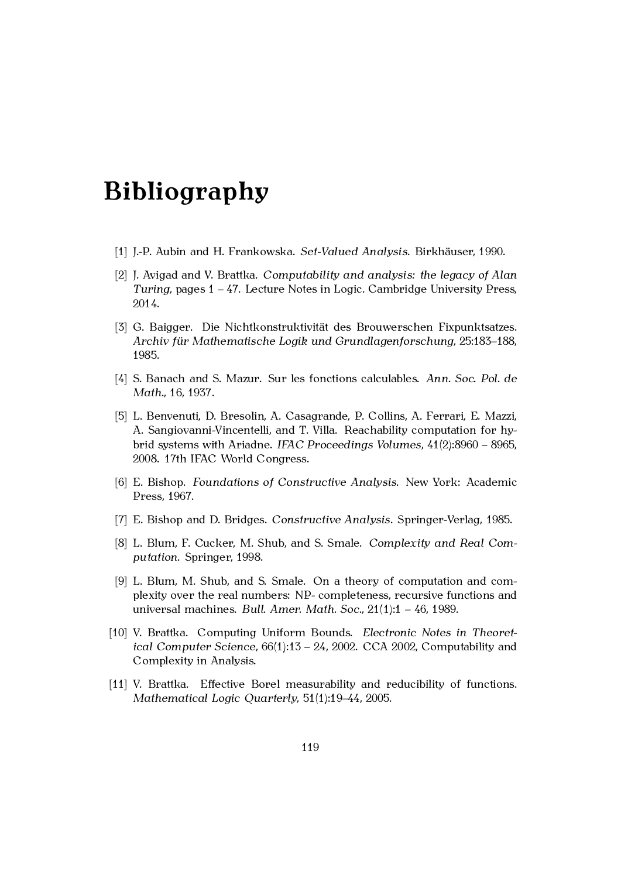## **Bibliography**

- [1] J.-P. Aubin and H. Frankowska. *Set-Valued Analysis*. Birkhäuser, 1990.
- [2] J. Avigad and V. Brattka. *Computability and analysis: the legacy of Alan Turing*, pages 1 – 47. Lecture Notes in Logic. Cambridge University Press, 2014.
- [3] G. Baigger. Die Nichtkonstruktivität des Brouwerschen Fixpunktsatzes. *Archiv für Mathematische Logik und Grundlagenforschung*, 25:183–188, 1985.
- [4] S. Banach and S. Mazur. Sur les fonctions calculables. *Ann. Soc. Pol. de Math.*, 16, 1937.
- [5] L. Benvenuti, D. Bresolin, A. Casagrande, P. Collins, A. Ferrari, E. Mazzi, A. Sangiovanni-Vincentelli, and T. Villa. Reachability computation for hybrid systems with Ariadne. *IFAC Proceedings Volumes*, 41(2):8960 – 8965, 2008. 17th IFAC World Congress.
- [6] E. Bishop. *Foundations of Constructive Analysis*. New York: Academic Press, 1967.
- [7] E. Bishop and D. Bridges. *Constructive Analysis*. Springer-Verlag, 1985.
- [8] L. Blum, F. Cucker, M. Shub, and S. Smale. *Complexity and Real Computation*. Springer, 1998.
- [9] L. Blum, M. Shub, and S. Smale. On a theory of computation and complexity over the real numbers: NP- completeness, recursive functions and universal machines. *Bull. Amer. Math. Soc.*, 21(1):1 – 46, 1989.
- [10] V. Brattka. Computing Uniform Bounds. *Electronic Notes in Theoretical Computer Science*, 66(1):13 – 24, 2002. CCA 2002, Computability and Complexity in Analysis.
- <span id="page-119-0"></span>[11] V. Brattka. Effective Borel measurability and reducibility of functions. *Mathematical Logic Quarterly*, 51(1):19–44, 2005.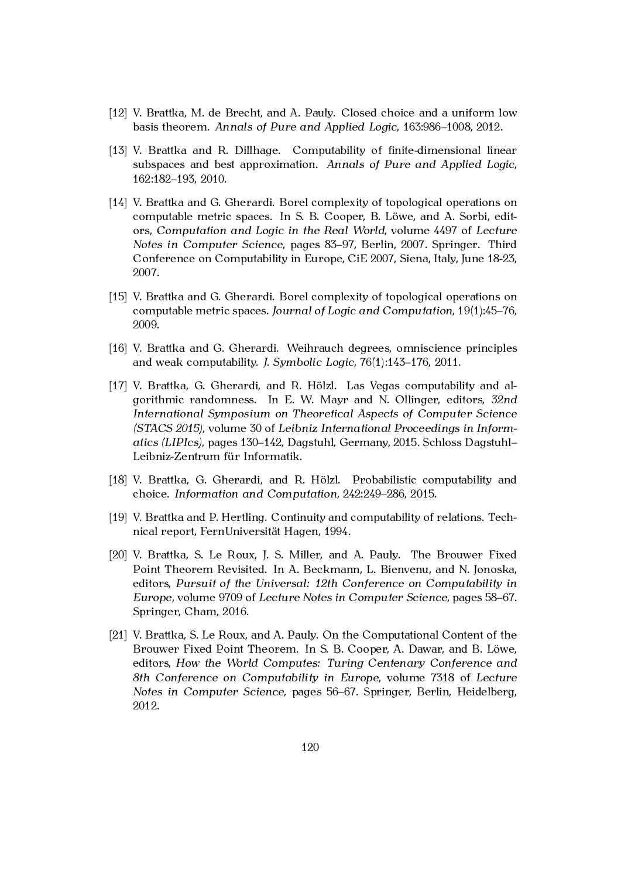- <span id="page-120-1"></span>[12] V. Brattka, M. de Brecht, and A. Pauly. Closed choice and a uniform low basis theorem. *Annals of Pure and Applied Logic*, 163:986–1008, 2012.
- [13] V. Brattka and R. Dillhage. Computability of finite-dimensional linear subspaces and best approximation. *Annals of Pure and Applied Logic*, 162:182–193, 2010.
- [14] V. Brattka and G. Gherardi. Borel complexity of topological operations on computable metric spaces. In S. B. Cooper, B. Löwe, and A. Sorbi, editors, *Computation and Logic in the Real World*, volume 4497 of *Lecture Notes in Computer Science*, pages 83–97, Berlin, 2007. Springer. Third Conference on Computability in Europe, CiE 2007, Siena, Italy, June 18-23, 2007.
- [15] V. Brattka and G. Gherardi. Borel complexity of topological operations on computable metric spaces. *Journal of Logic and Computation*, 19(1):45–76, 2009.
- [16] V. Brattka and G. Gherardi. Weihrauch degrees, omniscience principles and weak computability. *J. Symbolic Logic*, 76(1):143–176, 2011.
- [17] V. Brattka, G. Gherardi, and R. Hölzl. Las Vegas computability and algorithmic randomness. In E. W. Mayr and N. Ollinger, editors, *32nd International Symposium on Theoretical Aspects of Computer Science (STACS 2015)*, volume 30 of *Leibniz International Proceedings in Informatics (LIPIcs)*, pages 130–142, Dagstuhl, Germany, 2015. Schloss Dagstuhl– Leibniz-Zentrum für Informatik.
- <span id="page-120-0"></span>[18] V. Brattka, G. Gherardi, and R. Hölzl. Probabilistic computability and choice. *Information and Computation*, 242:249–286, 2015.
- [19] V. Brattka and P. Hertling. Continuity and computability of relations. Technical report, FernUniversität Hagen, 1994.
- [20] V. Brattka, S. Le Roux, J. S. Miller, and A. Pauly. The Brouwer Fixed Point Theorem Revisited. In A. Beckmann, L. Bienvenu, and N. Jonoska, editors, *Pursuit of the Universal: 12th Conference on Computability in Europe*, volume 9709 of *Lecture Notes in Computer Science*, pages 58–67. Springer, Cham, 2016.
- [21] V. Brattka, S. Le Roux, and A. Pauly. On the Computational Content of the Brouwer Fixed Point Theorem. In S. B. Cooper, A. Dawar, and B. Löwe, editors, *How the World Computes: Turing Centenary Conference and 8th Conference on Computability in Europe*, volume 7318 of *Lecture Notes in Computer Science*, pages 56–67. Springer, Berlin, Heidelberg, 2012.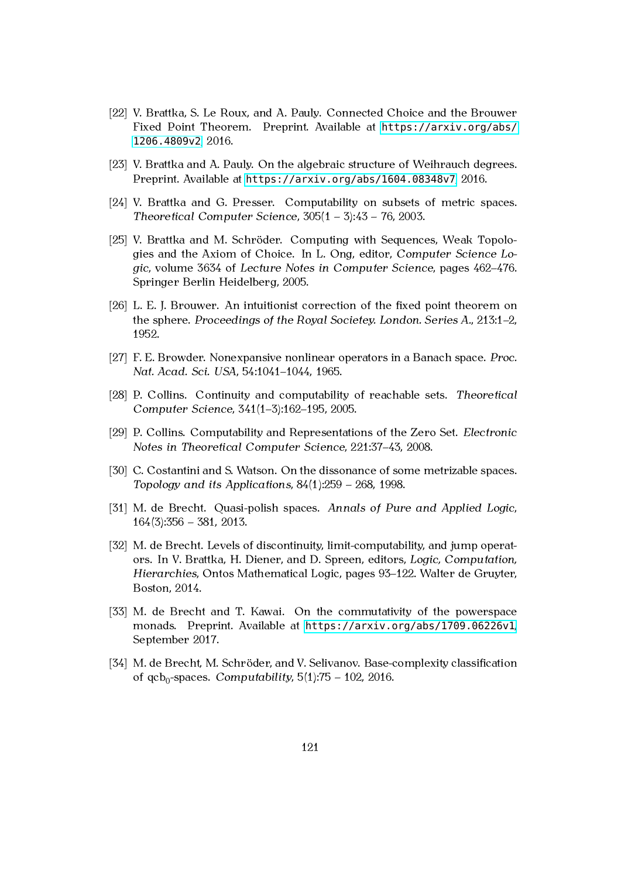- [22] V. Brattka, S. Le Roux, and A. Pauly. Connected Choice and the Brouwer Fixed Point Theorem. Preprint. Available at [https://arxiv.org/abs/](https://arxiv.org/abs/1206.4809v2) [1206.4809v2](https://arxiv.org/abs/1206.4809v2), 2016.
- [23] V. Brattka and A. Pauly. On the algebraic structure of Weihrauch degrees. Preprint. Available at <https://arxiv.org/abs/1604.08348v7>, 2016.
- [24] V. Brattka and G. Presser. Computability on subsets of metric spaces. *Theoretical Computer Science*, 305(1 – 3):43 – 76, 2003.
- [25] V. Brattka and M. Schröder. Computing with Sequences, Weak Topologies and the Axiom of Choice. In L. Ong, editor, *Computer Science Logic*, volume 3634 of *Lecture Notes in Computer Science*, pages 462–476. Springer Berlin Heidelberg, 2005.
- [26] L. E. J. Brouwer. An intuitionist correction of the fixed point theorem on the sphere. *Proceedings of the Royal Societey. London. Series A.*, 213:1–2, 1952.
- <span id="page-121-0"></span>[27] F. E. Browder. Nonexpansive nonlinear operators in a Banach space. *Proc. Nat. Acad. Sci. USA*, 54:1041–1044, 1965.
- [28] P. Collins. Continuity and computability of reachable sets. *Theoretical Computer Science*, 341(1–3):162–195, 2005.
- [29] P. Collins. Computability and Representations of the Zero Set. *Electronic Notes in Theoretical Computer Science*, 221:37–43, 2008.
- [30] C. Costantini and S. Watson. On the dissonance of some metrizable spaces. *Topology and its Applications*, 84(1):259 – 268, 1998.
- [31] M. de Brecht. Quasi-polish spaces. *Annals of Pure and Applied Logic*, 164(3):356 – 381, 2013.
- [32] M. de Brecht. Levels of discontinuity, limit-computability, and jump operators. In V. Brattka, H. Diener, and D. Spreen, editors, *Logic, Computation, Hierarchies*, Ontos Mathematical Logic, pages 93–122. Walter de Gruyter, Boston, 2014.
- [33] M. de Brecht and T. Kawai. On the commutativity of the powerspace monads. Preprint. Available at <https://arxiv.org/abs/1709.06226v1>, September 2017.
- [34] M. de Brecht, M. Schröder, and V. Selivanov. Base-complexity classification of qcb<sup>0</sup> -spaces. *Computability*, 5(1):75 – 102, 2016.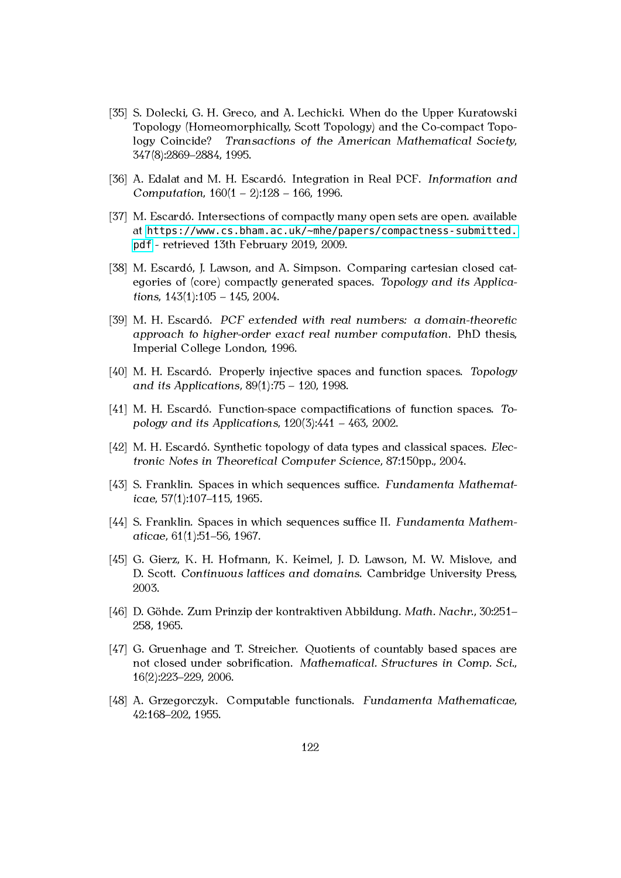- [35] S. Dolecki, G. H. Greco, and A. Lechicki. When do the Upper Kuratowski Topology (Homeomorphically, Scott Topology) and the Co-compact Topology Coincide? *Transactions of the American Mathematical Society*, 347(8):2869–2884, 1995.
- [36] A. Edalat and M. H. Escardó. Integration in Real PCF. *Information and Computation*, 160(1 – 2):128 – 166, 1996.
- [37] M. Escardó. Intersections of compactly many open sets are open. available at [https://www.cs.bham.ac.uk/~mhe/papers/compactness-submitted.](https://www.cs.bham.ac.uk/~mhe/papers/compactness-submitted.pdf) [pdf](https://www.cs.bham.ac.uk/~mhe/papers/compactness-submitted.pdf) - retrieved 13th February 2019, 2009.
- [38] M. Escardó, J. Lawson, and A. Simpson. Comparing cartesian closed categories of (core) compactly generated spaces. *Topology and its Applications*, 143(1):105 – 145, 2004.
- [39] M. H. Escardó. *PCF extended with real numbers: a domain-theoretic approach to higher-order exact real number computation*. PhD thesis, Imperial College London, 1996.
- [40] M. H. Escardó. Properly injective spaces and function spaces. *Topology and its Applications*, 89(1):75 – 120, 1998.
- [41] M. H. Escardó. Function-space compactifications of function spaces. *Topology and its Applications*, 120(3):441 – 463, 2002.
- [42] M. H. Escardó. Synthetic topology of data types and classical spaces. *Electronic Notes in Theoretical Computer Science*, 87:150pp., 2004.
- [43] S. Franklin. Spaces in which sequences suffice. *Fundamenta Mathematicae*, 57(1):107–115, 1965.
- [44] S. Franklin. Spaces in which sequences suffice II. *Fundamenta Mathematicae*, 61(1):51–56, 1967.
- [45] G. Gierz, K. H. Hofmann, K. Keimel, J. D. Lawson, M. W. Mislove, and D. Scott. *Continuous lattices and domains*. Cambridge University Press, 2003.
- <span id="page-122-0"></span>[46] D. Göhde. Zum Prinzip der kontraktiven Abbildung. *Math. Nachr.*, 30:251– 258, 1965.
- [47] G. Gruenhage and T. Streicher. Quotients of countably based spaces are not closed under sobrification. *Mathematical. Structures in Comp. Sci.*, 16(2):223–229, 2006.
- [48] A. Grzegorczyk. Computable functionals. *Fundamenta Mathematicae*, 42:168–202, 1955.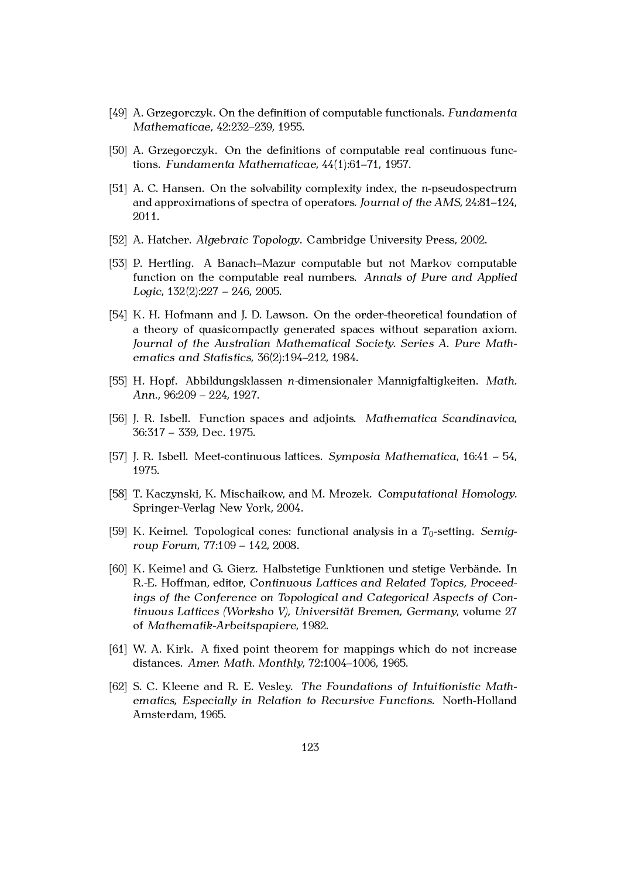- [49] A. Grzegorczyk. On the definition of computable functionals. *Fundamenta Mathematicae*, 42:232–239, 1955.
- [50] A. Grzegorczyk. On the definitions of computable real continuous functions. *Fundamenta Mathematicae*, 44(1):61–71, 1957.
- [51] A. C. Hansen. On the solvability complexity index, the n-pseudospectrum and approximations of spectra of operators. *Journal of the AMS*, 24:81–124, 2011.
- [52] A. Hatcher. *Algebraic Topology*. Cambridge University Press, 2002.
- [53] P. Hertling. A Banach–Mazur computable but not Markov computable function on the computable real numbers. *Annals of Pure and Applied Logic*, 132(2):227 – 246, 2005.
- [54] K. H. Hofmann and J. D. Lawson. On the order-theoretical foundation of a theory of quasicompactly generated spaces without separation axiom. *Journal of the Australian Mathematical Society. Series A. Pure Mathematics and Statistics*, 36(2):194–212, 1984.
- [55] H. Hopf. Abbildungsklassen *n*-dimensionaler Mannigfaltigkeiten. *Math. Ann.*, 96:209 – 224, 1927.
- [56] J. R. Isbell. Function spaces and adjoints. *Mathematica Scandinavica*, 36:317 – 339, Dec. 1975.
- [57] J. R. Isbell. Meet-continuous lattices. *Symposia Mathematica*, 16:41 54, 1975.
- [58] T. Kaczynski, K. Mischaikow, and M. Mrozek. *Computational Homology*. Springer-Verlag New York, 2004.
- [59] K. Keimel. Topological cones: functional analysis in a *T*0-setting. *Semigroup Forum*, 77:109 – 142, 2008.
- [60] K. Keimel and G. Gierz. Halbstetige Funktionen und stetige Verbände. In R.-E. Hoffman, editor, *Continuous Lattices and Related Topics, Proceedings of the Conference on Topological and Categorical Aspects of Continuous Lattices (Worksho V), Universität Bremen, Germany*, volume 27 of *Mathematik-Arbeitspapiere*, 1982.
- <span id="page-123-0"></span>[61] W. A. Kirk. A fixed point theorem for mappings which do not increase distances. *Amer. Math. Monthly*, 72:1004–1006, 1965.
- [62] S. C. Kleene and R. E. Vesley. *The Foundations of Intuitionistic Mathematics, Especially in Relation to Recursive Functions*. North-Holland Amsterdam, 1965.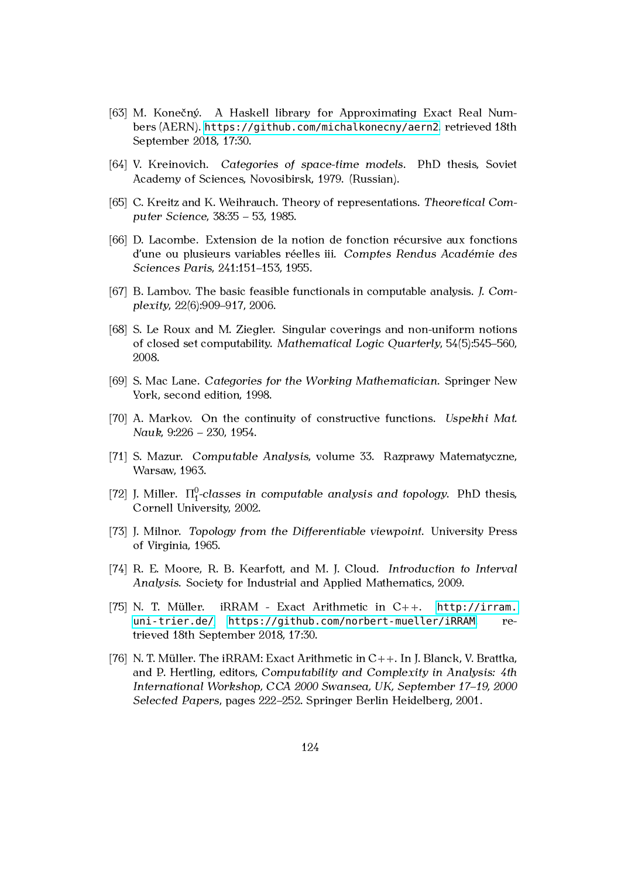- [63] M. Konečný. A Haskell library for Approximating Exact Real Numbers (AERN). <https://github.com/michalkonecny/aern2>. retrieved 18th September 2018, 17:30.
- [64] V. Kreinovich. *Categories of space-time models*. PhD thesis, Soviet Academy of Sciences, Novosibirsk, 1979. (Russian).
- [65] C. Kreitz and K. Weihrauch. Theory of representations. *Theoretical Computer Science*, 38:35 – 53, 1985.
- [66] D. Lacombe. Extension de la notion de fonction récursive aux fonctions d'une ou plusieurs variables réelles iii. *Comptes Rendus Académie des Sciences Paris*, 241:151–153, 1955.
- [67] B. Lambov. The basic feasible functionals in computable analysis. *J. Complexity*, 22(6):909–917, 2006.
- [68] S. Le Roux and M. Ziegler. Singular coverings and non-uniform notions of closed set computability. *Mathematical Logic Quarterly*, 54(5):545–560, 2008.
- [69] S. Mac Lane. *Categories for the Working Mathematician*. Springer New York, second edition, 1998.
- [70] A. Markov. On the continuity of constructive functions. *Uspekhi Mat. Nauk*, 9:226 – 230, 1954.
- [71] S. Mazur. *Computable Analysis*, volume 33. Razprawy Matematyczne, Warsaw, 1963.
- [72] J. Miller. Π<sup>0</sup><sub>1</sub>-classes in computable analysis and topology. PhD thesis, Cornell University, 2002.
- [73] J. Milnor. *Topology from the Differentiable viewpoint*. University Press of Virginia, 1965.
- [74] R. E. Moore, R. B. Kearfott, and M. J. Cloud. *Introduction to Interval Analysis*. Society for Industrial and Applied Mathematics, 2009.
- [75] N. T. Müller. iRRAM Exact Arithmetic in C++. [http://irram.](http://irram.uni-trier.de/) [uni-trier.de/](http://irram.uni-trier.de/), <https://github.com/norbert-mueller/iRRAM>. retrieved 18th September 2018, 17:30.
- [76] N. T. Müller. The iRRAM: Exact Arithmetic in  $C_{++}$ . In J. Blanck, V. Brattka, and P. Hertling, editors, *Computability and Complexity in Analysis: 4th International Workshop, CCA 2000 Swansea, UK, September 17–19, 2000 Selected Papers*, pages 222–252. Springer Berlin Heidelberg, 2001.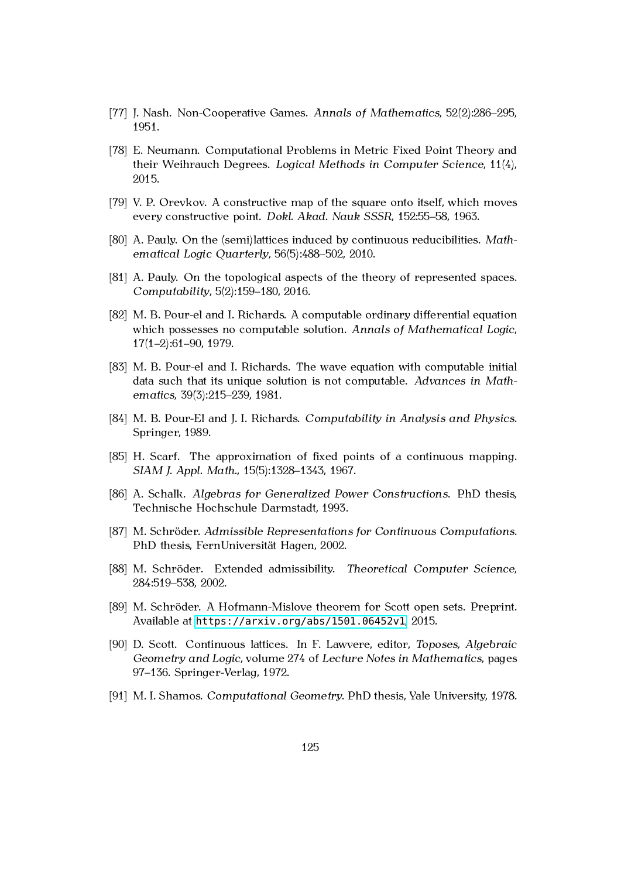- [77] J. Nash. Non-Cooperative Games. *Annals of Mathematics*, 52(2):286–295, 1951.
- <span id="page-125-0"></span>[78] E. Neumann. Computational Problems in Metric Fixed Point Theory and their Weihrauch Degrees. *Logical Methods in Computer Science*, 11(4), 2015.
- [79] V. P. Orevkov. A constructive map of the square onto itself, which moves every constructive point. *Dokl. Akad. Nauk SSSR*, 152:55–58, 1963.
- [80] A. Pauly. On the (semi)lattices induced by continuous reducibilities. *Mathematical Logic Quarterly*, 56(5):488–502, 2010.
- [81] A. Pauly. On the topological aspects of the theory of represented spaces. *Computability*, 5(2):159–180, 2016.
- [82] M. B. Pour-el and I. Richards. A computable ordinary differential equation which possesses no computable solution. *Annals of Mathematical Logic*, 17(1–2):61–90, 1979.
- [83] M. B. Pour-el and I. Richards. The wave equation with computable initial data such that its unique solution is not computable. *Advances in Mathematics*, 39(3):215–239, 1981.
- [84] M. B. Pour-El and J. I. Richards. *Computability in Analysis and Physics*. Springer, 1989.
- [85] H. Scarf. The approximation of fixed points of a continuous mapping. *SIAM J. Appl. Math.*, 15(5):1328–1343, 1967.
- [86] A. Schalk. *Algebras for Generalized Power Constructions*. PhD thesis, Technische Hochschule Darmstadt, 1993.
- [87] M. Schröder. *Admissible Representations for Continuous Computations*. PhD thesis, FernUniversität Hagen, 2002.
- [88] M. Schröder. Extended admissibility. *Theoretical Computer Science*, 284:519–538, 2002.
- [89] M. Schröder. A Hofmann-Mislove theorem for Scott open sets. Preprint. Available at <https://arxiv.org/abs/1501.06452v1>, 2015.
- [90] D. Scott. Continuous lattices. In F. Lawvere, editor, *Toposes, Algebraic Geometry and Logic*, volume 274 of *Lecture Notes in Mathematics*, pages 97–136. Springer-Verlag, 1972.
- [91] M. I. Shamos. *Computational Geometry.* PhD thesis, Yale University, 1978.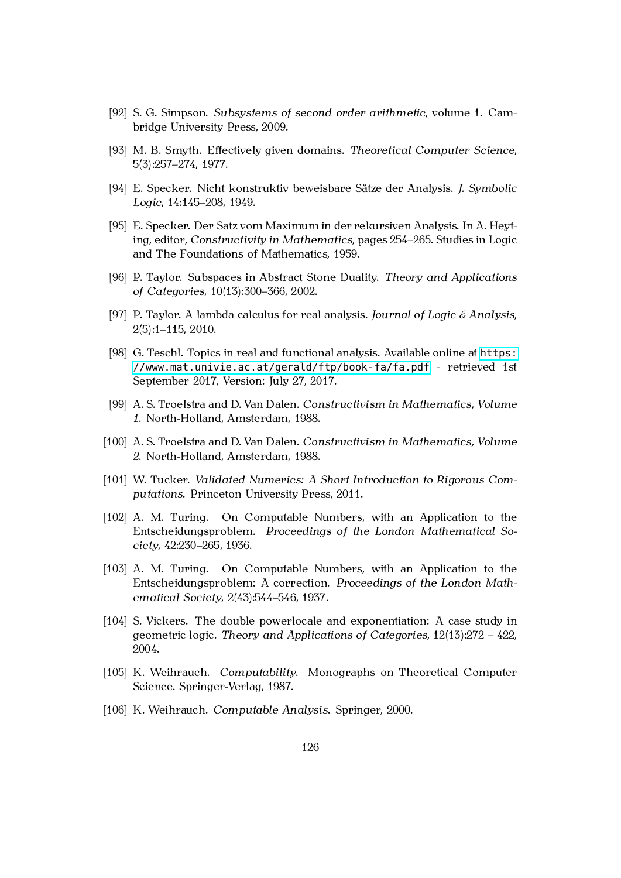- [92] S. G. Simpson. *Subsystems of second order arithmetic*, volume 1. Cambridge University Press, 2009.
- [93] M. B. Smyth. Effectively given domains. *Theoretical Computer Science*, 5(3):257–274, 1977.
- [94] E. Specker. Nicht konstruktiv beweisbare Sätze der Analysis. *J. Symbolic Logic*, 14:145–208, 1949.
- [95] E. Specker. Der Satz vom Maximum in der rekursiven Analysis. In A. Heyting, editor, *Constructivity in Mathematics*, pages 254–265. Studies in Logic and The Foundations of Mathematics, 1959.
- [96] P. Taylor. Subspaces in Abstract Stone Duality. *Theory and Applications of Categories*, 10(13):300–366, 2002.
- [97] P. Taylor. A lambda calculus for real analysis. *Journal of Logic & Analysis*, 2(5):1–115, 2010.
- [98] G. Teschl. Topics in real and functional analysis. Available online at [https:](https://www.mat.univie.ac.at/gerald/ftp/book-fa/fa.pdf) [//www.mat.univie.ac.at/gerald/ftp/book-fa/fa.pdf](https://www.mat.univie.ac.at/gerald/ftp/book-fa/fa.pdf) - retrieved 1st September 2017, Version: July 27, 2017.
- [99] A. S. Troelstra and D. Van Dalen. *Constructivism in Mathematics, Volume 1*. North-Holland, Amsterdam, 1988.
- [100] A. S. Troelstra and D. Van Dalen. *Constructivism in Mathematics, Volume 2*. North-Holland, Amsterdam, 1988.
- [101] W. Tucker. *Validated Numerics: A Short Introduction to Rigorous Computations*. Princeton University Press, 2011.
- [102] A. M. Turing. On Computable Numbers, with an Application to the Entscheidungsproblem. *Proceedings of the London Mathematical Society*, 42:230–265, 1936.
- [103] A. M. Turing. On Computable Numbers, with an Application to the Entscheidungsproblem: A correction. *Proceedings of the London Mathematical Society*, 2(43):544–546, 1937.
- [104] S. Vickers. The double powerlocale and exponentiation: A case study in geometric logic. *Theory and Applications of Categories*, 12(13):272 – 422, 2004.
- [105] K. Weihrauch. *Computability*. Monographs on Theoretical Computer Science. Springer-Verlag, 1987.
- [106] K. Weihrauch. *Computable Analysis*. Springer, 2000.